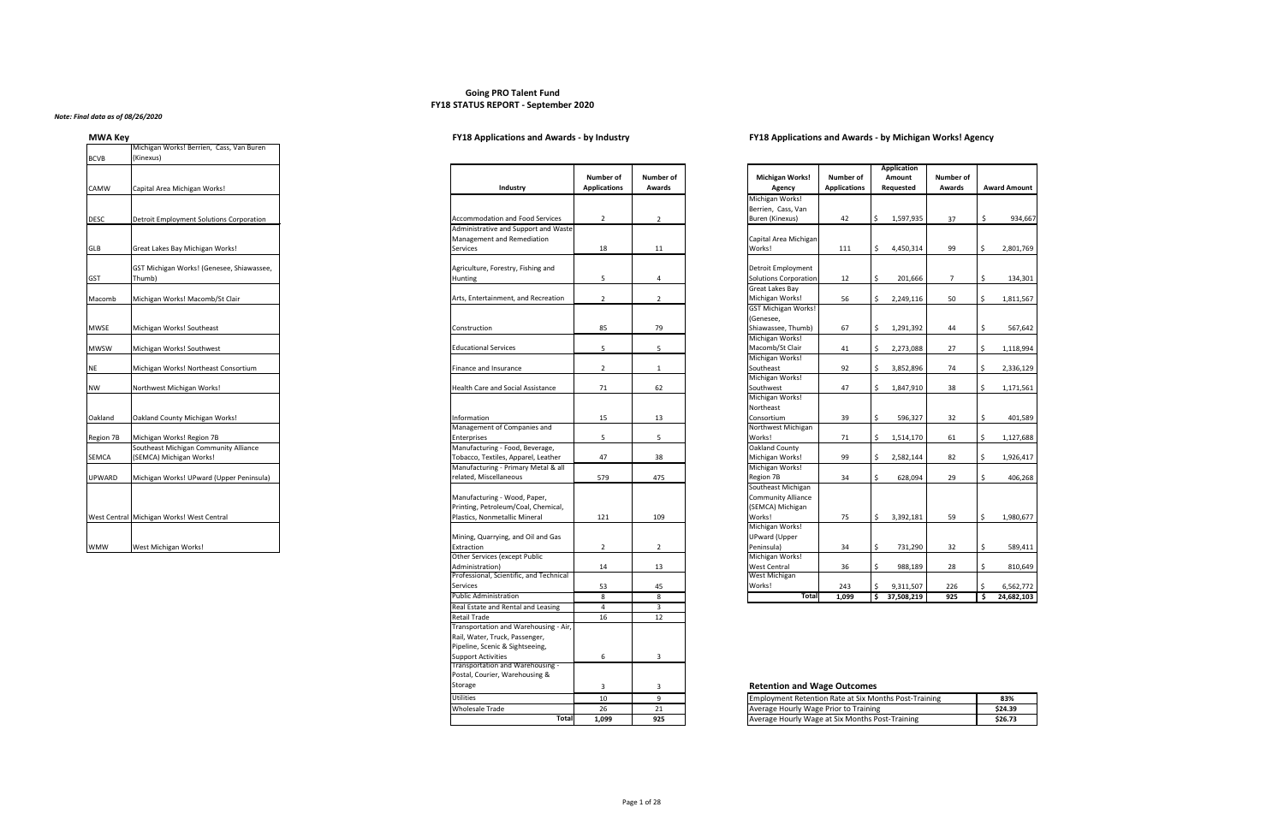# **Going PRO Talent Fund FY18 STATUS REPORT - September 2020**

## *Note: Final data as of 08/26/2020*

| <b>MWA Key</b>                                                                                                                                                                                                                                                                                                                     | <b>FY18 Applications and Awards - by Industry</b> | <b>FY18 Applications and Awards - by Michigan Works! Agency</b> |
|------------------------------------------------------------------------------------------------------------------------------------------------------------------------------------------------------------------------------------------------------------------------------------------------------------------------------------|---------------------------------------------------|-----------------------------------------------------------------|
| $\mathbf{a}$ $\mathbf{b}$ $\mathbf{c}$ $\mathbf{c}$ $\mathbf{c}$ $\mathbf{c}$ $\mathbf{c}$ $\mathbf{c}$ $\mathbf{c}$ $\mathbf{c}$ $\mathbf{c}$ $\mathbf{c}$ $\mathbf{c}$ $\mathbf{c}$ $\mathbf{c}$ $\mathbf{c}$ $\mathbf{c}$ $\mathbf{c}$ $\mathbf{c}$ $\mathbf{c}$ $\mathbf{c}$ $\mathbf{c}$ $\mathbf{c}$ $\mathbf{c}$ $\mathbf{$ |                                                   |                                                                 |

| Number of<br><b>Awards</b>        |  |
|-----------------------------------|--|
|                                   |  |
| 2                                 |  |
| 11                                |  |
|                                   |  |
| 4                                 |  |
| 2                                 |  |
|                                   |  |
| 79                                |  |
| ľ                                 |  |
| $\mathbf{1}$                      |  |
| 62                                |  |
|                                   |  |
| 13                                |  |
| ŗ<br>J                            |  |
| 38                                |  |
| 475                               |  |
|                                   |  |
| 109                               |  |
| 2                                 |  |
| 13                                |  |
|                                   |  |
| 45<br>$\overline{8}$              |  |
| $\overline{3}$<br>$\overline{12}$ |  |
|                                   |  |
| 3                                 |  |
|                                   |  |
| 3                                 |  |
| 9                                 |  |
| 21<br>925                         |  |
|                                   |  |

|               | Michigan Works! Berrien, Cass, Van Buren            |                                                                     |                                         |                     |
|---------------|-----------------------------------------------------|---------------------------------------------------------------------|-----------------------------------------|---------------------|
| <b>BCVB</b>   | (Kinexus)                                           |                                                                     |                                         |                     |
| <b>CAMW</b>   | Capital Area Michigan Works!                        | Industry                                                            | <b>Number of</b><br><b>Applications</b> | <b>Numb</b><br>Awar |
|               |                                                     |                                                                     |                                         |                     |
| <b>DESC</b>   | Detroit Employment Solutions Corporation            | <b>Accommodation and Food Services</b>                              | $\overline{2}$                          |                     |
|               |                                                     | Administrative and Support and Waste<br>Management and Remediation  |                                         |                     |
| GLB           | Great Lakes Bay Michigan Works!                     | <b>Services</b>                                                     | 18                                      |                     |
| <b>GST</b>    | GST Michigan Works! (Genesee, Shiawassee,<br>Thumb) | Agriculture, Forestry, Fishing and<br><b>Hunting</b>                | 5                                       |                     |
| Macomb        | Michigan Works! Macomb/St Clair                     | Arts, Entertainment, and Recreation                                 | $\overline{2}$                          |                     |
| <b>MWSE</b>   | Michigan Works! Southeast                           | Construction                                                        | 85                                      |                     |
| <b>MWSW</b>   | Michigan Works! Southwest                           | <b>Educational Services</b>                                         | 5                                       |                     |
| <b>NE</b>     | Michigan Works! Northeast Consortium                | Finance and Insurance                                               | $\overline{2}$                          |                     |
| <b>NW</b>     | Northwest Michigan Works!                           | <b>Health Care and Social Assistance</b>                            | 71                                      |                     |
| Oakland       | Oakland County Michigan Works!                      | Information                                                         | 15                                      |                     |
| Region 7B     | Michigan Works! Region 7B                           | Management of Companies and<br>Enterprises                          | 5                                       |                     |
|               | Southeast Michigan Community Alliance               | Manufacturing - Food, Beverage,                                     |                                         |                     |
| <b>SEMCA</b>  | (SEMCA) Michigan Works!                             | Tobacco, Textiles, Apparel, Leather                                 | 47                                      |                     |
| <b>UPWARD</b> | Michigan Works! UPward (Upper Peninsula)            | Manufacturing - Primary Metal & all<br>related, Miscellaneous       | 579                                     |                     |
|               |                                                     | Manufacturing - Wood, Paper,<br>Printing, Petroleum/Coal, Chemical, |                                         |                     |
|               | West Central Michigan Works! West Central           | Plastics, Nonmetallic Mineral                                       | 121                                     | 109                 |
|               |                                                     | Mining, Quarrying, and Oil and Gas                                  |                                         |                     |
| <b>WMW</b>    | West Michigan Works!                                | Extraction                                                          | $\mathbf{2}$                            |                     |

| Industry                                 | <b>Number of</b><br><b>Applications</b> | <b>Number of</b><br><b>Awards</b> |
|------------------------------------------|-----------------------------------------|-----------------------------------|
|                                          |                                         |                                   |
|                                          |                                         |                                   |
| <b>Accommodation and Food Services</b>   | $\overline{2}$                          | $\overline{2}$                    |
| Administrative and Support and Waste     |                                         |                                   |
| Management and Remediation               |                                         |                                   |
| Services                                 | 18                                      | 11                                |
|                                          |                                         |                                   |
| Agriculture, Forestry, Fishing and       |                                         |                                   |
| <b>Hunting</b>                           | 5                                       | 4                                 |
|                                          |                                         |                                   |
| Arts, Entertainment, and Recreation      | $\overline{2}$                          | $\overline{2}$                    |
|                                          |                                         |                                   |
|                                          |                                         |                                   |
| Construction                             | 85                                      | 79                                |
|                                          |                                         |                                   |
| <b>Educational Services</b>              | 5                                       | 5                                 |
|                                          |                                         |                                   |
| <b>Finance and Insurance</b>             | $\overline{2}$                          | $\mathbf{1}$                      |
|                                          |                                         |                                   |
| <b>Health Care and Social Assistance</b> | 71                                      | 62                                |
|                                          |                                         |                                   |
|                                          |                                         |                                   |
| Information                              | 15                                      | 13                                |
| Management of Companies and              |                                         |                                   |
| <b>Enterprises</b>                       | 5                                       | 5                                 |
| Manufacturing - Food, Beverage,          |                                         |                                   |
| Tobacco, Textiles, Apparel, Leather      | 47                                      | 38                                |
| Manufacturing - Primary Metal & all      |                                         |                                   |
| related, Miscellaneous                   | 579                                     | 475                               |
|                                          |                                         |                                   |
| Manufacturing - Wood, Paper,             |                                         |                                   |
| Printing, Petroleum/Coal, Chemical,      |                                         |                                   |
| Plastics, Nonmetallic Mineral            | 121                                     | 109                               |
|                                          |                                         |                                   |
| Mining, Quarrying, and Oil and Gas       |                                         |                                   |
| Extraction                               | $\overline{2}$                          | $\overline{2}$                    |
| Other Services (except Public            |                                         |                                   |
| Administration)                          | 14                                      | 13                                |
| Professional, Scientific, and Technical  |                                         |                                   |
| Services                                 | 53                                      | 45                                |
| <b>Public Administration</b>             | 8                                       | 8                                 |
|                                          |                                         |                                   |

## **Retention and Wage Outcomes**

| <b>Industry</b>                                                         | <b>Number of</b><br><b>Applications</b> | <b>Numbe</b><br>Awar |
|-------------------------------------------------------------------------|-----------------------------------------|----------------------|
|                                                                         |                                         |                      |
| <b>Accommodation and Food Services</b>                                  | 2                                       | 2                    |
| Administrative and Support and Waste                                    |                                         |                      |
| Management and Remediation                                              |                                         |                      |
| Services                                                                | 18                                      | 11                   |
|                                                                         |                                         |                      |
| Agriculture, Forestry, Fishing and                                      |                                         |                      |
| Hunting                                                                 | 5                                       | 4                    |
|                                                                         |                                         |                      |
| Arts, Entertainment, and Recreation                                     | 2                                       | 2                    |
|                                                                         |                                         |                      |
| Construction                                                            | 85                                      | 79                   |
|                                                                         |                                         |                      |
| <b>Educational Services</b>                                             | 5                                       | 5                    |
| Finance and Insurance                                                   | 2                                       | 1                    |
|                                                                         |                                         |                      |
| <b>Health Care and Social Assistance</b>                                | 71                                      | 62                   |
|                                                                         |                                         |                      |
| Information                                                             | 15                                      | 13                   |
| Management of Companies and                                             |                                         |                      |
| Enterprises                                                             | 5                                       | 5                    |
| Manufacturing - Food, Beverage,                                         |                                         |                      |
| Tobacco, Textiles, Apparel, Leather                                     | 47                                      | 38                   |
| Manufacturing - Primary Metal & all                                     |                                         |                      |
| related, Miscellaneous                                                  | 579                                     | 475                  |
| Manufacturing - Wood, Paper,                                            |                                         |                      |
| Printing, Petroleum/Coal, Chemical,                                     |                                         |                      |
| Plastics, Nonmetallic Mineral                                           | 121                                     | 109                  |
|                                                                         |                                         |                      |
| Mining, Quarrying, and Oil and Gas                                      |                                         |                      |
| Extraction                                                              | 2                                       | $\overline{2}$       |
| <b>Other Services (except Public</b>                                    |                                         |                      |
| Administration)                                                         | 14                                      | 13                   |
| Professional, Scientific, and Technical                                 |                                         |                      |
| <b>Services</b>                                                         | 53                                      | 45                   |
| <b>Public Administration</b>                                            | 8                                       | 8                    |
| Real Estate and Rental and Leasing                                      | 4                                       | 3                    |
| <b>Retail Trade</b>                                                     | 16                                      | 12                   |
| Transportation and Warehousing - Air,<br>Rail, Water, Truck, Passenger, |                                         |                      |
| Pipeline, Scenic & Sightseeing,                                         |                                         |                      |
| <b>Support Activities</b>                                               | 6                                       | 3                    |
| Transportation and Warehousing -                                        |                                         |                      |
| Postal, Courier, Warehousing &                                          |                                         |                      |
| Storage                                                                 | 3                                       | 3                    |
| <b>Utilities</b>                                                        | 10                                      | 9                    |
| <b>Wholesale Trade</b>                                                  | 26                                      | 21                   |
| <b>Total</b>                                                            | 1,099                                   | 925                  |
|                                                                         |                                         |                      |

| Utilities       | 10                           |  | <b>Employment Retention Rate at Six Months Post-Training</b> | 83%     |
|-----------------|------------------------------|--|--------------------------------------------------------------|---------|
| Wholesale Trade | <u>. .</u>                   |  | Average Hourly Wage Prior to Training                        | \$24.39 |
|                 | <b>Total</b><br>990,⊥<br>925 |  | y Wage at Six Months Post-Training<br>Average Hourly         | \$26.73 |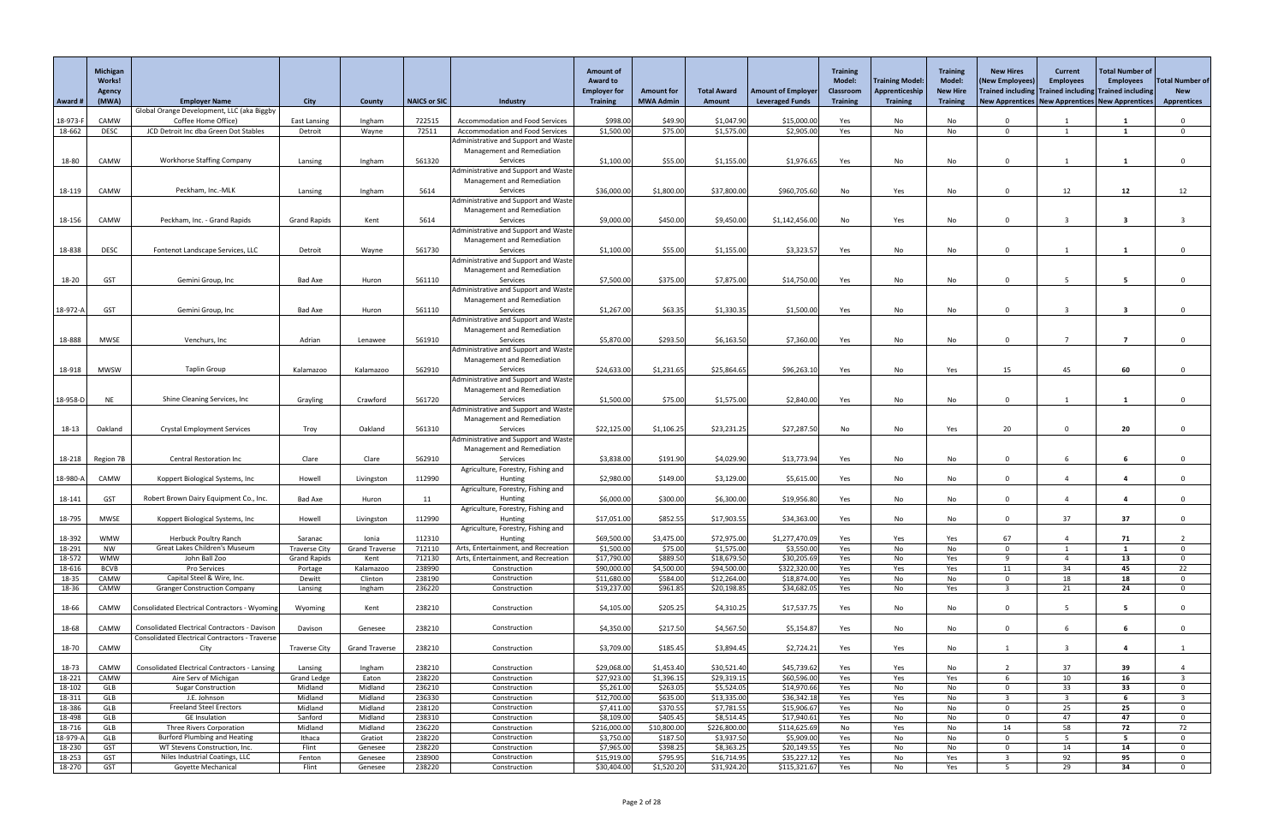|                  | Michigan<br><b>Works!</b><br>Agency |                                                                                                               |                                 |                                |                     |                                                                    | <b>Amount of</b><br><b>Award to</b><br><b>Employer for</b> | <b>Amount for</b>        | <b>Total Award</b>         | <b>Amount of Employer</b>    | <b>Training</b><br><b>Model:</b><br><b>Classroom</b> | Training Model:<br>Apprenticeship | <b>Training</b><br><b>Model:</b><br><b>New Hire</b> | <b>New Hires</b><br>(New Employees)<br>Trained including Trained including Trained including | <b>Current</b><br><b>Employees</b> | <b>Total Number of</b><br><b>Employees</b> | <b>Total Number of</b><br><b>New</b> |
|------------------|-------------------------------------|---------------------------------------------------------------------------------------------------------------|---------------------------------|--------------------------------|---------------------|--------------------------------------------------------------------|------------------------------------------------------------|--------------------------|----------------------------|------------------------------|------------------------------------------------------|-----------------------------------|-----------------------------------------------------|----------------------------------------------------------------------------------------------|------------------------------------|--------------------------------------------|--------------------------------------|
| Award #          | (MWA)                               | <b>Employer Name</b>                                                                                          | <b>City</b>                     | County                         | <b>NAICS or SIC</b> | Industry                                                           | <b>Training</b>                                            | <b>MWA Admin</b>         | Amount                     | <b>Leveraged Funds</b>       | <b>Training</b>                                      | <b>Training</b>                   | <b>Training</b>                                     | New Apprentices   New Apprentices   New Apprentices                                          |                                    |                                            | <b>Apprentices</b>                   |
| 18-973-F         | CAMW                                | Global Orange Development, LLC (aka Biggby<br>Coffee Home Office)                                             | <b>East Lansing</b>             | Ingham                         | 722515              | <b>Accommodation and Food Services</b>                             | \$998.00                                                   | \$49.90                  | \$1,047.90                 | \$15,000.00                  | Yes                                                  | No                                | No                                                  |                                                                                              |                                    |                                            |                                      |
| 18-662           | <b>DESC</b>                         | JCD Detroit Inc dba Green Dot Stables                                                                         | Detroit                         | Wayne                          | 72511               | <b>Accommodation and Food Services</b>                             | \$1,500.00                                                 | \$75.00                  | \$1,575.00                 | \$2,905.00                   | Yes                                                  | No                                | No                                                  | $\Omega$                                                                                     |                                    |                                            | $\Omega$                             |
|                  |                                     |                                                                                                               |                                 |                                |                     | Administrative and Support and Waste                               |                                                            |                          |                            |                              |                                                      |                                   |                                                     |                                                                                              |                                    |                                            |                                      |
| 18-80            | CAMW                                | <b>Workhorse Staffing Company</b>                                                                             | Lansing                         | Ingham                         | 561320              | Management and Remediation<br>Services                             | \$1,100.00                                                 | \$55.00                  | \$1,155.00                 | \$1,976.65                   | Yes                                                  | No                                | No                                                  | $\Omega$                                                                                     |                                    |                                            | $\Omega$                             |
|                  |                                     |                                                                                                               |                                 |                                |                     | Administrative and Support and Waste                               |                                                            |                          |                            |                              |                                                      |                                   |                                                     |                                                                                              |                                    |                                            |                                      |
|                  |                                     |                                                                                                               |                                 |                                |                     | Management and Remediation                                         |                                                            |                          |                            |                              |                                                      |                                   |                                                     |                                                                                              |                                    |                                            |                                      |
| 18-119           | CAMW                                | Peckham, Inc.-MLK                                                                                             | Lansing                         | Ingham                         | 5614                | Services                                                           | \$36,000.00                                                | \$1,800.00               | \$37,800.00                | \$960,705.60                 | No                                                   | Yes                               | No                                                  | $\Omega$                                                                                     | 12                                 | 12                                         | 12                                   |
|                  |                                     |                                                                                                               |                                 |                                |                     | Administrative and Support and Waste<br>Management and Remediation |                                                            |                          |                            |                              |                                                      |                                   |                                                     |                                                                                              |                                    |                                            |                                      |
| 18-156           | CAMW                                | Peckham, Inc. - Grand Rapids                                                                                  | <b>Grand Rapids</b>             | Kent                           | 5614                | Services                                                           | \$9,000.00                                                 | \$450.00                 | \$9,450.00                 | \$1,142,456.00               | No                                                   | Yes                               | No                                                  | $\Omega$                                                                                     |                                    | -3                                         |                                      |
|                  |                                     |                                                                                                               |                                 |                                |                     | Administrative and Support and Waste                               |                                                            |                          |                            |                              |                                                      |                                   |                                                     |                                                                                              |                                    |                                            |                                      |
| 18-838           | <b>DESC</b>                         | Fontenot Landscape Services, LLC                                                                              | Detroit                         | Wayne                          | 561730              | Management and Remediation<br>Services                             | \$1,100.00                                                 | \$55.00                  | \$1,155.00                 | \$3,323.57                   | Yes                                                  | No                                | No                                                  | $\Omega$                                                                                     |                                    |                                            | $\Omega$                             |
|                  |                                     |                                                                                                               |                                 |                                |                     | Administrative and Support and Waste                               |                                                            |                          |                            |                              |                                                      |                                   |                                                     |                                                                                              |                                    |                                            |                                      |
|                  |                                     |                                                                                                               |                                 |                                |                     | Management and Remediation                                         |                                                            |                          |                            |                              |                                                      |                                   |                                                     |                                                                                              |                                    |                                            |                                      |
| 18-20            | <b>GST</b>                          | Gemini Group, Inc                                                                                             | <b>Bad Axe</b>                  | Huron                          | 561110              | Services                                                           | \$7,500.00                                                 | \$375.00                 | \$7,875.00                 | \$14,750.00                  | Yes                                                  | No                                | No                                                  | $\Omega$                                                                                     | 5                                  |                                            |                                      |
|                  |                                     |                                                                                                               |                                 |                                |                     | Administrative and Support and Waste<br>Management and Remediation |                                                            |                          |                            |                              |                                                      |                                   |                                                     |                                                                                              |                                    |                                            |                                      |
| 18-972-A         | <b>GST</b>                          | Gemini Group, Inc                                                                                             | <b>Bad Axe</b>                  | Huron                          | 561110              | Services                                                           | \$1,267.00                                                 | \$63.35                  | \$1,330.35                 | \$1,500.00                   | Yes                                                  | No                                | No                                                  | $\Omega$                                                                                     |                                    | $\overline{\mathbf{3}}$                    |                                      |
|                  |                                     |                                                                                                               |                                 |                                |                     | Administrative and Support and Waste                               |                                                            |                          |                            |                              |                                                      |                                   |                                                     |                                                                                              |                                    |                                            |                                      |
| 18-888           | <b>MWSE</b>                         | Venchurs, Inc                                                                                                 | Adrian                          | Lenawee                        | 561910              | Management and Remediation<br>Services                             | \$5,870.00                                                 | \$293.50                 | \$6,163.50                 | \$7,360.00                   | Yes                                                  | No                                | No                                                  | $\Omega$                                                                                     | 7                                  | $\overline{ }$                             |                                      |
|                  |                                     |                                                                                                               |                                 |                                |                     | Administrative and Support and Waste                               |                                                            |                          |                            |                              |                                                      |                                   |                                                     |                                                                                              |                                    |                                            |                                      |
|                  |                                     |                                                                                                               |                                 |                                |                     | Management and Remediation                                         |                                                            |                          |                            |                              |                                                      |                                   |                                                     |                                                                                              |                                    |                                            |                                      |
| 18-918           | <b>MWSW</b>                         | <b>Taplin Group</b>                                                                                           | Kalamazoo                       | Kalamazoo                      | 562910              | Services<br>Administrative and Support and Waste                   | \$24,633.00                                                | \$1,231.65               | \$25,864.65                | \$96,263.10                  | Yes                                                  | No                                | Yes                                                 | 15                                                                                           | 45                                 | 60                                         |                                      |
|                  |                                     |                                                                                                               |                                 |                                |                     | Management and Remediation                                         |                                                            |                          |                            |                              |                                                      |                                   |                                                     |                                                                                              |                                    |                                            |                                      |
| 18-958-D         | <b>NE</b>                           | Shine Cleaning Services, Inc                                                                                  | Grayling                        | Crawford                       | 561720              | Services                                                           | \$1,500.00                                                 | \$75.00                  | \$1,575.00                 | \$2,840.00                   | Yes                                                  | No                                | No                                                  | $\Omega$                                                                                     |                                    |                                            | $\Omega$                             |
|                  |                                     |                                                                                                               |                                 |                                |                     | Administrative and Support and Waste                               |                                                            |                          |                            |                              |                                                      |                                   |                                                     |                                                                                              |                                    |                                            |                                      |
| 18-13            | Oakland                             | <b>Crystal Employment Services</b>                                                                            | Troy                            | Oakland                        | 561310              | Management and Remediation<br>Services                             | \$22,125.00                                                | \$1,106.25               | \$23,231.25                | \$27,287.50                  | No                                                   | No                                | Yes                                                 | 20                                                                                           |                                    | 20                                         | $\mathbf 0$                          |
|                  |                                     |                                                                                                               |                                 |                                |                     | Administrative and Support and Waste                               |                                                            |                          |                            |                              |                                                      |                                   |                                                     |                                                                                              |                                    |                                            |                                      |
|                  |                                     |                                                                                                               |                                 |                                |                     | Management and Remediation                                         |                                                            |                          |                            |                              |                                                      |                                   |                                                     |                                                                                              |                                    |                                            |                                      |
| 18-218           | Region 7B                           | <b>Central Restoration Inc</b>                                                                                | Clare                           | Clare                          | 562910              | Services<br>Agriculture, Forestry, Fishing and                     | \$3,838.00                                                 | \$191.90                 | \$4,029.90                 | \$13,773.94                  | Yes                                                  | No                                | No                                                  | $\Omega$                                                                                     |                                    |                                            |                                      |
| 18-980-A         | CAMW                                | Koppert Biological Systems, Inc                                                                               | Howell                          | Livingston                     | 112990              | Hunting                                                            | \$2,980.00                                                 | \$149.00                 | \$3,129.00                 | \$5,615.00                   | Yes                                                  | No                                | No                                                  | $\Omega$                                                                                     |                                    |                                            | $\mathbf{0}$                         |
|                  |                                     |                                                                                                               |                                 |                                |                     | Agriculture, Forestry, Fishing and                                 |                                                            |                          |                            |                              |                                                      |                                   |                                                     |                                                                                              |                                    |                                            |                                      |
| 18-141           | <b>GST</b>                          | Robert Brown Dairy Equipment Co., Inc.                                                                        | <b>Bad Axe</b>                  | Huron                          | 11                  | Hunting<br>Agriculture, Forestry, Fishing and                      | \$6,000.00                                                 | \$300.00                 | \$6,300.00                 | \$19,956.80                  | Yes                                                  | No                                | No                                                  | $\Omega$                                                                                     |                                    |                                            | $\Omega$                             |
| 18-795           | <b>MWSE</b>                         | Koppert Biological Systems, Inc                                                                               | Howell                          | Livingston                     | 112990              | Hunting                                                            | \$17,051.00                                                | \$852.55                 | \$17,903.55                | \$34,363.00                  | Yes                                                  | No                                | No                                                  | $\Omega$                                                                                     | 37                                 | 37                                         | $\Omega$                             |
|                  |                                     |                                                                                                               |                                 |                                |                     | Agriculture, Forestry, Fishing and                                 |                                                            |                          |                            |                              |                                                      |                                   |                                                     |                                                                                              |                                    |                                            |                                      |
| 18-392<br>18-291 | <b>WMW</b><br><b>NW</b>             | <b>Herbuck Poultry Ranch</b><br>Great Lakes Children's Museum                                                 | Saranac<br><b>Traverse City</b> | Ionia<br><b>Grand Traverse</b> | 112310<br>712110    | Hunting<br>Arts, Entertainment, and Recreation                     | \$69,500.00<br>\$1,500.00                                  | \$3,475.00<br>\$75.00    | \$72,975.00<br>\$1,575.00  | \$1,277,470.09<br>\$3,550.00 | Yes<br>Yes                                           | Yes<br>No                         | Yes<br>No                                           | 67<br>$\cap$                                                                                 |                                    | 71                                         | $\Omega$                             |
| 18-572           | <b>WMW</b>                          | John Ball Zoo                                                                                                 | <b>Grand Rapids</b>             | Kent                           | 712130              | Arts, Entertainment, and Recreation                                | \$17,790.00                                                | \$889.50                 | \$18,679.50                | \$30,205.69                  | Yes                                                  | No                                | Yes                                                 | $\alpha$                                                                                     |                                    | 13                                         | $\Omega$                             |
| 18-616           | <b>BCVB</b>                         | Pro Services                                                                                                  | Portage                         | Kalamazoo                      | 238990              | Construction                                                       | \$90,000.00                                                | \$4,500.00               | \$94,500.00                | \$322,320.00                 | Yes                                                  | Yes                               | Yes                                                 | 11                                                                                           | 34                                 | 45                                         | 22                                   |
| 18-35<br>18-36   | CAMW<br>CAMW                        | Capital Steel & Wire, Inc.<br><b>Granger Construction Company</b>                                             | Dewitt<br>Lansing               | Clinton<br>Ingham              | 238190<br>236220    | Construction<br>Construction                                       | \$11,680.00<br>\$19,237.00                                 | \$584.00<br>\$961.85     | \$12,264.00<br>\$20,198.85 | \$18,874.00<br>\$34,682.0    | Yes<br>Yes                                           | No<br>No                          | No<br>Yes                                           | $\cap$                                                                                       | 18<br>21                           | 18<br>24                                   | $\Omega$<br>$\overline{0}$           |
|                  |                                     |                                                                                                               |                                 |                                |                     |                                                                    |                                                            |                          |                            |                              |                                                      |                                   |                                                     |                                                                                              |                                    |                                            |                                      |
| 18-66            | CAMW                                | Consolidated Electrical Contractors - Wyoming                                                                 | Wyoming                         | Kent                           | 238210              | Construction                                                       | \$4,105.00                                                 | \$205.25                 | \$4,310.25                 | \$17,537.75                  | Yes                                                  | No                                | No                                                  | $\Omega$                                                                                     |                                    | -5                                         | $\Omega$                             |
|                  |                                     |                                                                                                               |                                 |                                |                     |                                                                    |                                                            |                          |                            |                              |                                                      |                                   |                                                     |                                                                                              |                                    |                                            |                                      |
| 18-68            | CAMW                                | <b>Consolidated Electrical Contractors - Davison</b><br><b>Consolidated Electrical Contractors - Traverse</b> | Davison                         | Genesee                        | 238210              | Construction                                                       | \$4,350.00                                                 | \$217.50                 | \$4,567.50                 | \$5,154.8                    | Yes                                                  | No                                | No                                                  | $\Omega$                                                                                     |                                    |                                            | $\Omega$                             |
| 18-70            | CAMW                                | City                                                                                                          | <b>Traverse City</b>            | <b>Grand Traverse</b>          | 238210              | Construction                                                       | \$3,709.00                                                 | \$185.45                 | \$3,894.45                 | \$2,724.21                   | Yes                                                  | Yes                               | No                                                  |                                                                                              |                                    |                                            |                                      |
|                  |                                     |                                                                                                               |                                 |                                |                     |                                                                    |                                                            |                          |                            |                              |                                                      |                                   |                                                     |                                                                                              |                                    |                                            |                                      |
| 18-73<br>18-221  | CAMW<br>CAMW                        | <b>Consolidated Electrical Contractors - Lansing</b><br>Aire Serv of Michigan                                 | Lansing<br><b>Grand Ledge</b>   | Ingham<br>Eaton                | 238210<br>238220    | Construction<br>Construction                                       | \$29,068.00<br>\$27,923.00                                 | \$1,453.40<br>\$1,396.15 | \$30,521.40<br>\$29,319.15 | \$45,739.62<br>\$60,596.00   | Yes<br>Yes                                           | Yes<br>Yes                        | No<br>Yes                                           | -6                                                                                           | 37<br>10                           | 39<br>16                                   | $\mathcal{R}$                        |
| 18-102           | GLB                                 | <b>Sugar Construction</b>                                                                                     | Midland                         | Midland                        | 236210              | Construction                                                       | \$5,261.00                                                 | \$263.05                 | \$5,524.05                 | \$14,970.66                  | Yes                                                  | No                                | No.                                                 |                                                                                              | 33                                 | 33                                         |                                      |
| 18-311           | GLB                                 | J.E. Johnson                                                                                                  | Midland                         | Midland                        | 236330              | Construction                                                       | \$12,700.00                                                | \$635.00                 | \$13,335.00                | \$36,342.18                  | Yes                                                  | Yes                               | No                                                  |                                                                                              | - 3                                |                                            |                                      |
| 18-386<br>18-498 | GLB<br>GLB                          | <b>Freeland Steel Erectors</b><br><b>GE</b> Insulation                                                        | Midland<br>Sanford              | Midland<br>Midland             | 238120<br>238310    | Construction<br>Construction                                       | \$7,411.00<br>\$8,109.00                                   | \$370.55<br>\$405.45     | \$7,781.55<br>\$8,514.45   | \$15,906.67<br>\$17,940.61   | Yes<br>Yes                                           | No<br>No                          | No<br>No                                            | $\Omega$<br>$\cap$                                                                           | 25<br>47                           | 25<br>47                                   | $\Omega$<br>$\Omega$                 |
| 18-716           | GLB                                 | <b>Three Rivers Corporation</b>                                                                               | Midland                         | Midland                        | 236220              | Construction                                                       | \$216,000.00                                               | \$10,800.00              | \$226,800.00               | \$114,625.69                 | No                                                   | Yes                               | No                                                  | 14                                                                                           | 58                                 | 72                                         | 72                                   |
| 18-979-A         | GLB                                 | <b>Burford Plumbing and Heating</b>                                                                           | Ithaca                          | Gratiot                        | 238220              | Construction                                                       | \$3,750.00                                                 | \$187.50                 | \$3,937.50                 | \$5,909.00                   | Yes                                                  | No                                | No                                                  | $\Omega$                                                                                     | - 5                                | 5.                                         | $\Omega$                             |
| 18-230           | <b>GST</b>                          | WT Stevens Construction, Inc.<br>Niles Industrial Coatings, LLC                                               | Flint                           | Genesee                        | 238220<br>238900    | Construction                                                       | \$7,965.00                                                 | \$398.25                 | \$8,363.25                 | \$20,149.55                  | Yes                                                  | No                                | No                                                  | $\Omega$                                                                                     | 14                                 | 14                                         | $\Omega$                             |
| 18-253<br>18-270 | <b>GST</b><br><b>GST</b>            | <b>Goyette Mechanical</b>                                                                                     | Fenton<br>Flint                 | Genesee<br>Genesee             | 238220              | Construction<br>Construction                                       | \$15,919.00<br>\$30,404.00                                 | \$795.95<br>\$1,520.20   | \$16,714.95<br>\$31,924.20 | \$35,227.12<br>\$115,321.67  | Yes<br>Yes                                           | No<br>No                          | Yes<br>Yes                                          |                                                                                              | 92<br>29                           | 95<br>34                                   | $\Omega$                             |
|                  |                                     |                                                                                                               |                                 |                                |                     |                                                                    |                                                            |                          |                            |                              |                                                      |                                   |                                                     |                                                                                              |                                    |                                            |                                      |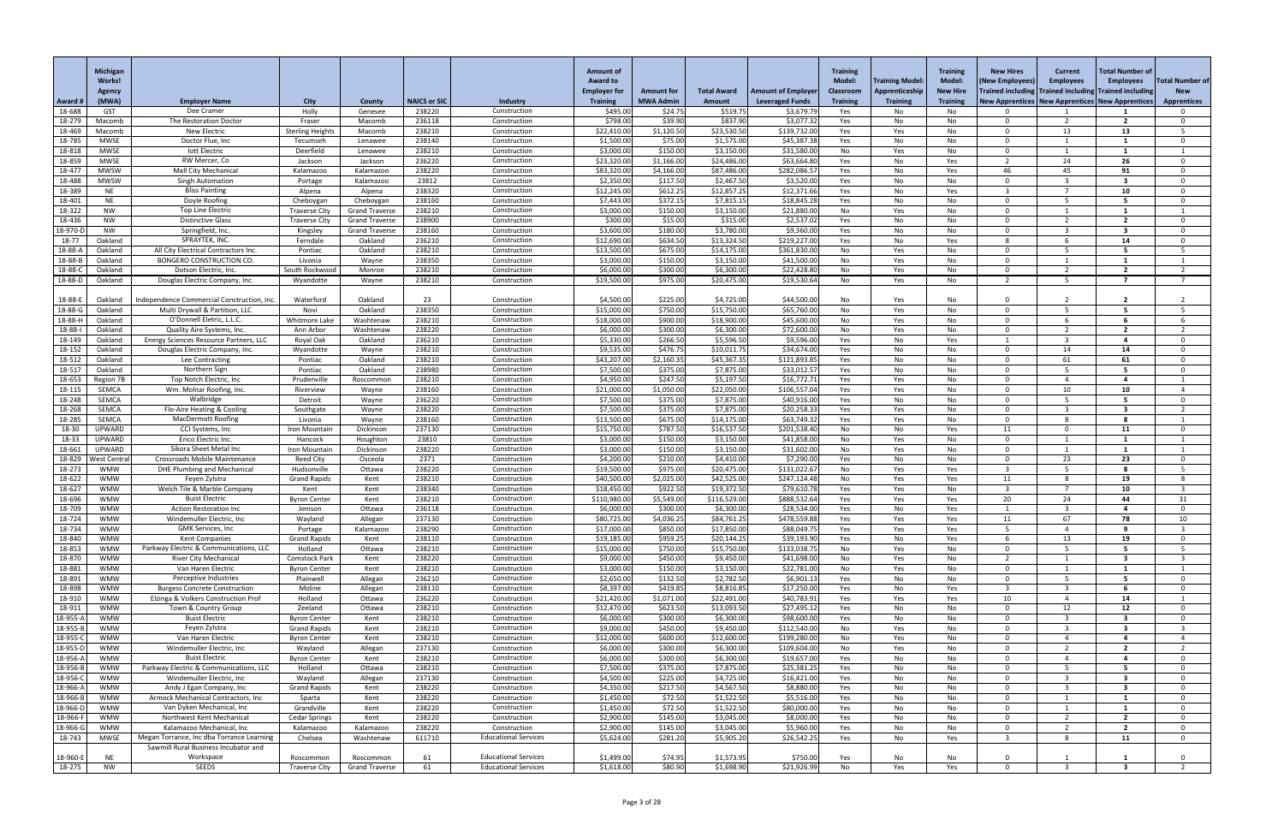|                      | <b>Michigan</b><br><b>Works!</b> |                                                                             |                                   |                                                |                     |                              | <b>Amount of</b><br><b>Award to</b><br><b>Employer for</b> | <b>Amount for</b>      | <b>Total Award</b>          | <b>Amount of Employer</b>    | <b>Training</b><br><b>Model:</b><br><b>Classroom</b> | <b>Training Model:</b><br>Apprenticeship | <b>Training</b><br><b>Model:</b><br><b>New Hire</b> | <b>New Hires</b><br>(New Employees)<br>Trained including Trained including Trained including | <b>Current</b><br><b>Employees</b> | Total Number of<br><b>Employees</b> | <b>Total Number of</b><br><b>New</b> |
|----------------------|----------------------------------|-----------------------------------------------------------------------------|-----------------------------------|------------------------------------------------|---------------------|------------------------------|------------------------------------------------------------|------------------------|-----------------------------|------------------------------|------------------------------------------------------|------------------------------------------|-----------------------------------------------------|----------------------------------------------------------------------------------------------|------------------------------------|-------------------------------------|--------------------------------------|
| Award #              | <b>Agency</b><br>(MWA)           | <b>Employer Name</b>                                                        | <b>City</b>                       | County                                         | <b>NAICS or SIC</b> | Industry                     | <b>Training</b>                                            | <b>MWA Admin</b>       | <b>Amount</b>               | <b>Leveraged Funds</b>       | <b>Training</b>                                      | <b>Training</b>                          | <b>Training</b>                                     | New Apprentices   New Apprentices   New Apprentices                                          |                                    |                                     | <b>Apprentices</b>                   |
| 18-688               | <b>GST</b>                       | Dee Cramer                                                                  | Holly                             | Genesee                                        | 238220              | Construction                 | \$495.00                                                   | \$24.75                | \$519.75                    | \$3,679.79                   | Yes                                                  | No.                                      | No                                                  |                                                                                              |                                    |                                     |                                      |
| 18-279<br>18-469     | Macomb<br>Macomb                 | The Restoration Doctor<br>New Electric                                      | Fraser<br><b>Sterling Heights</b> | Macomb<br>Macomb                               | 236118<br>238210    | Construction<br>Construction | \$798.00<br>\$22,410.00                                    | \$39.90<br>\$1,120.50  | \$837.90<br>\$23,530.50     | \$3,077.32<br>\$139,732.00   | Yes<br>Yes                                           | No<br>Yes                                | No                                                  | റ<br>റ                                                                                       | 13                                 | $\overline{\mathbf{z}}$<br>13       |                                      |
| 18-785               | <b>MWSE</b>                      | Doctor Flue, Inc                                                            | Tecumseh                          | Lenawee                                        | 238140              | Construction                 | \$1,500.00                                                 | \$75.00                | \$1,575.00                  | \$45,387.38                  | Yes                                                  | No                                       | No<br>No                                            | $\Omega$                                                                                     |                                    |                                     | $\Omega$                             |
| 18-818               | <b>MWSE</b>                      | lott Electric                                                               | Deerfield                         | Lenawee                                        | 238210              | Construction                 | \$3,000.00                                                 | \$150.00               | \$3,150.00                  | \$31,580.00                  | No                                                   | Yes                                      | No                                                  | $\cap$                                                                                       |                                    |                                     |                                      |
| 18-859               | <b>MWSE</b>                      | RW Mercer, Co                                                               | Jackson                           | Jackson                                        | 236220              | Construction                 | \$23,320.0                                                 | \$1,166.00             | \$24,486.00                 | \$63,664.80                  | Yes                                                  | No                                       | Yes                                                 |                                                                                              | 24                                 | 26                                  |                                      |
| 18-477               | <b>MWSW</b>                      | <b>Mall City Mechanical</b>                                                 | Kalamazoo                         | Kalamazoo                                      | 238220              | Construction                 | \$83,320.0                                                 | \$4,166.00             | \$87,486.00                 | \$282,086.5                  | Yes                                                  | No                                       | Yes                                                 | 46<br>$\cap$                                                                                 | 45                                 | 91<br>-3                            | $\Omega$<br>$\cap$                   |
| 18-488<br>18-389     | <b>MWSW</b><br><b>NE</b>         | <b>Singh Automation</b><br><b>Bliss Painting</b>                            | Portage<br>Alpena                 | Kalamazoo<br>Alpena                            | 23812<br>238320     | Construction<br>Construction | \$2,350.00<br>\$12,245.00                                  | \$117.50<br>\$612.25   | \$2,467.50<br>\$12,857.25   | \$3,520.00<br>\$12,371.6     | Yes<br>Yes                                           | No<br>No                                 | No<br>Yes                                           |                                                                                              |                                    | 10                                  | $\Omega$                             |
| 18-401               | NE                               | Doyle Roofing                                                               | Cheboygan                         | Cheboygan                                      | 238160              | Construction                 | \$7,443.00                                                 | \$372.15               | \$7,815.15                  | \$18,845.28                  | Yes                                                  | No                                       | No                                                  | $\Omega$                                                                                     |                                    |                                     | $\Omega$                             |
| 18-322               | <b>NW</b>                        | <b>Top Line Electric</b>                                                    | <b>Traverse City</b>              | <b>Grand Traverse</b>                          | 238210              | Construction                 | \$3,000.00                                                 | \$150.00               | \$3,150.00                  | \$21,880.00                  | No                                                   | Yes                                      | No                                                  | $\Omega$                                                                                     |                                    |                                     |                                      |
| 18-436               | <b>NW</b>                        | <b>Distinctive Glass</b><br>Springfield, Inc.                               | <b>Traverse City</b>              | <b>Grand Traverse</b><br><b>Grand Traverse</b> | 238900<br>238160    | Construction<br>Construction | \$300.00                                                   | \$15.00<br>\$180.00    | \$315.00<br>\$3,780.00      | \$2,537.02<br>\$9,360.00     | Yes                                                  | No                                       | No                                                  | $\cap$<br>$\Omega$                                                                           |                                    |                                     | $\Omega$<br>$\Omega$                 |
| 18-970-D<br>18-77    | <b>NW</b><br>Oakland             | SPRAYTEK, INC.                                                              | Kingsley<br>Ferndale              | Oakland                                        | 236210              | Construction                 | \$3,600.00<br>\$12,690.00                                  | \$634.50               | \$13,324.50                 | \$219,227.00                 | Yes<br>Yes                                           | No<br>No                                 | No<br>Yes                                           |                                                                                              |                                    | 14                                  |                                      |
| 18-88-A              | Oakland                          | All City Electrical Contractors Inc                                         | Pontiac                           | Oakland                                        | 238210              | Construction                 | \$13,500.00                                                | \$675.00               | \$14,175.00                 | \$361,830.00                 | No                                                   | Yes                                      | No                                                  | റ                                                                                            |                                    | -5                                  |                                      |
| 18-88-B              | Oakland                          | <b>BONGERO CONSTRUCTION CO.</b>                                             | Livonia                           | Wayne                                          | 238350              | Construction                 | \$3,000.00                                                 | \$150.00               | \$3,150.00                  | \$41,500.00                  | No                                                   | Yes                                      | No                                                  | $\cap$                                                                                       |                                    |                                     |                                      |
| 18-88-C              | Oakland                          | Dotson Electric, Inc.                                                       | South Rockwood                    | Monroe                                         | 238210              | Construction                 | \$6,000.00                                                 | \$300.00               | \$6,300.00                  | \$22,428.80                  | No                                                   | Yes                                      | No                                                  | ຳ                                                                                            |                                    |                                     |                                      |
| 18-88-D              | Oakland                          | Douglas Electric Company, Inc.                                              | Wyandotte                         | Wayne                                          | 238210              | Construction                 | \$19,500.00                                                | \$975.00               | \$20,475.00                 | \$19,530.64                  | No                                                   | Yes                                      | No                                                  |                                                                                              | -5                                 |                                     |                                      |
| 18-88-E              | Oakland                          | Independence Commercial Construction, Inc.                                  | Waterford                         | Oakland                                        | 23                  | Construction                 | \$4,500.00                                                 | \$225.00               | \$4,725.00                  | \$44,500.00                  | No                                                   | Yes                                      | No                                                  |                                                                                              |                                    |                                     |                                      |
| 18-88-G              | Oakland                          | Multi Drywall & Partition, LLC                                              | Novi                              | Oakland                                        | 238350              | Construction                 | \$15,000.00                                                | \$750.00               | \$15,750.00                 | \$65,760.00                  | No                                                   | Yes                                      | No                                                  | $\Omega$                                                                                     |                                    |                                     |                                      |
| 18-88-H              | Oakland                          | O'Donnell Eletric, L.L.C.                                                   | Whitmore Lake                     | Washtenaw                                      | 238210              | Construction                 | \$18,000.00                                                | \$900.00               | \$18,900.00                 | \$45,600.00                  | No                                                   | Yes                                      | No                                                  | റ                                                                                            |                                    |                                     |                                      |
| 18-88-l<br>18-149    | Oakland<br>Oakland               | Quality Aire Systems, Inc.<br>Energy Sciences Resource Partners, LLC        | Ann Arbor<br>Royal Oak            | Washtenaw<br>Oakland                           | 238220<br>236210    | Construction<br>Construction | \$6,000.00<br>\$5,330.00                                   | \$300.00<br>\$266.50   | \$6,300.00<br>\$5,596.50    | \$72,600.00<br>\$9,596.00    | No<br>Yes                                            | Yes<br>No                                | No<br>Yes                                           | റ                                                                                            |                                    |                                     |                                      |
| 18-152               | Oakland                          | Douglas Electric Company, Inc.                                              | Wyandotte                         | Wayne                                          | 238210              | Construction                 | \$9,535.00                                                 | \$476.75               | \$10,011.75                 | \$34,674.00                  | Yes                                                  | No                                       | No                                                  | $\cap$                                                                                       | 14                                 | 14                                  | $\Omega$                             |
| 18-512               | Oakland                          | Lee Contracting                                                             | Pontiac                           | Oakland                                        | 238210              | Construction                 | \$43,207.00                                                | \$2,160.3              | \$45,367.35                 | \$121,893.8                  | Yes                                                  | No                                       | No                                                  | $\cap$                                                                                       | 61                                 | 61                                  | $\Omega$                             |
| 18-517               | Oakland                          | Northern Sign                                                               | Pontiac                           | Oakland                                        | 238980              | Construction                 | \$7,500.00                                                 | \$375.00               | \$7,875.00                  | \$33,012.57                  | Yes                                                  | No                                       | No                                                  | $\Omega$                                                                                     |                                    |                                     |                                      |
| 18-653               | Region 7B                        | Top Notch Electric, Inc                                                     | Prudenville                       | Roscommon                                      | 238210              | Construction                 | \$4,950.00                                                 | \$247.50               | \$5,197.50                  | \$16,772.71                  | Yes                                                  | Yes                                      | No                                                  | $\cap$<br>$\cap$                                                                             |                                    |                                     |                                      |
| 18-115<br>18-248     | SEMCA<br><b>SEMCA</b>            | Wm. Molnar Roofing, Inc.<br>Walbridge                                       | Riverview<br>Detroit              | Wayne<br>Wayne                                 | 238160<br>236220    | Construction<br>Construction | \$21,000.0<br>\$7,500.00                                   | \$1,050.00<br>\$375.00 | \$22,050.00<br>\$7,875.00   | \$106,557.04<br>\$40,916.00  | Yes<br>Yes                                           | Yes<br>No                                | No<br>No.                                           | $\cap$                                                                                       | 10                                 | 10                                  |                                      |
| 18-268               | <b>SEMCA</b>                     | Flo-Aire Heating & Cooling                                                  | Southgate                         | Wayne                                          | 238220              | Construction                 | \$7,500.0                                                  | \$375.00               | \$7,875.00                  | \$20,258.33                  | Yes                                                  | Yes                                      | No                                                  |                                                                                              |                                    |                                     |                                      |
| 18-285               | SEMCA                            | <b>MacDermott Roofing</b>                                                   | Livonia                           | Wayne                                          | 238160              | Construction                 | \$13,500.00                                                | \$675.00               | \$14,175.00                 | \$63,749.32                  | Yes                                                  | Yes                                      | No                                                  | $\cap$                                                                                       | -8                                 |                                     |                                      |
| 18-30                | <b>UPWARD</b>                    | CCI Systems, Inc                                                            | Iron Mountair                     | Dickinson                                      | 237130              | Construction                 | \$15,750.00                                                | \$787.50               | \$16,537.50                 | \$201,538.40                 | No                                                   | No                                       | Yes                                                 | 11                                                                                           | റ                                  | 11                                  |                                      |
| 18-33<br>18-661      | <b>UPWARD</b><br><b>UPWARD</b>   | Erico Electric Inc.<br>Sikora Sheet Metal Inc                               | Hancock<br>Iron Mountair          | Houghton<br>Dickinson                          | 23810<br>238220     | Construction<br>Construction | \$3,000.0<br>\$3,000.0                                     | \$150.00<br>\$150.00   | \$3,150.00<br>\$3,150.00    | \$41,858.00<br>\$31,602.00   | No<br>No                                             | Yes<br>Yes                               | No<br>No                                            | $\cap$                                                                                       |                                    |                                     |                                      |
| 18-829               | West Centra                      | <b>Crossroads Mobile Maintenance</b>                                        | Reed City                         | Osceola                                        | 2371                | Construction                 | \$4,200.00                                                 | \$210.00               | \$4,410.00                  | \$7,290.00                   | Yes                                                  | No                                       | No                                                  | $\cap$                                                                                       | 23                                 | 23                                  |                                      |
| 18-273               | <b>WMW</b>                       | DHE Plumbing and Mechanical                                                 | Hudsonville                       | Ottawa                                         | 238220              | Construction                 | \$19,500.00                                                | \$975.00               | \$20,475.00                 | \$131,022.67                 | No                                                   | Yes                                      | Yes                                                 |                                                                                              |                                    |                                     |                                      |
| 18-622               | <b>WMW</b>                       | Feyen Zylstra                                                               | <b>Grand Rapids</b>               | Kent                                           | 238210              | Construction                 | \$40,500.0                                                 | \$2,025.00             | \$42,525.00                 | \$247,124.48                 | No                                                   | Yes                                      | Yes                                                 | 11                                                                                           |                                    | 19                                  |                                      |
| 18-627<br>18-696     | <b>WMW</b><br><b>WMW</b>         | Welch Tile & Marble Company<br><b>Buist Electric</b>                        | Kent<br><b>Byron Center</b>       | Kent<br>Kent                                   | 238340<br>238210    | Construction<br>Construction | \$18,450.00<br>\$110,980.0                                 | \$922.50<br>\$5,549.00 | \$19,372.50<br>\$116,529.00 | \$79,610.78<br>\$888,532.64  | Yes<br>Yes                                           | Yes<br>Yes                               | No<br>Yes                                           | 20                                                                                           | 24                                 | 10<br>44                            | 31                                   |
| 18-709               | <b>WMW</b>                       | <b>Action Restoration Inc</b>                                               | Jenison                           | Ottawa                                         | 236118              | Construction                 | \$6,000.0                                                  | \$300.00               | \$6,300.00                  | \$28,534.00                  | Yes                                                  | No                                       | Yes                                                 |                                                                                              |                                    |                                     |                                      |
| 18-724               | <b>WMW</b>                       | Windemuller Electric, Inc.                                                  | Wayland                           | Allegan                                        | 237130              | Construction                 | \$80,725.00                                                | \$4,036.2              | \$84,761.25                 | \$478,559.88                 | Yes                                                  | Yes                                      | Yes                                                 | -11                                                                                          | 67                                 | 78                                  | 10                                   |
| 18-734               | <b>WMW</b>                       | <b>GMK Services, Inc</b>                                                    | Portage                           | Kalamazoo                                      | 238290              | Construction                 | \$17,000.0                                                 | \$850.00               | \$17,850.00                 | \$88,049.7                   | Yes                                                  | Yes                                      | Yes                                                 |                                                                                              |                                    |                                     |                                      |
| 18-840<br>18-853     | <b>WMW</b><br><b>WMW</b>         | <b>Kent Companies</b><br>Parkway Electric & Communications, LLC             | <b>Grand Rapids</b><br>Holland    | Kent<br>Ottawa                                 | 238110<br>238210    | Construction<br>Construction | \$19,185.00<br>\$15,000.0                                  | \$959.25<br>\$750.00   | \$20,144.25<br>\$15,750.00  | \$39,193.90<br>\$133,038.    | Yes<br>No                                            | No<br>Yes                                | Yes<br>No                                           | റ                                                                                            | 13                                 | 19                                  |                                      |
| 18-870               | <b>WMW</b>                       | <b>River City Mechanical</b>                                                | <b>Comstock Park</b>              | Kent                                           | 238220              | Construction                 | \$9,000.00                                                 | \$450.00               | \$9,450.00                  | \$41,698.00                  | No                                                   | Yes                                      | No                                                  |                                                                                              |                                    |                                     |                                      |
| 18-881               | <b>WMW</b>                       | Van Haren Electric                                                          | <b>Byron Center</b>               | Kent                                           | 238210              | Construction                 | \$3,000.00                                                 | \$150.00               | \$3,150.00                  | \$22,781.00                  | No                                                   | Yes                                      | No                                                  | $\cap$                                                                                       |                                    |                                     |                                      |
| 18-891               | <b>WMW</b>                       | Perceptive Industries                                                       | Plainwell                         | Allegan                                        | 236210              | Construction                 | \$2,650.0                                                  | \$132.50               | \$2,782.50                  | \$6,901.13                   | Yes                                                  | No                                       | No                                                  |                                                                                              |                                    |                                     |                                      |
| 18-898<br>18-910     | <b>WMW</b><br><b>WMW</b>         | <b>Burgess Concrete Construction</b><br>Elzinga & Volkers Construction Prof | Moline<br>Holland                 | Allegan<br>Ottawa                              | 238110<br>236220    | Construction<br>Construction | \$8,397.00<br>\$21,420.00                                  | \$419.85<br>\$1,071.00 | \$8,816.85<br>\$22,491.00   | \$17,250.00<br>\$40,783.91   | Yes<br>Yes                                           | No<br>Yes                                | Yes<br>Yes                                          | 10                                                                                           |                                    | 14                                  |                                      |
| 18-911               | <b>WMW</b>                       | Town & Country Group                                                        | Zeeland                           | Ottawa                                         | 238210              | Construction                 | \$12,470.00                                                | \$623.50               | \$13,093.50                 | \$27,495.12                  | Yes                                                  | No                                       | No                                                  | റ                                                                                            | 12                                 | 12                                  |                                      |
| 18-955-/             | <b>WMW</b>                       | <b>Buist Electric</b>                                                       | <b>Byron Center</b>               | Kent                                           | 238210              | Construction                 | \$6,000.0                                                  | \$300.00               | \$6,300.00                  | \$98,600.00                  | Yes                                                  | No                                       | No                                                  |                                                                                              |                                    |                                     |                                      |
| 18-955-B             | <b>WMW</b>                       | Feyen Zylstra                                                               | <b>Grand Rapids</b>               | Kent                                           | 238210              | Construction                 | \$9,000.00                                                 | \$450.00               | \$9,450.00                  | \$112,540.00                 | No                                                   | Yes                                      | No                                                  | റ                                                                                            |                                    |                                     |                                      |
| 18-955-C<br>18-955-D | <b>WMW</b><br><b>WMW</b>         | Van Haren Electric<br>Windemuller Electric, Inc                             | <b>Byron Center</b><br>Wayland    | Kent<br>Allegan                                | 238210<br>237130    | Construction<br>Construction | \$12,000.0<br>\$6,000.0                                    | \$600.00<br>\$300.00   | \$12,600.00<br>\$6,300.00   | \$199,280.00<br>\$109,604.00 | No<br>No                                             | Yes<br>Yes                               | No<br>No                                            | റ                                                                                            |                                    |                                     |                                      |
| 18-956-/             | <b>WMW</b>                       | <b>Buist Electric</b>                                                       | <b>Byron Center</b>               | Kent                                           | 238210              | Construction                 | \$6,000.00                                                 | \$300.00               | \$6,300.00                  | \$19,657.0                   | Yes                                                  | No                                       | No                                                  |                                                                                              |                                    |                                     |                                      |
| 18-956-B             | <b>WMW</b>                       | Parkway Electric & Communications, LLC                                      | Holland                           | Ottawa                                         | 238210              | Construction                 | \$7,500.00                                                 | \$375.00               | \$7,875.00                  | \$25,381.2                   | Yes                                                  | No                                       | No                                                  | $\cap$                                                                                       |                                    |                                     |                                      |
| 18-956-C             | <b>WMW</b>                       | Windemuller Electric, Inc                                                   | Wayland                           | Allegan                                        | 237130              | Construction                 | \$4,500.00                                                 | \$225.00               | \$4,725.00                  | \$16,421.00                  | Yes                                                  | No                                       | No                                                  |                                                                                              |                                    |                                     |                                      |
| 18-966-A             | <b>WMW</b>                       | Andy J Egan Company, Inc                                                    | Grand Rapids                      | Kent                                           | 238220              | Construction                 | \$4,350.00                                                 | \$217.50               | \$4,567.50                  | \$8,880.00                   | Yes                                                  | No.                                      | No.                                                 | - 0<br>- റ                                                                                   |                                    | - 3                                 |                                      |
| 18-966-B<br>18-966-D | <b>WMW</b><br><b>WMW</b>         | Armock Mechanical Contractors, Inc<br>Van Dyken Mechanical, Inc             | Sparta<br>Grandville              | Kent<br>Kent                                   | 238220<br>238220    | Construction<br>Construction | \$1,450.00<br>\$1,450.00                                   | \$72.50<br>\$72.50     | \$1,522.50<br>\$1,522.50    | \$5,516.00<br>\$80,000.00    | Yes<br>Yes                                           | No<br>No                                 | No<br>No                                            | - 0                                                                                          |                                    | -1                                  | $\Omega$<br>$\Omega$                 |
| 18-966-F             | <b>WMW</b>                       | Northwest Kent Mechanical                                                   | <b>Cedar Springs</b>              | Kent                                           | 238220              | Construction                 | \$2,900.00                                                 | \$145.00               | \$3,045.00                  | \$8,000.00                   | Yes                                                  | No                                       | No.                                                 | റ                                                                                            |                                    |                                     |                                      |
| 18-966-G             | <b>WMW</b>                       | Kalamazoo Mechanical, Inc                                                   | Kalamazoo                         | Kalamazoo                                      | 238220              | Construction                 | \$2,900.00                                                 | \$145.00               | \$3,045.00                  | \$5,960.00                   | Yes                                                  | No                                       | No                                                  | - 0                                                                                          |                                    | $\overline{2}$                      | $\Omega$                             |
| 18-743               | <b>MWSE</b>                      | Megan Torrance, Inc dba Torrance Learning                                   | Chelsea                           | Washtenaw                                      | 611710              | <b>Educational Services</b>  | \$5,624.00                                                 | \$281.20               | \$5,905.20                  | \$26,542.25                  | Yes                                                  | No                                       | Yes                                                 | -3                                                                                           | -8                                 | 11                                  | $\mathbf{0}$                         |
| 18-960-E             | <b>NE</b>                        | Sawmill Rural Business Incubator and<br>Workspace                           | Roscommon                         | Roscommon                                      | 61                  | <b>Educational Services</b>  | \$1,499.00                                                 | \$74.95                | \$1,573.95                  | \$750.00                     | Yes                                                  | No                                       | No                                                  |                                                                                              |                                    |                                     | 0                                    |
| 18-275               | NW                               | SEEDS                                                                       | <b>Traverse City</b>              | <b>Grand Traverse</b>                          | 61                  | <b>Educational Services</b>  | \$1,618.00                                                 | \$80.90                | \$1,698.90                  | \$21,926.99                  | No                                                   | Yes                                      | Yes                                                 | - 0                                                                                          |                                    |                                     |                                      |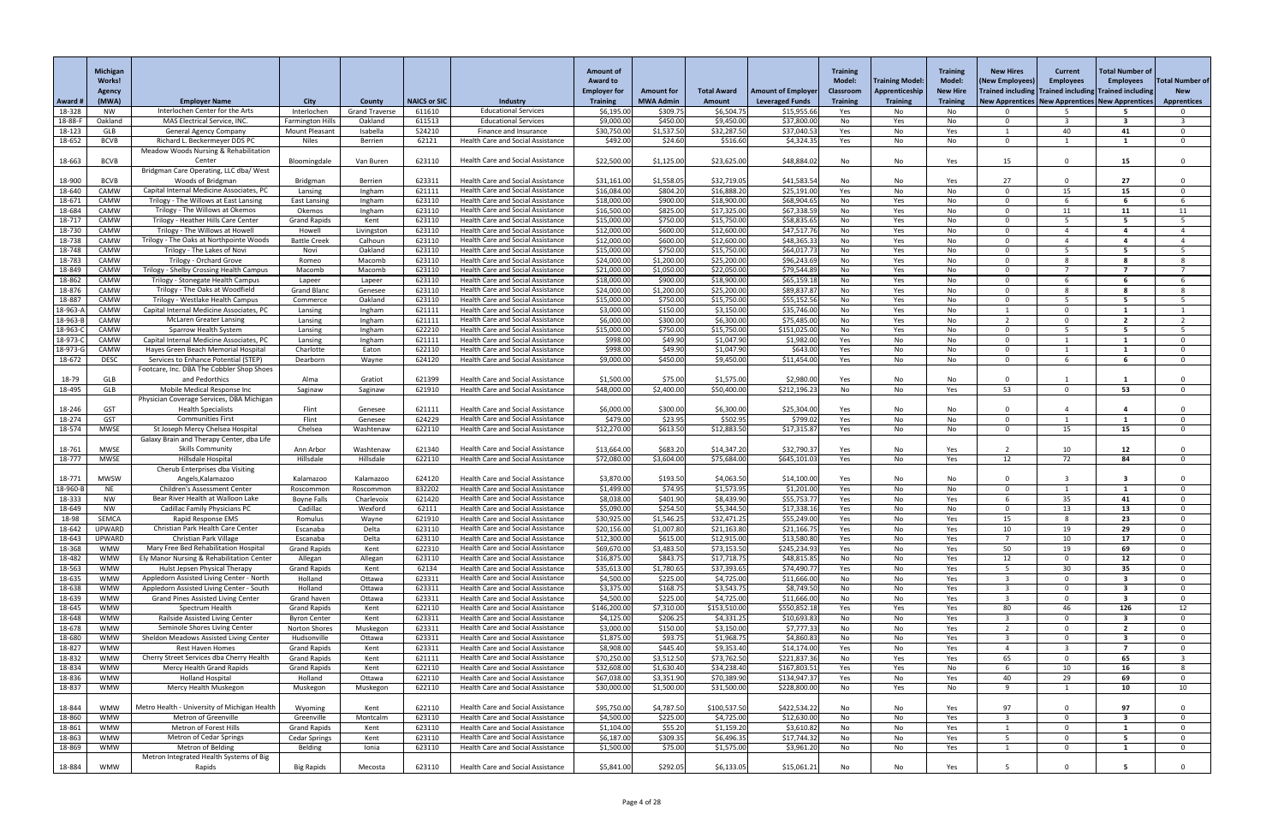|                    | <b>Michigan</b><br><b>Works!</b> |                                                                                    |                                      |                         |                     |                                                                                      | <b>Amount of</b><br><b>Award to</b><br><b>Employer for</b> | <b>Amount for</b>      | <b>Total Award</b>         | <b>Amount of Employer</b>  | <b>Training</b><br><b>Model:</b><br><b>Classroom</b> | <b>Training Model:</b><br>Apprenticeship | <b>Training</b><br><b>Model:</b><br><b>New Hire</b> | <b>New Hires</b><br>(New Employees)<br>Trained including Trained including Trained including | <b>Current</b><br><b>Employees</b> | Total Number of<br><b>Employees</b> | <b>Total Number of</b><br><b>New</b> |
|--------------------|----------------------------------|------------------------------------------------------------------------------------|--------------------------------------|-------------------------|---------------------|--------------------------------------------------------------------------------------|------------------------------------------------------------|------------------------|----------------------------|----------------------------|------------------------------------------------------|------------------------------------------|-----------------------------------------------------|----------------------------------------------------------------------------------------------|------------------------------------|-------------------------------------|--------------------------------------|
| Award #            | <b>Agency</b><br>(MWA)           | <b>Employer Name</b>                                                               | <b>City</b>                          | <b>County</b>           | <b>NAICS or SIC</b> | <b>Industry</b>                                                                      | <b>Training</b>                                            | <b>MWA Admin</b>       | <b>Amount</b>              | <b>Leveraged Funds</b>     | <b>Training</b>                                      | <b>Training</b>                          | <b>Training</b>                                     | New Apprentices   New Apprentices   New Apprentices                                          |                                    |                                     | <b>Apprentices</b>                   |
| 18-328             | NW                               | Interlochen Center for the Arts                                                    | Interlochen                          | <b>Grand Traverse</b>   | 611610              | <b>Educational Services</b>                                                          | \$6,195.00                                                 | \$309.75               | \$6,504.75                 | \$15,955.6                 | Yes                                                  | No.                                      | No                                                  |                                                                                              |                                    |                                     |                                      |
| 18-88-F            | Oakland                          | <b>MAS Electrical Service, INC</b>                                                 | Farmington Hills                     | Oakland                 | 611513              | <b>Educational Services</b>                                                          | \$9,000.00                                                 | \$450.00               | \$9,450.00                 | \$37,800.00                | No                                                   | Yes                                      | No                                                  | റ                                                                                            |                                    | -3                                  |                                      |
| 18-123             | GLB                              | <b>General Agency Company</b>                                                      | <b>Mount Pleasant</b>                | Isabella                | 524210              | Finance and Insurance                                                                | \$30,750.00                                                | \$1,537.50             | \$32,287.50                | \$37,040.5                 | Yes                                                  | No                                       | Yes                                                 |                                                                                              | 40                                 | 41                                  | $\Omega$                             |
| 18-652             | <b>BCVB</b>                      | Richard L. Beckermeyer DDS PC<br>Meadow Woods Nursing & Rehabilitation             | <b>Niles</b>                         | Berrien                 | 62121               | Health Care and Social Assistance                                                    | \$492.00                                                   | \$24.60                | \$516.60                   | \$4,324.35                 | Yes                                                  | No                                       | No                                                  | $\Omega$                                                                                     |                                    | -1                                  | $\mathbf{0}$                         |
| 18-663             | <b>BCVB</b>                      | Center                                                                             | Bloomingdale                         | Van Buren               | 623110              | <b>Health Care and Social Assistance</b>                                             | \$22,500.00                                                | \$1,125.00             | \$23,625.00                | \$48,884.02                | No                                                   | No                                       | Yes                                                 | 15                                                                                           |                                    | 15                                  | $\Omega$                             |
|                    |                                  | Bridgman Care Operating, LLC dba/ West                                             |                                      |                         |                     |                                                                                      |                                                            |                        |                            |                            |                                                      |                                          |                                                     |                                                                                              |                                    |                                     |                                      |
| 18-900             | <b>BCVB</b>                      | Woods of Bridgman                                                                  | Bridgman                             | Berrien                 | 623311              | <b>Health Care and Social Assistance</b>                                             | \$31,161.00                                                | \$1,558.05             | \$32,719.05                | \$41,583.54                | No                                                   | No                                       | Yes                                                 | 27                                                                                           |                                    | 27                                  |                                      |
| 18-640             | CAMW                             | Capital Internal Medicine Associates, PC                                           | Lansing                              | Ingham                  | 621111              | <b>Health Care and Social Assistance</b>                                             | \$16,084.00                                                | \$804.20               | \$16,888.20                | \$25,191.00                | Yes                                                  | No                                       | No                                                  | റ                                                                                            | 15                                 | 15                                  | $\Omega$                             |
| 18-671             | CAMW                             | Trilogy - The Willows at East Lansing                                              | <b>East Lansing</b>                  | Ingham                  | 623110              | <b>Health Care and Social Assistance</b>                                             | \$18,000.00                                                | \$900.00               | \$18,900.00                | \$68,904.6                 | No                                                   | Yes                                      | No                                                  | $\Omega$                                                                                     |                                    |                                     |                                      |
| 18-684             | CAMW<br>CAMW                     | Trilogy - The Willows at Okemos<br>Trilogy - Heather Hills Care Center             | Okemos                               | Ingham                  | 623110              | <b>Health Care and Social Assistance</b><br><b>Health Care and Social Assistance</b> | \$16,500.00<br>\$15,000.00                                 | \$825.00<br>\$750.00   | \$17,325.00<br>\$15,750.00 | \$67,338.5<br>\$58,835.6   | No                                                   | Yes                                      | No                                                  | $\cap$<br>$\cap$                                                                             | 11                                 | 11<br>-5.                           | 11                                   |
| 18-717<br>18-730   | CAMW                             | Trilogy - The Willows at Howell                                                    | <b>Grand Rapids</b><br>Howell        | Kent<br>Livingston      | 623110<br>623110    | <b>Health Care and Social Assistance</b>                                             | \$12,000.00                                                | \$600.00               | \$12,600.00                | \$47,517.76                | No<br>No                                             | Yes<br>Yes                               | No<br>No                                            |                                                                                              |                                    |                                     |                                      |
| 18-738             | CAMW                             | Trilogy - The Oaks at Northpointe Woods                                            | <b>Battle Creek</b>                  | Calhoun                 | 623110              | <b>Health Care and Social Assistance</b>                                             | \$12,000.00                                                | \$600.00               | \$12,600.00                | \$48,365.33                | No                                                   | Yes                                      | No                                                  | $\cap$                                                                                       |                                    | -4                                  |                                      |
| 18-748             | CAMW                             | Trilogy - The Lakes of Novi                                                        | Novi                                 | Oakland                 | 623110              | <b>Health Care and Social Assistance</b>                                             | \$15,000.00                                                | \$750.00               | \$15,750.00                | \$64,017.73                | No                                                   | Yes                                      | No                                                  | $\cap$                                                                                       |                                    | 5                                   |                                      |
| 18-783             | CAMW                             | <b>Trilogy - Orchard Grove</b>                                                     | Romeo                                | Macomb                  | 623110              | <b>Health Care and Social Assistance</b>                                             | \$24,000.00                                                | \$1,200.00             | \$25,200.00                | \$96,243.69                | No                                                   | Yes                                      | No                                                  | $\cap$                                                                                       |                                    |                                     |                                      |
| 18-849             | CAMW                             | Trilogy - Shelby Crossing Health Campus                                            | Macomb                               | Macomb                  | 623110              | <b>Health Care and Social Assistance</b>                                             | \$21,000.00                                                | \$1,050.00             | \$22,050.00                | \$79,544.8                 | No                                                   | Yes                                      | No                                                  | റ                                                                                            |                                    | - 7                                 |                                      |
| 18-862             | CAMW<br>CAMW                     | Trilogy - Stonegate Health Campus<br>Trilogy - The Oaks at Woodfield               | Lapeer<br><b>Grand Blanc</b>         | Lapeer                  | 623110<br>623110    | <b>Health Care and Social Assistance</b><br>Health Care and Social Assistance        | \$18,000.00<br>\$24,000.00                                 | \$900.00<br>\$1,200.00 | \$18,900.00<br>\$25,200.00 | \$65,159.18<br>\$89,837.87 | No                                                   | Yes                                      | No                                                  | $\cap$<br>$\cap$                                                                             |                                    |                                     |                                      |
| 18-876<br>18-887   | CAMW                             | Trilogy - Westlake Health Campus                                                   | Commerce                             | Genesee<br>Oakland      | 623110              | <b>Health Care and Social Assistance</b>                                             | \$15,000.00                                                | \$750.00               | \$15,750.00                | \$55,152.56                | No<br>No                                             | Yes<br>Yes                               | No<br>No                                            |                                                                                              |                                    | -5                                  |                                      |
| 18-963-/           | CAMW                             | Capital Internal Medicine Associates, PC                                           | Lansing                              | Ingham                  | 621111              | <b>Health Care and Social Assistance</b>                                             | \$3,000.00                                                 | \$150.00               | \$3,150.00                 | \$35,746.00                | No                                                   | Yes                                      | No                                                  |                                                                                              | $\cap$                             |                                     |                                      |
| 18-963-B           | CAMW                             | <b>McLaren Greater Lansing</b>                                                     | Lansing                              | Ingham                  | 621111              | Health Care and Social Assistance                                                    | \$6,000.00                                                 | \$300.00               | \$6,300.00                 | \$75,485.00                | No                                                   | Yes                                      | No                                                  |                                                                                              | $\Omega$                           | $\overline{\mathbf{2}}$             |                                      |
| 18-963-C           | CAMW                             | <b>Sparrow Health System</b>                                                       | Lansing                              | Ingham                  | 622210              | <b>Health Care and Social Assistance</b>                                             | \$15,000.00                                                | \$750.00               | \$15,750.00                | \$151,025.00               | No                                                   | Yes                                      | No                                                  | $\cap$                                                                                       |                                    |                                     |                                      |
| 18-973-C           | CAMW                             | Capital Internal Medicine Associates, PC                                           | Lansing                              | Ingham                  | 621111              | <b>Health Care and Social Assistance</b>                                             | \$998.00                                                   | \$49.90                | \$1,047.90                 | \$1,982.00                 | Yes                                                  | No                                       | No                                                  | $\cap$                                                                                       |                                    |                                     | $\Omega$                             |
| 18-973-G           | CAMW<br><b>DESC</b>              | Hayes Green Beach Memorial Hospital<br>Services to Enhance Potential (STEP)        | Charlotte                            | Eaton                   | 622110<br>624120    | Health Care and Social Assistance<br>Health Care and Social Assistance               | \$998.00                                                   | \$49.90<br>\$450.00    | \$1,047.90<br>\$9,450.00   | \$643.0                    | Yes                                                  | No                                       | No                                                  | $\cap$<br>$\Omega$                                                                           |                                    |                                     | $\Omega$<br>$\Omega$                 |
| 18-672             |                                  | Footcare, Inc. DBA The Cobbler Shop Shoes                                          | Dearborn                             | Wayne                   |                     |                                                                                      | \$9,000.00                                                 |                        |                            | \$11,454.00                | Yes                                                  | No                                       | No                                                  |                                                                                              |                                    |                                     |                                      |
| 18-79              | GLB                              | and Pedorthics                                                                     | Alma                                 | Gratiot                 | 621399              | <b>Health Care and Social Assistance</b>                                             | \$1,500.00                                                 | \$75.00                | \$1,575.00                 | \$2,980.0                  | Yes                                                  | No                                       | No                                                  |                                                                                              |                                    |                                     |                                      |
| 18-495             | GLB                              | Mobile Medical Response Inc                                                        | Saginaw                              | Saginaw                 | 621910              | <b>Health Care and Social Assistance</b>                                             | \$48,000.0                                                 | \$2,400.00             | \$50,400.00                | \$212,196.2                | No                                                   | No                                       | Yes                                                 | 53                                                                                           | $\Omega$                           | 53                                  | $\mathbf 0$                          |
|                    |                                  | Physician Coverage Services, DBA Michigan                                          |                                      |                         |                     |                                                                                      |                                                            |                        |                            |                            |                                                      |                                          |                                                     |                                                                                              |                                    |                                     |                                      |
| 18-246             | <b>GST</b>                       | <b>Health Specialists</b>                                                          | Flint                                | Genesee                 | 621111              | <b>Health Care and Social Assistance</b>                                             | \$6,000.0                                                  | \$300.00               | \$6,300.00                 | \$25,304.0                 | Yes                                                  | No                                       | No                                                  |                                                                                              |                                    |                                     |                                      |
| 18-274<br>18-574   | <b>GST</b><br><b>MWSE</b>        | <b>Communities First</b><br>St Joseph Mercy Chelsea Hospital                       | Flint<br>Chelsea                     | Genesee<br>Washtenaw    | 624229<br>622110    | <b>Health Care and Social Assistance</b><br>Health Care and Social Assistance        | \$479.00<br>\$12,270.00                                    | \$23.95<br>\$613.50    | \$502.95<br>\$12,883.50    | \$799.0<br>\$17,315.8      | Yes<br>Yes                                           | No<br>No                                 | No<br>No                                            | $\cap$<br>$\cap$                                                                             | 15                                 | 15                                  | $\Omega$<br>$\Omega$                 |
|                    |                                  | Galaxy Brain and Therapy Center, dba Life                                          |                                      |                         |                     |                                                                                      |                                                            |                        |                            |                            |                                                      |                                          |                                                     |                                                                                              |                                    |                                     |                                      |
| 18-761             | <b>MWSE</b>                      | <b>Skills Community</b>                                                            | Ann Arbor                            | Washtenaw               | 621340              | <b>Health Care and Social Assistance</b>                                             | \$13,664.0                                                 | \$683.20               | \$14,347.20                | \$32,790.3                 | Yes                                                  | No                                       | Yes                                                 |                                                                                              | 10 <sup>°</sup>                    | 12                                  |                                      |
| 18-777             | <b>MWSE</b>                      | Hillsdale Hospital                                                                 | Hillsdale                            | Hillsdale               | 622110              | Health Care and Social Assistance                                                    | \$72,080.0                                                 | \$3,604.00             | \$75,684.00                | \$645,101.0                | Yes                                                  | No                                       | Yes                                                 | 12                                                                                           | 72                                 | 84                                  | $\Omega$                             |
|                    |                                  | Cherub Enterprises dba Visiting                                                    |                                      |                         |                     |                                                                                      |                                                            |                        |                            |                            |                                                      |                                          |                                                     |                                                                                              |                                    |                                     |                                      |
| 18-771             | <b>MWSW</b>                      | Angels, Kalamazoo                                                                  | Kalamazoo                            | Kalamazoo               | 624120              | <b>Health Care and Social Assistance</b>                                             | \$3,870.00                                                 | \$193.50               | \$4,063.50                 | \$14,100.0                 | Yes                                                  | No                                       | No                                                  |                                                                                              |                                    |                                     |                                      |
| 18-960-B<br>18-333 | <b>NE</b><br>NW                  | <b>Children's Assessment Center</b><br>Bear River Health at Walloon Lake           | Roscommon<br><b>Boyne Falls</b>      | Roscommon<br>Charlevoix | 832202<br>621420    | Health Care and Social Assistance<br>Health Care and Social Assistance               | \$1,499.00<br>\$8,038.00                                   | \$74.95<br>\$401.90    | \$1,573.95<br>\$8,439.90   | \$1,201.0<br>\$55,753.7    | Yes<br>Yes                                           | No<br>No                                 | No<br>Yes                                           |                                                                                              | 35                                 | 41                                  | $\Omega$                             |
| 18-649             | <b>NW</b>                        | Cadillac Family Physicians PC                                                      | Cadillac                             | Wexford                 | 62111               | <b>Health Care and Social Assistance</b>                                             | \$5,090.00                                                 | \$254.50               | \$5,344.50                 | \$17,338.16                | Yes                                                  | No                                       | No                                                  | റ                                                                                            | 13                                 | 13                                  | $\Omega$                             |
| 18-98              | <b>SEMCA</b>                     | Rapid Response EMS                                                                 | Romulus                              | Wayne                   | 621910              | <b>Health Care and Social Assistance</b>                                             | \$30,925.0                                                 | \$1,546.25             | \$32,471.25                | \$55,249.0                 | Yes                                                  | No                                       | Yes                                                 | 15                                                                                           |                                    | 23                                  | $\Omega$                             |
| 18-642             | <b>UPWARD</b>                    | Christian Park Health Care Center                                                  | Escanaba                             | Delta                   | 623110              | <b>Health Care and Social Assistance</b>                                             | \$20,156.00                                                | \$1,007.80             | \$21,163.80                | \$21,166.7                 | Yes                                                  | No                                       | Yes                                                 | 10                                                                                           | 19                                 | 29                                  | $\Omega$                             |
| 18-643             | <b>UPWARD</b>                    | <b>Christian Park Village</b>                                                      | Escanaba                             | Delta                   | 623110              | Health Care and Social Assistance                                                    | \$12,300.00                                                | \$615.00               | \$12,915.00                | \$13,580.8                 | Yes                                                  | No                                       | Yes                                                 |                                                                                              | 10                                 | 17                                  | $\Omega$                             |
| 18-368<br>18-482   | <b>WMW</b><br><b>WMW</b>         | Mary Free Bed Rehabilitation Hospital<br>Ely Manor Nursing & Rehabilitation Center | <b>Grand Rapids</b><br>Allegan       | Kent<br>Allegan         | 622310<br>623110    | Health Care and Social Assistance<br><b>Health Care and Social Assistance</b>        | \$69,670.00<br>\$16,875.00                                 | \$3,483.50<br>\$843.75 | \$73,153.50<br>\$17,718.75 | \$245,234.9<br>\$48,815.8  | Yes<br>No                                            | No<br>No                                 | Yes<br>Yes                                          | 50<br>12                                                                                     | 19<br>$\Omega$                     | 69<br>12                            | $\cap$<br>$\Omega$                   |
| 18-563             | <b>WMW</b>                       | Hulst Jepsen Physical Therapy                                                      | <b>Grand Rapids</b>                  | Kent                    | 62134               | Health Care and Social Assistance                                                    | \$35,613.00                                                | \$1,780.65             | \$37,393.65                | \$74,490.7                 | Yes                                                  | No                                       | Yes                                                 |                                                                                              | 30                                 | 35                                  | $\cap$                               |
| 18-635             | <b>WMW</b>                       | Appledorn Assisted Living Center - North                                           | Holland                              | Ottawa                  | 623311              | Health Care and Social Assistance                                                    | \$4,500.00                                                 | \$225.00               | \$4,725.00                 | \$11,666.00                | No                                                   | No                                       | Yes                                                 |                                                                                              |                                    |                                     | $\Omega$                             |
| 18-638             | <b>WMW</b>                       | Appledorn Assisted Living Center - South                                           | Holland                              | Ottawa                  | 623311              | <b>Health Care and Social Assistance</b>                                             | \$3,375.00                                                 | \$168.75               | \$3,543.75                 | \$8,749.5                  | No                                                   | No                                       | Yes                                                 |                                                                                              |                                    |                                     | $\Omega$                             |
| 18-639             | <b>WMW</b>                       | <b>Grand Pines Assisted Living Center</b>                                          | Grand haven                          | Ottawa                  | 623311              | Health Care and Social Assistance                                                    | \$4,500.00                                                 | \$225.00               | \$4,725.00                 | \$11,666.0                 | No                                                   | No                                       | Yes                                                 |                                                                                              | $\cap$                             | $\mathbf{3}$                        | $\Omega$                             |
| 18-645             | <b>WMW</b><br><b>WMW</b>         | Spectrum Health                                                                    | <b>Grand Rapids</b>                  | Kent<br>Kent            | 622110<br>623311    | <b>Health Care and Social Assistance</b><br><b>Health Care and Social Assistance</b> | \$146,200.00                                               | \$7,310.00<br>\$206.25 | \$153,510.00<br>\$4,331.25 | \$550,852.1<br>\$10,693.8  | Yes<br>No                                            | Yes<br>No                                | Yes                                                 | 80                                                                                           | 46                                 | 126<br>-3                           | 12<br>$\Omega$                       |
| 18-648<br>18-678   | <b>WMW</b>                       | Railside Assisted Living Center<br>Seminole Shores Living Center                   | <b>Byron Center</b><br>Norton Shores | Muskegon                | 623311              | <b>Health Care and Social Assistance</b>                                             | \$4,125.00<br>\$3,000.00                                   | \$150.00               | \$3,150.00                 | \$7,777.3                  | No                                                   | No                                       | Yes<br>Yes                                          |                                                                                              | ി                                  | $\overline{\mathbf{2}}$             | $\Omega$                             |
| 18-680             | <b>WMW</b>                       | Sheldon Meadows Assisted Living Center                                             | Hudsonville                          | Ottawa                  | 623311              | <b>Health Care and Social Assistance</b>                                             | \$1,875.00                                                 | \$93.75                | \$1,968.75                 | \$4,860.8                  | No                                                   | No                                       | Yes                                                 |                                                                                              | $\Omega$                           | $\mathbf{3}$                        | $\Omega$                             |
| 18-827             | <b>WMW</b>                       | <b>Rest Haven Homes</b>                                                            | <b>Grand Rapids</b>                  | Kent                    | 623311              | Health Care and Social Assistance                                                    | \$8,908.00                                                 | \$445.40               | \$9,353.40                 | \$14,174.00                | Yes                                                  | No                                       | Yes                                                 |                                                                                              |                                    | 7                                   |                                      |
| 18-832             | <b>WMW</b>                       | Cherry Street Services dba Cherry Health                                           | <b>Grand Rapids</b>                  | Kent                    | 621111              | <b>Health Care and Social Assistance</b>                                             | \$70,250.00                                                | \$3,512.50             | \$73,762.50                | \$221,837.3                | No                                                   | Yes                                      | Yes                                                 | -65                                                                                          |                                    | 65                                  |                                      |
| 18-834             | <b>WMW</b>                       | Mercy Health Grand Rapids                                                          | <b>Grand Rapids</b>                  | Kent                    | 622110              | <b>Health Care and Social Assistance</b>                                             | \$32,608.0                                                 | \$1,630.40             | \$34,238.40                | \$167,803.5                | Yes                                                  | Yes                                      | No                                                  |                                                                                              | 10                                 | 16                                  | 8                                    |
| 18-836<br>$18-837$ | <b>WMW</b>                       | <b>Holland Hospital</b>                                                            | Holland                              | Ottawa                  | 622110              | Health Care and Social Assistance<br>Health Care and Social Assistance               | \$67,038.00                                                | \$3,351.90             | \$70,389.90                | \$134,947.37               | Yes                                                  | No                                       | Yes                                                 | 40                                                                                           | 29                                 | 69                                  |                                      |
|                    | WMW                              | Mercy Health Muskegon                                                              | Muskegon                             | Muskegon                | 622110              |                                                                                      | \$30,000.00                                                | \$1,500.00             | \$31,500.00                | \$228,800.00               | No.                                                  | Yes                                      | No.                                                 | -9                                                                                           |                                    | 10                                  | 10                                   |
| 18-844             | <b>WMW</b>                       | Metro Health - University of Michigan Health                                       | Wyoming                              | Kent                    | 622110              | <b>Health Care and Social Assistance</b>                                             | \$95,750.00                                                | \$4,787.50             | \$100,537.50               | \$422,534.22               | No                                                   | No                                       | Yes                                                 | 97                                                                                           |                                    | 97                                  |                                      |
| 18-860             | <b>WMW</b>                       | <b>Metron of Greenville</b>                                                        | Greenville                           | Montcalm                | 623110              | <b>Health Care and Social Assistance</b>                                             | \$4,500.00                                                 | \$225.00               | \$4,725.00                 | \$12,630.00                | No                                                   | No                                       | Yes                                                 |                                                                                              |                                    | -3                                  | $\Omega$                             |
| 18-861             | <b>WMW</b>                       | Metron of Forest Hills                                                             | <b>Grand Rapids</b>                  | Kent                    | 623110              | Health Care and Social Assistance                                                    | \$1,104.00                                                 | \$55.20                | \$1,159.20                 | \$3,610.82                 | No                                                   | No                                       | Yes                                                 |                                                                                              | $\Omega$                           |                                     | $\Omega$                             |
| 18-863             | <b>WMW</b>                       | Metron of Cedar Springs                                                            | <b>Cedar Springs</b>                 | Kent                    | 623110              | <b>Health Care and Social Assistance</b>                                             | \$6,187.00                                                 | \$309.35               | \$6,496.35                 | \$17,744.32                | No                                                   | No                                       | Yes                                                 |                                                                                              | - 0                                | 5                                   | $\Omega$                             |
| 18-869             | <b>WMW</b>                       | Metron of Belding<br>Metron Integrated Health Systems of Big                       | Belding                              | Ionia                   | 623110              | Health Care and Social Assistance                                                    | \$1,500.00                                                 | \$75.00                | \$1,575.00                 | \$3,961.20                 | No                                                   | No                                       | Yes                                                 |                                                                                              | $\Omega$                           | $\mathbf{1}$                        | $\mathbf 0$                          |
| 18-884             | WMW                              | Rapids                                                                             | <b>Big Rapids</b>                    | Mecosta                 | 623110              | Health Care and Social Assistance                                                    | \$5,841.00                                                 | \$292.05               | \$6,133.05                 | \$15,061.21                | No                                                   | No                                       | Yes                                                 |                                                                                              |                                    |                                     |                                      |
|                    |                                  |                                                                                    |                                      |                         |                     |                                                                                      |                                                            |                        |                            |                            |                                                      |                                          |                                                     |                                                                                              |                                    |                                     |                                      |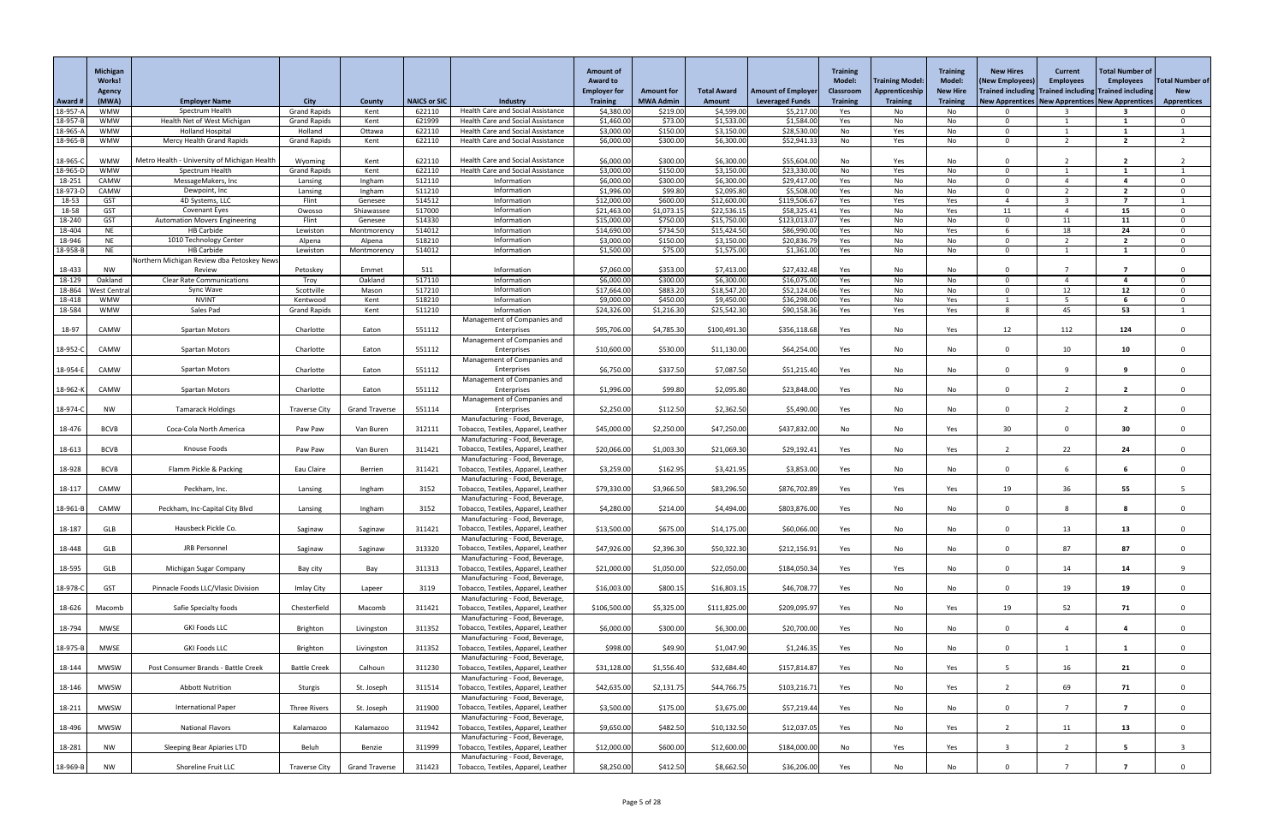|                                  | Michigan<br><b>Works!</b><br><b>Agency</b> |                                               |                                    |                       |                     |                                                                           | <b>Amount of</b><br><b>Award to</b><br><b>Employer for</b> | <b>Amount for</b>    | <b>Total Award</b>        | <b>Amount of Employer</b>  | <b>Training</b><br><b>Model:</b><br><b>Classroom</b> | <b>Training Model:</b><br>Apprenticeship | <b>Training</b><br><b>Model:</b><br><b>New Hire</b> | <b>New Hires</b><br>(New Employees)<br>Trained including Trained including Trained including | <b>Current</b><br><b>Employees</b> | Total Number of<br><b>Employees</b> | <b>Total Number of</b><br><b>New</b> |
|----------------------------------|--------------------------------------------|-----------------------------------------------|------------------------------------|-----------------------|---------------------|---------------------------------------------------------------------------|------------------------------------------------------------|----------------------|---------------------------|----------------------------|------------------------------------------------------|------------------------------------------|-----------------------------------------------------|----------------------------------------------------------------------------------------------|------------------------------------|-------------------------------------|--------------------------------------|
| Award #                          | (MWA)                                      | <b>Employer Name</b><br>Spectrum Health       | <b>City</b><br><b>Grand Rapids</b> | <b>County</b>         | <b>NAICS or SIC</b> | Industry<br>Health Care and Social Assistance                             | <b>Training</b>                                            | <b>MWA Admin</b>     | <b>Amount</b>             | <b>Leveraged Funds</b>     | <b>Training</b>                                      | <b>Training</b>                          | <b>Training</b>                                     | New Apprentices   New Apprentices   New Apprentices                                          |                                    |                                     | <b>Apprentices</b>                   |
| 18-957-<br>18-957-B              | <b>WMW</b><br><b>WMW</b>                   | Health Net of West Michigan                   | <b>Grand Rapids</b>                | Kent<br>Kent          | 622110<br>621999    | <b>Health Care and Social Assistance</b>                                  | \$4,380.0<br>\$1,460.00                                    | \$219.00<br>\$73.00  | \$4,599.00<br>\$1,533.00  | \$5,217.00<br>\$1,584.00   | Yes<br>Yes                                           | No<br>No                                 | No<br>No                                            | $\Omega$                                                                                     |                                    |                                     |                                      |
| 18-965-A                         | <b>WMW</b>                                 | <b>Holland Hospital</b>                       | Holland                            | Ottawa                | 622110              | <b>Health Care and Social Assistance</b>                                  | \$3,000.00                                                 | \$150.00             | \$3,150.00                | \$28,530.00                | No                                                   | Yes                                      | No                                                  | റ                                                                                            |                                    |                                     |                                      |
| 18-965-B                         | <b>WMW</b>                                 | Mercy Health Grand Rapids                     | <b>Grand Rapids</b>                | Kent                  | 622110              | <b>Health Care and Social Assistance</b>                                  | \$6,000.00                                                 | \$300.00             | \$6,300.00                | \$52,941.33                | No                                                   | Yes                                      | No                                                  | $\Omega$                                                                                     | ່າ                                 | $\overline{2}$                      |                                      |
| 18-965-C                         | <b>WMW</b>                                 | Metro Health - University of Michigan Health  | Wyoming                            | Kent                  | 622110              | <b>Health Care and Social Assistance</b>                                  | \$6,000.00                                                 | \$300.00             | \$6,300.00                | \$55,604.00                | No                                                   | Yes                                      | No                                                  | $\cap$                                                                                       |                                    |                                     |                                      |
| 18-965-D                         | <b>WMW</b>                                 | Spectrum Health                               | <b>Grand Rapids</b>                | Kent                  | 622110              | Health Care and Social Assistance                                         | \$3,000.00                                                 | \$150.00             | \$3,150.00                | \$23,330.00                | No                                                   | Yes                                      | No                                                  | - 0                                                                                          |                                    |                                     |                                      |
| 18-251                           | CAMW                                       | MessageMakers, Inc                            | Lansing                            | Ingham                | 512110              | Information                                                               | \$6,000.00                                                 | \$300.00             | \$6,300.00                | \$29,417.00                | Yes                                                  | No                                       | No                                                  | - 0                                                                                          |                                    |                                     | $\Omega$                             |
| 18-973-D<br>18-53                | CAMW<br><b>GST</b>                         | Dewpoint, Inc<br>4D Systems, LLC              | Lansing<br>Flint                   | Ingham<br>Genesee     | 511210<br>514512    | Information<br>Information                                                | \$1,996.00<br>\$12,000.00                                  | \$99.80<br>\$600.00  | \$2,095.80<br>\$12,600.00 | \$5,508.00<br>\$119,506.67 | Yes<br>Yes                                           | No<br>Yes                                | No<br>Yes                                           | $\Omega$                                                                                     | ີ                                  | $\overline{2}$<br>$\overline{7}$    | $\mathbf{0}$                         |
| 18-58                            | <b>GST</b>                                 | Covenant Eyes                                 | Owosso                             | Shiawassee            | 517000              | Information                                                               | \$21,463.00                                                | \$1,073.15           | \$22,536.15               | \$58,325.41                | Yes                                                  | No                                       | Yes                                                 | -11                                                                                          |                                    | 15                                  | $\Omega$                             |
| 18-240                           | <b>GST</b>                                 | <b>Automation Movers Engineering</b>          | Flint                              | Genesee               | 514330              | Information                                                               | \$15,000.0                                                 | \$750.00             | \$15,750.00               | \$123,013.07               | Yes                                                  | No                                       | No                                                  | $\Omega$                                                                                     | 11                                 | 11                                  | $\Omega$                             |
| 18-404                           | <b>NE</b><br><b>NE</b>                     | <b>HB Carbide</b><br>1010 Technology Center   | Lewiston                           | Montmorency<br>Alpena | 514012              | Information<br>Information                                                | \$14,690.00<br>\$3,000.00                                  | \$734.50<br>\$150.00 | \$15,424.50<br>\$3,150.00 | \$86,990.00<br>\$20,836.79 | Yes                                                  | No                                       | Yes                                                 | $\cap$                                                                                       | 18                                 | 24<br>$\overline{2}$                | $\Omega$<br>$\Omega$                 |
| 18-946<br>18-958- <mark>B</mark> | <b>NE</b>                                  | <b>HB Carbide</b>                             | Alpena<br>Lewiston                 | Montmorency           | 518210<br>514012    | Information                                                               | \$1,500.00                                                 | \$75.00              | \$1,575.00                | \$1,361.00                 | Yes<br>Yes                                           | No<br>No                                 | No<br>No                                            | - 0                                                                                          |                                    | $\mathbf{1}$                        | $\Omega$                             |
|                                  |                                            | Northern Michigan Review dba Petoskey News    |                                    |                       |                     |                                                                           |                                                            |                      |                           |                            |                                                      |                                          |                                                     |                                                                                              |                                    |                                     |                                      |
| 18-433                           | <b>NW</b>                                  | Review                                        | Petoskey                           | Emmet                 | 511                 | Information                                                               | \$7,060.00                                                 | \$353.00             | \$7,413.00                | \$27,432.48                | Yes                                                  | No                                       | No                                                  |                                                                                              |                                    |                                     |                                      |
| 18-129<br>18-864                 | Oakland<br><b>Nest Central</b>             | <b>Clear Rate Communications</b><br>Sync Wave | Troy<br>Scottville                 | Oakland<br>Mason      | 517110<br>517210    | Information<br>Information                                                | \$6,000.00<br>\$17,664.00                                  | \$300.00<br>\$883.20 | \$6,300.00<br>\$18,547.20 | \$16,075.00<br>\$52,124.06 | Yes<br>Yes                                           | No<br>No                                 | No<br>No                                            | $\cap$<br>$\Omega$                                                                           | 12                                 | 12                                  | 0<br>$\Omega$                        |
| 18-418                           | <b>WMW</b>                                 | <b>NVINT</b>                                  | Kentwood                           | Kent                  | 518210              | Information                                                               | \$9,000.00                                                 | \$450.00             | \$9,450.00                | \$36,298.00                | Yes                                                  | No                                       | Yes                                                 |                                                                                              |                                    |                                     | $\mathbf{0}$                         |
| 18-584                           | <b>WMW</b>                                 | Sales Pad                                     | <b>Grand Rapids</b>                | Kent                  | 511210              | Information                                                               | \$24,326.00                                                | \$1,216.30           | \$25,542.30               | \$90,158.36                | Yes                                                  | Yes                                      | Yes                                                 | -8                                                                                           | 45                                 | 53                                  |                                      |
| 18-97                            | CAMW                                       | <b>Spartan Motors</b>                         | Charlotte                          | Eaton                 | 551112              | Management of Companies and<br>Enterprises<br>Management of Companies and | \$95,706.00                                                | \$4,785.30           | \$100,491.30              | \$356,118.68               | Yes                                                  | No                                       | Yes                                                 | 12                                                                                           | 112                                | 124                                 | $\Omega$                             |
| 18-952-C                         | CAMW                                       | <b>Spartan Motors</b>                         | Charlotte                          | Eaton                 | 551112              | Enterprises                                                               | \$10,600.00                                                | \$530.00             | \$11,130.00               | \$64,254.00                | Yes                                                  | No                                       | No                                                  | $\Omega$                                                                                     | 10                                 | 10                                  | $\mathbf{0}$                         |
| 18-954-E                         | CAMW                                       | <b>Spartan Motors</b>                         | Charlotte                          | Eaton                 | 551112              | Management of Companies and<br>Enterprises                                | \$6,750.00                                                 | \$337.50             | \$7,087.50                | \$51,215.40                | Yes                                                  | No                                       | No                                                  | 0                                                                                            |                                    | <u>y</u>                            |                                      |
|                                  |                                            |                                               |                                    |                       |                     | Management of Companies and                                               |                                                            |                      |                           |                            |                                                      |                                          |                                                     | $\Omega$                                                                                     |                                    | $\overline{2}$                      |                                      |
| 18-962-K                         | CAMW                                       | <b>Spartan Motors</b>                         | Charlotte                          | Eaton                 | 551112              | Enterprises<br>Management of Companies and                                | \$1,996.00                                                 | \$99.80              | \$2,095.80                | \$23,848.00                | Yes                                                  | No                                       | No                                                  |                                                                                              | $\overline{2}$                     |                                     | $\mathbf{0}$                         |
| 18-974-C                         | <b>NW</b>                                  | <b>Tamarack Holdings</b>                      | <b>Traverse City</b>               | <b>Grand Traverse</b> | 551114              | Enterprises                                                               | \$2,250.00                                                 | \$112.50             | \$2,362.50                | \$5,490.00                 | Yes                                                  | No                                       | No                                                  | $\Omega$                                                                                     |                                    | $\overline{\phantom{a}}$            | $\overline{0}$                       |
|                                  |                                            |                                               |                                    |                       |                     | Manufacturing - Food, Beverage,                                           |                                                            |                      |                           |                            |                                                      |                                          |                                                     |                                                                                              |                                    |                                     |                                      |
| 18-476                           | <b>BCVB</b>                                | Coca-Cola North America                       | Paw Paw                            | Van Buren             | 312111              | Tobacco, Textiles, Apparel, Leather<br>Manufacturing - Food, Beverage,    | \$45,000.00                                                | \$2,250.00           | \$47,250.00               | \$437,832.00               | No                                                   | No                                       | Yes                                                 | 30                                                                                           | $\Omega$                           | 30                                  | $\mathbf{0}$                         |
| 18-613                           | <b>BCVB</b>                                | Knouse Foods                                  | Paw Paw                            | Van Buren             | 311421              | Tobacco, Textiles, Apparel, Leather                                       | \$20,066.00                                                | \$1,003.30           | \$21,069.30               | \$29,192.41                | Yes                                                  | No                                       | Yes                                                 |                                                                                              | 22                                 | 24                                  | $\mathbf{0}$                         |
|                                  |                                            |                                               |                                    |                       |                     | Manufacturing - Food, Beverage,                                           |                                                            |                      |                           |                            |                                                      |                                          |                                                     |                                                                                              |                                    |                                     |                                      |
| 18-928                           | <b>BCVB</b>                                | Flamm Pickle & Packing                        | Eau Claire                         | Berrien               | 311421              | Tobacco, Textiles, Apparel, Leather<br>Manufacturing - Food, Beverage,    | \$3,259.00                                                 | \$162.95             | \$3,421.95                | \$3,853.00                 | Yes                                                  | No                                       | No                                                  | $\Omega$                                                                                     | 6                                  |                                     | $\Omega$                             |
| 18-117                           | CAMW                                       | Peckham, Inc.                                 | Lansing                            | Ingham                | 3152                | Tobacco, Textiles, Apparel, Leather                                       | \$79,330.00                                                | \$3,966.50           | \$83,296.50               | \$876,702.89               | Yes                                                  | Yes                                      | Yes                                                 | 19                                                                                           | 36                                 | 55                                  |                                      |
|                                  |                                            |                                               |                                    |                       |                     | Manufacturing - Food, Beverage,                                           |                                                            |                      |                           |                            |                                                      |                                          |                                                     |                                                                                              |                                    |                                     |                                      |
| 18-961-B                         | CAMW                                       | Peckham, Inc-Capital City Blvd                | Lansing                            | Ingham                | 3152                | Tobacco, Textiles, Apparel, Leather<br>Manufacturing - Food, Beverage,    | \$4,280.00                                                 | \$214.00             | \$4,494.00                | \$803,876.00               | Yes                                                  | No                                       | No                                                  | $\Omega$                                                                                     | 8                                  |                                     | $\mathbf{0}$                         |
| 18-187                           | GLB                                        | Hausbeck Pickle Co.                           | Saginaw                            | Saginaw               | 311421              | Tobacco, Textiles, Apparel, Leather                                       | \$13,500.00                                                | \$675.00             | \$14,175.00               | \$60,066.00                | Yes                                                  | No                                       | No                                                  | $\Omega$                                                                                     | 13                                 | 13                                  | $\mathbf 0$                          |
|                                  |                                            |                                               |                                    |                       |                     | Manufacturing - Food, Beverage,                                           |                                                            |                      |                           |                            |                                                      |                                          |                                                     |                                                                                              |                                    |                                     |                                      |
| 18-448                           | GLB                                        | JRB Personnel                                 | Saginaw                            | Saginaw               | 313320              | Tobacco, Textiles, Apparel, Leather<br>Manufacturing - Food, Beverage,    | \$47,926.00                                                | \$2,396.30           | \$50,322.30               | \$212,156.91               | Yes                                                  | No                                       | No                                                  | $\Omega$                                                                                     | 87                                 | 87                                  | $\mathbf{0}$                         |
| 18-595                           | GLB                                        | Michigan Sugar Company                        | Bay city                           | Bay                   | 311313              | Tobacco, Textiles, Apparel, Leather                                       | \$21,000.00                                                | \$1,050.00           | \$22,050.00               | \$184,050.34               | Yes                                                  | Yes                                      | No                                                  | $\Omega$                                                                                     | 14                                 | 14                                  | q                                    |
|                                  |                                            |                                               |                                    |                       |                     | Manufacturing - Food, Beverage,                                           |                                                            |                      |                           |                            |                                                      |                                          |                                                     |                                                                                              |                                    |                                     |                                      |
| 18-978-C                         | <b>GST</b>                                 | Pinnacle Foods LLC/Vlasic Division            | Imlay City                         | Lapeer                | 3119                | Tobacco, Textiles, Apparel, Leather                                       | \$16,003.00                                                | \$800.15             | \$16,803.15               | \$46,708.77                | Yes                                                  | No                                       | No                                                  | $\Omega$                                                                                     | 19                                 | 19                                  | $\mathbf 0$                          |
| 18-626                           | Macomb                                     | Safie Specialty foods                         | Chesterfield                       | Macomb                | 311421              | Manufacturing - Food, Beverage,<br>Tobacco, Textiles, Apparel, Leather    | \$106,500.00                                               | \$5,325.00           | \$111,825.00              | \$209,095.97               | Yes                                                  | No                                       | Yes                                                 | 19                                                                                           | 52                                 | 71                                  | $\Omega$                             |
|                                  |                                            |                                               |                                    |                       |                     | Manufacturing - Food, Beverage,                                           |                                                            |                      |                           |                            |                                                      |                                          |                                                     |                                                                                              |                                    |                                     |                                      |
| 18-794                           | <b>MWSE</b>                                | <b>GKI Foods LLC</b>                          | Brighton                           | Livingston            | 311352              | Tobacco, Textiles, Apparel, Leather                                       | \$6,000.00                                                 | \$300.00             | \$6,300.00                | \$20,700.00                | Yes                                                  | No                                       | No                                                  | $\Omega$                                                                                     |                                    |                                     | $\Omega$                             |
| 18-975-B                         | <b>MWSE</b>                                | <b>GKI Foods LLC</b>                          | Brighton                           | Livingston            | 311352              | Manufacturing - Food, Beverage,<br>Tobacco, Textiles, Apparel, Leather    | \$998.00                                                   | \$49.90              | \$1,047.90                | \$1,246.35                 | Yes                                                  | No                                       | No                                                  | $\Omega$                                                                                     |                                    |                                     | $\mathbf{0}$                         |
|                                  |                                            |                                               |                                    |                       |                     | Manufacturing - Food, Beverage,                                           |                                                            |                      |                           |                            |                                                      |                                          |                                                     |                                                                                              |                                    |                                     |                                      |
| 18-144                           | <b>MWSW</b>                                | Post Consumer Brands - Battle Creek           | <b>Battle Creek</b>                | Calhoun               | 311230              | Tobacco, Textiles, Apparel, Leather                                       | \$31,128.00                                                | \$1,556.40           | \$32,684.40               | \$157,814.87               | Yes                                                  | No                                       | Yes                                                 |                                                                                              | 16                                 | 21                                  | $\mathbf 0$                          |
| 18-146                           | MWSW                                       | <b>Abbott Nutrition</b>                       | Sturgis                            | St. Joseph            | 311514              | Manufacturing - Food, Beverage,<br>Tobacco, Textiles, Apparel, Leather    | \$42,635.00                                                | \$2,131.75           | \$44,766.75               | \$103,216.71               | Yes                                                  | No                                       | Yes                                                 |                                                                                              | 69                                 | 71                                  |                                      |
|                                  |                                            |                                               |                                    |                       |                     | Manufacturing - Food, Beverage,                                           |                                                            |                      |                           |                            |                                                      |                                          |                                                     |                                                                                              |                                    |                                     |                                      |
| 18-211                           | MWSW                                       | <b>International Paper</b>                    | Three Rivers                       | St. Joseph            | 311900              | Tobacco, Textiles, Apparel, Leather                                       | \$3,500.00                                                 | \$175.00             | \$3,675.00                | \$57,219.44                | Yes                                                  | No                                       | No                                                  | $\Omega$                                                                                     |                                    |                                     | $\mathbf 0$                          |
|                                  | <b>MWSW</b>                                | <b>National Flavors</b>                       | Kalamazoo                          | Kalamazoo             | 311942              | Manufacturing - Food, Beverage,<br>Tobacco, Textiles, Apparel, Leather    | \$9,650.00                                                 | \$482.50             | \$10,132.50               | \$12,037.05                | Yes                                                  | No                                       |                                                     |                                                                                              | 11                                 | 13                                  | $\mathbf 0$                          |
| 18-496                           |                                            |                                               |                                    |                       |                     | Manufacturing - Food, Beverage,                                           |                                                            |                      |                           |                            |                                                      |                                          | Yes                                                 |                                                                                              |                                    |                                     |                                      |
| 18-281                           | <b>NW</b>                                  | Sleeping Bear Apiaries LTD                    | Beluh                              | Benzie                | 311999              | Tobacco, Textiles, Apparel, Leather                                       | \$12,000.00                                                | \$600.00]            | \$12,600.00               | \$184,000.00               | No                                                   | Yes                                      | Yes                                                 | $\mathbf{3}$                                                                                 | 2                                  | - 5                                 | $\mathbf{3}$                         |
|                                  |                                            | Shoreline Fruit LLC                           |                                    |                       | 311423              | Manufacturing - Food, Beverage,<br>Tobacco, Textiles, Apparel, Leather    |                                                            | \$412.50             |                           |                            |                                                      |                                          |                                                     | $\Omega$                                                                                     |                                    |                                     | $\Omega$                             |
| $18-969-B$                       | <b>NW</b>                                  |                                               | <b>Traverse City</b>               | <b>Grand Traverse</b> |                     |                                                                           | \$8,250.00                                                 |                      | \$8,662.50                | \$36,206.00                | Yes                                                  | No                                       | No                                                  |                                                                                              |                                    |                                     |                                      |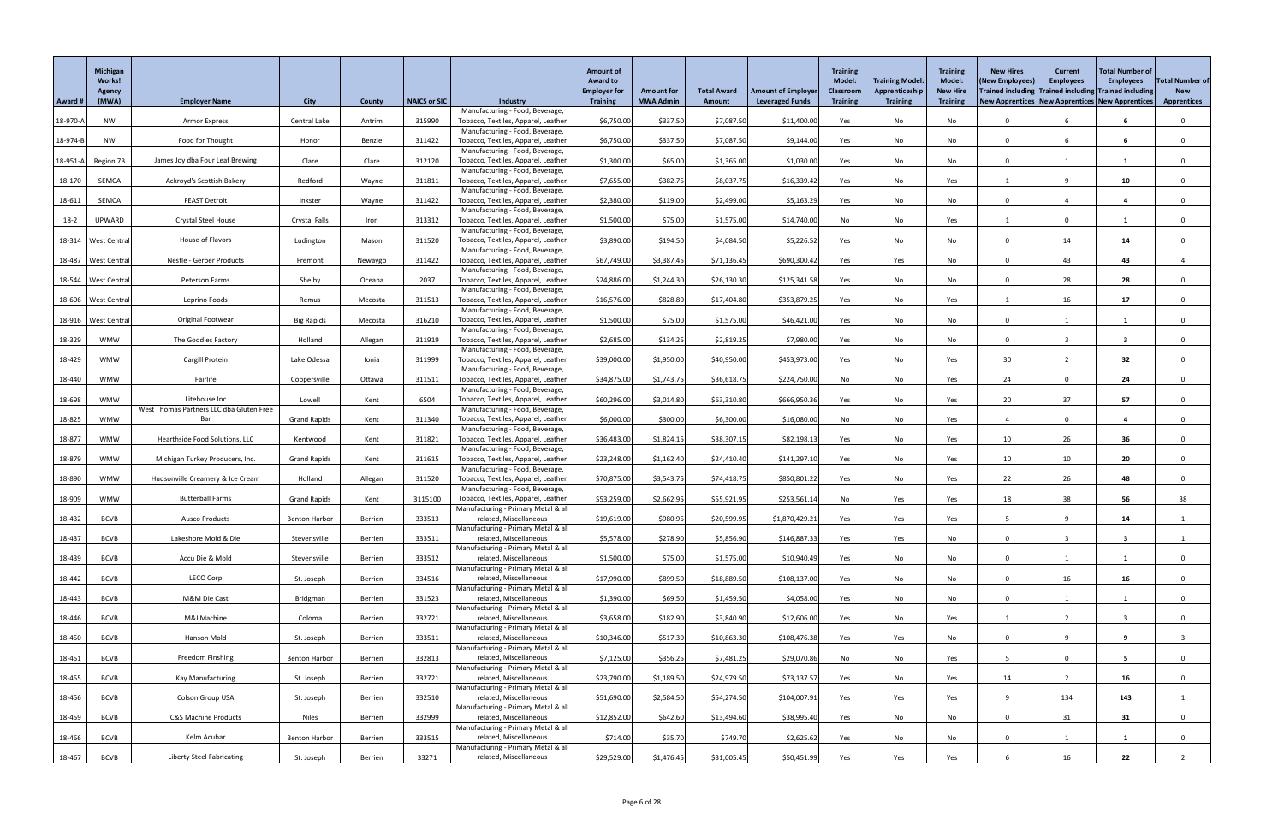|          | Michigan<br><b>Works!</b><br><b>Agency</b><br>(MWA) |                                                 |                      | County  | <b>NAICS or SIC</b> | <b>Industry</b>                                                        | <b>Amount of</b><br><b>Award to</b><br><b>Employer for</b><br><b>Training</b> | <b>Amount for</b><br><b>MWA Admin</b> | <b>Total Award</b><br>Amount | <b>Amount of Employer</b><br><b>Leveraged Funds</b> | <b>Training</b><br><b>Model:</b><br><b>Classroom</b><br><b>Training</b> | <b>Training Model:</b><br>Apprenticeship<br><b>Training</b> | <b>Training</b><br><b>Model:</b><br><b>New Hire</b><br><b>Training</b> | <b>New Hires</b><br>(New Employees)<br>Trained including Trained including Trained including<br>New Apprentices   New Apprentices   New Apprentices | <b>Current</b><br><b>Employees</b> | <b>Total Number of</b><br><b>Employees</b> | <b>Total Number of</b><br><b>New</b><br><b>Apprentices</b> |
|----------|-----------------------------------------------------|-------------------------------------------------|----------------------|---------|---------------------|------------------------------------------------------------------------|-------------------------------------------------------------------------------|---------------------------------------|------------------------------|-----------------------------------------------------|-------------------------------------------------------------------------|-------------------------------------------------------------|------------------------------------------------------------------------|-----------------------------------------------------------------------------------------------------------------------------------------------------|------------------------------------|--------------------------------------------|------------------------------------------------------------|
| Award #  |                                                     | <b>Employer Name</b>                            | <b>City</b>          |         |                     | Manufacturing - Food, Beverage,                                        |                                                                               |                                       |                              |                                                     |                                                                         |                                                             |                                                                        |                                                                                                                                                     |                                    |                                            |                                                            |
| 18-970-A | <b>NW</b>                                           | Armor Express                                   | Central Lake         | Antrim  | 315990              | Tobacco, Textiles, Apparel, Leather                                    | \$6,750.00                                                                    | \$337.50                              | \$7,087.50                   | \$11,400.00                                         | Yes                                                                     | No                                                          | No                                                                     | $\Omega$                                                                                                                                            |                                    |                                            |                                                            |
| 18-974-B | NW                                                  | Food for Thought                                | Honor                | Benzie  | 311422              | Manufacturing - Food, Beverage,<br>Tobacco, Textiles, Apparel, Leather | \$6,750.00                                                                    | \$337.50                              | \$7,087.50                   | \$9,144.00                                          | Yes                                                                     | No                                                          | No                                                                     | $\Omega$                                                                                                                                            | 6                                  | 6                                          |                                                            |
|          |                                                     |                                                 |                      |         |                     | Manufacturing - Food, Beverage,                                        |                                                                               |                                       |                              |                                                     |                                                                         |                                                             |                                                                        |                                                                                                                                                     |                                    |                                            |                                                            |
|          | 18-951-A Region 7B                                  | James Joy dba Four Leaf Brewing                 | Clare                | Clare   | 312120              | Tobacco, Textiles, Apparel, Leather<br>Manufacturing - Food, Beverage, | \$1,300.00                                                                    | \$65.00                               | \$1,365.00                   | \$1,030.00                                          | Yes                                                                     | No                                                          | No                                                                     |                                                                                                                                                     |                                    |                                            |                                                            |
| 18-170   | SEMCA                                               | Ackroyd's Scottish Bakery                       | Redford              | Wayne   | 311811              | Tobacco, Textiles, Apparel, Leather                                    | \$7,655.00                                                                    | \$382.75                              | \$8,037.75                   | \$16,339.42                                         | Yes                                                                     | No                                                          | Yes                                                                    |                                                                                                                                                     |                                    | 10                                         |                                                            |
| 18-611   | SEMCA                                               | <b>FEAST Detroit</b>                            | Inkster              | Wayne   | 311422              | Manufacturing - Food, Beverage,<br>Tobacco, Textiles, Apparel, Leather | \$2,380.00                                                                    | \$119.00                              | \$2,499.00                   | \$5,163.29                                          | Yes                                                                     | No                                                          | No                                                                     | $\Omega$                                                                                                                                            |                                    | $\boldsymbol{4}$                           |                                                            |
|          |                                                     |                                                 |                      |         |                     | Manufacturing - Food, Beverage,                                        |                                                                               |                                       |                              |                                                     |                                                                         |                                                             |                                                                        |                                                                                                                                                     | $\Omega$                           |                                            |                                                            |
| $18-2$   | UPWARD                                              | <b>Crystal Steel House</b>                      | <b>Crystal Falls</b> | Iron    | 313312              | Tobacco, Textiles, Apparel, Leather<br>Manufacturing - Food, Beverage, | \$1,500.00                                                                    | \$75.00                               | \$1,575.00                   | \$14,740.00                                         | No                                                                      | No                                                          | Yes                                                                    |                                                                                                                                                     |                                    |                                            |                                                            |
|          | 18-314   West Central                               | House of Flavors                                | Ludington            | Mason   | 311520              | Tobacco, Textiles, Apparel, Leather<br>Manufacturing - Food, Beverage, | \$3,890.00                                                                    | \$194.50                              | \$4,084.50                   | \$5,226.52                                          | Yes                                                                     | No                                                          | No                                                                     | $\Omega$                                                                                                                                            | 14                                 | 14                                         |                                                            |
| 18-487   | <b>West Central</b>                                 | Nestle - Gerber Products                        | Fremont              | Newaygo | 311422              | Tobacco, Textiles, Apparel, Leather                                    | \$67,749.00                                                                   | \$3,387.45                            | \$71,136.45                  | \$690,300.42                                        | Yes                                                                     | Yes                                                         | No                                                                     | $\Omega$                                                                                                                                            | 43                                 | 43                                         |                                                            |
|          | 18-544   West Central                               | Peterson Farms                                  | Shelby               | Oceana  | 2037                | Manufacturing - Food, Beverage,<br>Tobacco, Textiles, Apparel, Leather | \$24,886.00                                                                   | \$1,244.30                            | \$26,130.30                  | \$125,341.58                                        | Yes                                                                     | No                                                          | No                                                                     | $\Omega$                                                                                                                                            | 28                                 | 28                                         |                                                            |
|          |                                                     |                                                 |                      |         |                     | Manufacturing - Food, Beverage,                                        |                                                                               |                                       |                              |                                                     |                                                                         |                                                             |                                                                        |                                                                                                                                                     |                                    |                                            |                                                            |
|          | 18-606 West Central                                 | Leprino Foods                                   | Remus                | Mecosta | 311513              | Tobacco, Textiles, Apparel, Leather<br>Manufacturing - Food, Beverage, | \$16,576.00                                                                   | \$828.80                              | \$17,404.80                  | \$353,879.25                                        | Yes                                                                     | No                                                          | Yes                                                                    |                                                                                                                                                     | 16                                 | 17                                         | $\Omega$                                                   |
|          | 18-916   West Central                               | Original Footwear                               | <b>Big Rapids</b>    | Mecosta | 316210              | Tobacco, Textiles, Apparel, Leather                                    | \$1,500.00                                                                    | \$75.00                               | \$1,575.00                   | \$46,421.00                                         | Yes                                                                     | No                                                          | No                                                                     | $\Omega$                                                                                                                                            |                                    |                                            |                                                            |
| 18-329   | WMW                                                 | The Goodies Factory                             | Holland              | Allegan | 311919              | Manufacturing - Food, Beverage,<br>Tobacco, Textiles, Apparel, Leather | \$2,685.00                                                                    | \$134.25                              | \$2,819.25                   | \$7,980.00                                          | Yes                                                                     | No                                                          | No                                                                     | $\Omega$                                                                                                                                            |                                    | -3                                         |                                                            |
|          |                                                     |                                                 |                      |         |                     | Manufacturing - Food, Beverage,                                        |                                                                               |                                       |                              |                                                     |                                                                         |                                                             |                                                                        |                                                                                                                                                     | ຳ                                  |                                            |                                                            |
| 18-429   | <b>WMW</b>                                          | Cargill Protein                                 | Lake Odessa          | Ionia   | 311999              | Tobacco, Textiles, Apparel, Leather<br>Manufacturing - Food, Beverage, | \$39,000.00                                                                   | \$1,950.00                            | \$40,950.00                  | \$453,973.00                                        | Yes                                                                     | No                                                          | Yes                                                                    | 30                                                                                                                                                  |                                    | 32                                         | $\Omega$                                                   |
| 18-440   | WMW                                                 | Fairlife                                        | Coopersville         | Ottawa  | 311511              | Tobacco, Textiles, Apparel, Leather<br>Manufacturing - Food, Beverage, | \$34,875.00                                                                   | \$1,743.75                            | \$36,618.75                  | \$224,750.00                                        | No                                                                      | No                                                          | Yes                                                                    | 24                                                                                                                                                  |                                    | 24                                         |                                                            |
| 18-698   | <b>WMW</b>                                          | Litehouse Inc                                   | Lowell               | Kent    | 6504                | Tobacco, Textiles, Apparel, Leather                                    | \$60,296.00                                                                   | \$3,014.80                            | \$63,310.80                  | \$666,950.36                                        | Yes                                                                     | No                                                          | Yes                                                                    | 20                                                                                                                                                  | 37                                 | 57                                         |                                                            |
| 18-825   | <b>WMW</b>                                          | West Thomas Partners LLC dba Gluten Free<br>Bar | <b>Grand Rapids</b>  | Kent    | 311340              | Manufacturing - Food, Beverage,<br>Tobacco, Textiles, Apparel, Leather | \$6,000.00                                                                    | \$300.00                              | \$6,300.00                   | \$16,080.00                                         | No                                                                      | No                                                          | Yes                                                                    |                                                                                                                                                     | $\Omega$                           | $\overline{\mathbf{4}}$                    |                                                            |
|          |                                                     |                                                 |                      |         |                     | Manufacturing - Food, Beverage,                                        |                                                                               |                                       |                              |                                                     |                                                                         |                                                             |                                                                        |                                                                                                                                                     |                                    |                                            |                                                            |
| 18-877   | <b>WMW</b>                                          | Hearthside Food Solutions, LLC                  | Kentwood             | Kent    | 311821              | Tobacco, Textiles, Apparel, Leather<br>Manufacturing - Food, Beverage, | \$36,483.00                                                                   | \$1,824.15                            | \$38,307.15                  | \$82,198.13                                         | Yes                                                                     | No                                                          | Yes                                                                    | 10                                                                                                                                                  | 26                                 | 36                                         |                                                            |
| 18-879   | <b>WMW</b>                                          | Michigan Turkey Producers, Inc.                 | <b>Grand Rapids</b>  | Kent    | 311615              | Tobacco, Textiles, Apparel, Leather                                    | \$23,248.00                                                                   | \$1,162.40                            | \$24,410.40                  | \$141,297.10                                        | Yes                                                                     | No                                                          | Yes                                                                    | 10                                                                                                                                                  | 10                                 | 20                                         |                                                            |
| 18-890   | <b>WMW</b>                                          | Hudsonville Creamery & Ice Cream                | Holland              | Allegan | 311520              | Manufacturing - Food, Beverage,<br>Tobacco, Textiles, Apparel, Leather | \$70,875.00                                                                   | \$3,543.75                            | \$74,418.75                  | \$850,801.22                                        | Yes                                                                     | No                                                          | Yes                                                                    | 22                                                                                                                                                  | 26                                 | 48                                         |                                                            |
| 18-909   | <b>WMW</b>                                          | <b>Butterball Farms</b>                         | <b>Grand Rapids</b>  | Kent    | 3115100             | Manufacturing - Food, Beverage,<br>Tobacco, Textiles, Apparel, Leather | \$53,259.00                                                                   | \$2,662.95                            | \$55,921.95                  | \$253,561.14                                        | No                                                                      | Yes                                                         | Yes                                                                    | 18                                                                                                                                                  | 38                                 | 56                                         | 38                                                         |
|          |                                                     |                                                 |                      |         |                     | Manufacturing - Primary Metal & all                                    |                                                                               |                                       |                              |                                                     |                                                                         |                                                             |                                                                        |                                                                                                                                                     |                                    |                                            |                                                            |
| 18-432   | <b>BCVB</b>                                         | <b>Ausco Products</b>                           | <b>Benton Harbor</b> | Berrien | 333513              | related, Miscellaneous<br>Manufacturing - Primary Metal & all          | \$19,619.00                                                                   | \$980.95                              | \$20,599.95                  | \$1,870,429.21                                      | Yes                                                                     | Yes                                                         | Yes                                                                    |                                                                                                                                                     |                                    | 14                                         |                                                            |
| 18-437   | <b>BCVB</b>                                         | Lakeshore Mold & Die                            | Stevensville         | Berrien | 333511              | related, Miscellaneous                                                 | \$5,578.00                                                                    | \$278.90                              | \$5,856.90                   | \$146,887.33                                        | Yes                                                                     | Yes                                                         | No                                                                     | $\Omega$                                                                                                                                            |                                    |                                            |                                                            |
| 18-439   | <b>BCVB</b>                                         | Accu Die & Mold                                 | Stevensville         | Berrien | 333512              | Manufacturing - Primary Metal & all<br>related, Miscellaneous          | \$1,500.00                                                                    | \$75.00                               | \$1,575.00                   | \$10,940.49                                         | Yes                                                                     | No                                                          | No                                                                     | $\Omega$                                                                                                                                            |                                    |                                            |                                                            |
| 18-442   | <b>BCVB</b>                                         | LECO Corp                                       | St. Joseph           | Berrien | 334516              | Manufacturing - Primary Metal & all<br>related, Miscellaneous          | \$17,990.00                                                                   | \$899.50                              | \$18,889.50                  | \$108,137.00                                        | Yes                                                                     | No                                                          | No                                                                     | $\Omega$                                                                                                                                            | 16                                 | 16                                         |                                                            |
|          |                                                     |                                                 |                      |         |                     | Manufacturing - Primary Metal & all                                    |                                                                               |                                       |                              |                                                     |                                                                         |                                                             |                                                                        |                                                                                                                                                     |                                    |                                            |                                                            |
| 18-443   | <b>BCVB</b>                                         | M&M Die Cast                                    | Bridgman             | Berrien | 331523              | related, Miscellaneous<br>Manufacturing - Primary Metal & all          | \$1,390.00                                                                    | \$69.50                               | \$1,459.50                   | \$4,058.00                                          | Yes                                                                     | No                                                          | No                                                                     | $\Omega$                                                                                                                                            |                                    |                                            |                                                            |
| 18-446   | <b>BCVB</b>                                         | M&I Machine                                     | Coloma               | Berrien | 332721              | related, Miscellaneous                                                 | \$3,658.00                                                                    | \$182.90                              | \$3,840.90                   | \$12,606.00                                         | Yes                                                                     | No                                                          | Yes                                                                    |                                                                                                                                                     |                                    | -3                                         |                                                            |
| 18-450   | <b>BCVB</b>                                         | Hanson Mold                                     | St. Joseph           | Berrien | 333511              | Manufacturing - Primary Metal & all<br>related, Miscellaneous          | \$10,346.00                                                                   | \$517.30                              | \$10,863.30                  | \$108,476.38                                        | Yes                                                                     | Yes                                                         | No                                                                     | $\Omega$                                                                                                                                            | $\Omega$                           | 9                                          |                                                            |
|          |                                                     |                                                 |                      |         |                     | Manufacturing - Primary Metal & all                                    |                                                                               |                                       |                              |                                                     |                                                                         |                                                             |                                                                        |                                                                                                                                                     |                                    |                                            |                                                            |
| 18-451   | <b>BCVB</b>                                         | Freedom Finshing                                | <b>Benton Harbor</b> | Berrien | 332813              | related, Miscellaneous<br>Manufacturing - Primary Metal & all          | \$7,125.00                                                                    | \$356.25                              | \$7,481.25                   | \$29,070.86                                         | No                                                                      | No                                                          | Yes                                                                    |                                                                                                                                                     |                                    | 5                                          |                                                            |
| 18-455   | <b>BCVB</b>                                         | Kay Manufacturing                               | St. Joseph           | Berrien | 332721              | related, Miscellaneous<br>Manufacturing - Primary Metal & all          | \$23,790.00                                                                   | \$1,189.50                            | \$24,979.50                  | \$73,137.57                                         | Yes                                                                     | No                                                          | Yes                                                                    | 14                                                                                                                                                  |                                    | 16                                         |                                                            |
| 18-456   | <b>BCVB</b>                                         | Colson Group USA                                | St. Joseph           | Berrien | 332510              | related, Miscellaneous                                                 | \$51,690.00                                                                   | \$2,584.50                            | \$54,274.50                  | \$104,007.91                                        | Yes                                                                     | Yes                                                         | Yes                                                                    | $\alpha$                                                                                                                                            | 134                                | 143                                        |                                                            |
| 18-459   | <b>BCVB</b>                                         | <b>C&amp;S Machine Products</b>                 | <b>Niles</b>         | Berrien | 332999              | Manufacturing - Primary Metal & all<br>related, Miscellaneous          | \$12,852.00                                                                   | \$642.60                              | \$13,494.60                  | \$38,995.40                                         | Yes                                                                     | No                                                          | No                                                                     | $\cap$                                                                                                                                              | 31                                 | 31                                         |                                                            |
|          |                                                     |                                                 |                      |         |                     | Manufacturing - Primary Metal & all                                    |                                                                               |                                       |                              |                                                     |                                                                         |                                                             |                                                                        |                                                                                                                                                     |                                    |                                            |                                                            |
| 18-466   | <b>BCVB</b>                                         | Kelm Acubar                                     | <b>Benton Harbor</b> | Berrien | 333515              | related, Miscellaneous<br>Manufacturing - Primary Metal & all          | \$714.00                                                                      | \$35.70                               | \$749.70                     | \$2,625.62                                          | Yes                                                                     | No                                                          | No                                                                     | $\Omega$                                                                                                                                            |                                    |                                            | $\mathbf{0}$                                               |
| 18-467   | <b>BCVB</b>                                         | Liberty Steel Fabricating                       | St. Joseph           | Berrien | 33271               | related, Miscellaneous                                                 | \$29,529.00                                                                   | \$1,476.45                            | \$31,005.45                  | \$50,451.99                                         | Yes                                                                     | Yes                                                         | Yes                                                                    |                                                                                                                                                     | 16                                 | 22                                         |                                                            |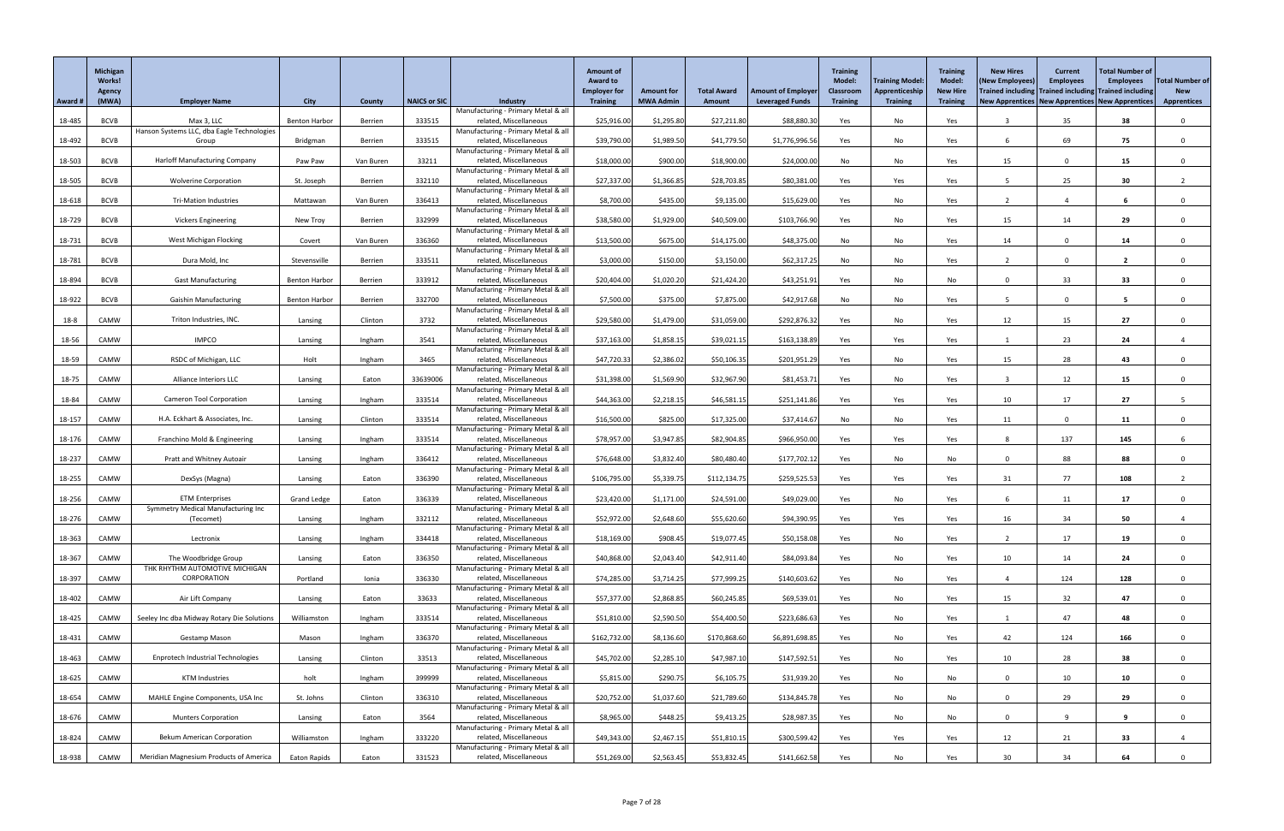|         | Michigan<br>Works!<br>Agency |                                                     |                      |           |                     |                                                               | <b>Amount of</b><br><b>Award to</b><br><b>Employer for</b> | <b>Amount for</b> | <b>Total Award</b> | <b>Amount of Employer</b> | <b>Training</b><br>Model:<br><b>Classroom</b> | <b>Training Model:</b><br>Apprenticeship | <b>Training</b><br><b>Model:</b><br><b>New Hire</b> | <b>New Hires</b><br>(New Employees)<br>Trained including Trained including Trained including | <b>Current</b><br><b>Employees</b> | <b>Total Number of</b><br><b>Employees</b> | <b>Total Number of</b><br><b>New</b> |
|---------|------------------------------|-----------------------------------------------------|----------------------|-----------|---------------------|---------------------------------------------------------------|------------------------------------------------------------|-------------------|--------------------|---------------------------|-----------------------------------------------|------------------------------------------|-----------------------------------------------------|----------------------------------------------------------------------------------------------|------------------------------------|--------------------------------------------|--------------------------------------|
| Award # | (MWA)                        | <b>Employer Name</b>                                | <b>City</b>          | County    | <b>NAICS or SIC</b> | <b>Industry</b><br>Manufacturing - Primary Metal & all        | <b>Training</b>                                            | <b>MWA Admin</b>  | Amount             | <b>Leveraged Funds</b>    | <b>Training</b>                               | <b>Training</b>                          | <b>Training</b>                                     | New Apprentices   New Apprentices   New Apprentices                                          |                                    |                                            | <b>Apprentices</b>                   |
| 18-485  | <b>BCVB</b>                  | Max 3, LLC                                          | <b>Benton Harbor</b> | Berrien   | 333515              | related, Miscellaneous                                        | \$25,916.00                                                | \$1,295.80        | \$27,211.80        | \$88,880.30               | Yes                                           | No                                       | Yes                                                 |                                                                                              | 35                                 | 38                                         | $\Omega$                             |
| 18-492  | <b>BCVB</b>                  | Hanson Systems LLC, dba Eagle Technologies<br>Group | Bridgman             | Berrien   | 333515              | Manufacturing - Primary Metal & all<br>related, Miscellaneous | \$39,790.00                                                | \$1,989.50        | \$41,779.50        | \$1,776,996.56            | Yes                                           | No                                       | Yes                                                 |                                                                                              | 69                                 | 75                                         | $\Omega$                             |
|         |                              |                                                     |                      |           |                     | Manufacturing - Primary Metal & all                           |                                                            |                   |                    |                           |                                               |                                          |                                                     |                                                                                              |                                    |                                            |                                      |
| 18-503  | <b>BCVB</b>                  | <b>Harloff Manufacturing Company</b>                | Paw Paw              | Van Buren | 33211               | related, Miscellaneous<br>Manufacturing - Primary Metal & all | \$18,000.00                                                | \$900.00          | \$18,900.00        | \$24,000.00               | No                                            | No                                       | Yes                                                 | 15                                                                                           | $\Omega$                           | 15                                         | $\Omega$                             |
| 18-505  | <b>BCVB</b>                  | <b>Wolverine Corporation</b>                        | St. Joseph           | Berrien   | 332110              | related, Miscellaneous                                        | \$27,337.00                                                | \$1,366.85        | \$28,703.85        | \$80,381.00               | Yes                                           | Yes                                      | Yes                                                 |                                                                                              | 25                                 | 30                                         |                                      |
| 18-618  | <b>BCVB</b>                  | <b>Tri-Mation Industries</b>                        | Mattawan             | Van Buren | 336413              | Manufacturing - Primary Metal & all<br>related, Miscellaneous | \$8,700.00                                                 | \$435.00          | \$9,135.00         | \$15,629.00               | Yes                                           | No                                       | Yes                                                 |                                                                                              |                                    |                                            | $\Omega$                             |
|         |                              |                                                     |                      |           |                     | Manufacturing - Primary Metal & all                           |                                                            |                   |                    |                           |                                               |                                          |                                                     |                                                                                              |                                    |                                            |                                      |
| 18-729  | <b>BCVB</b>                  | <b>Vickers Engineering</b>                          | New Troy             | Berrien   | 332999              | related, Miscellaneous<br>Manufacturing - Primary Metal & all | \$38,580.00                                                | \$1,929.00        | \$40,509.00        | \$103,766.90              | Yes                                           | No                                       | Yes                                                 | 15                                                                                           | 14                                 | 29                                         | $\Omega$                             |
| 18-731  | <b>BCVB</b>                  | West Michigan Flocking                              | Covert               | Van Buren | 336360              | related, Miscellaneous                                        | \$13,500.00                                                | \$675.00          | \$14,175.00        | \$48,375.00               | No                                            | No                                       | Yes                                                 | 14                                                                                           | $\Omega$                           | 14                                         | $\Omega$                             |
| 18-781  | <b>BCVB</b>                  | Dura Mold, Inc                                      | Stevensville         | Berrien   | 333511              | Manufacturing - Primary Metal & all<br>related, Miscellaneous | \$3,000.00                                                 | \$150.00          | \$3,150.00         | \$62,317.25               | No                                            | No                                       | Yes                                                 |                                                                                              | $\Omega$                           | $\overline{2}$                             |                                      |
| 18-894  | <b>BCVB</b>                  | <b>Gast Manufacturing</b>                           | <b>Benton Harbor</b> | Berrien   | 333912              | Manufacturing - Primary Metal & all<br>related, Miscellaneous | \$20,404.00                                                | \$1,020.20        | \$21,424.20        | \$43,251.9                |                                               | No                                       | No                                                  | $\Omega$                                                                                     | 33                                 | 33                                         | $\Omega$                             |
|         |                              |                                                     |                      |           |                     | Manufacturing - Primary Metal & all                           |                                                            |                   |                    |                           | Yes                                           |                                          |                                                     |                                                                                              |                                    |                                            |                                      |
| 18-922  | <b>BCVB</b>                  | <b>Gaishin Manufacturing</b>                        | <b>Benton Harbor</b> | Berrien   | 332700              | related, Miscellaneous<br>Manufacturing - Primary Metal & all | \$7,500.00                                                 | \$375.00          | \$7,875.00         | \$42,917.68               | No                                            | No                                       | Yes                                                 | -5                                                                                           | $\Omega$                           | -5                                         | $\Omega$                             |
| 18-8    | CAMW                         | Triton Industries, INC.                             | Lansing              | Clinton   | 3732                | related, Miscellaneous                                        | \$29,580.00                                                | \$1,479.00        | \$31,059.00        | \$292,876.32              | Yes                                           | No                                       | Yes                                                 | 12                                                                                           | 15                                 | 27                                         | $\Omega$                             |
| 18-56   | CAMW                         | <b>IMPCO</b>                                        | Lansing              | Ingham    | 3541                | Manufacturing - Primary Metal & all<br>related, Miscellaneous | \$37,163.00                                                | \$1,858.15        | \$39,021.15        | \$163,138.89              | Yes                                           | Yes                                      | Yes                                                 |                                                                                              | 23                                 | 24                                         |                                      |
|         |                              |                                                     |                      |           |                     | Manufacturing - Primary Metal & all                           |                                                            |                   |                    |                           |                                               |                                          |                                                     |                                                                                              |                                    |                                            |                                      |
| 18-59   | CAMW                         | RSDC of Michigan, LLC                               | Holt                 | Ingham    | 3465                | related, Miscellaneous<br>Manufacturing - Primary Metal & all | \$47,720.33                                                | \$2,386.02        | \$50,106.35        | \$201,951.29              | Yes                                           | No                                       | Yes                                                 | 15                                                                                           | 28                                 | 43                                         | $\Omega$                             |
| 18-75   | CAMW                         | Alliance Interiors LLC                              | Lansing              | Eaton     | 33639006            | related, Miscellaneous<br>Manufacturing - Primary Metal & all | \$31,398.00                                                | \$1,569.90        | \$32,967.90        | \$81,453.71               | Yes                                           | No                                       | Yes                                                 |                                                                                              | 12                                 | 15                                         | $\mathbf{0}$                         |
| 18-84   | CAMW                         | <b>Cameron Tool Corporation</b>                     | Lansing              | Ingham    | 333514              | related, Miscellaneous                                        | \$44,363.00                                                | \$2,218.15        | \$46,581.15        | \$251,141.86              | Yes                                           | Yes                                      | Yes                                                 | 10                                                                                           | 17                                 | 27                                         |                                      |
| 18-157  | CAMW                         | H.A. Eckhart & Associates, Inc.                     | Lansing              | Clinton   | 333514              | Manufacturing - Primary Metal & all<br>related, Miscellaneous | \$16,500.00                                                | \$825.00          | \$17,325.00        | \$37,414.67               | No                                            | No                                       | Yes                                                 | 11                                                                                           | $\Omega$                           | 11                                         |                                      |
|         |                              |                                                     |                      |           |                     | Manufacturing - Primary Metal & all                           |                                                            |                   |                    |                           |                                               |                                          |                                                     |                                                                                              |                                    |                                            |                                      |
| 18-176  | CAMW                         | Franchino Mold & Engineering                        | Lansing              | Ingham    | 333514              | related, Miscellaneous<br>Manufacturing - Primary Metal & all | \$78,957.00                                                | \$3,947.85        | \$82,904.85        | \$966,950.00              | Yes                                           | Yes                                      | Yes                                                 | -8                                                                                           | 137                                | 145                                        | 6                                    |
| 18-237  | CAMW                         | Pratt and Whitney Autoair                           | Lansing              | Ingham    | 336412              | related, Miscellaneous                                        | \$76,648.00                                                | \$3,832.40        | \$80,480.40        | \$177,702.12              | Yes                                           | No                                       | No                                                  | $\Omega$                                                                                     | 88                                 | 88                                         |                                      |
| 18-255  | CAMW                         | DexSys (Magna)                                      | Lansing              | Eaton     | 336390              | Manufacturing - Primary Metal & all<br>related, Miscellaneous | \$106,795.00                                               | \$5,339.75        | \$112,134.75       | \$259,525.53              | Yes                                           | Yes                                      | Yes                                                 | 31                                                                                           | 77                                 | 108                                        |                                      |
| 18-256  | CAMW                         | <b>ETM Enterprises</b>                              | <b>Grand Ledge</b>   | Eaton     | 336339              | Manufacturing - Primary Metal & all<br>related, Miscellaneous | \$23,420.00                                                | \$1,171.00        | \$24,591.00        | \$49,029.00               | Yes                                           | No                                       | Yes                                                 |                                                                                              | 11                                 | 17                                         | $\Omega$                             |
|         |                              | Symmetry Medical Manufacturing Inc                  |                      |           |                     | Manufacturing - Primary Metal & all                           |                                                            |                   |                    |                           |                                               |                                          |                                                     |                                                                                              |                                    |                                            |                                      |
| 18-276  | CAMW                         | (Tecomet)                                           | Lansing              | Ingham    | 332112              | related, Miscellaneous<br>Manufacturing - Primary Metal & all | \$52,972.00                                                | \$2,648.60        | \$55,620.60        | \$94,390.95               | Yes                                           | Yes                                      | Yes                                                 | 16                                                                                           | 34                                 | 50                                         |                                      |
| 18-363  | CAMW                         | Lectronix                                           | Lansing              | Ingham    | 334418              | related, Miscellaneous                                        | \$18,169.00                                                | \$908.45          | \$19,077.45        | \$50,158.08               | Yes                                           | No                                       | Yes                                                 |                                                                                              | 17                                 | 19                                         | $\Omega$                             |
| 18-367  | CAMW                         | The Woodbridge Group                                | Lansing              | Eaton     | 336350              | Manufacturing - Primary Metal & all<br>related, Miscellaneous | \$40,868.00                                                | \$2,043.40        | \$42,911.40        | \$84,093.84               | Yes                                           | No                                       | Yes                                                 | 10                                                                                           | 14                                 | 24                                         |                                      |
|         | CAMW                         | THK RHYTHM AUTOMOTIVE MICHIGAN<br>CORPORATION       | Portland             | Ionia     | 336330              | Manufacturing - Primary Metal & all<br>related, Miscellaneous | \$74,285.00                                                | \$3,714.25        | \$77,999.25        | \$140,603.62              |                                               | No                                       |                                                     |                                                                                              | 124                                | 128                                        | $\Omega$                             |
| 18-397  |                              |                                                     |                      |           |                     | Manufacturing - Primary Metal & all                           |                                                            |                   |                    |                           | Yes                                           |                                          | Yes                                                 |                                                                                              |                                    |                                            |                                      |
| 18-402  | CAMW                         | Air Lift Company                                    | Lansing              | Eaton     | 33633               | related, Miscellaneous<br>Manufacturing - Primary Metal & all | \$57,377.00                                                | \$2,868.85        | \$60,245.85        | \$69,539.01               | Yes                                           | No                                       | Yes                                                 | 15                                                                                           | 32                                 | 47                                         | $\Omega$                             |
| 18-425  | CAMW                         | Seeley Inc dba Midway Rotary Die Solutions          | Williamston          | Ingham    | 333514              | related, Miscellaneous                                        | \$51,810.00                                                | \$2,590.50        | \$54,400.50        | \$223,686.63              | Yes                                           | No                                       | Yes                                                 |                                                                                              | 47                                 | 48                                         | $\Omega$                             |
| 18-431  | CAMW                         | Gestamp Mason                                       | Mason                | Ingham    | 336370              | Manufacturing - Primary Metal & all<br>related, Miscellaneous | \$162,732.00                                               | \$8,136.60        | \$170,868.60       | \$6,891,698.85            | Yes                                           | No                                       | Yes                                                 | 42                                                                                           | 124                                | 166                                        | $\Omega$                             |
|         |                              |                                                     |                      |           |                     | Manufacturing - Primary Metal & all                           |                                                            |                   |                    |                           |                                               |                                          |                                                     |                                                                                              |                                    |                                            |                                      |
| 18-463  | CAMW                         | <b>Enprotech Industrial Technologies</b>            | Lansing              | Clinton   | 33513               | related, Miscellaneous<br>Manufacturing - Primary Metal & all | \$45,702.00                                                | \$2,285.10        | \$47,987.10        | \$147,592.51              | Yes                                           | No                                       | Yes                                                 | 10                                                                                           | 28                                 | 38                                         | $\Omega$                             |
| 18-625  | CAMW                         | <b>KTM Industries</b>                               | holt                 | Ingham    | 399999              | related, Miscellaneous<br>Manufacturing - Primary Metal & all | \$5,815.00                                                 | \$290.75          | \$6,105.75         | \$31,939.20               | Yes                                           | No                                       | No                                                  |                                                                                              | 10                                 | 10                                         |                                      |
| 18-654  | CAMW                         | MAHLE Engine Components, USA Inc                    | St. Johns            | Clinton   | 336310              | related, Miscellaneous                                        | \$20,752.00                                                | \$1,037.60        | \$21,789.60        | \$134,845.78              | Yes                                           | No                                       | No                                                  | $\Omega$                                                                                     | 29                                 | 29                                         | $\Omega$                             |
| 18-676  | CAMW                         | <b>Munters Corporation</b>                          | Lansing              | Eaton     | 3564                | Manufacturing - Primary Metal & all<br>related, Miscellaneous | \$8,965.00                                                 | \$448.25          | \$9,413.25         | \$28,987.35               | Yes                                           | No                                       | No                                                  | $\Omega$                                                                                     |                                    | 9                                          | $\mathbf{0}$                         |
|         |                              |                                                     |                      |           |                     | Manufacturing - Primary Metal & all                           |                                                            |                   |                    |                           |                                               |                                          |                                                     |                                                                                              |                                    |                                            |                                      |
| 18-824  | CAMW                         | <b>Bekum American Corporation</b>                   | Williamston          | Ingham    | 333220              | related, Miscellaneous<br>Manufacturing - Primary Metal & all | \$49,343.00                                                | \$2,467.15        | \$51,810.15        | \$300,599.42              | Yes                                           | Yes                                      | Yes                                                 | 12                                                                                           | 21                                 | 33                                         |                                      |
| 18-938  | CAMW                         | <b>Meridian Magnesium Products of America</b>       | Eaton Rapids         | Eaton     | 331523              | related, Miscellaneous                                        | \$51,269.00                                                | \$2,563.45        | \$53,832.45        | \$141,662.58              | Yes                                           | $\operatorname{\mathsf{No}}$             | Yes                                                 | 30                                                                                           | 34                                 | 64                                         | $\mathbf{0}$                         |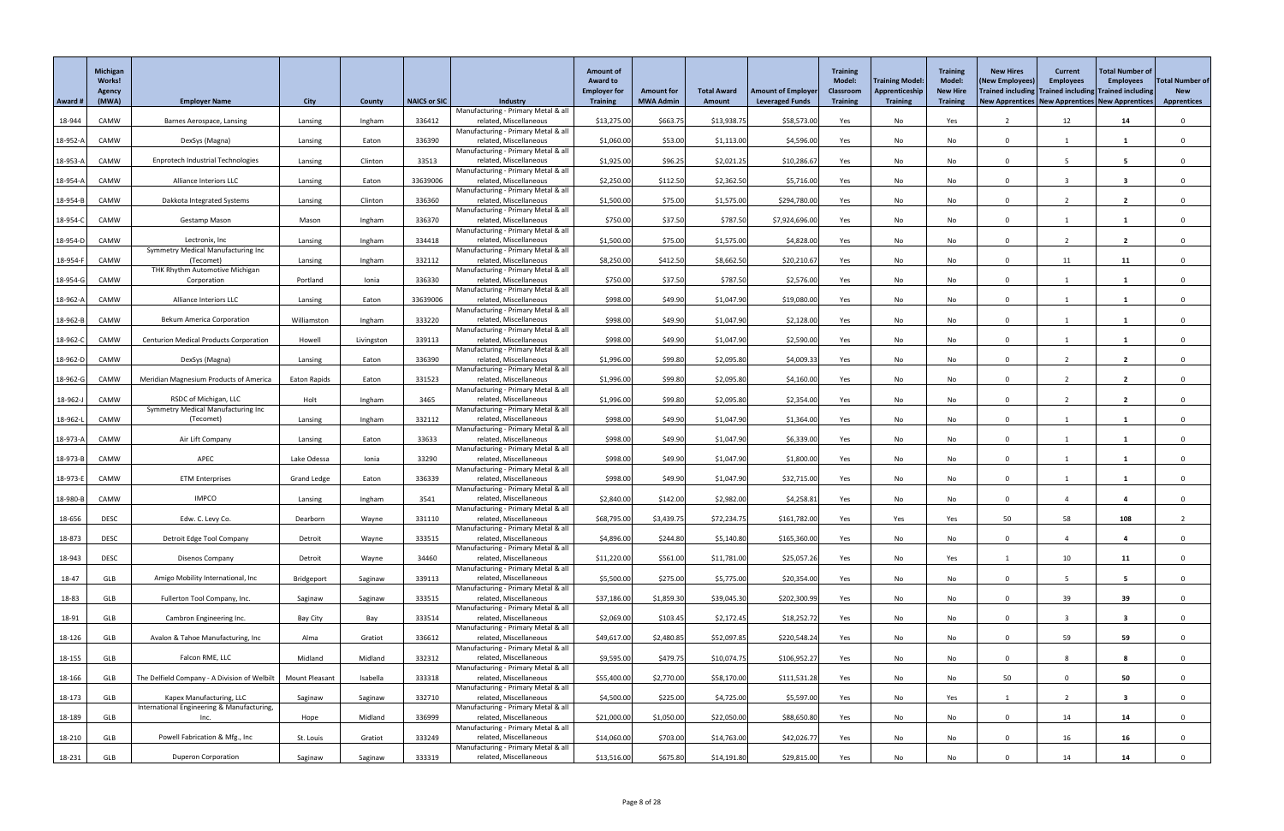|            | Michigan<br><b>Works!</b><br><b>Agency</b> |                                                      |                       |            |                     |                                                               | <b>Amount of</b><br><b>Award to</b><br><b>Employer for</b> | <b>Amount for</b> | <b>Total Award</b> | <b>Amount of Employer</b> | <b>Training</b><br><b>Model:</b><br><b>Classroom</b> | <b>Training Model:</b><br>Apprenticeship | <b>Training</b><br><b>Model:</b><br><b>New Hire</b> | <b>New Hires</b><br>(New Employees)<br>Trained including Trained including Trained including | <b>Current</b><br><b>Employees</b> | <b>Total Number of</b><br><b>Employees</b> | <b>Total Number of</b><br><b>New</b> |
|------------|--------------------------------------------|------------------------------------------------------|-----------------------|------------|---------------------|---------------------------------------------------------------|------------------------------------------------------------|-------------------|--------------------|---------------------------|------------------------------------------------------|------------------------------------------|-----------------------------------------------------|----------------------------------------------------------------------------------------------|------------------------------------|--------------------------------------------|--------------------------------------|
| Award #    | (MWA)                                      | <b>Employer Name</b>                                 | <b>City</b>           | County     | <b>NAICS or SIC</b> | <b>Industry</b>                                               | <b>Training</b>                                            | <b>MWA Admin</b>  | Amount             | <b>Leveraged Funds</b>    | <b>Training</b>                                      | <b>Training</b>                          | <b>Training</b>                                     | New Apprentices   New Apprentices   New Apprentices                                          |                                    |                                            | <b>Apprentices</b>                   |
| 18-944     | CAMW                                       | Barnes Aerospace, Lansing                            | Lansing               | Ingham     | 336412              | Manufacturing - Primary Metal & all<br>related, Miscellaneous | \$13,275.00                                                | \$663.75          | \$13,938.75        | \$58,573.00               | Yes                                                  | No                                       | Yes                                                 |                                                                                              | 12                                 | 14                                         |                                      |
|            |                                            |                                                      |                       |            |                     | Manufacturing - Primary Metal & all                           |                                                            |                   |                    |                           |                                                      |                                          |                                                     | $\Omega$                                                                                     |                                    |                                            |                                      |
| 18-952-A   | CAMW                                       | DexSys (Magna)                                       | Lansing               | Eaton      | 336390              | related, Miscellaneous<br>Manufacturing - Primary Metal & all | \$1,060.00                                                 | \$53.00           | \$1,113.00         | \$4,596.00                | Yes                                                  | No                                       | No                                                  |                                                                                              |                                    | - 1                                        |                                      |
| 18-953-A   | CAMW                                       | <b>Enprotech Industrial Technologies</b>             | Lansing               | Clinton    | 33513               | related, Miscellaneous<br>Manufacturing - Primary Metal & all | \$1,925.00                                                 | \$96.25           | \$2,021.25         | \$10,286.67               | Yes                                                  | No                                       | No                                                  | $\cap$                                                                                       |                                    | -5                                         |                                      |
| 18-954-A   | CAMW                                       | Alliance Interiors LLC                               | Lansing               | Eaton      | 33639006            | related, Miscellaneous                                        | \$2,250.00                                                 | \$112.50          | \$2,362.50         | \$5,716.00                | Yes                                                  | No                                       | No                                                  | $\cap$                                                                                       |                                    | 3                                          |                                      |
| 18-954-B   | CAMW                                       | Dakkota Integrated Systems                           | Lansing               | Clinton    | 336360              | Manufacturing - Primary Metal & all<br>related, Miscellaneous | \$1,500.00                                                 | \$75.00           | \$1,575.00         | \$294,780.00              | Yes                                                  | No                                       | No                                                  | $\Omega$                                                                                     |                                    | $\overline{2}$                             |                                      |
| 18-954-C   | CAMW                                       | <b>Gestamp Mason</b>                                 | Mason                 | Ingham     | 336370              | Manufacturing - Primary Metal & all<br>related, Miscellaneous | \$750.00                                                   | \$37.50           | \$787.50           | \$7,924,696.00            | Yes                                                  | No                                       | No                                                  | $\cap$                                                                                       |                                    |                                            |                                      |
|            |                                            |                                                      |                       |            |                     | Manufacturing - Primary Metal & all                           |                                                            |                   |                    |                           |                                                      |                                          |                                                     |                                                                                              |                                    |                                            |                                      |
| $18-954-D$ | CAMW                                       | Lectronix, Inc<br>Symmetry Medical Manufacturing Inc | Lansing               | Ingham     | 334418              | related, Miscellaneous<br>Manufacturing - Primary Metal & all | \$1,500.00                                                 | \$75.00           | \$1,575.00         | \$4,828.00                | Yes                                                  | No                                       | No                                                  | $\Omega$                                                                                     |                                    | $\overline{2}$                             |                                      |
| 18-954-F   | CAMW                                       | (Tecomet)<br>THK Rhythm Automotive Michigan          | Lansing               | Ingham     | 332112              | related, Miscellaneous<br>Manufacturing - Primary Metal & all | \$8,250.00                                                 | \$412.50          | \$8,662.50         | \$20,210.67               | Yes                                                  | No                                       | No                                                  | $\Omega$                                                                                     | 11                                 | 11                                         |                                      |
| 18-954-G   | CAMW                                       | Corporation                                          | Portland              | Ionia      | 336330              | related, Miscellaneous                                        | \$750.00                                                   | \$37.50           | \$787.50           | \$2,576.00                | Yes                                                  | No                                       | No                                                  | $\Omega$                                                                                     |                                    |                                            |                                      |
| 18-962-A   | CAMW                                       | Alliance Interiors LLC                               | Lansing               | Eaton      | 33639006            | Manufacturing - Primary Metal & all<br>related, Miscellaneous | \$998.00                                                   | \$49.90           | \$1,047.90         | \$19,080.00               | Yes                                                  | No                                       | No                                                  | $\Omega$                                                                                     |                                    | -1                                         |                                      |
| 18-962-B   | CAMW                                       | <b>Bekum America Corporation</b>                     | Williamston           | Ingham     | 333220              | Manufacturing - Primary Metal & all<br>related, Miscellaneous | \$998.00                                                   | \$49.90           | \$1,047.90         | \$2,128.00                | Yes                                                  | No                                       | No                                                  | $\Omega$                                                                                     |                                    |                                            |                                      |
|            |                                            |                                                      |                       |            |                     | Manufacturing - Primary Metal & all                           |                                                            |                   |                    |                           |                                                      |                                          |                                                     |                                                                                              |                                    |                                            |                                      |
| 18-962-C   | CAMW                                       | <b>Centurion Medical Products Corporation</b>        | Howell                | Livingston | 339113              | related, Miscellaneous<br>Manufacturing - Primary Metal & all | \$998.00                                                   | \$49.90           | \$1,047.90         | \$2,590.00                | Yes                                                  | No                                       | No                                                  | $\Omega$                                                                                     |                                    |                                            |                                      |
| 18-962-D   | CAMW                                       | DexSys (Magna)                                       | Lansing               | Eaton      | 336390              | related, Miscellaneous<br>Manufacturing - Primary Metal & all | \$1,996.00                                                 | \$99.80           | \$2,095.80         | \$4,009.33                | Yes                                                  | No                                       | No                                                  | $\cap$                                                                                       |                                    | $\overline{\mathbf{2}}$                    |                                      |
| 18-962-G   | CAMW                                       | <b>Meridian Magnesium Products of America</b>        | <b>Eaton Rapids</b>   | Eaton      | 331523              | related, Miscellaneous                                        | \$1,996.00                                                 | \$99.80           | \$2,095.80         | \$4,160.00                | Yes                                                  | No                                       | No                                                  | $\Omega$                                                                                     |                                    | $\mathbf{2}$                               |                                      |
| 18-962-J   | CAMW                                       | RSDC of Michigan, LLC                                | Holt                  | Ingham     | 3465                | Manufacturing - Primary Metal & all<br>related, Miscellaneous | \$1,996.00                                                 | \$99.80           | \$2,095.80         | \$2,354.00                | Yes                                                  | No                                       | No                                                  | $\Omega$                                                                                     |                                    | $\overline{2}$                             |                                      |
| 18-962-L   | CAMW                                       | Symmetry Medical Manufacturing Inc<br>(Tecomet)      | Lansing               | Ingham     | 332112              | Manufacturing - Primary Metal & all<br>related, Miscellaneous | \$998.00                                                   | \$49.90           | \$1,047.90         | \$1,364.00                | Yes                                                  | No                                       | No                                                  | $\Omega$                                                                                     |                                    |                                            |                                      |
|            |                                            |                                                      |                       |            |                     | Manufacturing - Primary Metal & all                           |                                                            |                   |                    |                           |                                                      |                                          |                                                     |                                                                                              |                                    |                                            |                                      |
| 18-973-A   | CAMW                                       | Air Lift Company                                     | Lansing               | Eaton      | 33633               | related, Miscellaneous<br>Manufacturing - Primary Metal & all | \$998.00                                                   | \$49.90           | \$1,047.90         | \$6,339.00                | Yes                                                  | No                                       | No                                                  | $\Omega$                                                                                     |                                    |                                            |                                      |
| 18-973-B   | CAMW                                       | APEC                                                 | Lake Odessa           | Ionia      | 33290               | related, Miscellaneous<br>Manufacturing - Primary Metal & all | \$998.00                                                   | \$49.90           | \$1,047.90         | \$1,800.00                | Yes                                                  | No                                       | No                                                  | $\Omega$                                                                                     |                                    |                                            |                                      |
| 18-973-E   | CAMW                                       | <b>ETM Enterprises</b>                               | <b>Grand Ledge</b>    | Eaton      | 336339              | related, Miscellaneous                                        | \$998.00                                                   | \$49.90           | \$1,047.90         | \$32,715.00               | Yes                                                  | No                                       | No                                                  | $\Omega$                                                                                     |                                    |                                            |                                      |
| 18-980-B   | CAMW                                       | <b>IMPCO</b>                                         | Lansing               | Ingham     | 3541                | Manufacturing - Primary Metal & all<br>related, Miscellaneous | \$2,840.00                                                 | \$142.00          | \$2,982.00         | \$4,258.81                | Yes                                                  | No                                       | No                                                  | $\Omega$                                                                                     |                                    |                                            |                                      |
| 18-656     | <b>DESC</b>                                | Edw. C. Levy Co.                                     | Dearborn              | Wayne      | 331110              | Manufacturing - Primary Metal & all<br>related, Miscellaneous | \$68,795.00                                                | \$3,439.75        | \$72,234.75        | \$161,782.00              | Yes                                                  | Yes                                      | Yes                                                 | 50                                                                                           | 58                                 | 108                                        |                                      |
|            |                                            |                                                      |                       |            |                     | Manufacturing - Primary Metal & all                           |                                                            |                   |                    |                           |                                                      |                                          |                                                     |                                                                                              |                                    |                                            |                                      |
| 18-873     | <b>DESC</b>                                | Detroit Edge Tool Company                            | Detroit               | Wayne      | 333515              | related, Miscellaneous<br>Manufacturing - Primary Metal & all | \$4,896.00                                                 | \$244.80          | \$5,140.80         | \$165,360.00              | Yes                                                  | No                                       | No                                                  | $\Omega$                                                                                     |                                    |                                            |                                      |
| 18-943     | <b>DESC</b>                                | Disenos Company                                      | Detroit               | Wayne      | 34460               | related, Miscellaneous<br>Manufacturing - Primary Metal & all | \$11,220.00                                                | \$561.00          | \$11,781.00        | \$25,057.26               | Yes                                                  | No                                       | Yes                                                 |                                                                                              | 10                                 | 11                                         |                                      |
| 18-47      | GLB                                        | Amigo Mobility International, Inc                    | Bridgeport            | Saginaw    | 339113              | related, Miscellaneous                                        | \$5,500.00                                                 | \$275.00          | \$5,775.00         | \$20,354.00               | Yes                                                  | No                                       | No                                                  | $\cap$                                                                                       |                                    | -5                                         |                                      |
| 18-83      | GLB                                        | Fullerton Tool Company, Inc.                         | Saginaw               | Saginaw    | 333515              | Manufacturing - Primary Metal & all<br>related, Miscellaneous | \$37,186.00                                                | \$1,859.30        | \$39,045.30        | \$202,300.99              | Yes                                                  | No                                       | No                                                  | $\Omega$                                                                                     | 39                                 | 39                                         |                                      |
| 18-91      | GLB                                        | Cambron Engineering Inc.                             | <b>Bay City</b>       | Bay        | 333514              | Manufacturing - Primary Metal & all<br>related, Miscellaneous | \$2,069.00                                                 | \$103.45          | \$2,172.45         | \$18,252.72               | Yes                                                  | No                                       | No                                                  | $\Omega$                                                                                     |                                    | 3                                          |                                      |
|            |                                            |                                                      |                       |            |                     | Manufacturing - Primary Metal & all                           |                                                            |                   |                    |                           |                                                      |                                          |                                                     |                                                                                              |                                    |                                            |                                      |
| 18-126     | GLB                                        | Avalon & Tahoe Manufacturing, Inc                    | Alma                  | Gratiot    | 336612              | related, Miscellaneous<br>Manufacturing - Primary Metal & all | \$49,617.00                                                | \$2,480.85        | \$52,097.85        | \$220,548.24              | Yes                                                  | No                                       | No                                                  | $\Omega$                                                                                     | 59                                 | 59                                         |                                      |
| 18-155     | GLB                                        | Falcon RME, LLC                                      | Midland               | Midland    | 332312              | related, Miscellaneous<br>Manufacturing - Primary Metal & all | \$9,595.00                                                 | \$479.75          | \$10,074.75        | \$106,952.27              | Yes                                                  | No                                       | No                                                  | $\Omega$                                                                                     | 8                                  | -8                                         |                                      |
| 18-166     | GLB                                        | The Delfield Company - A Division of Welbilt         | <b>Mount Pleasant</b> | Isabella   | 333318              | related, Miscellaneous                                        | \$55,400.00                                                | \$2,770.00        | \$58,170.00        | \$111,531.28              | Yes                                                  | No                                       | No                                                  | 50                                                                                           |                                    | 50                                         |                                      |
| 18-173     | GLB                                        | Kapex Manufacturing, LLC                             | Saginaw               | Saginaw    | 332710              | Manufacturing - Primary Metal & all<br>related, Miscellaneous | \$4,500.00                                                 | \$225.00          | \$4,725.00         | \$5,597.00                | Yes                                                  | No                                       | Yes                                                 |                                                                                              | $\overline{2}$                     | $\overline{\mathbf{3}}$                    | $\Omega$                             |
| 18-189     | GLB                                        | International Engineering & Manufacturing,<br>Inc.   | Hope                  | Midland    | 336999              | Manufacturing - Primary Metal & all<br>related, Miscellaneous | \$21,000.00                                                | \$1,050.00        | \$22,050.00        | \$88,650.80               | Yes                                                  | No                                       | No                                                  | $\Omega$                                                                                     | 14                                 | 14                                         | $\Omega$                             |
|            |                                            |                                                      |                       |            |                     | Manufacturing - Primary Metal & all                           |                                                            |                   |                    |                           |                                                      |                                          |                                                     |                                                                                              |                                    |                                            |                                      |
| 18-210     | GLB                                        | Powell Fabrication & Mfg., Inc                       | St. Louis             | Gratiot    | 333249              | related, Miscellaneous<br>Manufacturing - Primary Metal & all | \$14,060.00                                                | \$703.00          | \$14,763.00        | \$42,026.77               | Yes                                                  | No                                       | No                                                  | $\Omega$                                                                                     | 16                                 | 16                                         | 0                                    |
| 18-231     | GLB                                        | <b>Duperon Corporation</b>                           | Saginaw               | Saginaw    | 333319              | related, Miscellaneous                                        | \$13,516.00                                                | \$675.80          | \$14,191.80        | \$29,815.00               | Yes                                                  | No                                       | No                                                  |                                                                                              | 14                                 | 14                                         |                                      |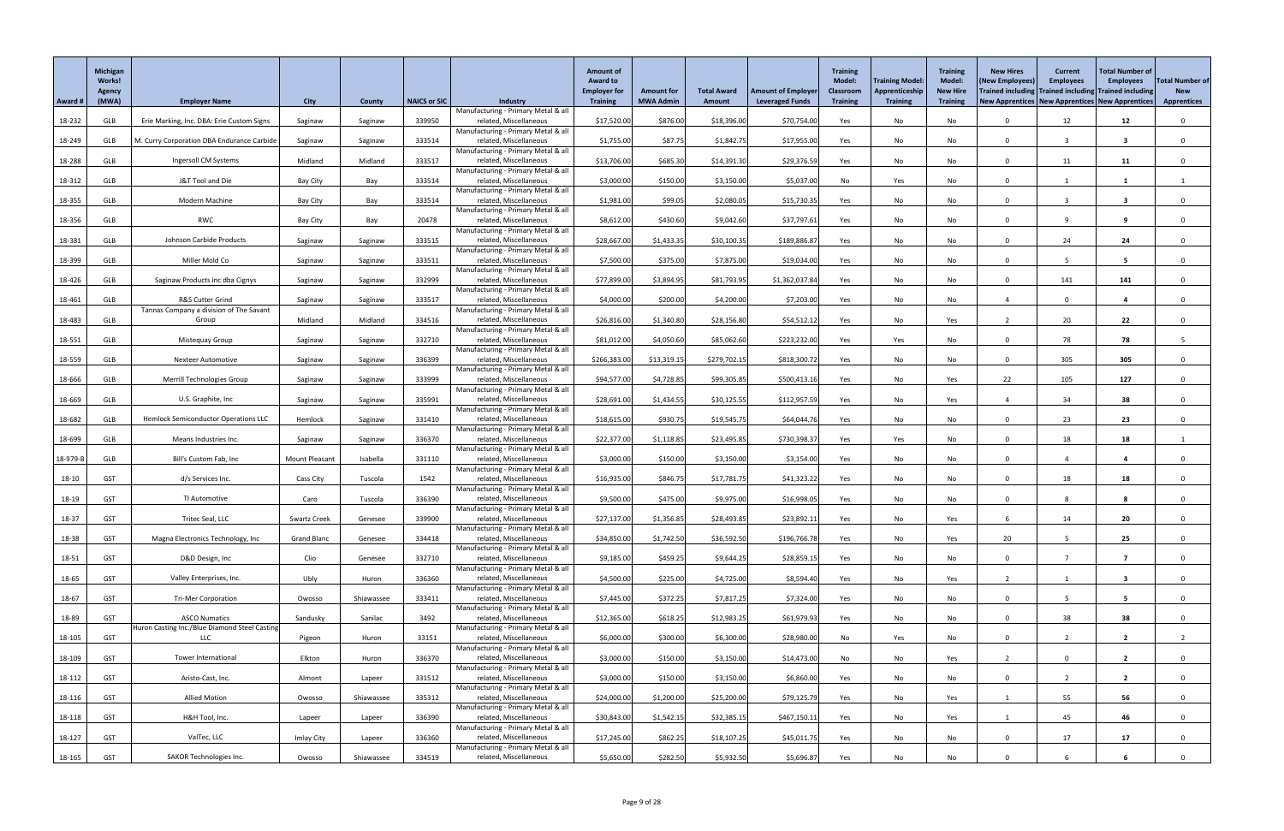|          | Michigan<br><b>Works!</b><br>Agency |                                                                       |                       |               |                     |                                                               | <b>Amount of</b><br><b>Award to</b><br><b>Employer for</b> | <b>Amount for</b> | <b>Total Award</b> | <b>Amount of Employer</b> | <b>Training</b><br><b>Model:</b><br><b>Classroom</b> | <b>Training Model:</b><br>Apprenticeship | <b>Training</b><br><b>Model:</b><br><b>New Hire</b> | <b>New Hires</b><br>(New Employees)<br>Trained including Trained including Trained including | <b>Current</b><br><b>Employees</b> | <b>Total Number of</b><br><b>Employees</b> | <b>Total Number of</b><br><b>New</b> |
|----------|-------------------------------------|-----------------------------------------------------------------------|-----------------------|---------------|---------------------|---------------------------------------------------------------|------------------------------------------------------------|-------------------|--------------------|---------------------------|------------------------------------------------------|------------------------------------------|-----------------------------------------------------|----------------------------------------------------------------------------------------------|------------------------------------|--------------------------------------------|--------------------------------------|
| Award #  | (MWA)                               | <b>Employer Name</b>                                                  | <b>City</b>           | <b>County</b> | <b>NAICS or SIC</b> | <b>Industry</b>                                               | <b>Training</b>                                            | <b>MWA Admin</b>  | Amount             | <b>Leveraged Funds</b>    | <b>Training</b>                                      | <b>Training</b>                          | <b>Training</b>                                     | New Apprentices   New Apprentices   New Apprentices                                          |                                    |                                            | <b>Apprentices</b>                   |
| 18-232   | GLB                                 | Erie Marking, Inc. DBA: Erie Custom Signs                             | Saginaw               | Saginaw       | 339950              | Manufacturing - Primary Metal & all<br>related, Miscellaneous | \$17,520.00                                                | \$876.00          | \$18,396.00        | \$70,754.00               | Yes                                                  | No                                       | No                                                  |                                                                                              | 12                                 | 12                                         |                                      |
|          |                                     |                                                                       |                       |               |                     | Manufacturing - Primary Metal & all                           |                                                            |                   |                    |                           |                                                      |                                          |                                                     |                                                                                              |                                    |                                            |                                      |
| 18-249   | GLB                                 | M. Curry Corporation DBA Endurance Carbide                            | Saginaw               | Saginaw       | 333514              | related, Miscellaneous<br>Manufacturing - Primary Metal & all | \$1,755.00                                                 | \$87.75           | \$1,842.75         | \$17,955.00               | Yes                                                  | No                                       | No                                                  | $\Omega$                                                                                     |                                    | $\overline{\mathbf{3}}$                    |                                      |
| 18-288   | GLB                                 | Ingersoll CM Systems                                                  | Midland               | Midland       | 333517              | related, Miscellaneous<br>Manufacturing - Primary Metal & all | \$13,706.00                                                | \$685.30          | \$14,391.30        | \$29,376.59               | Yes                                                  | No                                       | No                                                  | $\Omega$                                                                                     | 11                                 | 11                                         |                                      |
| 18-312   | GLB                                 | J&T Tool and Die                                                      | <b>Bay City</b>       | Bay           | 333514              | related, Miscellaneous                                        | \$3,000.00                                                 | \$150.00          | \$3,150.00         | \$5,037.00                | No                                                   | Yes                                      | No                                                  | $\Omega$                                                                                     |                                    |                                            |                                      |
| 18-355   | GLB                                 | Modern Machine                                                        | <b>Bay City</b>       | Bay           | 333514              | Manufacturing - Primary Metal & all<br>related, Miscellaneous | \$1,981.00                                                 | \$99.05           | \$2,080.05         | \$15,730.35               | Yes                                                  | No                                       | No                                                  | $\Omega$                                                                                     |                                    | -3                                         |                                      |
| 18-356   | GLB                                 | RWC                                                                   | <b>Bay City</b>       | Bay           | 20478               | Manufacturing - Primary Metal & all<br>related, Miscellaneous | \$8,612.00                                                 | \$430.60          | \$9,042.60         | \$37,797.61               | Yes                                                  | No                                       | No                                                  | $\cap$                                                                                       | $\Omega$                           | 9                                          |                                      |
|          |                                     | Johnson Carbide Products                                              |                       |               |                     | Manufacturing - Primary Metal & all<br>related, Miscellaneous | \$28,667.00                                                |                   | \$30,100.35        | \$189,886.8               |                                                      |                                          |                                                     | $\Omega$                                                                                     | 24                                 | 24                                         |                                      |
| 18-381   | GLB                                 |                                                                       | Saginaw               | Saginaw       | 333515              | Manufacturing - Primary Metal & all                           |                                                            | \$1,433.35        |                    |                           | Yes                                                  | No                                       | No                                                  |                                                                                              |                                    |                                            |                                      |
| 18-399   | <b>GLB</b>                          | Miller Mold Co                                                        | Saginaw               | Saginaw       | 333511              | related, Miscellaneous<br>Manufacturing - Primary Metal & all | \$7,500.00                                                 | \$375.00          | \$7,875.00         | \$19,034.00               | Yes                                                  | No                                       | No                                                  | $\Omega$                                                                                     |                                    | 5                                          |                                      |
| 18-426   | GLB                                 | Saginaw Products inc dba Cignys                                       | Saginaw               | Saginaw       | 332999              | related, Miscellaneous<br>Manufacturing - Primary Metal & all | \$77,899.00                                                | \$3,894.95        | \$81,793.95        | \$1,362,037.84            | Yes                                                  | No                                       | No                                                  | $\Omega$                                                                                     | 141                                | 141                                        |                                      |
| 18-461   | GLB                                 | R&S Cutter Grind                                                      | Saginaw               | Saginaw       | 333517              | related, Miscellaneous                                        | \$4,000.00                                                 | \$200.00          | \$4,200.00         | \$7,203.00                | Yes                                                  | No                                       | No                                                  |                                                                                              | $\Omega$                           | $\overline{\mathbf{4}}$                    |                                      |
| 18-483   | GLB                                 | Tannas Company a division of The Savant<br>Group                      | Midland               | Midland       | 334516              | Manufacturing - Primary Metal & all<br>related, Miscellaneous | \$26,816.00                                                | \$1,340.80        | \$28,156.80        | \$54,512.12               | Yes                                                  | No                                       | Yes                                                 |                                                                                              | 20                                 | 22                                         |                                      |
| 18-551   | GLB                                 | Mistequay Group                                                       | Saginaw               | Saginaw       | 332710              | Manufacturing - Primary Metal & all<br>related, Miscellaneous | \$81,012.00                                                | \$4,050.60        | \$85,062.60        | \$223,232.00              | Yes                                                  | Yes                                      | No                                                  | $\Omega$                                                                                     | 78                                 | 78                                         |                                      |
|          |                                     |                                                                       |                       |               |                     | Manufacturing - Primary Metal & all                           |                                                            |                   |                    |                           |                                                      |                                          |                                                     |                                                                                              |                                    |                                            |                                      |
| 18-559   | GLB                                 | <b>Nexteer Automotive</b>                                             | Saginaw               | Saginaw       | 336399              | related, Miscellaneous<br>Manufacturing - Primary Metal & all | \$266,383.00                                               | \$13,319.15       | \$279,702.15       | \$818,300.72              | Yes                                                  | No                                       | No                                                  |                                                                                              | 305                                | 305                                        |                                      |
| 18-666   | GLB                                 | Merrill Technologies Group                                            | Saginaw               | Saginaw       | 333999              | related, Miscellaneous<br>Manufacturing - Primary Metal & all | \$94,577.00                                                | \$4,728.85        | \$99,305.85        | \$500,413.16              | Yes                                                  | No                                       | Yes                                                 | 22                                                                                           | 105                                | 127                                        |                                      |
| 18-669   | <b>GLB</b>                          | U.S. Graphite, Inc                                                    | Saginaw               | Saginaw       | 335991              | related, Miscellaneous<br>Manufacturing - Primary Metal & all | \$28,691.00                                                | \$1,434.55        | \$30,125.55        | \$112,957.59              | Yes                                                  | No                                       | Yes                                                 |                                                                                              | 34                                 | 38                                         |                                      |
| 18-682   | GLB                                 | Hemlock Semiconductor Operations LLC                                  | Hemlock               | Saginaw       | 331410              | related, Miscellaneous                                        | \$18,615.00                                                | \$930.75          | \$19,545.75        | \$64,044.7                | Yes                                                  | No                                       | No                                                  | $\Omega$                                                                                     | 23                                 | 23                                         |                                      |
| 18-699   | GLB                                 | Means Industries Inc.                                                 | Saginaw               | Saginaw       | 336370              | Manufacturing - Primary Metal & all<br>related, Miscellaneous | \$22,377.00                                                | \$1,118.85        | \$23,495.85        | \$730,398.37              | Yes                                                  | Yes                                      | No                                                  | $\Omega$                                                                                     | 18                                 | 18                                         |                                      |
| 18-979-B | GLB                                 | Bill's Custom Fab, Inc                                                | <b>Mount Pleasant</b> | Isabella      | 331110              | Manufacturing - Primary Metal & all<br>related, Miscellaneous | \$3,000.00                                                 | \$150.00          | \$3,150.00         | \$3,154.00                | Yes                                                  | No                                       | No                                                  | $\Omega$                                                                                     |                                    |                                            |                                      |
|          |                                     |                                                                       |                       |               |                     | Manufacturing - Primary Metal & all                           |                                                            |                   |                    |                           |                                                      |                                          |                                                     |                                                                                              |                                    |                                            |                                      |
| 18-10    | <b>GST</b>                          | d/s Services Inc.                                                     | Cass City             | Tuscola       | 1542                | related, Miscellaneous<br>Manufacturing - Primary Metal & all | \$16,935.00                                                | \$846.75          | \$17,781.75        | \$41,323.22               | Yes                                                  | No                                       | No                                                  | $\Omega$                                                                                     | 18                                 | 18                                         |                                      |
| 18-19    | <b>GST</b>                          | TI Automotive                                                         | Caro                  | Tuscola       | 336390              | related, Miscellaneous<br>Manufacturing - Primary Metal & all | \$9,500.00                                                 | \$475.00          | \$9,975.00         | \$16,998.0                | Yes                                                  | No                                       | No                                                  | $\Omega$                                                                                     |                                    |                                            |                                      |
| 18-37    | <b>GST</b>                          | Tritec Seal, LLC                                                      | <b>Swartz Creek</b>   | Genesee       | 339900              | related, Miscellaneous<br>Manufacturing - Primary Metal & all | \$27,137.00                                                | \$1,356.85        | \$28,493.85        | \$23,892.11               | Yes                                                  | No                                       | Yes                                                 | -6                                                                                           | 14                                 | 20                                         |                                      |
| 18-38    | <b>GST</b>                          | Magna Electronics Technology, Inc                                     | <b>Grand Blanc</b>    | Genesee       | 334418              | related, Miscellaneous                                        | \$34,850.00                                                | \$1,742.50        | \$36,592.50        | \$196,766.78              | Yes                                                  | No                                       | Yes                                                 | 20                                                                                           |                                    | 25                                         |                                      |
| 18-51    | <b>GST</b>                          | D&D Design, Inc                                                       | Clio                  | Genesee       | 332710              | Manufacturing - Primary Metal & all<br>related, Miscellaneous | \$9,185.00                                                 | \$459.25          | \$9,644.25         | \$28,859.15               | Yes                                                  | No                                       | No                                                  | $\Omega$                                                                                     |                                    | $\overline{7}$                             |                                      |
| 18-65    | <b>GST</b>                          | Valley Enterprises, Inc.                                              | Ubly                  | Huron         | 336360              | Manufacturing - Primary Metal & all<br>related, Miscellaneous | \$4,500.00                                                 | \$225.00          | \$4,725.00         | \$8,594.40                | Yes                                                  | No                                       | Yes                                                 |                                                                                              |                                    | -3                                         |                                      |
|          |                                     |                                                                       |                       |               |                     | Manufacturing - Primary Metal & all                           |                                                            |                   |                    |                           |                                                      |                                          |                                                     |                                                                                              |                                    |                                            |                                      |
| 18-67    | <b>GST</b>                          | <b>Tri-Mer Corporation</b>                                            | Owosso                | Shiawassee    | 333411              | related, Miscellaneous<br>Manufacturing - Primary Metal & all | \$7,445.00                                                 | \$372.25          | \$7,817.25         | \$7,324.00                | Yes                                                  | No                                       | No                                                  | $\Omega$                                                                                     |                                    | 5                                          |                                      |
| 18-89    | <b>GST</b>                          | <b>ASCO Numatics</b><br>Huron Casting Inc./Blue Diamond Steel Casting | Sandusky              | Sanilac       | 3492                | related, Miscellaneous<br>Manufacturing - Primary Metal & all | \$12,365.00                                                | \$618.25          | \$12,983.25        | \$61,979.93               | Yes                                                  | No                                       | No                                                  | $\Omega$                                                                                     | 38                                 | 38                                         |                                      |
| 18-105   | <b>GST</b>                          | LLC                                                                   | Pigeon                | Huron         | 33151               | related, Miscellaneous<br>Manufacturing - Primary Metal & all | \$6,000.00                                                 | \$300.00          | \$6,300.00         | \$28,980.00               | No                                                   | Yes                                      | No                                                  | $\Omega$                                                                                     |                                    | $\overline{2}$                             |                                      |
| 18-109   | <b>GST</b>                          | Tower International                                                   | Elkton                | Huron         | 336370              | related, Miscellaneous                                        | \$3,000.00                                                 | \$150.00          | \$3,150.00         | \$14,473.00               | No                                                   | No                                       | Yes                                                 |                                                                                              |                                    | $\overline{2}$                             |                                      |
| 18-112   | <b>GST</b>                          | Aristo-Cast, Inc.                                                     | Almont                | Lapeer        | 331512              | Manufacturing - Primary Metal & all<br>related, Miscellaneous | \$3,000.00                                                 | \$150.00          | \$3,150.00         | \$6,860.00                | Yes                                                  | No                                       | No                                                  |                                                                                              |                                    | ີ າ                                        |                                      |
| 18-116   | <b>GST</b>                          | <b>Allied Motion</b>                                                  | Owosso                | Shiawassee    | 335312              | Manufacturing - Primary Metal & all<br>related, Miscellaneous | \$24,000.00                                                | \$1,200.00        | \$25,200.00        | \$79,125.79               | Yes                                                  | No                                       | Yes                                                 |                                                                                              | 55                                 | 56                                         | $\mathbf{0}$                         |
|          |                                     |                                                                       |                       |               |                     | Manufacturing - Primary Metal & all                           |                                                            |                   |                    |                           |                                                      |                                          |                                                     |                                                                                              |                                    |                                            |                                      |
| 18-118   | <b>GST</b>                          | H&H Tool, Inc.                                                        | Lapeer                | Lapeer        | 336390              | related, Miscellaneous<br>Manufacturing - Primary Metal & all | \$30,843.00                                                | \$1,542.15        | \$32,385.15        | \$467,150.11              | Yes                                                  | No                                       | Yes                                                 |                                                                                              | 45                                 | 46                                         | $\Omega$                             |
| 18-127   | <b>GST</b>                          | ValTec, LLC                                                           | Imlay City            | Lapeer        | 336360              | related, Miscellaneous<br>Manufacturing - Primary Metal & all | \$17,245.00                                                | \$862.25          | \$18,107.25        | \$45,011.75               | Yes                                                  | No                                       | No                                                  | $\Omega$                                                                                     | 17                                 | 17                                         | $\mathbf{0}$                         |
| 18-165   | GST                                 | SAKOR Technologies Inc.                                               | Owosso                | Shiawassee    | 334519              | related, Miscellaneous                                        | \$5,650.00                                                 | \$282.50          | \$5,932.50         | \$5,696.87                | Yes                                                  | No                                       | No                                                  |                                                                                              |                                    |                                            |                                      |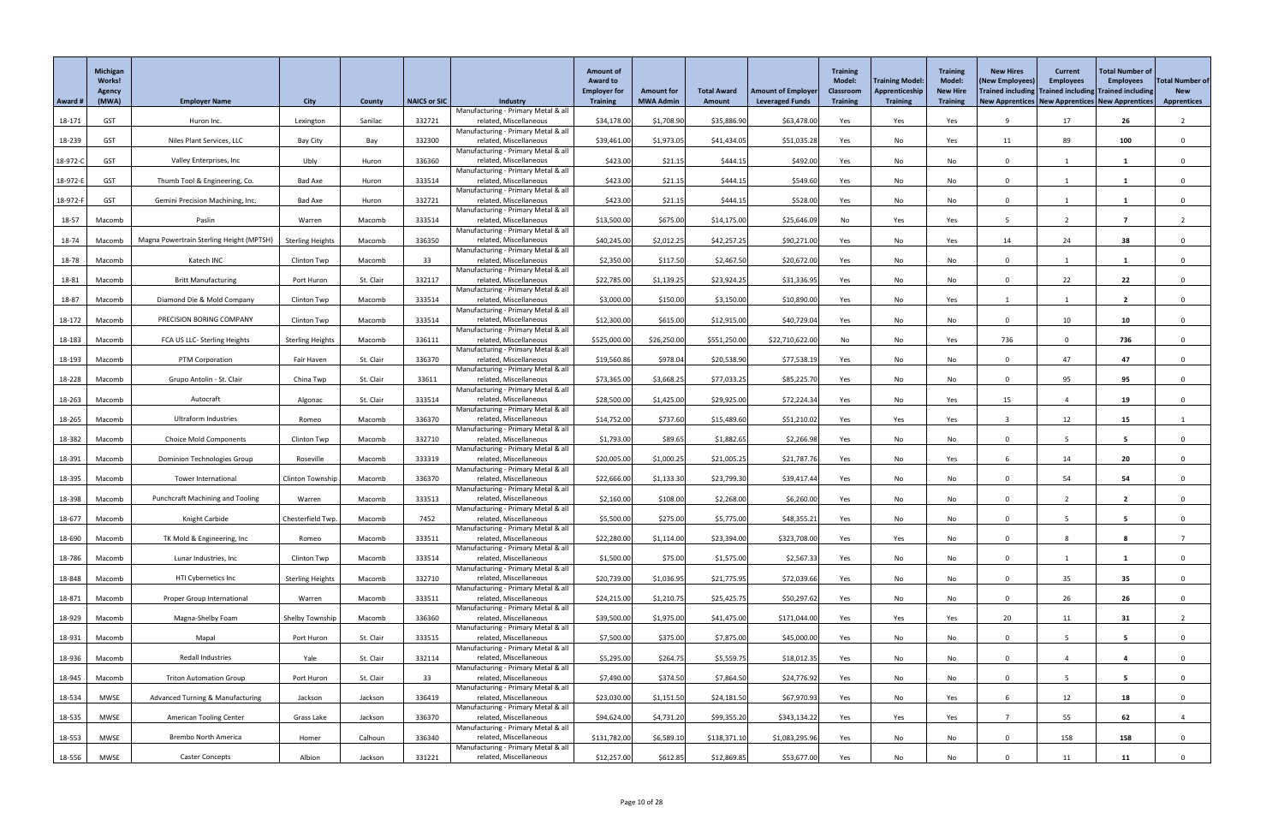|          | Michigan<br><b>Works!</b><br><b>Agency</b> |                                             |                         |           |                     |                                                               | <b>Amount of</b><br><b>Award to</b><br><b>Employer for</b> | <b>Amount for</b> | <b>Total Award</b> | <b>Amount of Employer</b> | <b>Training</b><br><b>Model:</b><br><b>Classroom</b> | <b>Training Model</b><br><b>Apprenticeship</b> | <b>Training</b><br><b>Model:</b><br><b>New Hire</b> | <b>New Hires</b><br>(New Employees)<br>Trained including Trained including Trained including | <b>Current</b><br><b>Employees</b> | <b>Total Number of</b><br><b>Employees</b> | <b>Total Number of</b><br><b>New</b> |
|----------|--------------------------------------------|---------------------------------------------|-------------------------|-----------|---------------------|---------------------------------------------------------------|------------------------------------------------------------|-------------------|--------------------|---------------------------|------------------------------------------------------|------------------------------------------------|-----------------------------------------------------|----------------------------------------------------------------------------------------------|------------------------------------|--------------------------------------------|--------------------------------------|
| Award #  | (MWA)                                      | <b>Employer Name</b>                        | <b>City</b>             | County    | <b>NAICS or SIC</b> | <b>Industry</b><br>Manufacturing - Primary Metal & all        | <b>Training</b>                                            | <b>MWA Admin</b>  | <b>Amount</b>      | <b>Leveraged Funds</b>    | <b>Training</b>                                      | <b>Training</b>                                | <b>Training</b>                                     | New Apprentices   New Apprentices   New Apprentices                                          |                                    |                                            | <b>Apprentices</b>                   |
| 18-171   | <b>GST</b>                                 | Huron Inc.                                  | Lexington               | Sanilac   | 332721              | related, Miscellaneous                                        | \$34,178.00                                                | \$1,708.90        | \$35,886.90        | \$63,478.00               | Yes                                                  | Yes                                            | Yes                                                 | q                                                                                            | 17                                 | 26                                         |                                      |
| 18-239   | <b>GST</b>                                 | Niles Plant Services, LLC                   | <b>Bay City</b>         | Bay       | 332300              | Manufacturing - Primary Metal & all<br>related, Miscellaneous | \$39,461.00                                                | \$1,973.05        | \$41,434.05        | \$51,035.28               | Yes                                                  | No                                             | Yes                                                 | 11                                                                                           | 89                                 | 100                                        | $\Omega$                             |
|          |                                            |                                             |                         |           |                     | Manufacturing - Primary Metal & all                           |                                                            |                   |                    |                           |                                                      |                                                |                                                     |                                                                                              |                                    |                                            |                                      |
| 18-972-C | <b>GST</b>                                 | Valley Enterprises, Inc                     | Ubly                    | Huron     | 336360              | related, Miscellaneous<br>Manufacturing - Primary Metal & all | \$423.00                                                   | \$21.15           | \$444.15           | \$492.00                  | Yes                                                  | No                                             | No                                                  | $\Omega$                                                                                     |                                    |                                            |                                      |
| 18-972-E | <b>GST</b>                                 | Thumb Tool & Engineering, Co.               | <b>Bad Axe</b>          | Huron     | 333514              | related, Miscellaneous                                        | \$423.00                                                   | \$21.15           | \$444.15           | \$549.60                  | Yes                                                  | No                                             | No                                                  | $\cap$                                                                                       |                                    |                                            |                                      |
| 18-972-F | <b>GST</b>                                 | Gemini Precision Machining, Inc.            | Bad Axe                 | Huron     | 332721              | Manufacturing - Primary Metal & all<br>related, Miscellaneous | \$423.00                                                   | \$21.15           | \$444.15           | \$528.00                  | Yes                                                  | No                                             | No                                                  | $\Omega$                                                                                     |                                    |                                            |                                      |
|          |                                            |                                             |                         |           |                     | Manufacturing - Primary Metal & all                           |                                                            |                   |                    |                           |                                                      |                                                |                                                     |                                                                                              |                                    |                                            |                                      |
| 18-57    | Macomb                                     | Paslin                                      | Warren                  | Macomb    | 333514              | related, Miscellaneous<br>Manufacturing - Primary Metal & all | \$13,500.00                                                | \$675.00          | \$14,175.00        | \$25,646.09               | No                                                   | Yes                                            | Yes                                                 |                                                                                              |                                    | -7                                         |                                      |
| 18-74    | Macomb                                     | Magna Powertrain Sterling Height (MPTSH)    | <b>Sterling Heights</b> | Macomb    | 336350              | related, Miscellaneous                                        | \$40,245.00                                                | \$2,012.25        | \$42,257.25        | \$90,271.00               | Yes                                                  | No                                             | Yes                                                 | 14                                                                                           | 24                                 | 38                                         |                                      |
| 18-78    | Macomb                                     | Katech INC                                  | Clinton Twp             | Macomb    | 33                  | Manufacturing - Primary Metal & all<br>related, Miscellaneous | \$2,350.00                                                 | \$117.50          | \$2,467.50         | \$20,672.00               | Yes                                                  | No                                             | No                                                  | $\Omega$                                                                                     |                                    | -1                                         |                                      |
| 18-81    | Macomb                                     | <b>Britt Manufacturing</b>                  | Port Huron              | St. Clair | 332117              | Manufacturing - Primary Metal & all<br>related, Miscellaneous | \$22,785.00                                                | \$1,139.25        | \$23,924.25        | \$31,336.95               | Yes                                                  | No                                             | No                                                  | $\cap$                                                                                       | 22                                 | 22                                         |                                      |
|          |                                            |                                             |                         |           |                     | Manufacturing - Primary Metal & all                           |                                                            |                   |                    |                           |                                                      |                                                |                                                     |                                                                                              |                                    |                                            |                                      |
| 18-87    | Macomb                                     | Diamond Die & Mold Company                  | Clinton Twp             | Macomb    | 333514              | related, Miscellaneous<br>Manufacturing - Primary Metal & all | \$3,000.00                                                 | \$150.00          | \$3,150.00         | \$10,890.00               | Yes                                                  | No                                             | Yes                                                 |                                                                                              |                                    | $\overline{2}$                             |                                      |
| 18-172   | Macomb                                     | PRECISION BORING COMPANY                    | Clinton Twp             | Macomb    | 333514              | related, Miscellaneous                                        | \$12,300.00                                                | \$615.00          | \$12,915.00        | \$40,729.04               | Yes                                                  | No                                             | No                                                  | $\cap$                                                                                       | 10                                 | 10                                         |                                      |
| 18-183   | Macomb                                     | FCA US LLC- Sterling Heights                | <b>Sterling Heights</b> | Macomb    | 336111              | Manufacturing - Primary Metal & all<br>related, Miscellaneous | \$525,000.00                                               | \$26,250.00       | \$551,250.00       | \$22,710,622.00           | No                                                   | No                                             | Yes                                                 | 736                                                                                          |                                    | 736                                        |                                      |
|          |                                            |                                             |                         |           |                     | Manufacturing - Primary Metal & all                           |                                                            |                   |                    |                           |                                                      |                                                |                                                     |                                                                                              |                                    |                                            |                                      |
| 18-193   | Macomb                                     | PTM Corporation                             | Fair Haven              | St. Clair | 336370              | related, Miscellaneous<br>Manufacturing - Primary Metal & all | \$19,560.86                                                | \$978.04          | \$20,538.90        | \$77,538.19               | Yes                                                  | No                                             | No                                                  | $\Omega$                                                                                     | 47                                 | 47                                         |                                      |
| 18-228   | Macomb                                     | Grupo Antolin - St. Clair                   | China Twp               | St. Clair | 33611               | related, Miscellaneous<br>Manufacturing - Primary Metal & all | \$73,365.00                                                | \$3,668.25        | \$77,033.25        | \$85,225.70               | Yes                                                  | No                                             | No                                                  |                                                                                              | 95                                 | 95                                         |                                      |
| 18-263   | Macomb                                     | Autocraft                                   | Algonac                 | St. Clair | 333514              | related, Miscellaneous                                        | \$28,500.00                                                | \$1,425.00        | \$29,925.00        | \$72,224.34               | Yes                                                  | No                                             | Yes                                                 | 15                                                                                           |                                    | 19                                         |                                      |
| 18-265   | Macomb                                     | <b>Ultraform Industries</b>                 | Romeo                   | Macomb    | 336370              | Manufacturing - Primary Metal & all<br>related, Miscellaneous | \$14,752.00                                                | \$737.60          | \$15,489.60        | \$51,210.02               | Yes                                                  | Yes                                            | Yes                                                 |                                                                                              | 12                                 | 15                                         |                                      |
|          |                                            |                                             |                         |           |                     | Manufacturing - Primary Metal & all                           |                                                            |                   |                    |                           |                                                      |                                                |                                                     |                                                                                              |                                    |                                            |                                      |
| 18-382   | Macomb                                     | <b>Choice Mold Components</b>               | Clinton Twp             | Macomb    | 332710              | related, Miscellaneous<br>Manufacturing - Primary Metal & all | \$1,793.00                                                 | \$89.65           | \$1,882.65         | \$2,266.98                | Yes                                                  | No                                             | No                                                  | $\Omega$                                                                                     |                                    | $5\overline{)}$                            |                                      |
| 18-391   | Macomb                                     | <b>Dominion Technologies Group</b>          | Roseville               | Macomb    | 333319              | related, Miscellaneous<br>Manufacturing - Primary Metal & all | \$20,005.00                                                | \$1,000.25        | \$21,005.25        | \$21,787.76               | Yes                                                  | No                                             | Yes                                                 |                                                                                              | 14                                 | 20                                         |                                      |
| 18-395   | Macomb                                     | Tower International                         | Clinton Township        | Macomb    | 336370              | related, Miscellaneous                                        | \$22,666.00                                                | \$1,133.30        | \$23,799.30        | \$39,417.44               | Yes                                                  | No                                             | No                                                  | $\Omega$                                                                                     | 54                                 | 54                                         |                                      |
| 18-398   | Macomb                                     | <b>Punchcraft Machining and Tooling</b>     | Warren                  | Macomb    | 333513              | Manufacturing - Primary Metal & all<br>related, Miscellaneous | \$2,160.00                                                 | \$108.00          | \$2,268.00         | \$6,260.00                | Yes                                                  | No                                             | No                                                  | $\Omega$                                                                                     | $\overline{2}$                     | $\overline{2}$                             |                                      |
|          |                                            |                                             |                         |           |                     | Manufacturing - Primary Metal & all                           |                                                            |                   |                    |                           |                                                      |                                                |                                                     |                                                                                              |                                    |                                            |                                      |
| 18-677   | Macomb                                     | Knight Carbide                              | Chesterfield Twp.       | Macomb    | 7452                | related, Miscellaneous<br>Manufacturing - Primary Metal & all | \$5,500.00                                                 | \$275.00          | \$5,775.00         | \$48,355.21               | Yes                                                  | No                                             | No                                                  |                                                                                              |                                    | -5                                         |                                      |
| 18-690   | Macomb                                     | TK Mold & Engineering, Inc                  | Romeo                   | Macomb    | 333511              | related, Miscellaneous                                        | \$22,280.00                                                | \$1,114.00        | \$23,394.00        | \$323,708.00              | Yes                                                  | Yes                                            | No                                                  | $\Omega$                                                                                     |                                    |                                            |                                      |
| 18-786   | Macomb                                     | Lunar Industries, Inc                       | Clinton Twp             | Macomb    | 333514              | Manufacturing - Primary Metal & all<br>related, Miscellaneous | \$1,500.00                                                 | \$75.00           | \$1,575.00         | \$2,567.33                | Yes                                                  | No                                             | No                                                  | $\Omega$                                                                                     |                                    |                                            |                                      |
| 18-848   | Macomb                                     | HTI Cybernetics Inc                         | <b>Sterling Heights</b> | Macomb    | 332710              | Manufacturing - Primary Metal & all<br>related, Miscellaneous | \$20,739.00                                                | \$1,036.95        | \$21,775.95        | \$72,039.66               | Yes                                                  | No                                             | No                                                  | $\Omega$                                                                                     | 35                                 | 35                                         |                                      |
|          |                                            |                                             |                         |           |                     | Manufacturing - Primary Metal & all                           |                                                            |                   |                    |                           |                                                      |                                                |                                                     |                                                                                              |                                    |                                            |                                      |
| 18-871   | Macomb                                     | Proper Group International                  | Warren                  | Macomb    | 333511              | related, Miscellaneous<br>Manufacturing - Primary Metal & all | \$24,215.00                                                | \$1,210.75        | \$25,425.75        | \$50,297.62               | Yes                                                  | No                                             | No                                                  | $\Omega$                                                                                     | 26                                 | 26                                         | $\Omega$                             |
| 18-929   | Macomb                                     | Magna-Shelby Foam                           | Shelby Township         | Macomb    | 336360              | related, Miscellaneous                                        | \$39,500.00                                                | \$1,975.00        | \$41,475.00        | \$171,044.00              | Yes                                                  | Yes                                            | Yes                                                 | 20                                                                                           | 11                                 | 31                                         |                                      |
| 18-931   | Macomb                                     | Mapal                                       | Port Huron              | St. Clair | 333515              | Manufacturing - Primary Metal & all<br>related, Miscellaneous | \$7,500.00                                                 | \$375.00          | \$7,875.00         | \$45,000.00               | Yes                                                  | No                                             | No                                                  | $\Omega$                                                                                     |                                    | 5                                          |                                      |
|          |                                            | Redall Industries                           |                         | St. Clair |                     | Manufacturing - Primary Metal & all                           |                                                            |                   |                    |                           |                                                      |                                                |                                                     | $\Omega$                                                                                     |                                    | $\boldsymbol{4}$                           |                                      |
| 18-936   | Macomb                                     |                                             | Yale                    |           | 332114              | related, Miscellaneous<br>Manufacturing - Primary Metal & all | \$5,295.00                                                 | \$264.75          | \$5,559.75         | \$18,012.35               | Yes                                                  | No                                             | No                                                  |                                                                                              |                                    |                                            |                                      |
| 18-945   | Macomb                                     | <b>Triton Automation Group</b>              | Port Huron              | St. Clair | 33 <sup>°</sup>     | related, Miscellaneous<br>Manufacturing - Primary Metal & all | \$7,490.00                                                 | \$374.50          | \$7,864.50         | \$24,776.92               | Yes                                                  | No                                             | No                                                  |                                                                                              |                                    |                                            |                                      |
| 18-534   | MWSE                                       | <b>Advanced Turning &amp; Manufacturing</b> | Jackson                 | Jackson   | 336419              | related, Miscellaneous                                        | \$23,030.00                                                | \$1,151.50        | \$24,181.50        | \$67,970.93               | Yes                                                  | No                                             | Yes                                                 | -6                                                                                           | 12                                 | 18                                         | $\mathbf{0}$                         |
| 18-535   | MWSE                                       | <b>American Tooling Center</b>              | Grass Lake              | Jackson   | 336370              | Manufacturing - Primary Metal & all<br>related, Miscellaneous | \$94,624.00                                                | \$4,731.20        | \$99,355.20        | \$343,134.22              | Yes                                                  | Yes                                            | Yes                                                 |                                                                                              | 55                                 | 62                                         |                                      |
|          |                                            |                                             |                         |           |                     | Manufacturing - Primary Metal & all                           |                                                            |                   |                    |                           |                                                      |                                                |                                                     | $\Omega$                                                                                     |                                    |                                            |                                      |
| 18-553   | MWSE                                       | <b>Brembo North America</b>                 | Homer                   | Calhoun   | 336340              | related, Miscellaneous<br>Manufacturing - Primary Metal & all | \$131,782.00                                               | \$6,589.10        | \$138,371.10       | \$1,083,295.96            | Yes                                                  | No                                             | No                                                  |                                                                                              | 158                                | 158                                        | $\mathbf{0}$                         |
| 18-556   | MWSE                                       | <b>Caster Concepts</b>                      | Albion                  | Jackson   | 331221              | related, Miscellaneous                                        | \$12,257.00                                                | \$612.85          | \$12,869.85        | \$53,677.00               | Yes                                                  | No                                             | No                                                  |                                                                                              | 11                                 | 11                                         |                                      |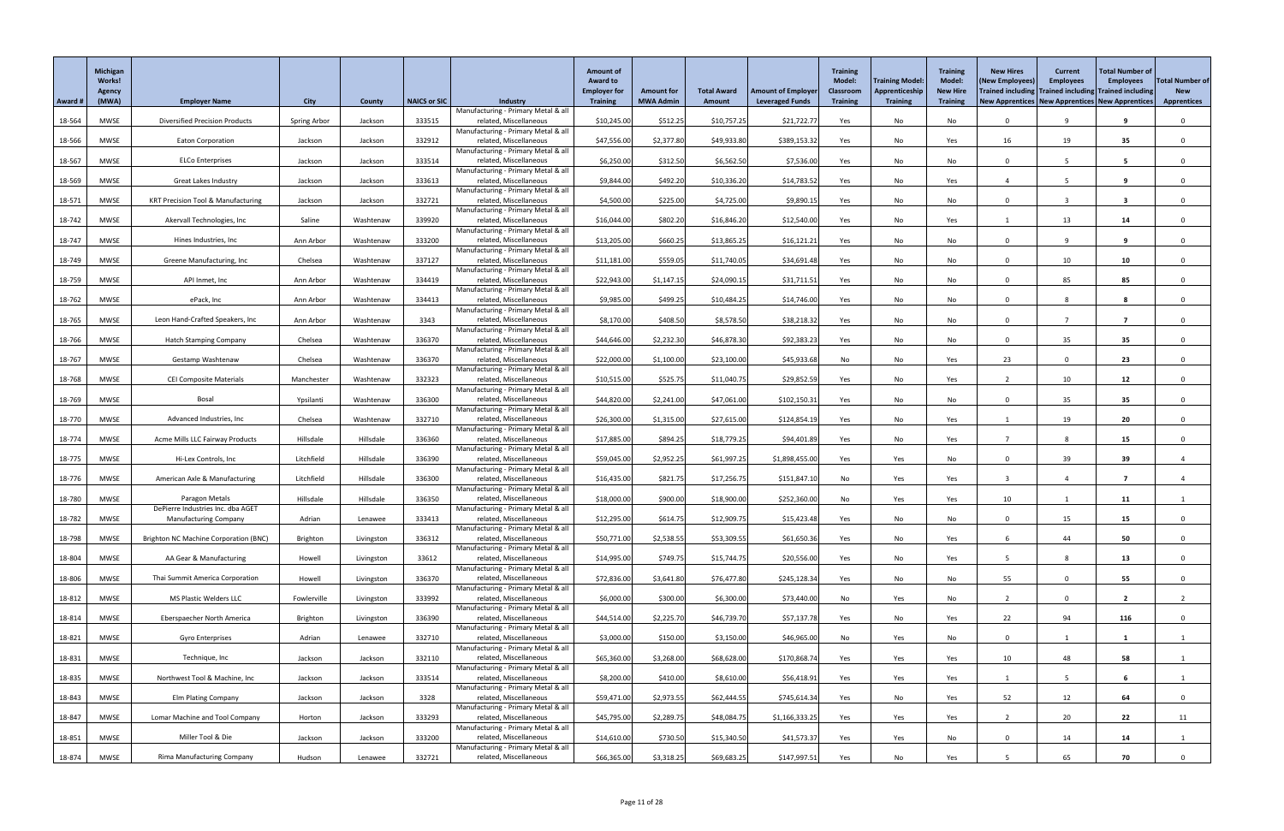| Award # | Michigan<br>Works!<br>Agency<br>(MWA) | <b>Employer Name</b>                                              | <b>City</b>  | County     | <b>NAICS or SIC</b> | <b>Industry</b>                                               | <b>Amount of</b><br><b>Award to</b><br><b>Employer for</b><br><b>Training</b> | <b>Amount for</b><br><b>MWA Admin</b> | <b>Total Award</b><br><b>Amount</b> | <b>Amount of Employer</b><br><b>Leveraged Funds</b> | <b>Training</b><br>Model:<br><b>Classroom</b><br><b>Training</b> | Training Model:<br>Apprenticeship<br><b>Training</b> | <b>Training</b><br><b>Model:</b><br><b>New Hire</b><br><b>Training</b> | <b>New Hires</b><br>(New Employees)<br>Trained including Trained including Trained including<br>New Apprentices   New Apprentices   New Apprentices | <b>Current</b><br><b>Employees</b> | <b>Total Number of</b><br><b>Employees</b> | <b>Total Number of</b><br><b>New</b><br><b>Apprentices</b> |
|---------|---------------------------------------|-------------------------------------------------------------------|--------------|------------|---------------------|---------------------------------------------------------------|-------------------------------------------------------------------------------|---------------------------------------|-------------------------------------|-----------------------------------------------------|------------------------------------------------------------------|------------------------------------------------------|------------------------------------------------------------------------|-----------------------------------------------------------------------------------------------------------------------------------------------------|------------------------------------|--------------------------------------------|------------------------------------------------------------|
|         |                                       |                                                                   |              |            |                     | Manufacturing - Primary Metal & all                           |                                                                               |                                       |                                     |                                                     |                                                                  |                                                      |                                                                        |                                                                                                                                                     |                                    |                                            |                                                            |
| 18-564  | <b>MWSE</b>                           | <b>Diversified Precision Products</b>                             | Spring Arbor | Jackson    | 333515              | related, Miscellaneous<br>Manufacturing - Primary Metal & all | \$10,245.00                                                                   | \$512.25                              | \$10,757.25                         | \$21,722.77                                         | Yes                                                              | No                                                   | No                                                                     | $\Omega$                                                                                                                                            | 9                                  |                                            | $\Omega$                                                   |
| 18-566  | MWSE                                  | <b>Eaton Corporation</b>                                          | Jackson      | Jackson    | 332912              | related, Miscellaneous                                        | \$47,556.00                                                                   | \$2,377.80                            | \$49,933.80                         | \$389,153.32                                        | Yes                                                              | No                                                   | Yes                                                                    | 16                                                                                                                                                  | 19                                 | 35                                         | $\Omega$                                                   |
| 18-567  | <b>MWSE</b>                           | <b>ELCo Enterprises</b>                                           | Jackson      | Jackson    | 333514              | Manufacturing - Primary Metal & all<br>related, Miscellaneous | \$6,250.00                                                                    | \$312.50                              | \$6,562.50                          | \$7,536.00                                          | Yes                                                              | No                                                   | No                                                                     |                                                                                                                                                     |                                    | -5                                         |                                                            |
|         |                                       |                                                                   |              |            |                     | Manufacturing - Primary Metal & all                           |                                                                               |                                       |                                     |                                                     |                                                                  |                                                      |                                                                        |                                                                                                                                                     |                                    |                                            |                                                            |
| 18-569  | <b>MWSE</b>                           | <b>Great Lakes Industry</b>                                       | Jackson      | Jackson    | 333613              | related, Miscellaneous<br>Manufacturing - Primary Metal & all | \$9,844.00                                                                    | \$492.20                              | \$10,336.20                         | \$14,783.52                                         | Yes                                                              | No                                                   | Yes                                                                    |                                                                                                                                                     |                                    |                                            | $\Omega$                                                   |
| 18-571  | <b>MWSE</b>                           | <b>KRT Precision Tool &amp; Manufacturing</b>                     | Jackson      | Jackson    | 332721              | related, Miscellaneous                                        | \$4,500.00                                                                    | \$225.00                              | \$4,725.00                          | \$9,890.15                                          | Yes                                                              | No                                                   | No                                                                     | <sup>n</sup>                                                                                                                                        |                                    | -3                                         | $\Omega$                                                   |
| 18-742  | <b>MWSE</b>                           | Akervall Technologies, Inc                                        | Saline       | Washtenaw  | 339920              | Manufacturing - Primary Metal & all<br>related, Miscellaneous | \$16,044.00                                                                   | \$802.20                              | \$16,846.20                         | \$12,540.00                                         | Yes                                                              | No                                                   | Yes                                                                    |                                                                                                                                                     | 13                                 | 14                                         | $\Omega$                                                   |
| 18-747  | MWSE                                  | Hines Industries, Inc.                                            | Ann Arbor    | Washtenaw  | 333200              | Manufacturing - Primary Metal & all<br>related, Miscellaneous | \$13,205.00                                                                   | \$660.25                              | \$13,865.25                         | \$16,121.21                                         | Yes                                                              | No                                                   | No                                                                     | $\Omega$                                                                                                                                            | O                                  | 9                                          | $\Omega$                                                   |
|         |                                       |                                                                   |              |            |                     | Manufacturing - Primary Metal & all                           |                                                                               |                                       |                                     |                                                     |                                                                  |                                                      |                                                                        |                                                                                                                                                     |                                    |                                            |                                                            |
| 18-749  | <b>MWSE</b>                           | Greene Manufacturing, Inc                                         | Chelsea      | Washtenaw  | 337127              | related, Miscellaneous<br>Manufacturing - Primary Metal & all | \$11,181.00                                                                   | \$559.05                              | \$11,740.05                         | \$34,691.48                                         | Yes                                                              | No                                                   | No                                                                     | $\Omega$                                                                                                                                            | 10                                 | 10                                         |                                                            |
| 18-759  | MWSE                                  | API Inmet, Inc                                                    | Ann Arbor    | Washtenaw  | 334419              | related, Miscellaneous                                        | \$22,943.00                                                                   | \$1,147.15                            | \$24,090.15                         | \$31,711.51                                         | Yes                                                              | No                                                   | No                                                                     | $\Omega$                                                                                                                                            | 85                                 | 85                                         | $\Omega$                                                   |
| 18-762  | <b>MWSE</b>                           | ePack, Inc                                                        | Ann Arbor    | Washtenaw  | 334413              | Manufacturing - Primary Metal & all<br>related, Miscellaneous | \$9,985.00                                                                    | \$499.25                              | \$10,484.25                         | \$14,746.00                                         | Yes                                                              | No                                                   | No                                                                     | $\Omega$                                                                                                                                            |                                    |                                            | $\Omega$                                                   |
|         |                                       |                                                                   |              |            |                     | Manufacturing - Primary Metal & all                           |                                                                               |                                       |                                     |                                                     |                                                                  |                                                      |                                                                        |                                                                                                                                                     |                                    |                                            |                                                            |
| 18-765  | <b>MWSE</b>                           | Leon Hand-Crafted Speakers, Inc                                   | Ann Arbor    | Washtenaw  | 3343                | related, Miscellaneous<br>Manufacturing - Primary Metal & all | \$8,170.00                                                                    | \$408.50                              | \$8,578.50                          | \$38,218.32                                         | Yes                                                              | No                                                   | No                                                                     | $\Omega$                                                                                                                                            |                                    |                                            | $\Omega$                                                   |
| 18-766  | <b>MWSE</b>                           | <b>Hatch Stamping Company</b>                                     | Chelsea      | Washtenaw  | 336370              | related, Miscellaneous                                        | \$44,646.00                                                                   | \$2,232.30                            | \$46,878.30                         | \$92,383.23                                         | Yes                                                              | No                                                   | No                                                                     | $\Omega$                                                                                                                                            | 35                                 | 35                                         | $\mathbf{0}$                                               |
| 18-767  | <b>MWSE</b>                           | Gestamp Washtenaw                                                 | Chelsea      | Washtenaw  | 336370              | Manufacturing - Primary Metal & all<br>related, Miscellaneous | \$22,000.00                                                                   | \$1,100.00                            | \$23,100.00                         | \$45,933.68                                         | No                                                               | No                                                   | Yes                                                                    | 23                                                                                                                                                  | $\Omega$                           | 23                                         | $\Omega$                                                   |
| 18-768  | MWSE                                  | <b>CEI Composite Materials</b>                                    | Manchester   | Washtenaw  | 332323              | Manufacturing - Primary Metal & all<br>related, Miscellaneous | \$10,515.00                                                                   | \$525.75                              | \$11,040.75                         | \$29,852.59                                         |                                                                  |                                                      |                                                                        |                                                                                                                                                     | 10                                 | 12                                         |                                                            |
|         |                                       |                                                                   |              |            |                     | Manufacturing - Primary Metal & all                           |                                                                               |                                       |                                     |                                                     | Yes                                                              | No                                                   | Yes                                                                    |                                                                                                                                                     |                                    |                                            |                                                            |
| 18-769  | <b>MWSE</b>                           | Bosal                                                             | Ypsilanti    | Washtenaw  | 336300              | related, Miscellaneous<br>Manufacturing - Primary Metal & all | \$44,820.00                                                                   | \$2,241.00                            | \$47,061.00                         | \$102,150.31                                        | Yes                                                              | No                                                   | No                                                                     | $\Omega$                                                                                                                                            | 35                                 | 35                                         | $\Omega$                                                   |
| 18-770  | MWSE                                  | Advanced Industries, Inc                                          | Chelsea      | Washtenaw  | 332710              | related, Miscellaneous                                        | \$26,300.00                                                                   | \$1,315.00                            | \$27,615.00                         | \$124,854.19                                        | Yes                                                              | No                                                   | Yes                                                                    |                                                                                                                                                     | 19                                 | 20                                         | $\Omega$                                                   |
| 18-774  | <b>MWSE</b>                           | Acme Mills LLC Fairway Products                                   | Hillsdale    | Hillsdale  | 336360              | Manufacturing - Primary Metal & all<br>related, Miscellaneous | \$17,885.00                                                                   | \$894.25                              | \$18,779.25                         | \$94,401.89                                         | Yes                                                              | No                                                   | Yes                                                                    |                                                                                                                                                     |                                    | 15                                         | $\Omega$                                                   |
|         |                                       | Hi-Lex Controls, Inc                                              | Litchfield   | Hillsdale  | 336390              | Manufacturing - Primary Metal & all                           |                                                                               |                                       |                                     |                                                     |                                                                  |                                                      |                                                                        | $\Omega$                                                                                                                                            |                                    |                                            |                                                            |
| 18-775  | <b>MWSE</b>                           |                                                                   |              |            |                     | related, Miscellaneous<br>Manufacturing - Primary Metal & all | \$59,045.00                                                                   | \$2,952.25                            | \$61,997.25                         | \$1,898,455.00                                      | Yes                                                              | Yes                                                  | No                                                                     |                                                                                                                                                     | 39                                 | 39                                         |                                                            |
| 18-776  | MWSE                                  | American Axle & Manufacturing                                     | Litchfield   | Hillsdale  | 336300              | related, Miscellaneous<br>Manufacturing - Primary Metal & all | \$16,435.00                                                                   | \$821.75                              | \$17,256.75                         | \$151,847.10                                        | No                                                               | Yes                                                  | Yes                                                                    |                                                                                                                                                     |                                    |                                            |                                                            |
| 18-780  | <b>MWSE</b>                           | Paragon Metals                                                    | Hillsdale    | Hillsdale  | 336350              | related, Miscellaneous                                        | \$18,000.00                                                                   | \$900.00                              | \$18,900.00                         | \$252,360.00                                        | No                                                               | Yes                                                  | Yes                                                                    | 10                                                                                                                                                  |                                    | 11                                         |                                                            |
| 18-782  | MWSE                                  | DePierre Industries Inc. dba AGET<br><b>Manufacturing Company</b> | Adrian       | Lenawee    | 333413              | Manufacturing - Primary Metal & all<br>related, Miscellaneous | \$12,295.00                                                                   | \$614.75                              | \$12,909.75                         | \$15,423.48                                         | Yes                                                              | No                                                   | No                                                                     | $\Omega$                                                                                                                                            | 15                                 | 15                                         |                                                            |
|         |                                       |                                                                   |              |            |                     | Manufacturing - Primary Metal & all                           |                                                                               |                                       |                                     |                                                     |                                                                  |                                                      |                                                                        |                                                                                                                                                     |                                    |                                            |                                                            |
| 18-798  | <b>MWSE</b>                           | <b>Brighton NC Machine Corporation (BNC)</b>                      | Brighton     | Livingston | 336312              | related, Miscellaneous<br>Manufacturing - Primary Metal & all | \$50,771.00                                                                   | \$2,538.55                            | \$53,309.55                         | \$61,650.36                                         | Yes                                                              | No                                                   | Yes                                                                    |                                                                                                                                                     | 44                                 | 50                                         | $\Omega$                                                   |
| 18-804  | <b>MWSE</b>                           | AA Gear & Manufacturing                                           | Howell       | Livingston | 33612               | related, Miscellaneous<br>Manufacturing - Primary Metal & all | \$14,995.00                                                                   | \$749.75                              | \$15,744.75                         | \$20,556.00                                         | Yes                                                              | No                                                   | Yes                                                                    | -5                                                                                                                                                  | 8                                  | 13                                         |                                                            |
| 18-806  | <b>MWSE</b>                           | Thai Summit America Corporation                                   | Howell       | Livingston | 336370              | related, Miscellaneous                                        | \$72,836.00                                                                   | \$3,641.80                            | \$76,477.80                         | \$245,128.34                                        | Yes                                                              | No                                                   | No                                                                     | 55                                                                                                                                                  | $\Omega$                           | 55                                         | $\Omega$                                                   |
| 18-812  | MWSE                                  | MS Plastic Welders LLC                                            | Fowlerville  | Livingston | 333992              | Manufacturing - Primary Metal & all<br>related, Miscellaneous | \$6,000.00                                                                    | \$300.00                              | \$6,300.00                          | \$73,440.00                                         | No                                                               | Yes                                                  | No                                                                     |                                                                                                                                                     | $\Omega$                           | $\overline{\mathbf{2}}$                    |                                                            |
|         |                                       |                                                                   |              |            |                     | Manufacturing - Primary Metal & all                           |                                                                               |                                       |                                     |                                                     |                                                                  |                                                      |                                                                        |                                                                                                                                                     |                                    |                                            |                                                            |
| 18-814  | <b>MWSE</b>                           | Eberspaecher North America                                        | Brighton     | Livingston | 336390              | related, Miscellaneous<br>Manufacturing - Primary Metal & all | \$44,514.00                                                                   | \$2,225.70                            | \$46,739.70                         | \$57,137.78                                         | Yes                                                              | No                                                   | Yes                                                                    | 22                                                                                                                                                  | 94                                 | 116                                        |                                                            |
| 18-821  | <b>MWSE</b>                           | <b>Gyro Enterprises</b>                                           | Adrian       | Lenawee    | 332710              | related, Miscellaneous                                        | \$3,000.00                                                                    | \$150.00                              | \$3,150.00                          | \$46,965.00                                         | No                                                               | Yes                                                  | No                                                                     | $\Omega$                                                                                                                                            |                                    |                                            |                                                            |
| 18-831  | <b>MWSE</b>                           | Technique, Inc                                                    | Jackson      | Jackson    | 332110              | Manufacturing - Primary Metal & all<br>related, Miscellaneous | \$65,360.00                                                                   | \$3,268.00                            | \$68,628.00                         | \$170,868.74                                        | Yes                                                              | Yes                                                  | Yes                                                                    | 10                                                                                                                                                  | 48                                 | 58                                         |                                                            |
| 18-835  | MWSE                                  | Northwest Tool & Machine, Inc                                     | Jackson      | Jackson    | 333514              | Manufacturing - Primary Metal & all<br>related, Miscellaneous | \$8,200.00                                                                    | \$410.00                              | \$8,610.00                          | \$56,418.91                                         |                                                                  | Yes                                                  | Yes                                                                    |                                                                                                                                                     |                                    |                                            |                                                            |
|         |                                       |                                                                   |              |            |                     | Manufacturing - Primary Metal & all                           |                                                                               |                                       |                                     |                                                     | Yes                                                              |                                                      |                                                                        |                                                                                                                                                     |                                    |                                            |                                                            |
| 18-843  | <b>MWSE</b>                           | <b>Elm Plating Company</b>                                        | Jackson      | Jackson    | 3328                | related, Miscellaneous<br>Manufacturing - Primary Metal & all | \$59,471.00                                                                   | \$2,973.55                            | \$62,444.55                         | \$745,614.34                                        | Yes                                                              | No                                                   | Yes                                                                    | 52                                                                                                                                                  | 12                                 | 64                                         | $\Omega$                                                   |
| 18-847  | MWSE                                  | Lomar Machine and Tool Company                                    | Horton       | Jackson    | 333293              | related, Miscellaneous                                        | \$45,795.00                                                                   | \$2,289.75                            | \$48,084.75                         | \$1,166,333.25                                      | Yes                                                              | Yes                                                  | Yes                                                                    |                                                                                                                                                     | 20                                 | 22                                         | 11                                                         |
| 18-851  | MWSE                                  | Miller Tool & Die                                                 | Jackson      | Jackson    | 333200              | Manufacturing - Primary Metal & all<br>related, Miscellaneous | \$14,610.00                                                                   | \$730.50                              | \$15,340.50                         | \$41,573.37                                         | Yes                                                              | Yes                                                  | No                                                                     | $\Omega$                                                                                                                                            | 14                                 | 14                                         |                                                            |
|         |                                       |                                                                   |              |            |                     | Manufacturing - Primary Metal & all                           |                                                                               |                                       |                                     |                                                     |                                                                  |                                                      |                                                                        |                                                                                                                                                     |                                    |                                            |                                                            |
| 18-874  | MWSE                                  | <b>Rima Manufacturing Company</b>                                 | Hudson       | Lenawee    | 332721              | related, Miscellaneous                                        | \$66,365.00                                                                   | \$3,318.25                            | \$69,683.25                         | \$147,997.51                                        | Yes                                                              | No                                                   | Yes                                                                    |                                                                                                                                                     | 65                                 | 70                                         | $\mathbf{0}$                                               |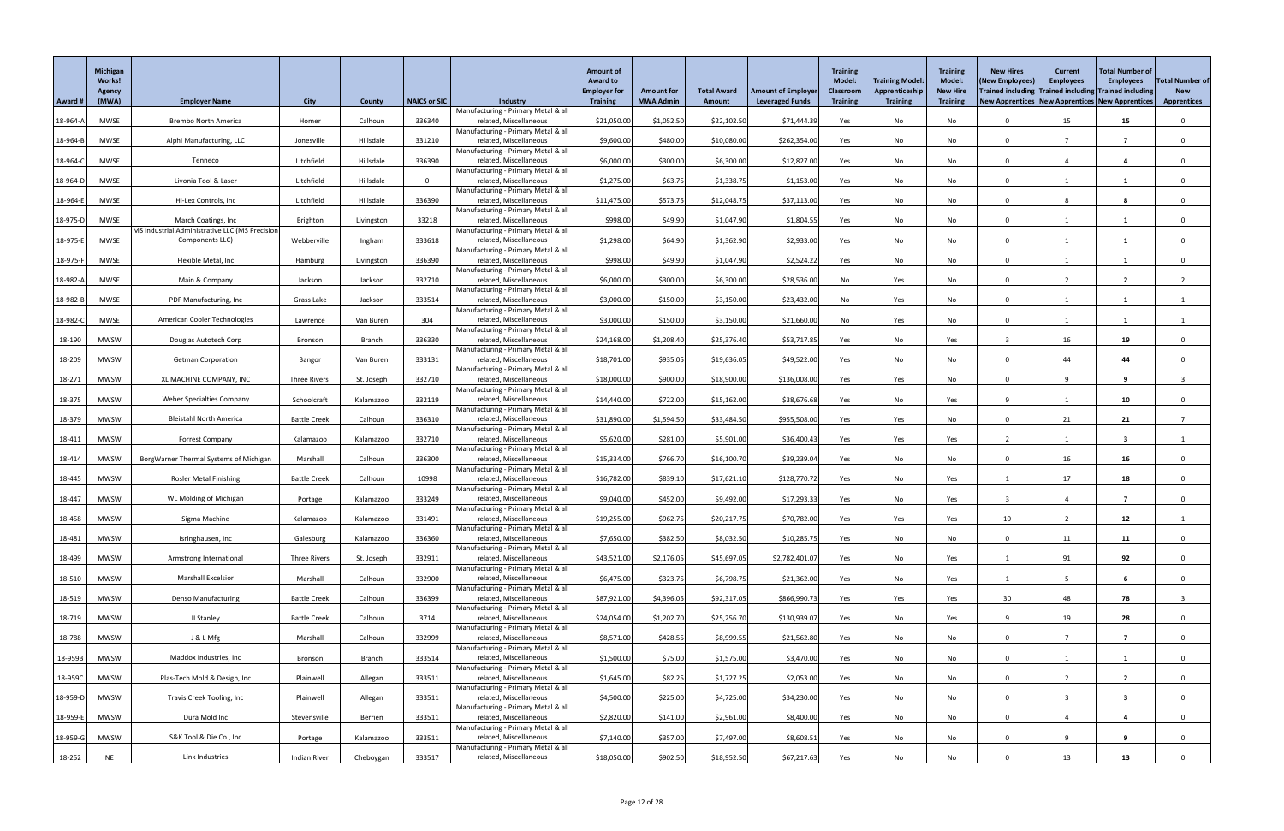|          | Michigan<br><b>Works!</b> |                                                                   |                     |               |                     |                                                               | <b>Amount of</b><br><b>Award to</b><br><b>Employer for</b> | <b>Amount for</b> | <b>Total Award</b> | <b>Amount of Employer</b> | <b>Training</b><br><b>Model:</b><br><b>Classroom</b> | <b>Training Model:</b><br>Apprenticeship | <b>Training</b><br><b>Model:</b><br><b>New Hire</b> | <b>New Hires</b><br>(New Employees)<br>Trained including Trained including Trained including | <b>Current</b><br><b>Employees</b> | <b>Total Number of</b><br><b>Employees</b> | <b>Total Number of</b><br><b>New</b> |
|----------|---------------------------|-------------------------------------------------------------------|---------------------|---------------|---------------------|---------------------------------------------------------------|------------------------------------------------------------|-------------------|--------------------|---------------------------|------------------------------------------------------|------------------------------------------|-----------------------------------------------------|----------------------------------------------------------------------------------------------|------------------------------------|--------------------------------------------|--------------------------------------|
| Award #  | <b>Agency</b><br>(MWA)    | <b>Employer Name</b>                                              | <b>City</b>         | County        | <b>NAICS or SIC</b> | <b>Industry</b>                                               | <b>Training</b>                                            | <b>MWA Admin</b>  | Amount             | <b>Leveraged Funds</b>    | <b>Training</b>                                      | <b>Training</b>                          | <b>Training</b>                                     | New Apprentices   New Apprentices   New Apprentices                                          |                                    |                                            | <b>Apprentices</b>                   |
| 18-964-A | <b>MWSE</b>               | <b>Brembo North America</b>                                       | Homer               | Calhoun       | 336340              | Manufacturing - Primary Metal & all<br>related, Miscellaneous | \$21,050.00                                                | \$1,052.50        | \$22,102.50        | \$71,444.39               | Yes                                                  | No                                       | No                                                  |                                                                                              | 15                                 | 15                                         |                                      |
|          |                           |                                                                   |                     |               |                     | Manufacturing - Primary Metal & all                           |                                                            |                   |                    |                           |                                                      |                                          |                                                     | $\Omega$                                                                                     |                                    | - 7                                        |                                      |
| 18-964-B | <b>MWSE</b>               | Alphi Manufacturing, LLC                                          | Jonesville          | Hillsdale     | 331210              | related, Miscellaneous<br>Manufacturing - Primary Metal & all | \$9,600.00                                                 | \$480.00          | \$10,080.00        | \$262,354.00              | Yes                                                  | No                                       | No                                                  |                                                                                              |                                    |                                            |                                      |
| 18-964-C | MWSE                      | Tenneco                                                           | Litchfield          | Hillsdale     | 336390              | related, Miscellaneous<br>Manufacturing - Primary Metal & all | \$6,000.00                                                 | \$300.00          | \$6,300.00         | \$12,827.00               | Yes                                                  | No                                       | No                                                  | $\Omega$                                                                                     |                                    | -4                                         |                                      |
| 18-964-D | MWSE                      | Livonia Tool & Laser                                              | Litchfield          | Hillsdale     | $\Omega$            | related, Miscellaneous<br>Manufacturing - Primary Metal & all | \$1,275.00                                                 | \$63.75           | \$1,338.75         | \$1,153.00                | Yes                                                  | No                                       | No                                                  | $\Omega$                                                                                     |                                    |                                            |                                      |
| 18-964-E | <b>MWSE</b>               | Hi-Lex Controls, Inc                                              | Litchfield          | Hillsdale     | 336390              | related, Miscellaneous                                        | \$11,475.00                                                | \$573.75          | \$12,048.75        | \$37,113.00               | Yes                                                  | No                                       | No                                                  | $\Omega$                                                                                     | 8                                  | -8                                         |                                      |
| 18-975-D | MWSE                      | March Coatings, Inc                                               | Brighton            | Livingston    | 33218               | Manufacturing - Primary Metal & all<br>related, Miscellaneous | \$998.00                                                   | \$49.90           | \$1,047.90         | \$1,804.55                | Yes                                                  | No                                       | No                                                  | $\cap$                                                                                       |                                    |                                            |                                      |
|          | <b>MWSE</b>               | MS Industrial Administrative LLC (MS Precision<br>Components LLC) | Webberville         |               | 333618              | Manufacturing - Primary Metal & all<br>related, Miscellaneous | \$1,298.00                                                 | \$64.90           | \$1,362.90         | \$2,933.00                |                                                      |                                          |                                                     | $\Omega$                                                                                     |                                    |                                            |                                      |
| 18-975-E |                           |                                                                   |                     | Ingham        |                     | Manufacturing - Primary Metal & all                           |                                                            |                   |                    |                           | Yes                                                  | No                                       | No                                                  |                                                                                              |                                    |                                            |                                      |
| 18-975-F | <b>MWSE</b>               | Flexible Metal, Inc                                               | Hamburg             | Livingston    | 336390              | related, Miscellaneous<br>Manufacturing - Primary Metal & all | \$998.00                                                   | \$49.90           | \$1,047.90         | \$2,524.22                | Yes                                                  | No                                       | No                                                  | $\Omega$                                                                                     |                                    |                                            |                                      |
| 18-982-A | MWSE                      | Main & Company                                                    | Jackson             | Jackson       | 332710              | related, Miscellaneous<br>Manufacturing - Primary Metal & all | \$6,000.00                                                 | \$300.00          | \$6,300.00         | \$28,536.00               | No                                                   | Yes                                      | No                                                  | $\Omega$                                                                                     |                                    | $\overline{2}$                             |                                      |
| 18-982-B | MWSE                      | PDF Manufacturing, Inc                                            | Grass Lake          | Jackson       | 333514              | related, Miscellaneous                                        | \$3,000.00                                                 | \$150.00          | \$3,150.00         | \$23,432.00               | No                                                   | Yes                                      | No                                                  | $\Omega$                                                                                     |                                    |                                            |                                      |
| 18-982-C | <b>MWSE</b>               | American Cooler Technologies                                      | Lawrence            | Van Buren     | 304                 | Manufacturing - Primary Metal & all<br>related, Miscellaneous | \$3,000.00                                                 | \$150.00          | \$3,150.00         | \$21,660.00               | No                                                   | Yes                                      | No                                                  | $\Omega$                                                                                     |                                    |                                            |                                      |
| 18-190   | MWSW                      | Douglas Autotech Corp                                             | Bronson             | <b>Branch</b> | 336330              | Manufacturing - Primary Metal & all<br>related, Miscellaneous | \$24,168.00                                                | \$1,208.40        | \$25,376.40        | \$53,717.85               | Yes                                                  | No                                       | Yes                                                 |                                                                                              | 16                                 | 19                                         |                                      |
|          |                           |                                                                   |                     |               |                     | Manufacturing - Primary Metal & all                           |                                                            |                   |                    |                           |                                                      |                                          |                                                     |                                                                                              |                                    |                                            |                                      |
| 18-209   | <b>MWSW</b>               | <b>Getman Corporation</b>                                         | Bangor              | Van Buren     | 333131              | related, Miscellaneous<br>Manufacturing - Primary Metal & all | \$18,701.00                                                | \$935.05          | \$19,636.05        | \$49,522.00               | Yes                                                  | No                                       | No                                                  |                                                                                              | 44                                 | 44                                         |                                      |
| 18-271   | MWSW                      | XL MACHINE COMPANY, INC                                           | Three Rivers        | St. Joseph    | 332710              | related, Miscellaneous<br>Manufacturing - Primary Metal & all | \$18,000.00                                                | \$900.00          | \$18,900.00        | \$136,008.00              | Yes                                                  | Yes                                      | No                                                  | $\Omega$                                                                                     |                                    | -9                                         |                                      |
| 18-375   | <b>MWSW</b>               | <b>Weber Specialties Company</b>                                  | Schoolcraft         | Kalamazoo     | 332119              | related, Miscellaneous<br>Manufacturing - Primary Metal & all | \$14,440.00                                                | \$722.00          | \$15,162.00        | \$38,676.68               | Yes                                                  | No                                       | Yes                                                 |                                                                                              |                                    | 10                                         |                                      |
| 18-379   | <b>MWSW</b>               | <b>Bleistahl North America</b>                                    | <b>Battle Creek</b> | Calhoun       | 336310              | related, Miscellaneous                                        | \$31,890.00                                                | \$1,594.50        | \$33,484.50        | \$955,508.00              | Yes                                                  | Yes                                      | No                                                  | $\Omega$                                                                                     | 21                                 | 21                                         |                                      |
| 18-411   | <b>MWSW</b>               | <b>Forrest Company</b>                                            | Kalamazoo           | Kalamazoo     | 332710              | Manufacturing - Primary Metal & all<br>related, Miscellaneous | \$5,620.00                                                 | \$281.00          | \$5,901.00         | \$36,400.43               | Yes                                                  | Yes                                      | Yes                                                 |                                                                                              |                                    | -3                                         |                                      |
| 18-414   | <b>MWSW</b>               | BorgWarner Thermal Systems of Michigan                            | Marshall            | Calhoun       | 336300              | Manufacturing - Primary Metal & all<br>related, Miscellaneous | \$15,334.00                                                | \$766.70          | \$16,100.70        | \$39,239.04               | Yes                                                  | No                                       | No                                                  | $\Omega$                                                                                     | 16                                 | 16                                         |                                      |
|          | MWSW                      | <b>Rosler Metal Finishing</b>                                     |                     | Calhoun       | 10998               | Manufacturing - Primary Metal & all<br>related, Miscellaneous |                                                            | \$839.10          |                    | \$128,770.72              |                                                      |                                          |                                                     |                                                                                              | 17                                 |                                            |                                      |
| 18-445   |                           |                                                                   | <b>Battle Creek</b> |               |                     | Manufacturing - Primary Metal & all                           | \$16,782.00                                                |                   | \$17,621.10        |                           | Yes                                                  | No                                       | Yes                                                 |                                                                                              |                                    | 18                                         |                                      |
| 18-447   | <b>MWSW</b>               | WL Molding of Michigan                                            | Portage             | Kalamazoo     | 333249              | related, Miscellaneous<br>Manufacturing - Primary Metal & all | \$9,040.00                                                 | \$452.00          | \$9,492.00         | \$17,293.33               | Yes                                                  | No                                       | Yes                                                 |                                                                                              |                                    | 7                                          |                                      |
| 18-458   | MWSW                      | Sigma Machine                                                     | Kalamazoo           | Kalamazoo     | 331491              | related, Miscellaneous<br>Manufacturing - Primary Metal & all | \$19,255.00                                                | \$962.75          | \$20,217.75        | \$70,782.00               | Yes                                                  | Yes                                      | Yes                                                 | 10                                                                                           |                                    | 12                                         |                                      |
| 18-481   | <b>MWSW</b>               | Isringhausen, Inc                                                 | Galesburg           | Kalamazoo     | 336360              | related, Miscellaneous                                        | \$7,650.00                                                 | \$382.50          | \$8,032.50         | \$10,285.75               | Yes                                                  | No                                       | No                                                  | $\Omega$                                                                                     | 11                                 | 11                                         |                                      |
| 18-499   | <b>MWSW</b>               | Armstrong International                                           | <b>Three Rivers</b> | St. Joseph    | 332911              | Manufacturing - Primary Metal & all<br>related, Miscellaneous | \$43,521.00                                                | \$2,176.05        | \$45,697.05        | \$2,782,401.0             | Yes                                                  | No                                       | Yes                                                 |                                                                                              | 91                                 | 92                                         |                                      |
| 18-510   | <b>MWSW</b>               | <b>Marshall Excelsior</b>                                         | Marshall            | Calhoun       | 332900              | Manufacturing - Primary Metal & all<br>related, Miscellaneous | \$6,475.00                                                 | \$323.75          | \$6,798.75         | \$21,362.00               | Yes                                                  | No                                       | Yes                                                 |                                                                                              |                                    | -6                                         |                                      |
| 18-519   | <b>MWSW</b>               | <b>Denso Manufacturing</b>                                        | <b>Battle Creek</b> | Calhoun       | 336399              | Manufacturing - Primary Metal & all<br>related, Miscellaneous | \$87,921.00                                                | \$4,396.05        | \$92,317.05        | \$866,990.73              | Yes                                                  | Yes                                      |                                                     | 30                                                                                           | 48                                 | 78                                         |                                      |
|          |                           |                                                                   |                     |               |                     | Manufacturing - Primary Metal & all                           |                                                            |                   |                    |                           |                                                      |                                          | Yes                                                 |                                                                                              |                                    |                                            |                                      |
| 18-719   | <b>MWSW</b>               | II Stanley                                                        | <b>Battle Creek</b> | Calhoun       | 3714                | related, Miscellaneous<br>Manufacturing - Primary Metal & all | \$24,054.00                                                | \$1,202.70        | \$25,256.70        | \$130,939.07              | Yes                                                  | No                                       | Yes                                                 | <b>Q</b>                                                                                     | 19                                 | 28                                         |                                      |
| 18-788   | <b>MWSW</b>               | J & L Mfg                                                         | Marshall            | Calhoun       | 332999              | related, Miscellaneous<br>Manufacturing - Primary Metal & all | \$8,571.00                                                 | \$428.55          | \$8,999.55         | \$21,562.80               | Yes                                                  | No                                       | No                                                  | $\Omega$                                                                                     |                                    |                                            |                                      |
| 18-959B  | <b>MWSW</b>               | Maddox Industries, Inc.                                           | Bronson             | <b>Branch</b> | 333514              | related, Miscellaneous                                        | \$1,500.00                                                 | \$75.00           | \$1,575.00         | \$3,470.00                | Yes                                                  | No                                       | No                                                  | $\Omega$                                                                                     |                                    |                                            |                                      |
| 18-959C  | MWSW                      | Plas-Tech Mold & Design, Inc                                      | Plainwell           | Allegan       | 333511              | Manufacturing - Primary Metal & all<br>related, Miscellaneous | \$1,645.00                                                 | \$82.25           | \$1,727.25         | \$2,053.00                | Yes                                                  | No                                       | No                                                  |                                                                                              |                                    | ີ າ                                        |                                      |
| 18-959-D | <b>MWSW</b>               | Travis Creek Tooling, Inc                                         | Plainwell           | Allegan       | 333511              | Manufacturing - Primary Metal & all<br>related, Miscellaneous | \$4,500.00                                                 | \$225.00          | \$4,725.00         | \$34,230.00               | Yes                                                  | No                                       | No                                                  | $\Omega$                                                                                     |                                    | $\overline{\mathbf{3}}$                    | $\Omega$                             |
|          |                           | Dura Mold Inc                                                     |                     |               | 333511              | Manufacturing - Primary Metal & all<br>related, Miscellaneous |                                                            |                   |                    |                           |                                                      |                                          |                                                     | $\Omega$                                                                                     |                                    |                                            | $\Omega$                             |
| 18-959-E | <b>MWSW</b>               |                                                                   | Stevensville        | Berrien       |                     | Manufacturing - Primary Metal & all                           | \$2,820.00                                                 | \$141.00          | \$2,961.00         | \$8,400.00                | Yes                                                  | No                                       | No                                                  |                                                                                              |                                    | 4                                          |                                      |
| 18-959-G | <b>MWSW</b>               | S&K Tool & Die Co., Inc                                           | Portage             | Kalamazoo     | 333511              | related, Miscellaneous<br>Manufacturing - Primary Metal & all | \$7,140.00                                                 | \$357.00          | \$7,497.00         | \$8,608.51                | Yes                                                  | No                                       | No                                                  | $\Omega$                                                                                     |                                    | 9                                          | $\mathbf{0}$                         |
| 18-252   | <b>NE</b>                 | Link Industries                                                   | <b>Indian River</b> | Cheboygan     | 333517              | related, Miscellaneous                                        | \$18,050.00                                                | \$902.50          | \$18,952.50        | \$67,217.63               | Yes                                                  | No                                       | No                                                  |                                                                                              | 13                                 | 13                                         |                                      |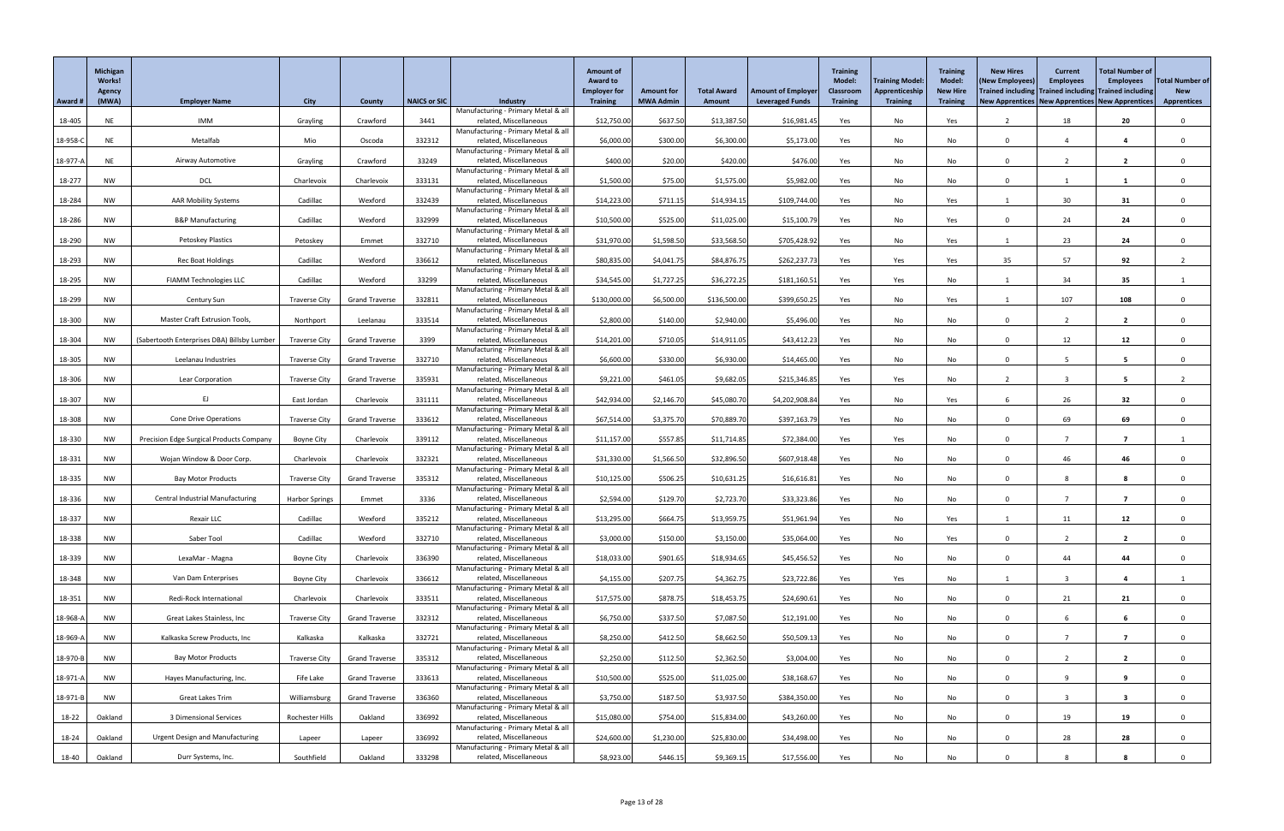|          | Michigan<br><b>Works!</b><br><b>Agency</b> |                                                 |                       |                       |                     |                                                               | <b>Amount of</b><br><b>Award to</b><br><b>Employer for</b> | <b>Amount for</b> | <b>Total Award</b> | <b>Amount of Employer</b> | <b>Training</b><br><b>Model:</b><br><b>Classroom</b> | <b>Training Model:</b><br>Apprenticeship | <b>Training</b><br><b>Model:</b><br><b>New Hire</b> | <b>New Hires</b><br>(New Employees)<br>Trained including Trained including Trained including | <b>Current</b><br><b>Employees</b> | <b>Total Number of</b><br><b>Employees</b> | <b>Total Number of</b><br><b>New</b> |
|----------|--------------------------------------------|-------------------------------------------------|-----------------------|-----------------------|---------------------|---------------------------------------------------------------|------------------------------------------------------------|-------------------|--------------------|---------------------------|------------------------------------------------------|------------------------------------------|-----------------------------------------------------|----------------------------------------------------------------------------------------------|------------------------------------|--------------------------------------------|--------------------------------------|
| Award #  | (MWA)                                      | <b>Employer Name</b>                            | <b>City</b>           | County                | <b>NAICS or SIC</b> | <b>Industry</b><br>Manufacturing - Primary Metal & all        | <b>Training</b>                                            | <b>MWA Admin</b>  | Amount             | <b>Leveraged Funds</b>    | <b>Training</b>                                      | <b>Training</b>                          | <b>Training</b>                                     | New Apprentices   New Apprentices   New Apprentices                                          |                                    |                                            | <b>Apprentices</b>                   |
| 18-405   | <b>NE</b>                                  | IMM                                             | Grayling              | Crawford              | 3441                | related, Miscellaneous                                        | \$12,750.00                                                | \$637.50          | \$13,387.50        | \$16,981.45               | Yes                                                  | No                                       | Yes                                                 |                                                                                              | 18                                 | 20                                         |                                      |
| 18-958-C | <b>NE</b>                                  | Metalfab                                        | Mio                   | Oscoda                | 332312              | Manufacturing - Primary Metal & all<br>related, Miscellaneous | \$6,000.00                                                 | \$300.00          | \$6,300.00         | \$5,173.00                | Yes                                                  | No                                       | No                                                  | $\Omega$                                                                                     | 4                                  | $\overline{\mathbf{4}}$                    |                                      |
| 18-977-A | <b>NE</b>                                  | Airway Automotive                               | Grayling              | Crawford              | 33249               | Manufacturing - Primary Metal & all<br>related, Miscellaneous | \$400.00                                                   | \$20.00           | \$420.00           | \$476.00                  | Yes                                                  | No                                       | No                                                  |                                                                                              |                                    | $\overline{\mathbf{2}}$                    |                                      |
|          |                                            |                                                 |                       |                       |                     | Manufacturing - Primary Metal & all                           |                                                            |                   |                    |                           |                                                      |                                          |                                                     |                                                                                              |                                    |                                            |                                      |
| 18-277   | <b>NW</b>                                  | <b>DCL</b>                                      | Charlevoix            | Charlevoix            | 333131              | related, Miscellaneous<br>Manufacturing - Primary Metal & all | \$1,500.00                                                 | \$75.00           | \$1,575.00         | \$5,982.00                | Yes                                                  | No                                       | No                                                  | $\Omega$                                                                                     |                                    |                                            |                                      |
| 18-284   | NW                                         | <b>AAR Mobility Systems</b>                     | Cadillac              | Wexford               | 332439              | related, Miscellaneous                                        | \$14,223.00                                                | \$711.15          | \$14,934.15        | \$109,744.00              | Yes                                                  | No                                       | Yes                                                 |                                                                                              | 30                                 | 31                                         |                                      |
| 18-286   | <b>NW</b>                                  | <b>B&amp;P Manufacturing</b>                    | Cadillac              | Wexford               | 332999              | Manufacturing - Primary Metal & all<br>related, Miscellaneous | \$10,500.00                                                | \$525.00          | \$11,025.00        | \$15,100.79               | Yes                                                  | No                                       | Yes                                                 | $\Omega$                                                                                     | 24                                 | 24                                         |                                      |
| 18-290   | NW                                         | Petoskey Plastics                               | Petoskey              | Emmet                 | 332710              | Manufacturing - Primary Metal & all<br>related, Miscellaneous | \$31,970.00                                                | \$1,598.50        | \$33,568.50        | \$705,428.92              | Yes                                                  | No                                       | Yes                                                 |                                                                                              | 23                                 | 24                                         |                                      |
|          |                                            |                                                 |                       |                       |                     | Manufacturing - Primary Metal & all                           |                                                            |                   |                    |                           |                                                      |                                          |                                                     |                                                                                              |                                    |                                            |                                      |
| 18-293   | <b>NW</b>                                  | <b>Rec Boat Holdings</b>                        | Cadillac              | Wexford               | 336612              | related, Miscellaneous<br>Manufacturing - Primary Metal & all | \$80,835.00                                                | \$4,041.75        | \$84,876.75        | \$262,237.73              | Yes                                                  | Yes                                      | Yes                                                 | 35                                                                                           | 57                                 | 92                                         |                                      |
| 18-295   | <b>NW</b>                                  | <b>FIAMM Technologies LLC</b>                   | Cadillac              | Wexford               | 33299               | related, Miscellaneous<br>Manufacturing - Primary Metal & all | \$34,545.00                                                | \$1,727.25        | \$36,272.25        | \$181,160.51              | Yes                                                  | Yes                                      | No                                                  |                                                                                              | 34                                 | 35                                         |                                      |
| 18-299   | <b>NW</b>                                  | <b>Century Sun</b>                              | <b>Traverse City</b>  | <b>Grand Traverse</b> | 332811              | related, Miscellaneous                                        | \$130,000.00                                               | \$6,500.00        | \$136,500.00       | \$399,650.25              | Yes                                                  | No                                       | Yes                                                 |                                                                                              | 107                                | 108                                        | $\Omega$                             |
| 18-300   | <b>NW</b>                                  | Master Craft Extrusion Tools,                   | Northport             | Leelanau              | 333514              | Manufacturing - Primary Metal & all<br>related, Miscellaneous | \$2,800.00                                                 | \$140.00          | \$2,940.00         | \$5,496.00                | Yes                                                  | No                                       | No                                                  | $\Omega$                                                                                     | ຳ                                  | $\overline{2}$                             |                                      |
|          |                                            |                                                 |                       |                       | 3399                | Manufacturing - Primary Metal & all<br>related, Miscellaneous |                                                            |                   |                    |                           |                                                      |                                          |                                                     | $\Omega$                                                                                     |                                    |                                            |                                      |
| 18-304   | <b>NW</b>                                  | (Sabertooth Enterprises DBA) Billsby Lumber     | <b>Traverse City</b>  | <b>Grand Traverse</b> |                     | Manufacturing - Primary Metal & all                           | \$14,201.00                                                | \$710.05          | \$14,911.05        | \$43,412.23               | Yes                                                  | No                                       | No                                                  |                                                                                              | 12                                 | 12                                         |                                      |
| 18-305   | <b>NW</b>                                  | Leelanau Industries                             | <b>Traverse City</b>  | <b>Grand Traverse</b> | 332710              | related, Miscellaneous<br>Manufacturing - Primary Metal & all | \$6,600.00                                                 | \$330.00          | \$6,930.00         | \$14,465.00               | Yes                                                  | No                                       | No                                                  | $\Omega$                                                                                     |                                    | 5                                          |                                      |
| 18-306   | NW                                         | Lear Corporation                                | <b>Traverse City</b>  | <b>Grand Traverse</b> | 335931              | related, Miscellaneous                                        | \$9,221.00                                                 | \$461.05          | \$9,682.05         | \$215,346.85              | Yes                                                  | Yes                                      | No                                                  |                                                                                              |                                    | -5                                         |                                      |
| 18-307   | <b>NW</b>                                  | EJ                                              | East Jordan           | Charlevoix            | 331111              | Manufacturing - Primary Metal & all<br>related, Miscellaneous | \$42,934.00                                                | \$2,146.70        | \$45,080.70        | \$4,202,908.84            | Yes                                                  | No                                       | Yes                                                 |                                                                                              | 26                                 | 32                                         |                                      |
| 18-308   | NW                                         | <b>Cone Drive Operations</b>                    | <b>Traverse City</b>  | <b>Grand Traverse</b> | 333612              | Manufacturing - Primary Metal & all<br>related, Miscellaneous | \$67,514.00                                                | \$3,375.70        | \$70,889.70        | \$397,163.79              | Yes                                                  | No                                       | No                                                  | $\Omega$                                                                                     | 69                                 | 69                                         |                                      |
|          |                                            |                                                 |                       |                       |                     | Manufacturing - Primary Metal & all                           |                                                            |                   |                    |                           |                                                      |                                          |                                                     |                                                                                              |                                    | - 7                                        |                                      |
| 18-330   | <b>NW</b>                                  | <b>Precision Edge Surgical Products Company</b> | <b>Boyne City</b>     | Charlevoix            | 339112              | related, Miscellaneous<br>Manufacturing - Primary Metal & all | \$11,157.00                                                | \$557.85          | \$11,714.85        | \$72,384.00               | Yes                                                  | Yes                                      | No                                                  | $\Omega$                                                                                     |                                    |                                            |                                      |
| 18-331   | <b>NW</b>                                  | Wojan Window & Door Corp.                       | Charlevoix            | Charlevoix            | 332321              | related, Miscellaneous<br>Manufacturing - Primary Metal & all | \$31,330.00                                                | \$1,566.50        | \$32,896.50        | \$607,918.48              | Yes                                                  | No                                       | No                                                  | $\Omega$                                                                                     | 46                                 | 46                                         |                                      |
| 18-335   | NW                                         | <b>Bay Motor Products</b>                       | <b>Traverse City</b>  | <b>Grand Traverse</b> | 335312              | related, Miscellaneous                                        | \$10,125.00                                                | \$506.25          | \$10,631.25        | \$16,616.81               | Yes                                                  | No                                       | No                                                  |                                                                                              |                                    |                                            |                                      |
| 18-336   | <b>NW</b>                                  | <b>Central Industrial Manufacturing</b>         | <b>Harbor Springs</b> | Emmet                 | 3336                | Manufacturing - Primary Metal & all<br>related, Miscellaneous | \$2,594.00                                                 | \$129.70          | \$2,723.70         | \$33,323.86               | Yes                                                  | No                                       | No                                                  | $\cap$                                                                                       |                                    | - 7                                        |                                      |
| 18-337   | <b>NW</b>                                  | Rexair LLC                                      | Cadillac              | Wexford               | 335212              | Manufacturing - Primary Metal & all<br>related, Miscellaneous | \$13,295.00                                                | \$664.75          | \$13,959.75        | \$51,961.94               | Yes                                                  | No                                       | Yes                                                 |                                                                                              | 11                                 | 12                                         |                                      |
|          |                                            |                                                 |                       |                       |                     | Manufacturing - Primary Metal & all                           |                                                            |                   |                    |                           |                                                      |                                          |                                                     |                                                                                              |                                    |                                            |                                      |
| 18-338   | <b>NW</b>                                  | Saber Tool                                      | Cadillac              | Wexford               | 332710              | related, Miscellaneous<br>Manufacturing - Primary Metal & all | \$3,000.00                                                 | \$150.00          | \$3,150.00         | \$35,064.00               | Yes                                                  | No                                       | Yes                                                 | $\Omega$                                                                                     |                                    | $\overline{2}$                             |                                      |
| 18-339   | <b>NW</b>                                  | LexaMar - Magna                                 | <b>Boyne City</b>     | Charlevoix            | 336390              | related, Miscellaneous<br>Manufacturing - Primary Metal & all | \$18,033.00                                                | \$901.65          | \$18,934.65        | \$45,456.52               | Yes                                                  | No                                       | No                                                  | $\Omega$                                                                                     | 44                                 | 44                                         |                                      |
| 18-348   | <b>NW</b>                                  | Van Dam Enterprises                             | <b>Boyne City</b>     | Charlevoix            | 336612              | related, Miscellaneous                                        | \$4,155.00                                                 | \$207.75          | \$4,362.75         | \$23,722.86               | Yes                                                  | Yes                                      | No                                                  |                                                                                              |                                    | 4                                          |                                      |
| 18-351   | NW                                         | Redi-Rock International                         | Charlevoix            | Charlevoix            | 333511              | Manufacturing - Primary Metal & all<br>related, Miscellaneous | \$17,575.00                                                | \$878.75          | \$18,453.75        | \$24,690.61               | Yes                                                  | No                                       | No                                                  | $\Omega$                                                                                     | 21                                 | 21                                         |                                      |
| 18-968-A | NW                                         | Great Lakes Stainless, Inc                      | <b>Traverse City</b>  | <b>Grand Traverse</b> | 332312              | Manufacturing - Primary Metal & all<br>related, Miscellaneous | \$6,750.00                                                 | \$337.50          | \$7,087.50         | \$12,191.00               | Yes                                                  | No                                       | No                                                  | $\Omega$                                                                                     |                                    |                                            |                                      |
|          |                                            |                                                 |                       |                       |                     | Manufacturing - Primary Metal & all                           |                                                            |                   |                    |                           |                                                      |                                          |                                                     |                                                                                              |                                    |                                            |                                      |
| 18-969-A | NW                                         | Kalkaska Screw Products, Inc                    | Kalkaska              | Kalkaska              | 332721              | related, Miscellaneous<br>Manufacturing - Primary Metal & all | \$8,250.00                                                 | \$412.50          | \$8,662.50         | \$50,509.13               | Yes                                                  | No                                       | No                                                  | $\Omega$                                                                                     |                                    | - 7                                        |                                      |
| 18-970-B | NW                                         | <b>Bay Motor Products</b>                       | <b>Traverse City</b>  | <b>Grand Traverse</b> | 335312              | related, Miscellaneous<br>Manufacturing - Primary Metal & all | \$2,250.00                                                 | \$112.50          | \$2,362.50         | \$3,004.00                | Yes                                                  | No                                       | No                                                  | $\Omega$                                                                                     |                                    | $\overline{2}$                             |                                      |
| 18-971-A | NW                                         | Hayes Manufacturing, Inc.                       | Fife Lake             | <b>Grand Traverse</b> | 333613              | related, Miscellaneous                                        | \$10,500.00                                                | \$525.00          | \$11,025.00        | \$38,168.67               | Yes                                                  | No                                       | No                                                  |                                                                                              |                                    |                                            |                                      |
| 18-971-B | <b>NW</b>                                  | Great Lakes Trim                                | Williamsburg          | <b>Grand Traverse</b> | 336360              | Manufacturing - Primary Metal & all<br>related, Miscellaneous | \$3,750.00                                                 | \$187.50          | \$3,937.50         | \$384,350.00              | Yes                                                  | No                                       | No                                                  | $\Omega$                                                                                     |                                    | $\overline{\mathbf{3}}$                    | $\Omega$                             |
|          |                                            |                                                 |                       |                       |                     | Manufacturing - Primary Metal & all                           |                                                            |                   |                    |                           |                                                      |                                          |                                                     |                                                                                              |                                    |                                            |                                      |
| 18-22    | Oakland                                    | 3 Dimensional Services                          | Rochester Hills       | Oakland               | 336992              | related, Miscellaneous<br>Manufacturing - Primary Metal & all | \$15,080.00                                                | \$754.00          | \$15,834.00        | \$43,260.00               | Yes                                                  | No                                       | No                                                  | $\Omega$                                                                                     | 19                                 | 19                                         |                                      |
| 18-24    | Oakland                                    | <b>Urgent Design and Manufacturing</b>          | Lapeer                | Lapeer                | 336992              | related, Miscellaneous<br>Manufacturing - Primary Metal & all | \$24,600.00                                                | \$1,230.00        | \$25,830.00        | \$34,498.00               | Yes                                                  | No                                       | No                                                  | $\Omega$                                                                                     | 28                                 | 28                                         | $\mathbf{0}$                         |
| 18-40    | Oakland                                    | Durr Systems, Inc.                              | Southfield            | Oakland               | 333298              | related, Miscellaneous                                        | \$8,923.00                                                 | \$446.15          | \$9,369.15         | \$17,556.00               | Yes                                                  | No                                       | No                                                  |                                                                                              |                                    | -8                                         |                                      |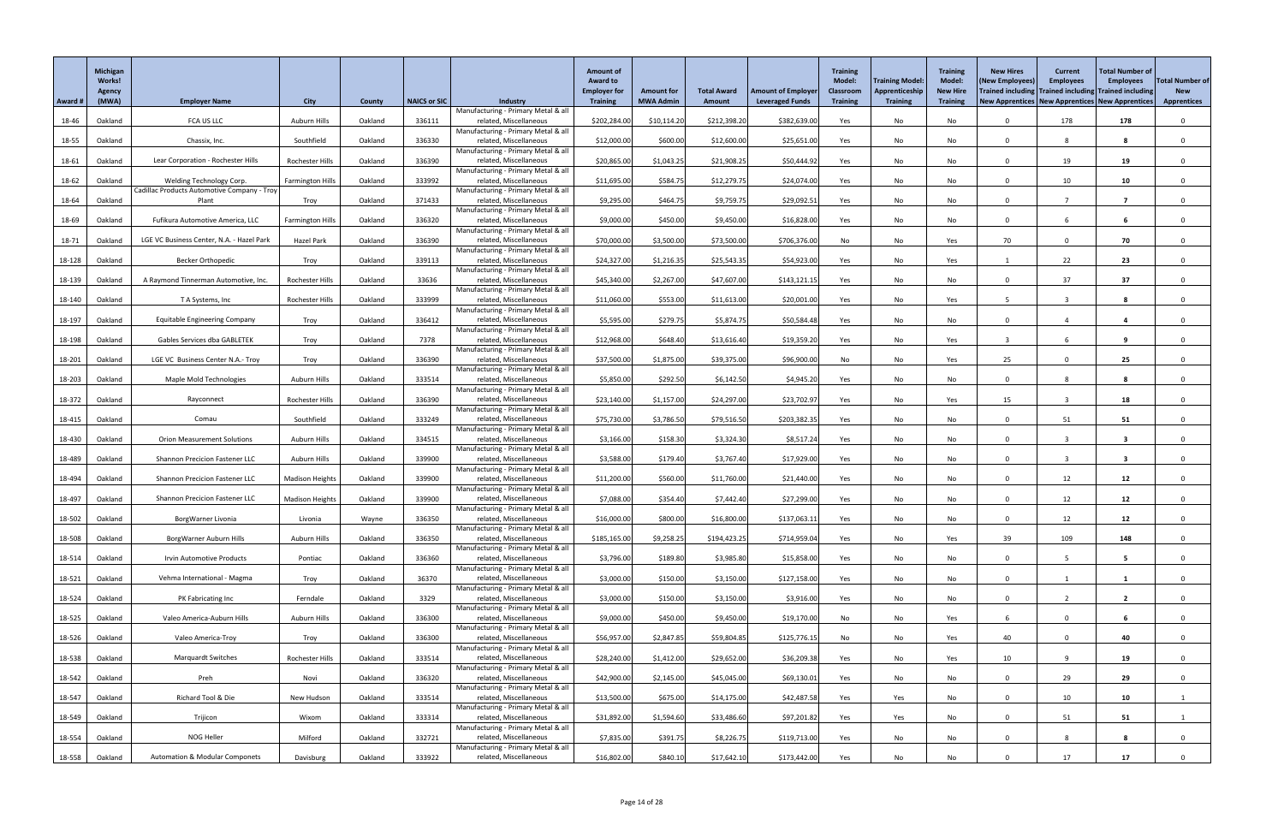|         | Michigan<br>Works!<br>Agency |                                                                         |                         |               |                     |                                                               | <b>Amount of</b><br><b>Award to</b><br><b>Employer for</b> | <b>Amount for</b> | <b>Total Award</b> | <b>Amount of Employer</b> | <b>Training</b><br><b>Model:</b><br><b>Classroom</b> | <b>Training Model:</b><br>Apprenticeship | <b>Training</b><br><b>Model:</b><br><b>New Hire</b> | <b>New Hires</b><br>(New Employees)<br>Trained including Trained including Trained including | <b>Current</b><br><b>Employees</b> | <b>Total Number of</b><br><b>Employees</b> | <b>Total Number of</b><br><b>New</b> |
|---------|------------------------------|-------------------------------------------------------------------------|-------------------------|---------------|---------------------|---------------------------------------------------------------|------------------------------------------------------------|-------------------|--------------------|---------------------------|------------------------------------------------------|------------------------------------------|-----------------------------------------------------|----------------------------------------------------------------------------------------------|------------------------------------|--------------------------------------------|--------------------------------------|
| Award # | (MWA)                        | <b>Employer Name</b>                                                    | <b>City</b>             | <b>County</b> | <b>NAICS or SIC</b> | <b>Industry</b>                                               | <b>Training</b>                                            | <b>MWA Admin</b>  | Amount             | <b>Leveraged Funds</b>    | <b>Training</b>                                      | <b>Training</b>                          | <b>Training</b>                                     | New Apprentices   New Apprentices   New Apprentices                                          |                                    |                                            | <b>Apprentices</b>                   |
| 18-46   | Oakland                      | FCA US LLC                                                              | Auburn Hills            | Oakland       | 336111              | Manufacturing - Primary Metal & all<br>related, Miscellaneous | \$202,284.00                                               | \$10,114.20       | \$212,398.20       | \$382,639.00              | Yes                                                  | No                                       | No                                                  |                                                                                              | 178                                | 178                                        |                                      |
| 18-55   | Oakland                      | Chassix, Inc.                                                           | Southfield              | Oakland       | 336330              | Manufacturing - Primary Metal & all<br>related, Miscellaneous | \$12,000.00                                                | \$600.00          | \$12,600.00        | \$25,651.00               | Yes                                                  | No                                       | No                                                  | $\Omega$                                                                                     | 8                                  | 8                                          |                                      |
|         |                              |                                                                         |                         |               |                     | Manufacturing - Primary Metal & all                           |                                                            |                   |                    |                           |                                                      |                                          |                                                     |                                                                                              |                                    |                                            |                                      |
| 18-61   | Oakland                      | Lear Corporation - Rochester Hills                                      | Rochester Hills         | Oakland       | 336390              | related, Miscellaneous<br>Manufacturing - Primary Metal & all | \$20,865.00                                                | \$1,043.25        | \$21,908.25        | \$50,444.92               | Yes                                                  | No                                       | No                                                  | $\cap$                                                                                       | 19                                 | 19                                         |                                      |
| 18-62   | Oakland                      | Welding Technology Corp.<br>Cadillac Products Automotive Company - Troy | <b>Farmington Hills</b> | Oakland       | 333992              | related, Miscellaneous<br>Manufacturing - Primary Metal & all | \$11,695.00                                                | \$584.75          | \$12,279.75        | \$24,074.00               | Yes                                                  | No                                       | No                                                  | $\Omega$                                                                                     | 10                                 | 10                                         |                                      |
| 18-64   | Oakland                      | Plant                                                                   | Troy                    | Oakland       | 371433              | related, Miscellaneous                                        | \$9,295.00                                                 | \$464.75          | \$9,759.75         | \$29,092.5                | Yes                                                  | No                                       | No                                                  | $\Omega$                                                                                     |                                    | $\overline{\mathbf{z}}$                    |                                      |
| 18-69   | Oakland                      | Fufikura Automotive America, LLC                                        | <b>Farmington Hills</b> | Oakland       | 336320              | Manufacturing - Primary Metal & all<br>related, Miscellaneous | \$9,000.00                                                 | \$450.00          | \$9,450.00         | \$16,828.00               | Yes                                                  | No                                       | No                                                  | $\cap$                                                                                       |                                    |                                            |                                      |
|         |                              | LGE VC Business Center, N.A. - Hazel Park                               | Hazel Park              | Oakland       | 336390              | Manufacturing - Primary Metal & all<br>related, Miscellaneous | \$70,000.00                                                | \$3,500.00        | \$73,500.00        | \$706,376.00              |                                                      | No                                       |                                                     | 70                                                                                           |                                    | 70                                         |                                      |
| 18-71   | Oakland                      |                                                                         |                         |               |                     | Manufacturing - Primary Metal & all                           |                                                            |                   |                    |                           | No                                                   |                                          | Yes                                                 |                                                                                              |                                    |                                            |                                      |
| 18-128  | Oakland                      | <b>Becker Orthopedic</b>                                                | Troy                    | Oakland       | 339113              | related, Miscellaneous<br>Manufacturing - Primary Metal & all | \$24,327.00                                                | \$1,216.35        | \$25,543.35        | \$54,923.00               | Yes                                                  | No                                       | Yes                                                 |                                                                                              | 22                                 | 23                                         |                                      |
| 18-139  | Oakland                      | A Raymond Tinnerman Automotive, Inc.                                    | Rochester Hills         | Oakland       | 33636               | related, Miscellaneous<br>Manufacturing - Primary Metal & all | \$45,340.00                                                | \$2,267.00        | \$47,607.00        | \$143,121.15              | Yes                                                  | No                                       | No                                                  | $\Omega$                                                                                     | 37                                 | 37                                         |                                      |
| 18-140  | Oakland                      | T A Systems, Inc                                                        | Rochester Hills         | Oakland       | 333999              | related, Miscellaneous                                        | \$11,060.00                                                | \$553.00          | \$11,613.00        | \$20,001.00               | Yes                                                  | No                                       | Yes                                                 |                                                                                              | -3                                 | 8                                          | $\Omega$                             |
| 18-197  | Oakland                      | <b>Equitable Engineering Company</b>                                    | Troy                    | Oakland       | 336412              | Manufacturing - Primary Metal & all<br>related, Miscellaneous | \$5,595.00                                                 | \$279.75          | \$5,874.75         | \$50,584.48               | Yes                                                  | No                                       | No                                                  | $\Omega$                                                                                     |                                    | $\overline{\mathbf{4}}$                    |                                      |
| 18-198  | Oakland                      | Gables Services dba GABLETEK                                            | Troy                    | Oakland       | 7378                | Manufacturing - Primary Metal & all<br>related, Miscellaneous | \$12,968.00                                                | \$648.40          | \$13,616.40        | \$19,359.20               | Yes                                                  | No                                       | Yes                                                 |                                                                                              |                                    | 9                                          |                                      |
|         |                              |                                                                         |                         |               |                     | Manufacturing - Primary Metal & all                           |                                                            |                   |                    |                           |                                                      |                                          |                                                     |                                                                                              |                                    |                                            |                                      |
| 18-201  | Oakland                      | LGE VC Business Center N.A.- Troy                                       | Troy                    | Oakland       | 336390              | related, Miscellaneous<br>Manufacturing - Primary Metal & all | \$37,500.00                                                | \$1,875.00        | \$39,375.00        | \$96,900.00               | No                                                   | No                                       | Yes                                                 | 25                                                                                           |                                    | 25                                         |                                      |
| 18-203  | Oakland                      | <b>Maple Mold Technologies</b>                                          | Auburn Hills            | Oakland       | 333514              | related, Miscellaneous<br>Manufacturing - Primary Metal & all | \$5,850.00                                                 | \$292.50          | \$6,142.50         | \$4,945.20                | Yes                                                  | No                                       | No                                                  | $\Omega$                                                                                     |                                    |                                            |                                      |
| 18-372  | Oakland                      | Rayconnect                                                              | Rochester Hills         | Oakland       | 336390              | related, Miscellaneous                                        | \$23,140.00                                                | \$1,157.00        | \$24,297.00        | \$23,702.97               | Yes                                                  | No                                       | Yes                                                 | 15                                                                                           |                                    | 18                                         |                                      |
| 18-415  | Oakland                      | Comau                                                                   | Southfield              | Oakland       | 333249              | Manufacturing - Primary Metal & all<br>related, Miscellaneous | \$75,730.00                                                | \$3,786.50        | \$79,516.50        | \$203,382.35              | Yes                                                  | No                                       | No                                                  | $\Omega$                                                                                     | 51                                 | 51                                         |                                      |
| 18-430  | Oakland                      | <b>Orion Measurement Solutions</b>                                      | Auburn Hills            | Oakland       | 334515              | Manufacturing - Primary Metal & all<br>related, Miscellaneous | \$3,166.00                                                 | \$158.30          | \$3,324.30         | \$8,517.24                | Yes                                                  | No                                       | No                                                  | $\cap$                                                                                       |                                    | -3                                         |                                      |
|         |                              |                                                                         |                         |               |                     | Manufacturing - Primary Metal & all                           |                                                            |                   |                    |                           |                                                      |                                          |                                                     | $\Omega$                                                                                     |                                    |                                            |                                      |
| 18-489  | Oakland                      | <b>Shannon Precicion Fastener LLC</b>                                   | Auburn Hills            | Oakland       | 339900              | related, Miscellaneous<br>Manufacturing - Primary Metal & all | \$3,588.00                                                 | \$179.40          | \$3,767.40         | \$17,929.00               | Yes                                                  | No                                       | No                                                  |                                                                                              |                                    |                                            |                                      |
| 18-494  | Oakland                      | <b>Shannon Precicion Fastener LLC</b>                                   | <b>Madison Heights</b>  | Oakland       | 339900              | related, Miscellaneous<br>Manufacturing - Primary Metal & all | \$11,200.00                                                | \$560.00          | \$11,760.00        | \$21,440.00               | Yes                                                  | No                                       | No                                                  | $\Omega$                                                                                     | 12                                 | 12                                         |                                      |
| 18-497  | Oakland                      | <b>Shannon Precicion Fastener LLC</b>                                   | <b>Madison Heights</b>  | Oakland       | 339900              | related, Miscellaneous<br>Manufacturing - Primary Metal & all | \$7,088.00                                                 | \$354.40          | \$7,442.40         | \$27,299.00               | Yes                                                  | No                                       | No                                                  | $\cap$                                                                                       | 12                                 | 12                                         |                                      |
| 18-502  | Oakland                      | BorgWarner Livonia                                                      | Livonia                 | Wayne         | 336350              | related, Miscellaneous                                        | \$16,000.00                                                | \$800.00          | \$16,800.00        | \$137,063.11              | Yes                                                  | No                                       | No                                                  | $\Omega$                                                                                     | 12                                 | 12                                         |                                      |
| 18-508  | Oakland                      | BorgWarner Auburn Hills                                                 | Auburn Hills            | Oakland       | 336350              | Manufacturing - Primary Metal & all<br>related, Miscellaneous | \$185,165.00                                               | \$9,258.25        | \$194,423.25       | \$714,959.04              | Yes                                                  | No                                       | Yes                                                 | 39                                                                                           | 109                                | 148                                        |                                      |
| 18-514  | Oakland                      | <b>Irvin Automotive Products</b>                                        | Pontiac                 | Oakland       | 336360              | Manufacturing - Primary Metal & all<br>related, Miscellaneous | \$3,796.00                                                 | \$189.80          | \$3,985.80         | \$15,858.00               | Yes                                                  | No                                       | No                                                  | $\Omega$                                                                                     | 5                                  | $5\overline{)}$                            |                                      |
|         |                              |                                                                         |                         |               |                     | Manufacturing - Primary Metal & all                           |                                                            |                   |                    |                           |                                                      |                                          |                                                     |                                                                                              |                                    |                                            |                                      |
| 18-521  | Oakland                      | Vehma International - Magma                                             | Troy                    | Oakland       | 36370               | related, Miscellaneous<br>Manufacturing - Primary Metal & all | \$3,000.00                                                 | \$150.00          | \$3,150.00         | \$127,158.00              | Yes                                                  | No                                       | No                                                  | $\cap$                                                                                       |                                    |                                            |                                      |
| 18-524  | Oakland                      | PK Fabricating Inc                                                      | Ferndale                | Oakland       | 3329                | related, Miscellaneous<br>Manufacturing - Primary Metal & all | \$3,000.00                                                 | \$150.00          | \$3,150.00         | \$3,916.00                | Yes                                                  | No                                       | No                                                  | $\Omega$                                                                                     |                                    | $\overline{2}$                             |                                      |
| 18-525  | Oakland                      | Valeo America-Auburn Hills                                              | Auburn Hills            | Oakland       | 336300              | related, Miscellaneous                                        | \$9,000.00                                                 | \$450.00          | \$9,450.00         | \$19,170.00               | No                                                   | No                                       | Yes                                                 |                                                                                              |                                    |                                            |                                      |
| 18-526  | Oakland                      | Valeo America-Troy                                                      | Troy                    | Oakland       | 336300              | Manufacturing - Primary Metal & all<br>related, Miscellaneous | \$56,957.00                                                | \$2,847.85        | \$59,804.85        | \$125,776.15              | No                                                   | No                                       | Yes                                                 | 40                                                                                           |                                    | 40                                         |                                      |
| 18-538  | Oakland                      | <b>Marquardt Switches</b>                                               | Rochester Hills         | Oakland       | 333514              | Manufacturing - Primary Metal & all<br>related, Miscellaneous | \$28,240.00                                                | \$1,412.00        | \$29,652.00        | \$36,209.38               | Yes                                                  | No                                       | Yes                                                 | 10                                                                                           | $\Omega$                           | 19                                         |                                      |
| 18-542  | Oakland                      | Preh                                                                    | Novi                    | Oakland       | 336320              | Manufacturing - Primary Metal & all<br>related, Miscellaneous | \$42,900.00                                                | \$2,145.00        | \$45,045.00        | \$69,130.01               |                                                      |                                          |                                                     |                                                                                              | 29                                 | 29                                         |                                      |
|         |                              |                                                                         |                         |               |                     | Manufacturing - Primary Metal & all                           |                                                            |                   |                    |                           | Yes                                                  | No                                       | No                                                  |                                                                                              |                                    |                                            |                                      |
| 18-547  | Oakland                      | Richard Tool & Die                                                      | New Hudson              | Oakland       | 333514              | related, Miscellaneous<br>Manufacturing - Primary Metal & all | \$13,500.00                                                | \$675.00          | \$14,175.00        | \$42,487.58               | Yes                                                  | Yes                                      | No                                                  | $\Omega$                                                                                     | 10                                 | 10                                         |                                      |
| 18-549  | Oakland                      | Trijicon                                                                | Wixom                   | Oakland       | 333314              | related, Miscellaneous<br>Manufacturing - Primary Metal & all | \$31,892.00                                                | \$1,594.60        | \$33,486.60        | \$97,201.82               | Yes                                                  | Yes                                      | No                                                  | $\Omega$                                                                                     | 51                                 | 51                                         |                                      |
| 18-554  | Oakland                      | NOG Heller                                                              | Milford                 | Oakland       | 332721              | related, Miscellaneous                                        | \$7,835.00                                                 | \$391.75          | \$8,226.75         | \$119,713.00              | Yes                                                  | No                                       | No                                                  | $\Omega$                                                                                     | 8                                  | 8                                          | $\mathbf{0}$                         |
| 18-558  | Oakland                      | <b>Automation &amp; Modular Componets</b>                               | Davisburg               | Oakland       | 333922              | Manufacturing - Primary Metal & all<br>related, Miscellaneous | \$16,802.00                                                | \$840.10          | \$17,642.10        | \$173,442.00              | Yes                                                  | No                                       | No                                                  |                                                                                              | 17                                 | 17                                         |                                      |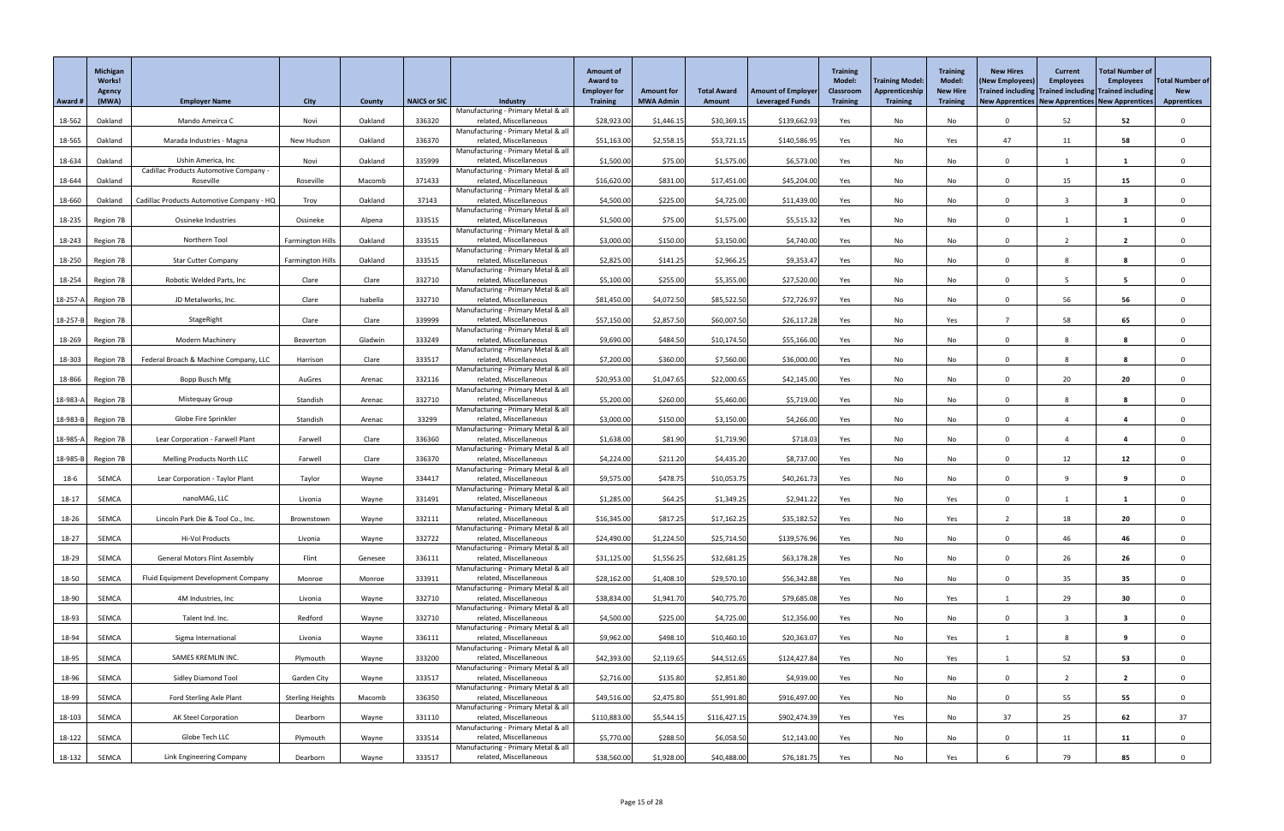|          | Michigan<br><b>Works!</b><br><b>Agency</b> |                                           |                         |          |              |                                                               | <b>Amount of</b><br><b>Award to</b><br><b>Employer for</b> | <b>Amount for</b> | <b>Total Award</b> | <b>Amount of Employer</b> | <b>Training</b><br><b>Model:</b><br><b>Classroom</b> | <b>Training Model:</b><br>Apprenticeship | <b>Training</b><br>Model:<br><b>New Hire</b> | <b>New Hires</b><br>(New Employees)                 | <b>Current</b><br><b>Employees</b> | <b>Total Number of</b><br><b>Employees</b><br>Trained including Trained including Trained including | <b>Total Number of</b><br><b>New</b> |
|----------|--------------------------------------------|-------------------------------------------|-------------------------|----------|--------------|---------------------------------------------------------------|------------------------------------------------------------|-------------------|--------------------|---------------------------|------------------------------------------------------|------------------------------------------|----------------------------------------------|-----------------------------------------------------|------------------------------------|-----------------------------------------------------------------------------------------------------|--------------------------------------|
| Award #  | (MWA)                                      | <b>Employer Name</b>                      | <b>City</b>             | County   | NAICS or SIC | <b>Industry</b><br>Manufacturing - Primary Metal & all        | <b>Training</b>                                            | <b>MWA Admin</b>  | <b>Amount</b>      | <b>Leveraged Funds</b>    | <b>Training</b>                                      | <b>Training</b>                          | <b>Training</b>                              | New Apprentices   New Apprentices   New Apprentices |                                    |                                                                                                     | <b>Apprentices</b>                   |
| 18-562   | Oakland                                    | Mando Ameirca C                           | Novi                    | Oakland  | 336320       | related, Miscellaneous                                        | \$28,923.00                                                | \$1,446.15        | \$30,369.15        | \$139,662.93              | Yes                                                  | No                                       | No                                           |                                                     | 52                                 | 52                                                                                                  |                                      |
| 18-565   | Oakland                                    | Marada Industries - Magna                 | New Hudson              | Oakland  | 336370       | Manufacturing - Primary Metal & all<br>related, Miscellaneous | \$51,163.00                                                | \$2,558.1         | \$53,721.15        | \$140,586.9               | Yes                                                  | No                                       | Yes                                          | 47                                                  | 11                                 | 58                                                                                                  |                                      |
| 18-634   | Oakland                                    | Ushin America, Inc                        | Novi                    | Oakland  | 335999       | Manufacturing - Primary Metal & all<br>related, Miscellaneous |                                                            | \$75.00           | \$1,575.00         | \$6,573.00                |                                                      |                                          |                                              |                                                     |                                    |                                                                                                     |                                      |
|          |                                            | Cadillac Products Automotive Company -    |                         |          |              | Manufacturing - Primary Metal & all                           | \$1,500.00                                                 |                   |                    |                           | Yes                                                  | No                                       | No                                           |                                                     |                                    |                                                                                                     |                                      |
| 18-644   | Oakland                                    | Roseville                                 | Roseville               | Macomb   | 371433       | related, Miscellaneous<br>Manufacturing - Primary Metal & all | \$16,620.00                                                | \$831.00          | \$17,451.00        | \$45,204.00               | Yes                                                  | No                                       | No                                           |                                                     | 15                                 | 15                                                                                                  |                                      |
| 18-660   | Oakland                                    | Cadillac Products Automotive Company - HQ | Troy                    | Oakland  | 37143        | related, Miscellaneous                                        | \$4,500.00                                                 | \$225.00          | \$4,725.00         | \$11,439.00               | Yes                                                  | No                                       | No                                           |                                                     |                                    | 3                                                                                                   |                                      |
| 18-235   | Region 7B                                  | Ossineke Industries                       | Ossineke                | Alpena   | 333515       | Manufacturing - Primary Metal & all<br>related, Miscellaneous | \$1,500.00                                                 | \$75.00           | \$1,575.00         | \$5,515.32                | Yes                                                  | No                                       | No                                           |                                                     |                                    |                                                                                                     |                                      |
|          |                                            |                                           |                         |          |              | Manufacturing - Primary Metal & all                           |                                                            |                   |                    |                           |                                                      |                                          |                                              |                                                     |                                    |                                                                                                     |                                      |
| 18-243   | Region 7B                                  | Northern Tool                             | <b>Farmington Hills</b> | Oakland  | 333515       | related, Miscellaneous<br>Manufacturing - Primary Metal & all | \$3,000.00                                                 | \$150.00          | \$3,150.00         | \$4,740.00                | Yes                                                  | No                                       | No                                           |                                                     |                                    | $\overline{2}$                                                                                      |                                      |
| 18-250   | Region 7B                                  | <b>Star Cutter Company</b>                | <b>Farmington Hills</b> | Oakland  | 333515       | related, Miscellaneous<br>Manufacturing - Primary Metal & all | \$2,825.00                                                 | \$141.25          | \$2,966.25         | \$9,353.47                | Yes                                                  | No                                       | No                                           |                                                     |                                    | -8                                                                                                  |                                      |
| $18-254$ | Region 7B                                  | Robotic Welded Parts, Inc                 | Clare                   | Clare    | 332710       | related, Miscellaneous                                        | \$5,100.00                                                 | \$255.00          | \$5,355.00         | \$27,520.00               | Yes                                                  | No                                       | No                                           |                                                     | -5                                 | 5                                                                                                   |                                      |
|          | 18-257-A Region 7B                         | JD Metalworks, Inc.                       | Clare                   | Isabella | 332710       | Manufacturing - Primary Metal & all<br>related, Miscellaneous | \$81,450.00                                                | \$4,072.50        | \$85,522.50        | \$72,726.97               | Yes                                                  | No                                       | No                                           |                                                     | 56                                 | 56                                                                                                  |                                      |
|          | 18-257-B Region 7B                         | StageRight                                | Clare                   | Clare    | 339999       | Manufacturing - Primary Metal & all<br>related, Miscellaneous | \$57,150.00                                                | \$2,857.50        | \$60,007.50        | \$26,117.28               | Yes                                                  | No                                       | Yes                                          |                                                     | 58                                 | 65                                                                                                  |                                      |
|          |                                            |                                           |                         |          |              | Manufacturing - Primary Metal & all                           |                                                            |                   |                    |                           |                                                      |                                          |                                              |                                                     |                                    |                                                                                                     |                                      |
| 18-269   | Region 7B                                  | <b>Modern Machinery</b>                   | Beaverton               | Gladwin  | 333249       | related, Miscellaneous<br>Manufacturing - Primary Metal & all | \$9,690.00                                                 | \$484.50          | \$10,174.50        | \$55,166.00               | Yes                                                  | No                                       | No                                           |                                                     | 8                                  | 8                                                                                                   |                                      |
| 18-303   | Region 7B                                  | Federal Broach & Machine Company, LLC     | Harrison                | Clare    | 333517       | related, Miscellaneous                                        | \$7,200.00                                                 | \$360.00          | \$7,560.00         | \$36,000.00               | Yes                                                  | No                                       | No                                           |                                                     | 8                                  | 8                                                                                                   |                                      |
| 18-866   | Region 7B                                  | Bopp Busch Mfg                            | AuGres                  | Arenac   | 332116       | Manufacturing - Primary Metal & all<br>related, Miscellaneous | \$20,953.00                                                | \$1,047.65        | \$22,000.65        | \$42,145.00               | Yes                                                  | No                                       | No                                           |                                                     | 20                                 | 20                                                                                                  |                                      |
|          | 18-983-A Region 7B                         | Mistequay Group                           | Standish                | Arenac   | 332710       | Manufacturing - Primary Metal & all<br>related, Miscellaneous | \$5,200.00                                                 | \$260.00          | \$5,460.00         | \$5,719.00                | Yes                                                  | No                                       | No                                           |                                                     |                                    | 8                                                                                                   |                                      |
|          |                                            |                                           |                         |          |              | Manufacturing - Primary Metal & all                           |                                                            |                   |                    |                           |                                                      |                                          |                                              |                                                     |                                    |                                                                                                     |                                      |
|          | 18-983-B Region 7B                         | Globe Fire Sprinkler                      | Standish                | Arenac   | 33299        | related, Miscellaneous<br>Manufacturing - Primary Metal & all | \$3,000.00                                                 | \$150.00          | \$3,150.00         | \$4,266.00                | Yes                                                  | No                                       | No                                           |                                                     |                                    | 4                                                                                                   |                                      |
|          | 18-985-A Region 7B                         | Lear Corporation - Farwell Plant          | Farwell                 | Clare    | 336360       | related, Miscellaneous<br>Manufacturing - Primary Metal & all | \$1,638.00                                                 | \$81.90           | \$1,719.90         | \$718.03                  | Yes                                                  | No                                       | No                                           |                                                     |                                    |                                                                                                     |                                      |
|          | 18-985-B Region 7B                         | <b>Melling Products North LLC</b>         | Farwell                 | Clare    | 336370       | related, Miscellaneous                                        | \$4,224.00                                                 | \$211.20          | \$4,435.20         | \$8,737.00                | Yes                                                  | No                                       | No                                           |                                                     | 12                                 | 12                                                                                                  |                                      |
| 18-6     | SEMCA                                      | Lear Corporation - Taylor Plant           | Taylor                  | Wayne    | 334417       | Manufacturing - Primary Metal & all<br>related, Miscellaneous | \$9,575.00                                                 | \$478.75          | \$10,053.75        | \$40,261.73               | Yes                                                  | No                                       | No                                           |                                                     |                                    | 9                                                                                                   |                                      |
| $18-17$  | SEMCA                                      | nanoMAG, LLC                              | Livonia                 | Wayne    | 331491       | Manufacturing - Primary Metal & all<br>related, Miscellaneous | \$1,285.00                                                 | \$64.25           | \$1,349.25         | \$2,941.22                | Yes                                                  | No                                       | Yes                                          |                                                     |                                    |                                                                                                     |                                      |
|          |                                            |                                           |                         |          |              | Manufacturing - Primary Metal & all                           |                                                            |                   |                    |                           |                                                      |                                          |                                              |                                                     |                                    |                                                                                                     |                                      |
| 18-26    | SEMCA                                      | Lincoln Park Die & Tool Co., Inc.         | Brownstown              | Wayne    | 332111       | related, Miscellaneous<br>Manufacturing - Primary Metal & all | \$16,345.00                                                | \$817.25          | \$17,162.25        | \$35,182.52               | Yes                                                  | No                                       | Yes                                          |                                                     | 18                                 | 20                                                                                                  |                                      |
| 18-27    | SEMCA                                      | Hi-Vol Products                           | Livonia                 | Wayne    | 332722       | related, Miscellaneous<br>Manufacturing - Primary Metal & all | \$24,490.00                                                | \$1,224.50        | \$25,714.50        | \$139,576.96              | Yes                                                  | No                                       | No                                           |                                                     | 46                                 | 46                                                                                                  |                                      |
| 18-29    | SEMCA                                      | <b>General Motors Flint Assembly</b>      | Flint                   | Genesee  | 336111       | related, Miscellaneous                                        | \$31,125.00                                                | \$1,556.25        | \$32,681.25        | \$63,178.28               | Yes                                                  | No                                       | No                                           |                                                     | 26                                 | 26                                                                                                  |                                      |
| 18-50    | <b>SEMCA</b>                               | Fluid Equipment Development Company       | Monroe                  | Monroe   | 333911       | Manufacturing - Primary Metal & all<br>related, Miscellaneous | \$28,162.00                                                | \$1,408.10        | \$29,570.10        | \$56,342.88               | Yes                                                  | No                                       | No                                           |                                                     | 35                                 | 35                                                                                                  |                                      |
| 18-90    | SEMCA                                      | 4M Industries, Inc                        | Livonia                 | Wayne    | 332710       | Manufacturing - Primary Metal & all<br>related, Miscellaneous | \$38,834.00                                                | \$1,941.70        | \$40,775.70        | \$79,685.08               | Yes                                                  | No                                       | Yes                                          |                                                     | 29                                 | 30 <sub>o</sub>                                                                                     |                                      |
|          |                                            |                                           |                         |          |              | Manufacturing - Primary Metal & all                           |                                                            |                   |                    |                           |                                                      |                                          |                                              |                                                     |                                    |                                                                                                     |                                      |
| 18-93    | SEMCA                                      | Talent Ind. Inc.                          | Redford                 | Wayne    | 332710       | related, Miscellaneous<br>Manufacturing - Primary Metal & all | \$4,500.00                                                 | \$225.00          | \$4,725.00         | \$12,356.00               | Yes                                                  | No                                       | No                                           |                                                     |                                    | 3                                                                                                   |                                      |
| 18-94    | SEMCA                                      | Sigma International                       | Livonia                 | Wayne    | 336111       | related, Miscellaneous<br>Manufacturing - Primary Metal & all | \$9,962.00                                                 | \$498.10          | \$10,460.10        | \$20,363.0                | Yes                                                  | No                                       | Yes                                          |                                                     | 8                                  | 9                                                                                                   |                                      |
| 18-95    | SEMCA                                      | SAMES KREMLIN INC.                        | Plymouth                | Wayne    | 333200       | related, Miscellaneous                                        | \$42,393.00                                                | \$2,119.65        | \$44,512.65        | \$124,427.84              | Yes                                                  | No                                       | Yes                                          |                                                     | 52                                 | 53                                                                                                  |                                      |
| 18-96    | SEMCA                                      | <b>Sidley Diamond Tool</b>                | Garden City             | Wayne    | 333517       | Manufacturing - Primary Metal & all<br>related, Miscellaneous | \$2,716.00                                                 | \$135.80          | \$2,851.80         | \$4,939.00                | Yes                                                  | No                                       | No                                           |                                                     |                                    | $\overline{2}$                                                                                      |                                      |
| 18-99    | SEMCA                                      | <b>Ford Sterling Axle Plant</b>           | <b>Sterling Heights</b> | Macomb   | 336350       | Manufacturing - Primary Metal & all<br>related, Miscellaneous | \$49,516.00                                                | \$2,475.80        | \$51,991.80        | \$916,497.00              | Yes                                                  | No                                       | No                                           | $\cap$                                              | 55                                 | 55                                                                                                  |                                      |
|          |                                            |                                           |                         |          |              | Manufacturing - Primary Metal & all                           |                                                            |                   |                    |                           |                                                      |                                          |                                              |                                                     |                                    |                                                                                                     |                                      |
| 18-103   | SEMCA                                      | AK Steel Corporation                      | Dearborn                | Wayne    | 331110       | related, Miscellaneous<br>Manufacturing - Primary Metal & all | \$110,883.00                                               | \$5,544.15        | \$116,427.15       | \$902,474.39              | Yes                                                  | Yes                                      | No                                           | 37                                                  | 25                                 | 62                                                                                                  | 37                                   |
| 18-122   | SEMCA                                      | Globe Tech LLC                            | Plymouth                | Wayne    | 333514       | related, Miscellaneous<br>Manufacturing - Primary Metal & all | \$5,770.00                                                 | \$288.50          | \$6,058.50         | \$12,143.00               | Yes                                                  | No                                       | No                                           |                                                     | 11                                 | 11                                                                                                  |                                      |
| 18-132   | SEMCA                                      | Link Engineering Company                  | Dearborn                | Wayne    | 333517       | related, Miscellaneous                                        | \$38,560.00                                                | \$1,928.00        | \$40,488.00        | \$76,181.75               | Yes                                                  | No                                       | Yes                                          |                                                     | 79                                 | 85                                                                                                  |                                      |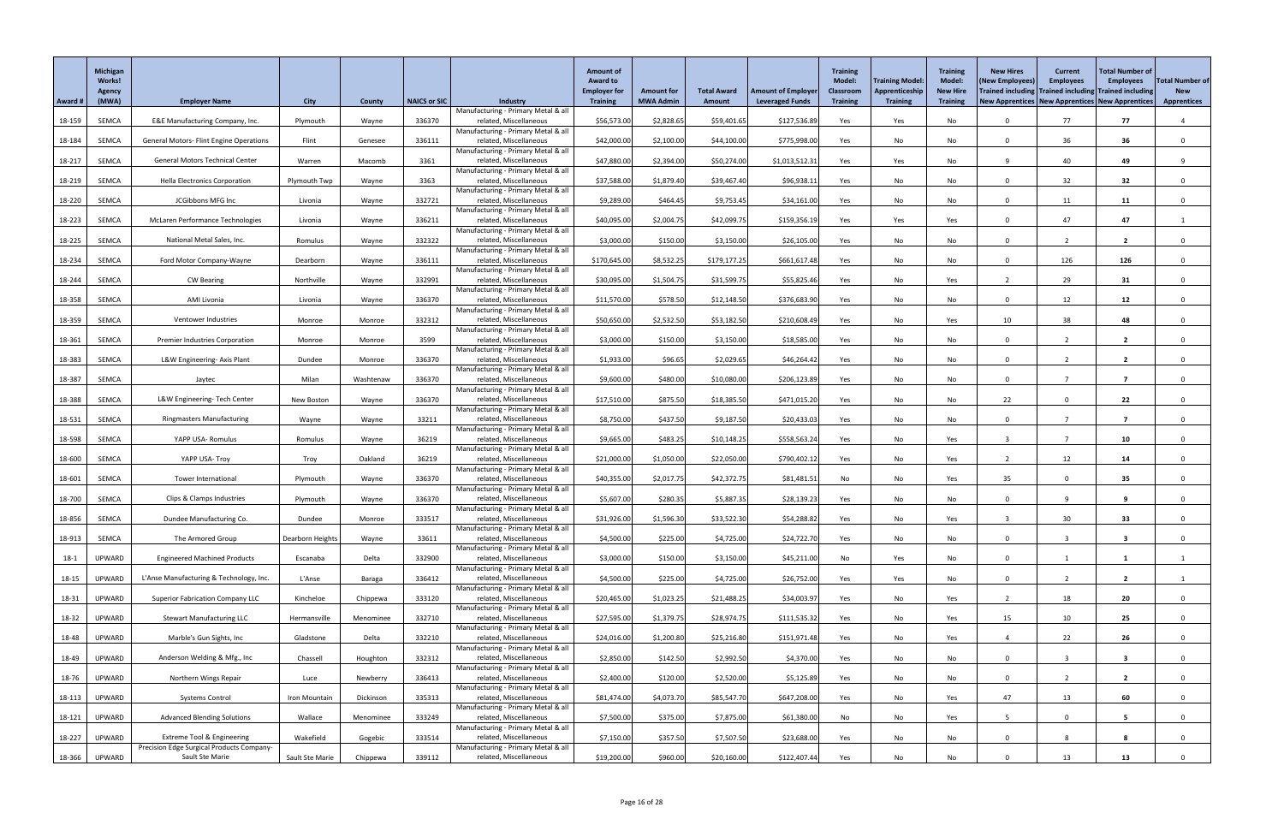|         | Michigan<br><b>Works!</b><br><b>Agency</b> |                                                              |                  |           |                     |                                                               | <b>Amount of</b><br><b>Award to</b><br><b>Employer for</b> | <b>Amount for</b> | <b>Total Award</b> | <b>Amount of Employer</b> | <b>Training</b><br><b>Model:</b><br>Classroom | <b>Training Model</b><br>Apprenticeship | <b>Training</b><br><b>Model:</b><br><b>New Hire</b> | <b>New Hires</b><br>(New Employees)<br>Trained including Trained including Trained including | <b>Current</b><br><b>Employees</b> | <b>Total Number of</b><br><b>Employees</b> | <b>Total Number of</b><br><b>New</b> |
|---------|--------------------------------------------|--------------------------------------------------------------|------------------|-----------|---------------------|---------------------------------------------------------------|------------------------------------------------------------|-------------------|--------------------|---------------------------|-----------------------------------------------|-----------------------------------------|-----------------------------------------------------|----------------------------------------------------------------------------------------------|------------------------------------|--------------------------------------------|--------------------------------------|
| Award # | (MWA)                                      | <b>Employer Name</b>                                         | <b>City</b>      | County    | <b>NAICS or SIC</b> | <b>Industry</b><br>Manufacturing - Primary Metal & all        | <b>Training</b>                                            | <b>MWA Admin</b>  | Amount             | <b>Leveraged Funds</b>    | <b>Training</b>                               | <b>Training</b>                         | <b>Training</b>                                     | New Apprentices   New Apprentices   New Apprentices                                          |                                    |                                            | <b>Apprentices</b>                   |
| 18-159  | SEMCA                                      | E&E Manufacturing Company, Inc.                              | Plymouth         | Wayne     | 336370              | related, Miscellaneous                                        | \$56,573.00                                                | \$2,828.65        | \$59,401.65        | \$127,536.89              | Yes                                           | Yes                                     | No                                                  | $\Omega$                                                                                     | 77                                 | 77                                         |                                      |
| 18-184  | SEMCA                                      | <b>General Motors- Flint Engine Operations</b>               | Flint            | Genesee   | 336111              | Manufacturing - Primary Metal & all<br>related, Miscellaneous | \$42,000.00                                                | \$2,100.00        | \$44,100.00        | \$775,998.00              | Yes                                           | No                                      | No                                                  | $\cap$                                                                                       | 36                                 | 36                                         | $\Omega$                             |
|         |                                            |                                                              |                  |           |                     | Manufacturing - Primary Metal & all                           |                                                            |                   |                    |                           |                                               |                                         |                                                     |                                                                                              |                                    |                                            |                                      |
| 18-217  | SEMCA                                      | <b>General Motors Technical Center</b>                       | Warren           | Macomb    | 3361                | related, Miscellaneous<br>Manufacturing - Primary Metal & all | \$47,880.00                                                | \$2,394.00        | \$50,274.00        | \$1,013,512.31            | Yes                                           | Yes                                     | No                                                  | Q                                                                                            | 40                                 | 49                                         |                                      |
| 18-219  | SEMCA                                      | <b>Hella Electronics Corporation</b>                         | Plymouth Twp     | Wayne     | 3363                | related, Miscellaneous<br>Manufacturing - Primary Metal & all | \$37,588.00                                                | \$1,879.40        | \$39,467.40        | \$96,938.11               | Yes                                           | No                                      | No                                                  | $\cap$                                                                                       | 32                                 | 32                                         |                                      |
| 18-220  | SEMCA                                      | JCGibbons MFG Inc                                            | Livonia          | Wayne     | 332721              | related, Miscellaneous                                        | \$9,289.00                                                 | \$464.45          | \$9,753.45         | \$34,161.00               | Yes                                           | No                                      | No                                                  | $\Omega$                                                                                     | 11                                 | 11                                         |                                      |
| 18-223  | SEMCA                                      | McLaren Performance Technologies                             | Livonia          | Wayne     | 336211              | Manufacturing - Primary Metal & all<br>related, Miscellaneous | \$40,095.00                                                | \$2,004.75        | \$42,099.75        | \$159,356.19              | Yes                                           | Yes                                     | Yes                                                 | $\Omega$                                                                                     | 47                                 | 47                                         |                                      |
|         |                                            |                                                              |                  |           |                     | Manufacturing - Primary Metal & all                           |                                                            |                   |                    |                           |                                               |                                         |                                                     | $\Omega$                                                                                     |                                    |                                            |                                      |
| 18-225  | SEMCA                                      | National Metal Sales, Inc.                                   | Romulus          | Wayne     | 332322              | related, Miscellaneous<br>Manufacturing - Primary Metal & all | \$3,000.00                                                 | \$150.00          | \$3,150.00         | \$26,105.00               | Yes                                           | No                                      | No                                                  |                                                                                              |                                    | $\overline{2}$                             |                                      |
| 18-234  | SEMCA                                      | Ford Motor Company-Wayne                                     | Dearborn         | Wayne     | 336111              | related, Miscellaneous<br>Manufacturing - Primary Metal & all | \$170,645.00                                               | \$8,532.25        | \$179,177.25       | \$661,617.48              | Yes                                           | No                                      | No                                                  | $\Omega$                                                                                     | 126                                | 126                                        |                                      |
| 18-244  | SEMCA                                      | <b>CW Bearing</b>                                            | Northville       | Wayne     | 332991              | related, Miscellaneous                                        | \$30,095.00                                                | \$1,504.75        | \$31,599.75        | \$55,825.46               | Yes                                           | No                                      | Yes                                                 |                                                                                              | 29                                 | 31                                         |                                      |
| 18-358  | SEMCA                                      | AMI Livonia                                                  | Livonia          | Wayne     | 336370              | Manufacturing - Primary Metal & all<br>related, Miscellaneous | \$11,570.00                                                | \$578.50          | \$12,148.50        | \$376,683.90              | Yes                                           | No                                      | No                                                  | $\Omega$                                                                                     | 12                                 | 12                                         |                                      |
|         |                                            | Ventower Industries                                          |                  | Monroe    | 332312              | Manufacturing - Primary Metal & all<br>related, Miscellaneous |                                                            | \$2,532.50        | \$53,182.50        | \$210,608.49              |                                               |                                         |                                                     | 10                                                                                           | 38                                 | 48                                         |                                      |
| 18-359  | SEMCA                                      |                                                              | Monroe           |           |                     | Manufacturing - Primary Metal & all                           | \$50,650.00                                                |                   |                    |                           | Yes                                           | No                                      | Yes                                                 |                                                                                              |                                    |                                            |                                      |
| 18-361  | SEMCA                                      | <b>Premier Industries Corporation</b>                        | Monroe           | Monroe    | 3599                | related, Miscellaneous<br>Manufacturing - Primary Metal & all | \$3,000.00                                                 | \$150.00          | \$3,150.00         | \$18,585.00               | Yes                                           | No                                      | No                                                  | $\Omega$                                                                                     |                                    |                                            |                                      |
| 18-383  | SEMCA                                      | L&W Engineering- Axis Plant                                  | Dundee           | Monroe    | 336370              | related, Miscellaneous                                        | \$1,933.00                                                 | \$96.65           | \$2,029.65         | \$46,264.42               | Yes                                           | No                                      | No                                                  | $\Omega$                                                                                     |                                    | $\overline{2}$                             |                                      |
| 18-387  | SEMCA                                      | Jaytec                                                       | Milan            | Washtenaw | 336370              | Manufacturing - Primary Metal & all<br>related, Miscellaneous | \$9,600.00                                                 | \$480.00          | \$10,080.00        | \$206,123.89              | Yes                                           | No                                      | No                                                  |                                                                                              |                                    |                                            |                                      |
| 18-388  | SEMCA                                      | L&W Engineering- Tech Center                                 | New Boston       | Wayne     | 336370              | Manufacturing - Primary Metal & all<br>related, Miscellaneous | \$17,510.00                                                | \$875.50          | \$18,385.50        | \$471,015.20              | Yes                                           | No                                      | No                                                  | 22                                                                                           |                                    | 22                                         |                                      |
|         |                                            |                                                              |                  |           |                     | Manufacturing - Primary Metal & all                           |                                                            |                   |                    |                           |                                               |                                         |                                                     |                                                                                              |                                    |                                            |                                      |
| 18-531  | SEMCA                                      | <b>Ringmasters Manufacturing</b>                             | Wayne            | Wayne     | 33211               | related, Miscellaneous<br>Manufacturing - Primary Metal & all | \$8,750.00                                                 | \$437.50          | \$9,187.50         | \$20,433.03               | Yes                                           | No                                      | No                                                  | $\cap$                                                                                       |                                    | 7                                          |                                      |
| 18-598  | SEMCA                                      | YAPP USA- Romulus                                            | Romulus          | Wayne     | 36219               | related, Miscellaneous<br>Manufacturing - Primary Metal & all | \$9,665.00                                                 | \$483.25          | \$10,148.25        | \$558,563.24              | Yes                                           | No                                      | Yes                                                 |                                                                                              |                                    | 10                                         |                                      |
| 18-600  | SEMCA                                      | YAPP USA- Troy                                               | Troy             | Oakland   | 36219               | related, Miscellaneous                                        | \$21,000.00                                                | \$1,050.00        | \$22,050.00        | \$790,402.12              | Yes                                           | No                                      | Yes                                                 |                                                                                              | 12                                 | 14                                         |                                      |
| 18-601  | SEMCA                                      | Tower International                                          | Plymouth         | Wayne     | 336370              | Manufacturing - Primary Metal & all<br>related, Miscellaneous | \$40,355.00                                                | \$2,017.75        | \$42,372.75        | \$81,481.51               | No                                            | No                                      | Yes                                                 | 35                                                                                           |                                    | 35                                         |                                      |
| 18-700  | SEMCA                                      | Clips & Clamps Industries                                    | Plymouth         | Wayne     | 336370              | Manufacturing - Primary Metal & all<br>related, Miscellaneous | \$5,607.00                                                 | \$280.35          | \$5,887.35         | \$28,139.23               | Yes                                           | No                                      | No                                                  | $\Omega$                                                                                     | ٥                                  | 9                                          |                                      |
|         |                                            |                                                              |                  |           |                     | Manufacturing - Primary Metal & all                           |                                                            |                   |                    |                           |                                               |                                         |                                                     |                                                                                              |                                    |                                            |                                      |
| 18-856  | SEMCA                                      | Dundee Manufacturing Co.                                     | Dundee           | Monroe    | 333517              | related, Miscellaneous<br>Manufacturing - Primary Metal & all | \$31,926.00                                                | \$1,596.30        | \$33,522.30        | \$54,288.82               | Yes                                           | No                                      | Yes                                                 |                                                                                              | 30                                 | 33                                         |                                      |
| 18-913  | SEMCA                                      | The Armored Group                                            | Dearborn Heights | Wayne     | 33611               | related, Miscellaneous                                        | \$4,500.00                                                 | \$225.00          | \$4,725.00         | \$24,722.70               | Yes                                           | No                                      | No                                                  | $\Omega$                                                                                     |                                    | 3                                          |                                      |
| $18-1$  | UPWARD                                     | <b>Engineered Machined Products</b>                          | Escanaba         | Delta     | 332900              | Manufacturing - Primary Metal & all<br>related, Miscellaneous | \$3,000.00                                                 | \$150.00          | \$3,150.00         | \$45,211.00               | No                                            | Yes                                     | No                                                  | $\Omega$                                                                                     |                                    |                                            |                                      |
| 18-15   | UPWARD                                     | L'Anse Manufacturing & Technology, Inc.                      | L'Anse           | Baraga    | 336412              | Manufacturing - Primary Metal & all<br>related, Miscellaneous | \$4,500.00                                                 | \$225.00          | \$4,725.00         | \$26,752.00               | Yes                                           | Yes                                     | No                                                  | $\Omega$                                                                                     |                                    | $\overline{2}$                             |                                      |
|         |                                            |                                                              |                  |           |                     | Manufacturing - Primary Metal & all                           |                                                            |                   |                    |                           |                                               |                                         |                                                     |                                                                                              |                                    |                                            |                                      |
| 18-31   | UPWARD                                     | <b>Superior Fabrication Company LLC</b>                      | Kincheloe        | Chippewa  | 333120              | related, Miscellaneous<br>Manufacturing - Primary Metal & all | \$20,465.00                                                | \$1,023.25        | \$21,488.25        | \$34,003.97               | Yes                                           | No                                      | Yes                                                 |                                                                                              | 18                                 | 20                                         |                                      |
| 18-32   | UPWARD                                     | <b>Stewart Manufacturing LLC</b>                             | Hermansville     | Menominee | 332710              | related, Miscellaneous<br>Manufacturing - Primary Metal & all | \$27,595.00                                                | \$1,379.75        | \$28,974.75        | \$111,535.32              | Yes                                           | No                                      | Yes                                                 | 15                                                                                           | 10                                 | 25                                         |                                      |
| 18-48   | UPWARD                                     | Marble's Gun Sights, Inc                                     | Gladstone        | Delta     | 332210              | related, Miscellaneous                                        | \$24,016.00                                                | \$1,200.80        | \$25,216.80        | \$151,971.48              | Yes                                           | No                                      | Yes                                                 |                                                                                              | 22                                 | 26                                         |                                      |
| 18-49   | UPWARD                                     | Anderson Welding & Mfg., Inc                                 | Chassell         | Houghton  | 332312              | Manufacturing - Primary Metal & all<br>related, Miscellaneous | \$2,850.00                                                 | \$142.50          | \$2,992.50         | \$4,370.00                | Yes                                           | No                                      | No                                                  | $\Omega$                                                                                     |                                    | 3                                          |                                      |
| 18-76   | UPWARD                                     | Northern Wings Repair                                        | Luce             | Newberry  | 336413              | Manufacturing - Primary Metal & all<br>related, Miscellaneous | \$2,400.00                                                 | \$120.00          | \$2,520.00         | \$5,125.89                | Yes                                           | No                                      | No                                                  |                                                                                              |                                    | $\mathbf{z}$                               |                                      |
|         |                                            |                                                              |                  |           |                     | Manufacturing - Primary Metal & all                           |                                                            |                   |                    |                           |                                               |                                         |                                                     |                                                                                              |                                    |                                            |                                      |
| 18-113  | UPWARD                                     | <b>Systems Control</b>                                       | Iron Mountain    | Dickinson | 335313              | related, Miscellaneous<br>Manufacturing - Primary Metal & all | \$81,474.00                                                | \$4,073.70        | \$85,547.70        | \$647,208.00              | Yes                                           | No                                      | Yes                                                 | 47                                                                                           | 13                                 | 60                                         | $\Omega$                             |
| 18-121  | UPWARD                                     | <b>Advanced Blending Solutions</b>                           | Wallace          | Menominee | 333249              | related, Miscellaneous<br>Manufacturing - Primary Metal & all | \$7,500.00                                                 | \$375.00          | \$7,875.00         | \$61,380.00               | No                                            | No                                      | Yes                                                 |                                                                                              |                                    | 5 <sup>5</sup>                             | $\Omega$                             |
| 18-227  | UPWARD                                     | Extreme Tool & Engineering                                   | Wakefield        | Gogebic   | 333514              | related, Miscellaneous                                        | \$7,150.00                                                 | \$357.50          | \$7,507.50         | \$23,688.00               | Yes                                           | No                                      | No                                                  | $\Omega$                                                                                     |                                    | 8                                          | $\Omega$                             |
| 18-366  | UPWARD                                     | Precision Edge Surgical Products Company-<br>Sault Ste Marie | Sault Ste Marie  | Chippewa  | 339112              | Manufacturing - Primary Metal & all<br>related, Miscellaneous | \$19,200.00                                                | \$960.00          | \$20,160.00        | \$122,407.44              | Yes                                           | No                                      | No                                                  |                                                                                              | 13                                 | 13                                         |                                      |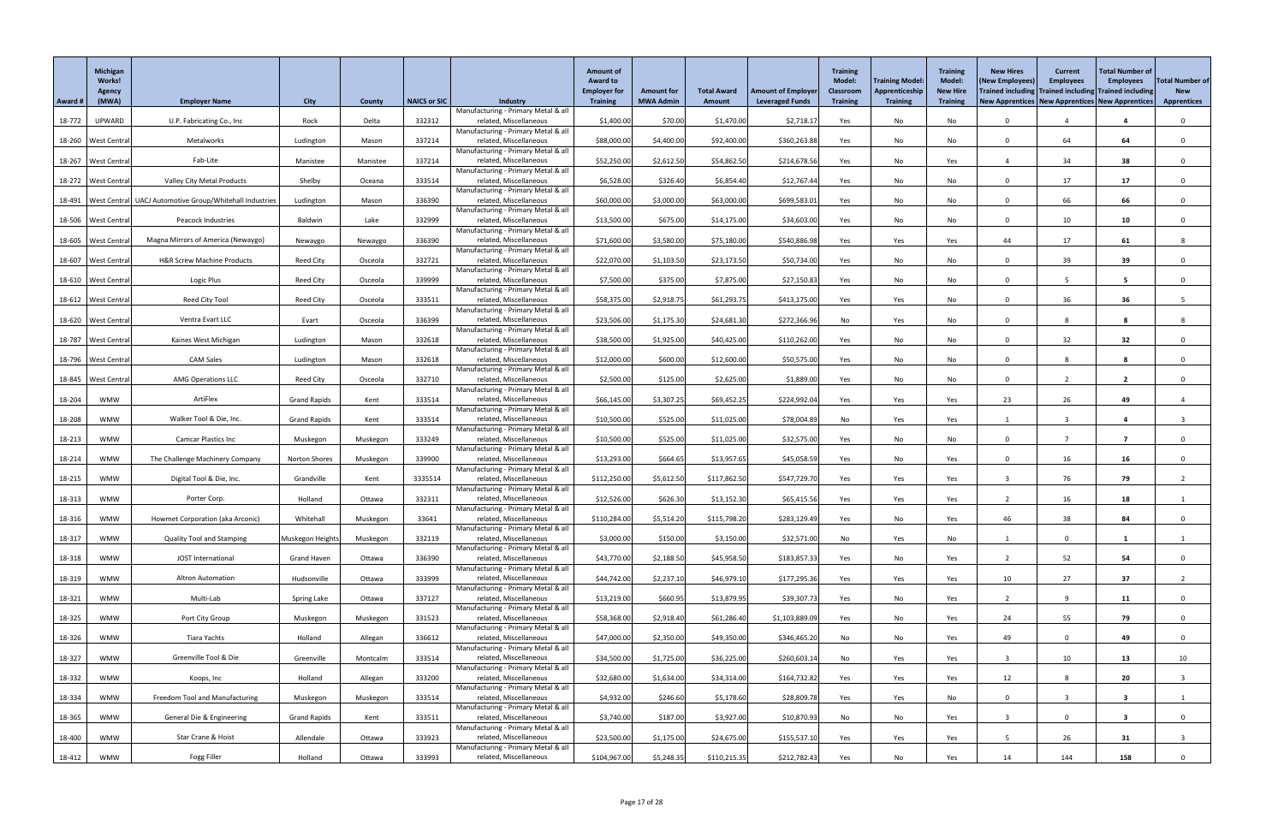|         | Michigan<br><b>Works!</b><br>Agency |                                                                    |                     |          |                     |                                                               | <b>Amount of</b><br><b>Award to</b><br><b>Employer for</b> | <b>Amount for</b> | <b>Total Award</b> | <b>Amount of Employer</b> | <b>Training</b><br><b>Model:</b><br><b>Classroom</b> | <b>Training Model:</b><br>Apprenticeship | <b>Training</b><br><b>Model:</b><br><b>New Hire</b> | <b>New Hires</b><br>(New Employees)<br>Trained including Trained including Trained including | <b>Current</b><br><b>Employees</b> | <b>Total Number of</b><br><b>Employees</b> | <b>Total Number of</b><br><b>New</b> |
|---------|-------------------------------------|--------------------------------------------------------------------|---------------------|----------|---------------------|---------------------------------------------------------------|------------------------------------------------------------|-------------------|--------------------|---------------------------|------------------------------------------------------|------------------------------------------|-----------------------------------------------------|----------------------------------------------------------------------------------------------|------------------------------------|--------------------------------------------|--------------------------------------|
| Award # | (MWA)                               | <b>Employer Name</b>                                               | <b>City</b>         | County   | <b>NAICS or SIC</b> | <b>Industry</b><br>Manufacturing - Primary Metal & all        | <b>Training</b>                                            | <b>MWA Admin</b>  | Amount             | <b>Leveraged Funds</b>    | <b>Training</b>                                      | <b>Training</b>                          | <b>Training</b>                                     | <b>New Apprentices   New Apprentices   New Apprentices</b>                                   |                                    |                                            | <b>Apprentices</b>                   |
| 18-772  | UPWARD                              | U.P. Fabricating Co., Inc                                          | Rock                | Delta    | 332312              | related, Miscellaneous                                        | \$1,400.00                                                 | \$70.00           | \$1,470.00         | \$2,718.17                | Yes                                                  | No                                       | No                                                  | $\Omega$                                                                                     |                                    | $\overline{\mathbf{a}}$                    |                                      |
|         | 18-260   West Central               | Metalworks                                                         | Ludington           | Mason    | 337214              | Manufacturing - Primary Metal & all<br>related, Miscellaneous | \$88,000.00                                                | \$4,400.00        | \$92,400.00        | \$360,263.88              | Yes                                                  | No                                       | No                                                  | $\Omega$                                                                                     | 64                                 | 64                                         | $\Omega$                             |
|         |                                     |                                                                    |                     | Manistee | 337214              | Manufacturing - Primary Metal & all                           |                                                            |                   |                    |                           |                                                      |                                          |                                                     |                                                                                              | 34                                 |                                            |                                      |
|         | 18-267 West Central                 | Fab-Lite                                                           | Manistee            |          |                     | related, Miscellaneous<br>Manufacturing - Primary Metal & all | \$52,250.00                                                | \$2,612.50        | \$54,862.50        | \$214,678.56              | Yes                                                  | No                                       | Yes                                                 |                                                                                              |                                    | 38                                         |                                      |
|         | 18-272   West Central               | <b>Valley City Metal Products</b>                                  | Shelby              | Oceana   | 333514              | related, Miscellaneous<br>Manufacturing - Primary Metal & all | \$6,528.00                                                 | \$326.40          | \$6,854.40         | \$12,767.44               | Yes                                                  | No                                       | No                                                  | $\Omega$                                                                                     | 17                                 | 17                                         |                                      |
|         |                                     | 18-491   West Central   UACJ Automotive Group/Whitehall Industries | Ludington           | Mason    | 336390              | related, Miscellaneous                                        | \$60,000.00                                                | \$3,000.00        | \$63,000.00        | \$699,583.0               | Yes                                                  | No                                       | No                                                  | $\Omega$                                                                                     | 66                                 | 66                                         |                                      |
|         | 18-506 West Central                 | Peacock Industries                                                 | Baldwin             | Lake     | 332999              | Manufacturing - Primary Metal & all<br>related, Miscellaneous | \$13,500.00                                                | \$675.00          | \$14,175.00        | \$34,603.00               | Yes                                                  | No                                       | No                                                  | $\Omega$                                                                                     | 10                                 | 10                                         |                                      |
|         |                                     |                                                                    |                     |          |                     | Manufacturing - Primary Metal & all                           |                                                            |                   |                    |                           |                                                      |                                          |                                                     |                                                                                              |                                    |                                            |                                      |
|         | 18-605   West Centra                | Magna Mirrors of America (Newaygo)                                 | Newaygo             | Newaygo  | 336390              | related, Miscellaneous<br>Manufacturing - Primary Metal & all | \$71,600.00                                                | \$3,580.00        | \$75,180.00        | \$540,886.98              | Yes                                                  | Yes                                      | Yes                                                 | 44                                                                                           | 17                                 | 61                                         |                                      |
| 18-607  | <b>West Central</b>                 | H&R Screw Machine Products                                         | <b>Reed City</b>    | Osceola  | 332721              | related, Miscellaneous                                        | \$22,070.00                                                | \$1,103.50        | \$23,173.50        | \$50,734.00               | Yes                                                  | No                                       | No                                                  | $\Omega$                                                                                     | 39                                 | 39                                         |                                      |
|         | 18-610   West Central               | Logic Plus                                                         | Reed City           | Osceola  | 339999              | Manufacturing - Primary Metal & all<br>related, Miscellaneous | \$7,500.00                                                 | \$375.00          | \$7,875.00         | \$27,150.83               | Yes                                                  | No                                       | No                                                  | $\Omega$                                                                                     | -5                                 | $5\overline{)}$                            |                                      |
|         |                                     |                                                                    |                     |          |                     | Manufacturing - Primary Metal & all                           |                                                            |                   |                    |                           |                                                      |                                          |                                                     | $\Omega$                                                                                     |                                    |                                            |                                      |
|         | 18-612   West Central               | Reed City Tool                                                     | <b>Reed City</b>    | Osceola  | 333511              | related, Miscellaneous<br>Manufacturing - Primary Metal & all | \$58,375.00                                                | \$2,918.7         | \$61,293.75        | \$413,175.00              | Yes                                                  | Yes                                      | No                                                  |                                                                                              | 36                                 | 36                                         |                                      |
|         | 18-620 West Central                 | Ventra Evart LLC                                                   | Evart               | Osceola  | 336399              | related, Miscellaneous<br>Manufacturing - Primary Metal & all | \$23,506.00                                                | \$1,175.30        | \$24,681.30        | \$272,366.96              | No                                                   | Yes                                      | No                                                  | $\Omega$                                                                                     | 8                                  |                                            |                                      |
|         | 18-787   West Central               | Kaines West Michigan                                               | Ludington           | Mason    | 332618              | related, Miscellaneous                                        | \$38,500.00                                                | \$1,925.00        | \$40,425.00        | \$110,262.00              | Yes                                                  | No                                       | No                                                  | $\Omega$                                                                                     | 32                                 | 32                                         |                                      |
|         | 18-796 West Central                 | <b>CAM Sales</b>                                                   | Ludington           | Mason    | 332618              | Manufacturing - Primary Metal & all<br>related, Miscellaneous | \$12,000.00                                                | \$600.00          | \$12,600.00        | \$50,575.00               | Yes                                                  | No                                       | No                                                  | $\Omega$                                                                                     | $\Omega$                           | 8                                          |                                      |
|         |                                     |                                                                    |                     |          |                     | Manufacturing - Primary Metal & all                           |                                                            |                   |                    |                           |                                                      |                                          |                                                     |                                                                                              |                                    |                                            |                                      |
|         | 18-845   West Central               | <b>AMG Operations LLC</b>                                          | Reed City           | Osceola  | 332710              | related, Miscellaneous<br>Manufacturing - Primary Metal & all | \$2,500.00                                                 | \$125.00          | \$2,625.00         | \$1,889.00                | Yes                                                  | No                                       | No                                                  |                                                                                              |                                    |                                            |                                      |
| 18-204  | <b>WMW</b>                          | ArtiFlex                                                           | <b>Grand Rapids</b> | Kent     | 333514              | related, Miscellaneous<br>Manufacturing - Primary Metal & all | \$66,145.00                                                | \$3,307.25        | \$69,452.25        | \$224,992.04              | Yes                                                  | Yes                                      | Yes                                                 | 23                                                                                           | 26                                 | 49                                         |                                      |
| 18-208  | <b>WMW</b>                          | Walker Tool & Die, Inc.                                            | <b>Grand Rapids</b> | Kent     | 333514              | related, Miscellaneous                                        | \$10,500.00                                                | \$525.00          | \$11,025.00        | \$78,004.89               | No                                                   | Yes                                      | Yes                                                 |                                                                                              | -3                                 | $\overline{\mathbf{4}}$                    |                                      |
| 18-213  | <b>WMW</b>                          | <b>Camcar Plastics Inc</b>                                         | Muskegon            | Muskegon | 333249              | Manufacturing - Primary Metal & all<br>related, Miscellaneous | \$10,500.00                                                | \$525.00          | \$11,025.00        | \$32,575.00               | Yes                                                  | No                                       | No                                                  | $\Omega$                                                                                     |                                    | - 7                                        |                                      |
|         |                                     |                                                                    |                     |          |                     | Manufacturing - Primary Metal & all                           |                                                            |                   |                    |                           |                                                      |                                          |                                                     |                                                                                              |                                    |                                            |                                      |
| 18-214  | <b>WMW</b>                          | The Challenge Machinery Company                                    | Norton Shores       | Muskegon | 339900              | related, Miscellaneous<br>Manufacturing - Primary Metal & all | \$13,293.00                                                | \$664.65          | \$13,957.65        | \$45,058.59               | Yes                                                  | No                                       | Yes                                                 | $\cap$                                                                                       | 16                                 | 16                                         |                                      |
| 18-215  | <b>WMW</b>                          | Digital Tool & Die, Inc.                                           | Grandville          | Kent     | 3335514             | related, Miscellaneous                                        | \$112,250.00                                               | \$5,612.50        | \$117,862.50       | \$547,729.70              | Yes                                                  | Yes                                      | Yes                                                 |                                                                                              | 76                                 | 79                                         |                                      |
| 18-313  | <b>WMW</b>                          | Porter Corp.                                                       | Holland             | Ottawa   | 332311              | Manufacturing - Primary Metal & all<br>related, Miscellaneous | \$12,526.00                                                | \$626.30          | \$13,152.30        | \$65,415.56               | Yes                                                  | Yes                                      | Yes                                                 |                                                                                              | 16                                 | 18                                         |                                      |
| 18-316  | <b>WMW</b>                          | Howmet Corporation (aka Arconic)                                   | Whitehall           | Muskegon | 33641               | Manufacturing - Primary Metal & all<br>related, Miscellaneous | \$110,284.00                                               | \$5,514.20        | \$115,798.20       | \$283,129.49              | Yes                                                  | No                                       | Yes                                                 | 46                                                                                           | 38                                 | 84                                         |                                      |
|         |                                     |                                                                    |                     |          |                     | Manufacturing - Primary Metal & all                           |                                                            |                   |                    |                           |                                                      |                                          |                                                     |                                                                                              |                                    |                                            |                                      |
| 18-317  | <b>WMW</b>                          | <b>Quality Tool and Stamping</b>                                   | Muskegon Heights    | Muskegon | 332119              | related, Miscellaneous<br>Manufacturing - Primary Metal & all | \$3,000.00                                                 | \$150.00          | \$3,150.00         | \$32,571.00               | No                                                   | Yes                                      | No                                                  |                                                                                              |                                    |                                            |                                      |
| 18-318  | <b>WMW</b>                          | JOST International                                                 | <b>Grand Haven</b>  | Ottawa   | 336390              | related, Miscellaneous                                        | \$43,770.00                                                | \$2,188.50        | \$45,958.50        | \$183,857.33              | Yes                                                  | No                                       | Yes                                                 |                                                                                              | 52                                 | 54                                         |                                      |
| 18-319  | <b>WMW</b>                          | <b>Altron Automation</b>                                           | Hudsonville         | Ottawa   | 333999              | Manufacturing - Primary Metal & all<br>related, Miscellaneous | \$44,742.00                                                | \$2,237.10        | \$46,979.10        | \$177,295.36              | Yes                                                  | Yes                                      | Yes                                                 | 10                                                                                           | 27                                 | 37                                         |                                      |
|         |                                     |                                                                    |                     |          |                     | Manufacturing - Primary Metal & all                           |                                                            |                   |                    |                           |                                                      |                                          |                                                     |                                                                                              |                                    |                                            |                                      |
| 18-321  | <b>WMW</b>                          | Multi-Lab                                                          | Spring Lake         | Ottawa   | 337127              | related, Miscellaneous<br>Manufacturing - Primary Metal & all | \$13,219.00                                                | \$660.95          | \$13,879.95        | \$39,307.73               | Yes                                                  | No                                       | Yes                                                 |                                                                                              |                                    | 11                                         |                                      |
| 18-325  | <b>WMW</b>                          | Port City Group                                                    | Muskegon            | Muskegon | 331523              | related, Miscellaneous<br>Manufacturing - Primary Metal & all | \$58,368.00                                                | \$2,918.40        | \$61,286.40        | \$1,103,889.09            | Yes                                                  | No                                       | Yes                                                 | 24                                                                                           | 55                                 | 79                                         |                                      |
| 18-326  | <b>WMW</b>                          | Tiara Yachts                                                       | Holland             | Allegan  | 336612              | related, Miscellaneous                                        | \$47,000.00                                                | \$2,350.00        | \$49,350.00        | \$346,465.20              | No                                                   | No                                       | Yes                                                 | 49                                                                                           | $\Omega$                           | 49                                         | $\mathbf{0}$                         |
| 18-327  | <b>WMW</b>                          | Greenville Tool & Die                                              | Greenville          | Montcalm | 333514              | Manufacturing - Primary Metal & all<br>related, Miscellaneous | \$34,500.00                                                | \$1,725.00        | \$36,225.00        | \$260,603.14              | No                                                   | Yes                                      | Yes                                                 |                                                                                              | 10                                 | 13                                         | 10 <sup>°</sup>                      |
|         |                                     |                                                                    |                     |          |                     | Manufacturing - Primary Metal & all                           |                                                            |                   |                    |                           |                                                      |                                          |                                                     |                                                                                              |                                    |                                            |                                      |
| 18-332  | WMW                                 | Koops, Inc                                                         | Holland             | Allegan  | 333200              | related, Miscellaneous<br>Manufacturing - Primary Metal & all | \$32,680.00                                                | \$1,634.00        | \$34,314.00        | \$164,732.82              | Yes                                                  | Yes                                      | Yes                                                 | 12                                                                                           |                                    | 20                                         |                                      |
| 18-334  | <b>WMW</b>                          | Freedom Tool and Manufacturing                                     | Muskegon            | Muskegon | 333514              | related, Miscellaneous<br>Manufacturing - Primary Metal & all | \$4,932.00                                                 | \$246.60          | \$5,178.60         | \$28,809.78               | Yes                                                  | Yes                                      | No                                                  | $\Omega$                                                                                     |                                    | $\overline{\mathbf{3}}$                    |                                      |
| 18-365  | <b>WMW</b>                          | General Die & Engineering                                          | <b>Grand Rapids</b> | Kent     | 333511              | related, Miscellaneous                                        | \$3,740.00                                                 | \$187.00          | \$3,927.00         | \$10,870.93               | No                                                   | No                                       | Yes                                                 |                                                                                              |                                    | 3                                          | $\Omega$                             |
| 18-400  | <b>WMW</b>                          | Star Crane & Hoist                                                 | Allendale           | Ottawa   | 333923              | Manufacturing - Primary Metal & all<br>related, Miscellaneous | \$23,500.00                                                | \$1,175.00        | \$24,675.00        | \$155,537.10              | Yes                                                  | Yes                                      | Yes                                                 |                                                                                              | 26                                 | 31                                         |                                      |
|         |                                     |                                                                    |                     |          |                     | Manufacturing - Primary Metal & all                           |                                                            |                   |                    |                           |                                                      |                                          |                                                     |                                                                                              |                                    |                                            |                                      |
| 18-412  | <b>WMW</b>                          | Fogg Filler                                                        | Holland             | Ottawa   | 333993              | related, Miscellaneous                                        | \$104,967.00                                               | \$5,248.35        | \$110,215.35       | \$212,782.43              | Yes                                                  | No                                       | Yes                                                 | 14                                                                                           | 144                                | 158                                        |                                      |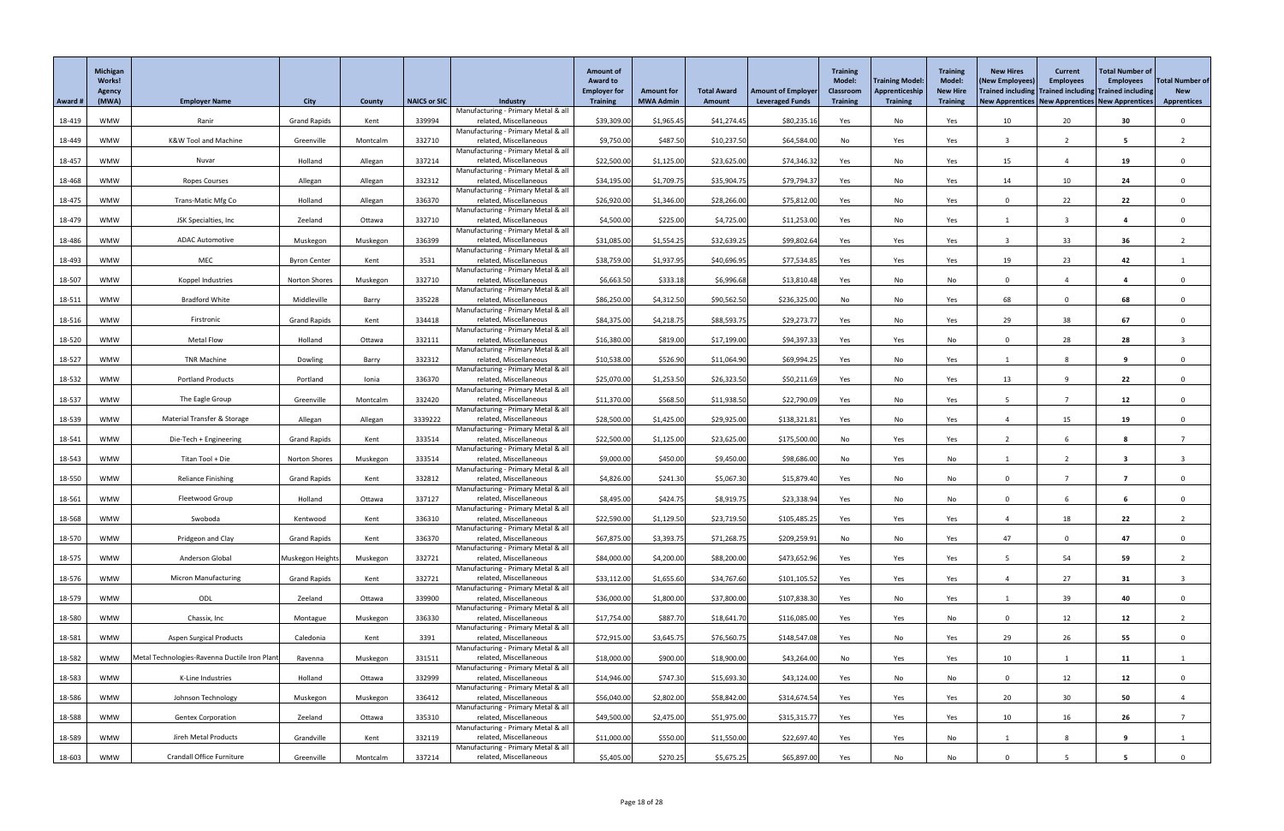|         | Michigan<br><b>Works!</b><br><b>Agency</b> |                                               |                      |          |                     |                                                               | <b>Amount of</b><br><b>Award to</b><br><b>Employer for</b> | <b>Amount for</b> | <b>Total Award</b> | <b>Amount of Employer</b> | <b>Training</b><br><b>Model:</b><br><b>Classroom</b> | <b>Training Model:</b><br>Apprenticeship | <b>Training</b><br><b>Model:</b><br><b>New Hire</b> | <b>New Hires</b><br>(New Employees)<br>Trained including Trained including Trained including | <b>Current</b><br><b>Employees</b> | <b>Total Number of</b><br><b>Employees</b> | <b>Total Number of</b><br><b>New</b> |
|---------|--------------------------------------------|-----------------------------------------------|----------------------|----------|---------------------|---------------------------------------------------------------|------------------------------------------------------------|-------------------|--------------------|---------------------------|------------------------------------------------------|------------------------------------------|-----------------------------------------------------|----------------------------------------------------------------------------------------------|------------------------------------|--------------------------------------------|--------------------------------------|
| Award # | (MWA)                                      | <b>Employer Name</b>                          | <b>City</b>          | County   | <b>NAICS or SIC</b> | <b>Industry</b><br>Manufacturing - Primary Metal & all        | <b>Training</b>                                            | <b>MWA Admin</b>  | Amount             | <b>Leveraged Funds</b>    | <b>Training</b>                                      | <b>Training</b>                          | <b>Training</b>                                     | New Apprentices   New Apprentices   New Apprentices                                          |                                    |                                            | <b>Apprentices</b>                   |
| 18-419  | <b>WMW</b>                                 | Ranir                                         | <b>Grand Rapids</b>  | Kent     | 339994              | related, Miscellaneous                                        | \$39,309.00                                                | \$1,965.45        | \$41,274.45        | \$80,235.16               | Yes                                                  | No                                       | Yes                                                 | 10                                                                                           | 20                                 | 30 <sub>o</sub>                            | $\mathbf{0}$                         |
| 18-449  | <b>WMW</b>                                 | <b>K&amp;W Tool and Machine</b>               | Greenville           | Montcalm | 332710              | Manufacturing - Primary Metal & all<br>related, Miscellaneous | \$9,750.00                                                 | \$487.50          | \$10,237.50        | \$64,584.00               | No                                                   | Yes                                      | Yes                                                 |                                                                                              | $\overline{2}$                     | 5                                          |                                      |
|         |                                            |                                               |                      |          |                     | Manufacturing - Primary Metal & all                           |                                                            |                   |                    |                           |                                                      |                                          |                                                     |                                                                                              |                                    |                                            |                                      |
| 18-457  | <b>WMW</b>                                 | Nuvar                                         | Holland              | Allegan  | 337214              | related, Miscellaneous<br>Manufacturing - Primary Metal & all | \$22,500.00                                                | \$1,125.00        | \$23,625.00        | \$74,346.32               | Yes                                                  | No                                       | Yes                                                 | 15                                                                                           |                                    | 19                                         |                                      |
| 18-468  | <b>WMW</b>                                 | Ropes Courses                                 | Allegan              | Allegan  | 332312              | related, Miscellaneous                                        | \$34,195.00                                                | \$1,709.75        | \$35,904.75        | \$79,794.37               | Yes                                                  | No                                       | Yes                                                 | 14                                                                                           | 10                                 | 24                                         |                                      |
| 18-475  | <b>WMW</b>                                 | <b>Trans-Matic Mfg Co</b>                     | Holland              | Allegan  | 336370              | Manufacturing - Primary Metal & all<br>related, Miscellaneous | \$26,920.00                                                | \$1,346.00        | \$28,266.00        | \$75,812.00               | Yes                                                  | No                                       | Yes                                                 | $\Omega$                                                                                     | 22                                 | 22                                         |                                      |
|         |                                            |                                               |                      |          | 332710              | Manufacturing - Primary Metal & all<br>related, Miscellaneous |                                                            | \$225.00          |                    |                           |                                                      |                                          |                                                     |                                                                                              |                                    |                                            |                                      |
| 18-479  | <b>WMW</b>                                 | JSK Specialties, Inc                          | Zeeland              | Ottawa   |                     | Manufacturing - Primary Metal & all                           | \$4,500.00                                                 |                   | \$4,725.00         | \$11,253.00               | Yes                                                  | No                                       | Yes                                                 |                                                                                              |                                    | 4                                          |                                      |
| 18-486  | <b>WMW</b>                                 | <b>ADAC Automotive</b>                        | Muskegon             | Muskegon | 336399              | related, Miscellaneous<br>Manufacturing - Primary Metal & all | \$31,085.00                                                | \$1,554.25        | \$32,639.25        | \$99,802.64               | Yes                                                  | Yes                                      | Yes                                                 |                                                                                              | 33                                 | 36                                         |                                      |
| 18-493  | <b>WMW</b>                                 | MEC                                           | <b>Byron Center</b>  | Kent     | 3531                | related, Miscellaneous                                        | \$38,759.00                                                | \$1,937.95        | \$40,696.95        | \$77,534.85               | Yes                                                  | Yes                                      | Yes                                                 | 19                                                                                           | 23                                 | 42                                         |                                      |
| 18-507  | <b>WMW</b>                                 | Koppel Industries                             | <b>Norton Shores</b> | Muskegon | 332710              | Manufacturing - Primary Metal & all<br>related, Miscellaneous | \$6,663.50                                                 | \$333.18          | \$6,996.68         | \$13,810.48               | Yes                                                  | No                                       | No                                                  | $\Omega$                                                                                     |                                    | 4                                          |                                      |
|         |                                            |                                               |                      |          |                     | Manufacturing - Primary Metal & all                           |                                                            |                   |                    |                           |                                                      |                                          |                                                     |                                                                                              |                                    |                                            |                                      |
| 18-511  | <b>WMW</b>                                 | <b>Bradford White</b>                         | Middleville          | Barry    | 335228              | related, Miscellaneous<br>Manufacturing - Primary Metal & all | \$86,250.00                                                | \$4,312.50        | \$90,562.50        | \$236,325.00              | No                                                   | No                                       | Yes                                                 | 68                                                                                           |                                    | 68                                         | $\Omega$                             |
| 18-516  | <b>WMW</b>                                 | Firstronic                                    | <b>Grand Rapids</b>  | Kent     | 334418              | related, Miscellaneous<br>Manufacturing - Primary Metal & all | \$84,375.00                                                | \$4,218.75        | \$88,593.75        | \$29,273.77               | Yes                                                  | No                                       | Yes                                                 | 29                                                                                           | 38                                 | 67                                         |                                      |
| 18-520  | <b>WMW</b>                                 | <b>Metal Flow</b>                             | Holland              | Ottawa   | 332111              | related, Miscellaneous                                        | \$16,380.00                                                | \$819.00          | \$17,199.00        | \$94,397.33               | Yes                                                  | Yes                                      | No                                                  | $\Omega$                                                                                     | 28                                 | 28                                         |                                      |
| 18-527  | <b>WMW</b>                                 | <b>TNR Machine</b>                            | Dowling              | Barry    | 332312              | Manufacturing - Primary Metal & all<br>related, Miscellaneous | \$10,538.00                                                | \$526.90          | \$11,064.90        | \$69,994.25               | Yes                                                  | No                                       | Yes                                                 |                                                                                              | $\Omega$                           | 9                                          |                                      |
|         |                                            |                                               |                      |          |                     | Manufacturing - Primary Metal & all                           |                                                            |                   |                    |                           |                                                      |                                          |                                                     |                                                                                              |                                    |                                            |                                      |
| 18-532  | WMW                                        | <b>Portland Products</b>                      | Portland             | Ionia    | 336370              | related, Miscellaneous<br>Manufacturing - Primary Metal & all | \$25,070.00                                                | \$1,253.50        | \$26,323.50        | \$50,211.69               | Yes                                                  | No                                       | Yes                                                 | 13                                                                                           |                                    | 22                                         |                                      |
| 18-537  | <b>WMW</b>                                 | The Eagle Group                               | Greenville           | Montcalm | 332420              | related, Miscellaneous<br>Manufacturing - Primary Metal & all | \$11,370.00                                                | \$568.50          | \$11,938.50        | \$22,790.09               | Yes                                                  | No                                       | Yes                                                 |                                                                                              |                                    | 12                                         |                                      |
| 18-539  | <b>WMW</b>                                 | Material Transfer & Storage                   | Allegan              | Allegan  | 3339222             | related, Miscellaneous                                        | \$28,500.00                                                | \$1,425.00        | \$29,925.00        | \$138,321.8               | Yes                                                  | No                                       | Yes                                                 |                                                                                              | 15                                 | 19                                         |                                      |
| 18-541  | <b>WMW</b>                                 | Die-Tech + Engineering                        | <b>Grand Rapids</b>  | Kent     | 333514              | Manufacturing - Primary Metal & all<br>related, Miscellaneous | \$22,500.00                                                | \$1,125.00        | \$23,625.00        | \$175,500.00              | No                                                   | Yes                                      | Yes                                                 |                                                                                              |                                    |                                            |                                      |
|         |                                            |                                               |                      |          |                     | Manufacturing - Primary Metal & all                           |                                                            |                   |                    |                           |                                                      |                                          |                                                     |                                                                                              |                                    |                                            |                                      |
| 18-543  | <b>WMW</b>                                 | Titan Tool + Die                              | <b>Norton Shores</b> | Muskegon | 333514              | related, Miscellaneous<br>Manufacturing - Primary Metal & all | \$9,000.00                                                 | \$450.00          | \$9,450.00         | \$98,686.00               | No                                                   | Yes                                      | No                                                  |                                                                                              |                                    | -3                                         |                                      |
| 18-550  | <b>WMW</b>                                 | <b>Reliance Finishing</b>                     | <b>Grand Rapids</b>  | Kent     | 332812              | related, Miscellaneous<br>Manufacturing - Primary Metal & all | \$4,826.00                                                 | \$241.30          | \$5,067.30         | \$15,879.40               | Yes                                                  | No                                       | No                                                  |                                                                                              |                                    |                                            |                                      |
| 18-561  | <b>WMW</b>                                 | Fleetwood Group                               | Holland              | Ottawa   | 337127              | related, Miscellaneous                                        | \$8,495.00                                                 | \$424.75          | \$8,919.75         | \$23,338.94               | Yes                                                  | No                                       | No                                                  | $\cap$                                                                                       | 6                                  |                                            |                                      |
| 18-568  | <b>WMW</b>                                 | Swoboda                                       | Kentwood             | Kent     | 336310              | Manufacturing - Primary Metal & all<br>related, Miscellaneous | \$22,590.00                                                | \$1,129.50        | \$23,719.50        | \$105,485.25              | Yes                                                  | Yes                                      | Yes                                                 |                                                                                              | 18                                 | 22                                         |                                      |
|         |                                            |                                               |                      |          |                     | Manufacturing - Primary Metal & all                           |                                                            |                   |                    |                           |                                                      |                                          |                                                     |                                                                                              |                                    |                                            |                                      |
| 18-570  | <b>WMW</b>                                 | Pridgeon and Clay                             | <b>Grand Rapids</b>  | Kent     | 336370              | related, Miscellaneous<br>Manufacturing - Primary Metal & all | \$67,875.00                                                | \$3,393.75        | \$71,268.75        | \$209,259.91              | No                                                   | No                                       | Yes                                                 | 47                                                                                           |                                    | 47                                         |                                      |
| 18-575  | <b>WMW</b>                                 | Anderson Global                               | Muskegon Heights     | Muskegon | 332721              | related, Miscellaneous<br>Manufacturing - Primary Metal & all | \$84,000.00                                                | \$4,200.00        | \$88,200.00        | \$473,652.96              | Yes                                                  | Yes                                      | Yes                                                 |                                                                                              | 54                                 | 59                                         |                                      |
| 18-576  | <b>WMW</b>                                 | <b>Micron Manufacturing</b>                   | <b>Grand Rapids</b>  | Kent     | 332721              | related, Miscellaneous                                        | \$33,112.00                                                | \$1,655.60        | \$34,767.60        | \$101,105.52              | Yes                                                  | Yes                                      | Yes                                                 |                                                                                              | 27                                 | 31                                         |                                      |
| 18-579  | <b>WMW</b>                                 | ODL                                           | Zeeland              | Ottawa   | 339900              | Manufacturing - Primary Metal & all<br>related, Miscellaneous | \$36,000.00                                                | \$1,800.00        | \$37,800.00        | \$107,838.30              | Yes                                                  | No                                       | Yes                                                 |                                                                                              | 39                                 | 40                                         |                                      |
|         |                                            |                                               |                      |          |                     | Manufacturing - Primary Metal & all                           |                                                            |                   |                    |                           |                                                      |                                          |                                                     |                                                                                              |                                    |                                            |                                      |
| 18-580  | <b>WMW</b>                                 | Chassix, Inc                                  | Montague             | Muskegon | 336330              | related, Miscellaneous<br>Manufacturing - Primary Metal & all | \$17,754.00                                                | \$887.70          | \$18,641.70        | \$116,085.00              | Yes                                                  | Yes                                      | No                                                  | $\Omega$                                                                                     | 12                                 | 12                                         |                                      |
| 18-581  | <b>WMW</b>                                 | <b>Aspen Surgical Products</b>                | Caledonia            | Kent     | 3391                | related, Miscellaneous<br>Manufacturing - Primary Metal & all | \$72,915.00                                                | \$3,645.75        | \$76,560.75        | \$148,547.0               | Yes                                                  | No                                       | Yes                                                 | 29                                                                                           | 26                                 | 55                                         | $\Omega$                             |
| 18-582  | WMW                                        | Metal Technologies-Ravenna Ductile Iron Plant | Ravenna              | Muskegon | 331511              | related, Miscellaneous                                        | \$18,000.00                                                | \$900.00          | \$18,900.00        | \$43,264.00               | No                                                   | Yes                                      | Yes                                                 | 10                                                                                           |                                    | 11                                         |                                      |
| 18-583  | <b>WMW</b>                                 | K-Line Industries                             | Holland              | Ottawa   | 332999              | Manufacturing - Primary Metal & all<br>related, Miscellaneous | \$14,946.00                                                | \$747.30          | \$15,693.30        | \$43,124.00               | Yes                                                  | No                                       | No                                                  |                                                                                              | 12                                 | 12                                         |                                      |
|         |                                            |                                               |                      |          |                     | Manufacturing - Primary Metal & all                           |                                                            |                   |                    |                           |                                                      |                                          |                                                     |                                                                                              |                                    |                                            |                                      |
| 18-586  | <b>WMW</b>                                 | Johnson Technology                            | Muskegon             | Muskegon | 336412              | related, Miscellaneous<br>Manufacturing - Primary Metal & all | \$56,040.00                                                | \$2,802.00        | \$58,842.00        | \$314,674.54              | Yes                                                  | Yes                                      | Yes                                                 | 20                                                                                           | 30                                 | 50                                         |                                      |
| 18-588  | <b>WMW</b>                                 | <b>Gentex Corporation</b>                     | Zeeland              | Ottawa   | 335310              | related, Miscellaneous<br>Manufacturing - Primary Metal & all | \$49,500.00                                                | \$2,475.00        | \$51,975.00        | \$315,315.77              | Yes                                                  | Yes                                      | Yes                                                 | 10                                                                                           | 16                                 | 26                                         |                                      |
| 18-589  | <b>WMW</b>                                 | Jireh Metal Products                          | Grandville           | Kent     | 332119              | related, Miscellaneous                                        | \$11,000.00                                                | \$550.00          | \$11,550.00        | \$22,697.40               | Yes                                                  | Yes                                      | No                                                  |                                                                                              | 8                                  | 9                                          |                                      |
| 18-603  | <b>WMW</b>                                 | <b>Crandall Office Furniture</b>              | Greenville           | Montcalm | 337214              | Manufacturing - Primary Metal & all<br>related, Miscellaneous | \$5,405.00                                                 | \$270.25          | \$5,675.25         | \$65,897.00               | Yes                                                  | No                                       | No                                                  |                                                                                              |                                    | -5                                         |                                      |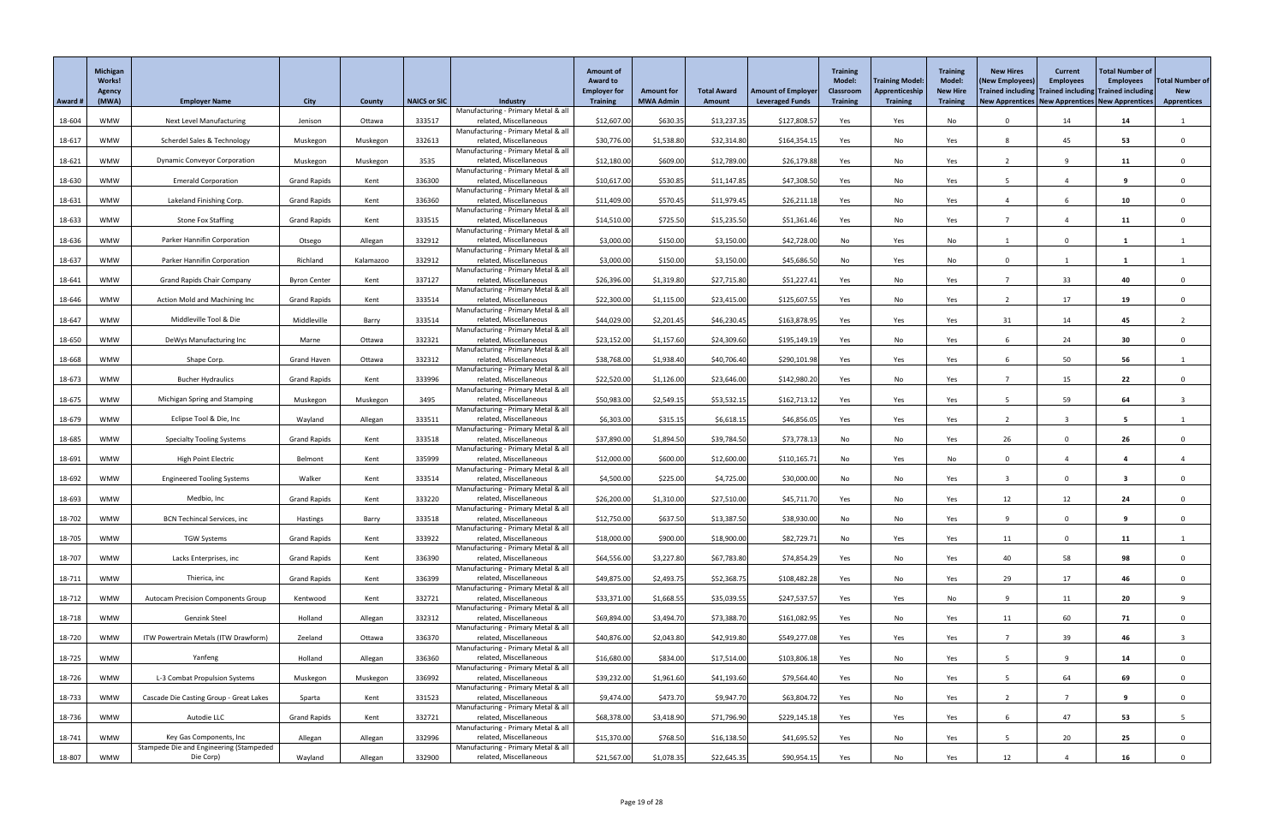|         | Michigan<br>Works!<br><b>Agency</b> |                                           |                     |           |                     |                                                               | <b>Amount of</b><br><b>Award to</b><br><b>Employer for</b> | <b>Amount for</b> | <b>Total Award</b> | <b>Amount of Employer</b> | <b>Training</b><br><b>Model:</b><br><b>Classroom</b> | Training Model:<br>Apprenticeship | <b>Training</b><br><b>Model:</b><br><b>New Hire</b> | <b>New Hires</b><br>(New Employees)<br>Trained including Trained including Trained including | <b>Current</b><br><b>Employees</b> | <b>Total Number of</b><br><b>Employees</b> | <b>Total Number of</b><br><b>New</b> |
|---------|-------------------------------------|-------------------------------------------|---------------------|-----------|---------------------|---------------------------------------------------------------|------------------------------------------------------------|-------------------|--------------------|---------------------------|------------------------------------------------------|-----------------------------------|-----------------------------------------------------|----------------------------------------------------------------------------------------------|------------------------------------|--------------------------------------------|--------------------------------------|
| Award # | (MWA)                               | <b>Employer Name</b>                      | <b>City</b>         | County    | <b>NAICS or SIC</b> | <b>Industry</b><br>Manufacturing - Primary Metal & all        | <b>Training</b>                                            | <b>MWA Admin</b>  | <b>Amount</b>      | <b>Leveraged Funds</b>    | <b>Training</b>                                      | <b>Training</b>                   | <b>Training</b>                                     | New Apprentices   New Apprentices   New Apprentices                                          |                                    |                                            | <b>Apprentices</b>                   |
| 18-604  | <b>WMW</b>                          | <b>Next Level Manufacturing</b>           | Jenison             | Ottawa    | 333517              | related, Miscellaneous                                        | \$12,607.00                                                | \$630.35          | \$13,237.35        | \$127,808.5               | Yes                                                  | Yes                               | No                                                  | $\Omega$                                                                                     | 14                                 | 14                                         |                                      |
| 18-617  | <b>WMW</b>                          | Scherdel Sales & Technology               | Muskegon            | Muskegon  | 332613              | Manufacturing - Primary Metal & all<br>related, Miscellaneous | \$30,776.00                                                | \$1,538.80        | \$32,314.80        | \$164,354.15              | Yes                                                  | No                                | Yes                                                 | -8                                                                                           | 45                                 | 53                                         | $\Omega$                             |
|         |                                     |                                           |                     |           |                     | Manufacturing - Primary Metal & all                           |                                                            |                   |                    |                           |                                                      |                                   |                                                     |                                                                                              |                                    |                                            |                                      |
| 18-621  | <b>WMW</b>                          | <b>Dynamic Conveyor Corporation</b>       | Muskegon            | Muskegon  | 3535                | related, Miscellaneous<br>Manufacturing - Primary Metal & all | \$12,180.00                                                | \$609.00          | \$12,789.00        | \$26,179.88               | Yes                                                  | No                                | Yes                                                 |                                                                                              | q                                  | 11                                         | $\Omega$                             |
| 18-630  | <b>WMW</b>                          | <b>Emerald Corporation</b>                | <b>Grand Rapids</b> | Kent      | 336300              | related, Miscellaneous                                        | \$10,617.00                                                | \$530.85          | \$11,147.85        | \$47,308.50               | Yes                                                  | No                                | Yes                                                 |                                                                                              |                                    |                                            | $\Omega$                             |
| 18-631  | <b>WMW</b>                          | Lakeland Finishing Corp.                  | <b>Grand Rapids</b> | Kent      | 336360              | Manufacturing - Primary Metal & all<br>related, Miscellaneous | \$11,409.00                                                | \$570.45          | \$11,979.45        | \$26,211.18               | Yes                                                  | No                                | Yes                                                 |                                                                                              |                                    | 10                                         |                                      |
|         | <b>WMW</b>                          |                                           |                     |           |                     | Manufacturing - Primary Metal & all<br>related, Miscellaneous |                                                            | \$725.50          |                    |                           |                                                      |                                   |                                                     |                                                                                              |                                    |                                            |                                      |
| 18-633  |                                     | <b>Stone Fox Staffing</b>                 | <b>Grand Rapids</b> | Kent      | 333515              | Manufacturing - Primary Metal & all                           | \$14,510.00                                                |                   | \$15,235.50        | \$51,361.46               | Yes                                                  | No                                | Yes                                                 |                                                                                              |                                    | 11                                         | $\Omega$                             |
| 18-636  | <b>WMW</b>                          | Parker Hannifin Corporation               | Otsego              | Allegan   | 332912              | related, Miscellaneous<br>Manufacturing - Primary Metal & all | \$3,000.00                                                 | \$150.00          | \$3,150.00         | \$42,728.00               | No                                                   | Yes                               | No                                                  |                                                                                              | $\Omega$                           |                                            |                                      |
| 18-637  | WMW                                 | <b>Parker Hannifin Corporation</b>        | Richland            | Kalamazoo | 332912              | related, Miscellaneous                                        | \$3,000.00                                                 | \$150.00          | \$3,150.00         | \$45,686.50               | No                                                   | Yes                               | No                                                  | $\Omega$                                                                                     |                                    |                                            |                                      |
| 18-641  | <b>WMW</b>                          | <b>Grand Rapids Chair Company</b>         | <b>Byron Center</b> | Kent      | 337127              | Manufacturing - Primary Metal & all<br>related, Miscellaneous | \$26,396.00                                                | \$1,319.80        | \$27,715.80        | \$51,227.41               | Yes                                                  | No                                | Yes                                                 |                                                                                              | 33                                 | 40                                         | $\Omega$                             |
|         |                                     |                                           |                     |           |                     | Manufacturing - Primary Metal & all                           |                                                            |                   |                    |                           |                                                      |                                   |                                                     |                                                                                              |                                    |                                            |                                      |
| 18-646  | <b>WMW</b>                          | Action Mold and Machining Inc             | <b>Grand Rapids</b> | Kent      | 333514              | related, Miscellaneous<br>Manufacturing - Primary Metal & all | \$22,300.00                                                | \$1,115.00        | \$23,415.00        | \$125,607.55              | Yes                                                  | No                                | Yes                                                 |                                                                                              | 17                                 | 19                                         | $\Omega$                             |
| 18-647  | <b>WMW</b>                          | Middleville Tool & Die                    | Middleville         | Barry     | 333514              | related, Miscellaneous                                        | \$44,029.00                                                | \$2,201.45        | \$46,230.45        | \$163,878.95              | Yes                                                  | Yes                               | Yes                                                 | 31                                                                                           | 14                                 | 45                                         |                                      |
| 18-650  | <b>WMW</b>                          | DeWys Manufacturing Inc                   | Marne               | Ottawa    | 332321              | Manufacturing - Primary Metal & all<br>related, Miscellaneous | \$23,152.00                                                | \$1,157.60        | \$24,309.60        | \$195,149.19              | Yes                                                  | No                                | Yes                                                 |                                                                                              | 24                                 | 30                                         |                                      |
| 18-668  | <b>WMW</b>                          | Shape Corp.                               | <b>Grand Haven</b>  | Ottawa    | 332312              | Manufacturing - Primary Metal & all<br>related, Miscellaneous | \$38,768.00                                                | \$1,938.40        | \$40,706.40        | \$290,101.98              | Yes                                                  | Yes                               | Yes                                                 |                                                                                              | 50                                 | 56                                         |                                      |
|         |                                     |                                           |                     |           |                     | Manufacturing - Primary Metal & all                           |                                                            |                   |                    |                           |                                                      |                                   |                                                     |                                                                                              |                                    |                                            |                                      |
| 18-673  | <b>WMW</b>                          | <b>Bucher Hydraulics</b>                  | <b>Grand Rapids</b> | Kent      | 333996              | related, Miscellaneous<br>Manufacturing - Primary Metal & all | \$22,520.00                                                | \$1,126.00        | \$23,646.00        | \$142,980.20              | Yes                                                  | No                                | Yes                                                 |                                                                                              | 15                                 | 22                                         |                                      |
| 18-675  | <b>WMW</b>                          | Michigan Spring and Stamping              | Muskegon            | Muskegon  | 3495                | related, Miscellaneous                                        | \$50,983.00                                                | \$2,549.15        | \$53,532.15        | \$162,713.12              | Yes                                                  | Yes                               | Yes                                                 |                                                                                              | 59                                 | 64                                         |                                      |
| 18-679  | <b>WMW</b>                          | Eclipse Tool & Die, Inc                   | Wayland             | Allegan   | 333511              | Manufacturing - Primary Metal & all<br>related, Miscellaneous | \$6,303.00                                                 | \$315.15          | \$6,618.15         | \$46,856.05               | Yes                                                  | Yes                               | Yes                                                 |                                                                                              |                                    |                                            |                                      |
| 18-685  | <b>WMW</b>                          | <b>Specialty Tooling Systems</b>          | <b>Grand Rapids</b> | Kent      | 333518              | Manufacturing - Primary Metal & all<br>related, Miscellaneous | \$37,890.00                                                | \$1,894.50        | \$39,784.50        | \$73,778.13               | No                                                   | No                                | Yes                                                 | 26                                                                                           | $\Omega$                           | 26                                         | $\Omega$                             |
|         |                                     |                                           |                     |           |                     | Manufacturing - Primary Metal & all                           |                                                            |                   |                    |                           |                                                      |                                   |                                                     |                                                                                              |                                    |                                            |                                      |
| 18-691  | <b>WMW</b>                          | <b>High Point Electric</b>                | Belmont             | Kent      | 335999              | related, Miscellaneous<br>Manufacturing - Primary Metal & all | \$12,000.00                                                | \$600.00          | \$12,600.00        | \$110,165.71              | No                                                   | Yes                               | No                                                  | $\Omega$                                                                                     |                                    |                                            |                                      |
| 18-692  | <b>WMW</b>                          | <b>Engineered Tooling Systems</b>         | Walker              | Kent      | 333514              | related, Miscellaneous                                        | \$4,500.00                                                 | \$225.00          | \$4,725.00         | \$30,000.00               | No                                                   | No                                | Yes                                                 |                                                                                              | $\Omega$                           |                                            |                                      |
| 18-693  | <b>WMW</b>                          | Medbio, Inc                               | <b>Grand Rapids</b> | Kent      | 333220              | Manufacturing - Primary Metal & all<br>related, Miscellaneous | \$26,200.00                                                | \$1,310.00        | \$27,510.00        | \$45,711.70               | Yes                                                  | No                                | Yes                                                 | 12                                                                                           | 12                                 | 24                                         | $\Omega$                             |
|         |                                     |                                           |                     |           |                     | Manufacturing - Primary Metal & all                           |                                                            |                   |                    |                           |                                                      |                                   |                                                     | $\Omega$                                                                                     | $\Omega$                           |                                            |                                      |
| 18-702  | <b>WMW</b>                          | <b>BCN Techincal Services, inc</b>        | Hastings            | Barry     | 333518              | related, Miscellaneous<br>Manufacturing - Primary Metal & all | \$12,750.00                                                | \$637.50          | \$13,387.50        | \$38,930.00               | No                                                   | No                                | Yes                                                 |                                                                                              |                                    |                                            |                                      |
| 18-705  | <b>WMW</b>                          | <b>TGW Systems</b>                        | <b>Grand Rapids</b> | Kent      | 333922              | related, Miscellaneous<br>Manufacturing - Primary Metal & all | \$18,000.00                                                | \$900.00          | \$18,900.00        | \$82,729.71               | No                                                   | Yes                               | Yes                                                 | 11                                                                                           | $\Omega$                           | 11                                         |                                      |
| 18-707  | <b>WMW</b>                          | Lacks Enterprises, inc                    | <b>Grand Rapids</b> | Kent      | 336390              | related, Miscellaneous                                        | \$64,556.00                                                | \$3,227.80        | \$67,783.80        | \$74,854.29               | Yes                                                  | No                                | Yes                                                 | 40                                                                                           | 58                                 | 98                                         | $\Omega$                             |
| 18-711  | <b>WMW</b>                          | Thierica, inc                             | <b>Grand Rapids</b> | Kent      | 336399              | Manufacturing - Primary Metal & all<br>related, Miscellaneous | \$49,875.00                                                | \$2,493.75        | \$52,368.75        | \$108,482.28              | Yes                                                  | No                                | Yes                                                 | 29                                                                                           | 17                                 | 46                                         | $\Omega$                             |
|         |                                     |                                           |                     |           |                     | Manufacturing - Primary Metal & all                           |                                                            |                   |                    |                           |                                                      |                                   |                                                     |                                                                                              |                                    |                                            |                                      |
| 18-712  | <b>WMW</b>                          | <b>Autocam Precision Components Group</b> | Kentwood            | Kent      | 332721              | related, Miscellaneous<br>Manufacturing - Primary Metal & all | \$33,371.00                                                | \$1,668.55        | \$35,039.55        | \$247,537.57              | Yes                                                  | Yes                               | No                                                  | $\Omega$                                                                                     | 11                                 | 20                                         | 9                                    |
| 18-718  | <b>WMW</b>                          | <b>Genzink Steel</b>                      | Holland             | Allegan   | 332312              | related, Miscellaneous<br>Manufacturing - Primary Metal & all | \$69,894.00                                                | \$3,494.70        | \$73,388.70        | \$161,082.9               | Yes                                                  | No                                | Yes                                                 | 11                                                                                           | 60                                 | 71                                         |                                      |
| 18-720  | <b>WMW</b>                          | ITW Powertrain Metals (ITW Drawform)      | Zeeland             | Ottawa    | 336370              | related, Miscellaneous                                        | \$40,876.00                                                | \$2,043.80        | \$42,919.80        | \$549,277.08              | Yes                                                  | Yes                               | Yes                                                 |                                                                                              | 39                                 | 46                                         |                                      |
| 18-725  | <b>WMW</b>                          | Yanfeng                                   | Holland             | Allegan   | 336360              | Manufacturing - Primary Metal & all<br>related, Miscellaneous | \$16,680.00                                                | \$834.00          | \$17,514.00        | \$103,806.18              | Yes                                                  | No                                | Yes                                                 |                                                                                              | Q                                  | 14                                         | $\Omega$                             |
|         |                                     |                                           |                     |           |                     | Manufacturing - Primary Metal & all                           |                                                            |                   |                    |                           |                                                      |                                   |                                                     |                                                                                              |                                    |                                            |                                      |
| 18-726  | <b>WMW</b>                          | L-3 Combat Propulsion Systems             | Muskegon            | Muskegon  | 336992              | related, Miscellaneous<br>Manufacturing - Primary Metal & all | \$39,232.00                                                | \$1,961.60        | \$41,193.60        | \$79,564.40               | Yes                                                  | No                                | Yes                                                 |                                                                                              | 64                                 | 69                                         |                                      |
| 18-733  | <b>WMW</b>                          | Cascade Die Casting Group - Great Lakes   | Sparta              | Kent      | 331523              | related, Miscellaneous                                        | \$9,474.00                                                 | \$473.70          | \$9,947.70         | \$63,804.72               | Yes                                                  | No                                | Yes                                                 |                                                                                              |                                    | 9                                          | $\Omega$                             |
| 18-736  | <b>WMW</b>                          | Autodie LLC                               | <b>Grand Rapids</b> | Kent      | 332721              | Manufacturing - Primary Metal & all<br>related, Miscellaneous | \$68,378.00                                                | \$3,418.90        | \$71,796.90        | \$229,145.18              | Yes                                                  | Yes                               | Yes                                                 | 6                                                                                            | 47                                 | 53                                         | 5                                    |
| 18-741  | <b>WMW</b>                          | Key Gas Components, Inc                   | Allegan             | Allegan   | 332996              | Manufacturing - Primary Metal & all<br>related, Miscellaneous | \$15,370.00                                                | \$768.50          | \$16,138.50        | \$41,695.52               | Yes                                                  | No                                | Yes                                                 |                                                                                              | 20                                 | 25                                         | $\Omega$                             |
|         |                                     | Stampede Die and Engineering (Stampeded   |                     |           |                     | Manufacturing - Primary Metal & all                           |                                                            |                   |                    |                           |                                                      |                                   |                                                     |                                                                                              |                                    |                                            |                                      |
| 18-807  | <b>WMW</b>                          | Die Corp)                                 | Wayland             | Allegan   | 332900              | related, Miscellaneous                                        | \$21,567.00                                                | \$1,078.35        | \$22,645.35        | \$90,954.15               | Yes                                                  | No                                | Yes                                                 | 12                                                                                           |                                    | 16                                         | 0                                    |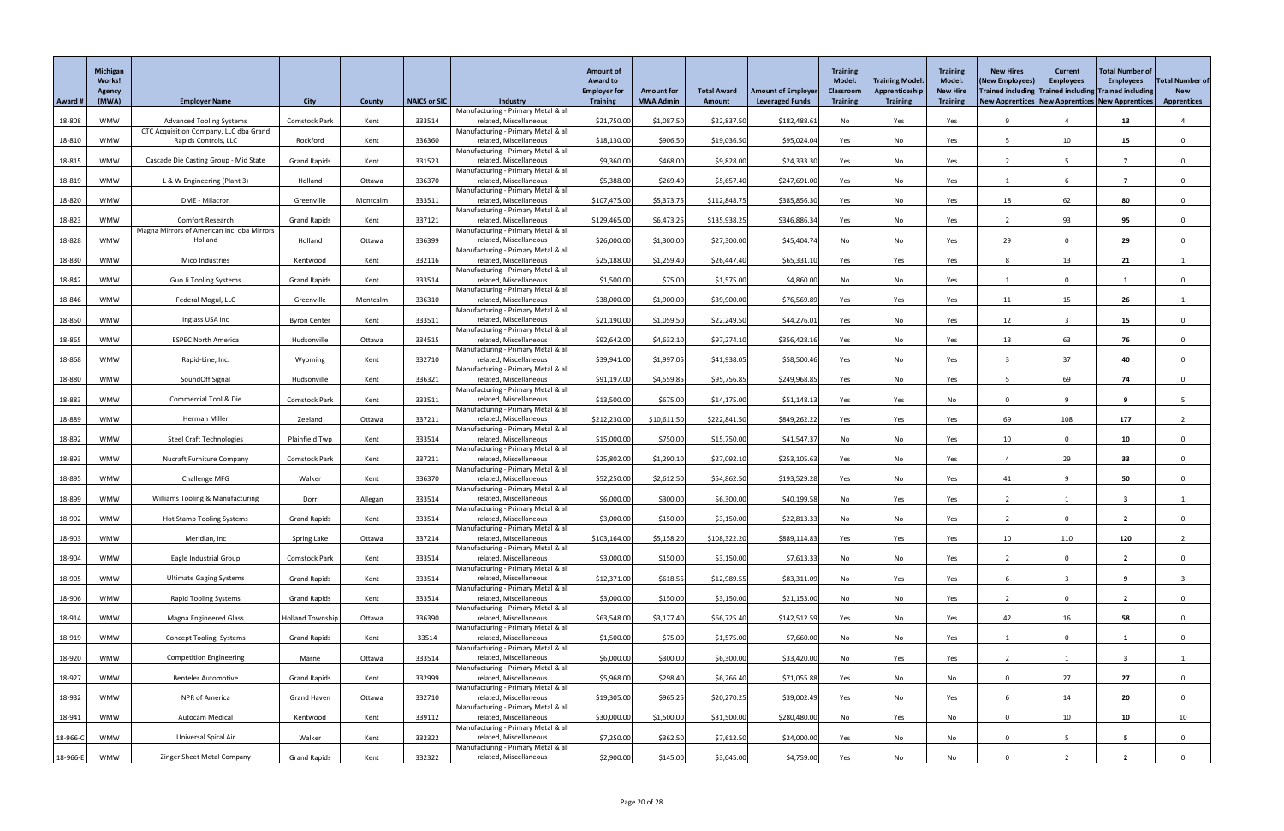|          | Michigan<br><b>Works!</b> |                                             |                         |               |                     |                                                               | <b>Amount of</b><br><b>Award to</b>    |                                       |                              |                                                     | <b>Training</b><br><b>Model:</b>    | <b>Training Model:</b>            | <b>Training</b><br><b>Model:</b>   | <b>New Hires</b><br>(New Employees)                                                                          | <b>Current</b><br><b>Employees</b> | <b>Total Number of</b><br><b>Employees</b> | <b>Total Number of</b>           |
|----------|---------------------------|---------------------------------------------|-------------------------|---------------|---------------------|---------------------------------------------------------------|----------------------------------------|---------------------------------------|------------------------------|-----------------------------------------------------|-------------------------------------|-----------------------------------|------------------------------------|--------------------------------------------------------------------------------------------------------------|------------------------------------|--------------------------------------------|----------------------------------|
| Award #  | <b>Agency</b><br>(MWA)    | <b>Employer Name</b>                        | <b>City</b>             | <b>County</b> | <b>NAICS or SIC</b> | <b>Industry</b>                                               | <b>Employer for</b><br><b>Training</b> | <b>Amount for</b><br><b>MWA Admin</b> | <b>Total Award</b><br>Amount | <b>Amount of Employer</b><br><b>Leveraged Funds</b> | <b>Classroom</b><br><b>Training</b> | Apprenticeship<br><b>Training</b> | <b>New Hire</b><br><b>Training</b> | Trained including Trained including Trained including<br>New Apprentices   New Apprentices   New Apprentices |                                    |                                            | <b>New</b><br><b>Apprentices</b> |
| 18-808   | <b>WMW</b>                | <b>Advanced Tooling Systems</b>             | <b>Comstock Park</b>    | Kent          | 333514              | Manufacturing - Primary Metal & all<br>related, Miscellaneous | \$21,750.00                            | \$1,087.50                            | \$22,837.50                  | \$182,488.61                                        | No                                  | Yes                               | Yes                                |                                                                                                              |                                    | 13                                         |                                  |
|          |                           | CTC Acquisition Company, LLC dba Grand      |                         |               |                     | Manufacturing - Primary Metal & all                           |                                        |                                       |                              |                                                     |                                     |                                   |                                    |                                                                                                              |                                    |                                            |                                  |
| 18-810   | <b>WMW</b>                | Rapids Controls, LLC                        | Rockford                | Kent          | 336360              | related, Miscellaneous<br>Manufacturing - Primary Metal & all | \$18,130.00                            | \$906.50                              | \$19,036.50                  | \$95,024.0                                          | Yes                                 | No                                | Yes                                |                                                                                                              | 10                                 | 15                                         |                                  |
| 18-815   | <b>WMW</b>                | Cascade Die Casting Group - Mid State       | <b>Grand Rapids</b>     | Kent          | 331523              | related, Miscellaneous<br>Manufacturing - Primary Metal & all | \$9,360.00                             | \$468.00                              | \$9,828.00                   | \$24,333.30                                         | Yes                                 | No                                | Yes                                |                                                                                                              |                                    | - 7                                        |                                  |
| 18-819   | <b>WMW</b>                | L & W Engineering (Plant 3)                 | Holland                 | Ottawa        | 336370              | related, Miscellaneous                                        | \$5,388.00                             | \$269.40                              | \$5,657.40                   | \$247,691.00                                        | Yes                                 | No                                | Yes                                |                                                                                                              |                                    |                                            |                                  |
| 18-820   | <b>WMW</b>                | DME - Milacron                              | Greenville              | Montcalm      | 333511              | Manufacturing - Primary Metal & all<br>related, Miscellaneous | \$107,475.00                           | \$5,373.75                            | \$112,848.75                 | \$385,856.30                                        | Yes                                 | No                                | Yes                                | 18                                                                                                           | 62                                 | 80                                         |                                  |
| 18-823   | <b>WMW</b>                | <b>Comfort Research</b>                     | <b>Grand Rapids</b>     | Kent          | 337121              | Manufacturing - Primary Metal & all<br>related, Miscellaneous | \$129,465.00                           | \$6,473.25                            | \$135,938.25                 | \$346,886.34                                        | Yes                                 | No                                | Yes                                |                                                                                                              | 93                                 | 95                                         |                                  |
|          |                           | Magna Mirrors of American Inc. dba Mirrors  |                         |               |                     | Manufacturing - Primary Metal & all                           |                                        |                                       |                              |                                                     |                                     |                                   |                                    |                                                                                                              |                                    |                                            |                                  |
| 18-828   | <b>WMW</b>                | Holland                                     | Holland                 | Ottawa        | 336399              | related, Miscellaneous<br>Manufacturing - Primary Metal & all | \$26,000.00                            | \$1,300.00                            | \$27,300.00                  | \$45,404.74                                         | No                                  | No                                | Yes                                | 29                                                                                                           |                                    | 29                                         |                                  |
| 18-830   | <b>WMW</b>                | Mico Industries                             | Kentwood                | Kent          | 332116              | related, Miscellaneous<br>Manufacturing - Primary Metal & all | \$25,188.00                            | \$1,259.40                            | \$26,447.40                  | \$65,331.10                                         | Yes                                 | Yes                               | Yes                                |                                                                                                              | 13                                 | 21                                         |                                  |
| 18-842   | <b>WMW</b>                | <b>Guo Ji Tooling Systems</b>               | <b>Grand Rapids</b>     | Kent          | 333514              | related, Miscellaneous                                        | \$1,500.00                             | \$75.00                               | \$1,575.00                   | \$4,860.00                                          | No                                  | No                                | Yes                                |                                                                                                              | $\Omega$                           |                                            |                                  |
| 18-846   | <b>WMW</b>                | Federal Mogul, LLC                          | Greenville              | Montcalm      | 336310              | Manufacturing - Primary Metal & all<br>related, Miscellaneous | \$38,000.00                            | \$1,900.00                            | \$39,900.00                  | \$76,569.89                                         | Yes                                 | Yes                               | Yes                                | 11                                                                                                           | 15                                 | 26                                         |                                  |
| 18-850   | <b>WMW</b>                | Inglass USA Inc                             | <b>Byron Center</b>     | Kent          | 333511              | Manufacturing - Primary Metal & all<br>related, Miscellaneous | \$21,190.00                            | \$1,059.50                            | \$22,249.50                  | \$44,276.01                                         | Yes                                 | No                                | Yes                                | 12                                                                                                           |                                    | 15                                         |                                  |
|          |                           |                                             |                         |               |                     | Manufacturing - Primary Metal & all                           |                                        |                                       |                              |                                                     |                                     |                                   |                                    |                                                                                                              |                                    |                                            |                                  |
| 18-865   | <b>WMW</b>                | <b>ESPEC North America</b>                  | Hudsonville             | Ottawa        | 334515              | related, Miscellaneous<br>Manufacturing - Primary Metal & all | \$92,642.00                            | \$4,632.10                            | \$97,274.10                  | \$356,428.16                                        | Yes                                 | No                                | Yes                                | 13                                                                                                           | 63                                 | 76                                         | $\mathbf{0}$                     |
| 18-868   | <b>WMW</b>                | Rapid-Line, Inc.                            | Wyoming                 | Kent          | 332710              | related, Miscellaneous<br>Manufacturing - Primary Metal & all | \$39,941.00                            | \$1,997.05                            | \$41,938.05                  | \$58,500.46                                         | Yes                                 | No                                | Yes                                |                                                                                                              | 37                                 | 40                                         |                                  |
| 18-880   | WMW                       | SoundOff Signal                             | Hudsonville             | Kent          | 336321              | related, Miscellaneous                                        | \$91,197.00                            | \$4,559.85                            | \$95,756.85                  | \$249,968.85                                        | Yes                                 | No                                | Yes                                |                                                                                                              | 69                                 | 74                                         |                                  |
| 18-883   | <b>WMW</b>                | Commercial Tool & Die                       | <b>Comstock Park</b>    | Kent          | 333511              | Manufacturing - Primary Metal & all<br>related, Miscellaneous | \$13,500.00                            | \$675.00                              | \$14,175.00                  | \$51,148.13                                         | Yes                                 | Yes                               | No                                 | $\Omega$                                                                                                     | $\Omega$                           | -9                                         |                                  |
| 18-889   | <b>WMW</b>                | Herman Miller                               | Zeeland                 | Ottawa        | 337211              | Manufacturing - Primary Metal & all<br>related, Miscellaneous | \$212,230.00                           | \$10,611.50                           | \$222,841.50                 | \$849,262.22                                        | Yes                                 | Yes                               | Yes                                | 69                                                                                                           | 108                                | 177                                        |                                  |
|          |                           |                                             |                         |               |                     | Manufacturing - Primary Metal & all                           |                                        |                                       |                              |                                                     |                                     |                                   |                                    |                                                                                                              |                                    |                                            |                                  |
| 18-892   | <b>WMW</b>                | <b>Steel Craft Technologies</b>             | Plainfield Twp          | Kent          | 333514              | related, Miscellaneous<br>Manufacturing - Primary Metal & all | \$15,000.00                            | \$750.00                              | \$15,750.00                  | \$41,547.37                                         | No                                  | No                                | Yes                                | 10                                                                                                           |                                    | 10                                         |                                  |
| 18-893   | <b>WMW</b>                | <b>Nucraft Furniture Company</b>            | <b>Comstock Park</b>    | Kent          | 337211              | related, Miscellaneous<br>Manufacturing - Primary Metal & all | \$25,802.00                            | \$1,290.10                            | \$27,092.10                  | \$253,105.63                                        | Yes                                 | No                                | Yes                                |                                                                                                              | 29                                 | 33                                         |                                  |
| 18-895   | <b>WMW</b>                | <b>Challenge MFG</b>                        | Walker                  | Kent          | 336370              | related, Miscellaneous                                        | \$52,250.00                            | \$2,612.50                            | \$54,862.50                  | \$193,529.28                                        | Yes                                 | No                                | Yes                                | 41                                                                                                           |                                    | 50                                         |                                  |
| 18-899   | <b>WMW</b>                | <b>Williams Tooling &amp; Manufacturing</b> | Dorr                    | Allegan       | 333514              | Manufacturing - Primary Metal & all<br>related, Miscellaneous | \$6,000.00                             | \$300.00                              | \$6,300.00                   | \$40,199.58                                         | No                                  | Yes                               | Yes                                |                                                                                                              |                                    | -3                                         |                                  |
| 18-902   | <b>WMW</b>                | <b>Hot Stamp Tooling Systems</b>            | <b>Grand Rapids</b>     | Kent          | 333514              | Manufacturing - Primary Metal & all<br>related, Miscellaneous | \$3,000.00                             | \$150.00                              | \$3,150.00                   | \$22,813.33                                         | No                                  | No                                | Yes                                |                                                                                                              |                                    | $\overline{2}$                             |                                  |
|          |                           |                                             |                         |               |                     | Manufacturing - Primary Metal & all                           |                                        |                                       |                              |                                                     |                                     |                                   |                                    |                                                                                                              |                                    |                                            |                                  |
| 18-903   | WMW                       | Meridian, Inc                               | Spring Lake             | Ottawa        | 337214              | related, Miscellaneous<br>Manufacturing - Primary Metal & all | \$103,164.00                           | \$5,158.20                            | \$108,322.20                 | \$889,114.83                                        | Yes                                 | Yes                               | Yes                                | 10                                                                                                           | 110                                | 120                                        |                                  |
| 18-904   | <b>WMW</b>                | Eagle Industrial Group                      | <b>Comstock Park</b>    | Kent          | 333514              | related, Miscellaneous<br>Manufacturing - Primary Metal & all | \$3,000.00                             | \$150.00                              | \$3,150.00                   | \$7,613.33                                          | No                                  | No                                | Yes                                |                                                                                                              | $\Omega$                           | $\overline{2}$                             |                                  |
| 18-905   | <b>WMW</b>                | <b>Ultimate Gaging Systems</b>              | <b>Grand Rapids</b>     | Kent          | 333514              | related, Miscellaneous                                        | \$12,371.00                            | \$618.55                              | \$12,989.55                  | \$83,311.09                                         | No                                  | Yes                               | Yes                                |                                                                                                              |                                    | -9                                         |                                  |
| 18-906   | <b>WMW</b>                | <b>Rapid Tooling Systems</b>                | <b>Grand Rapids</b>     | Kent          | 333514              | Manufacturing - Primary Metal & all<br>related, Miscellaneous | \$3,000.00                             | \$150.00                              | \$3,150.00                   | \$21,153.00                                         | No                                  | No                                | Yes                                |                                                                                                              |                                    | $\overline{2}$                             |                                  |
| 18-914   | <b>WMW</b>                | Magna Engineered Glass                      | <b>Holland Township</b> | Ottawa        | 336390              | Manufacturing - Primary Metal & all<br>related, Miscellaneous | \$63,548.00                            | \$3,177.40                            | \$66,725.40                  | \$142,512.59                                        | Yes                                 | No                                | Yes                                | 42                                                                                                           | 16                                 | 58                                         |                                  |
|          |                           |                                             |                         |               |                     | Manufacturing - Primary Metal & all                           |                                        |                                       |                              |                                                     |                                     |                                   |                                    |                                                                                                              |                                    |                                            |                                  |
| 18-919   | <b>WMW</b>                | <b>Concept Tooling Systems</b>              | <b>Grand Rapids</b>     | Kent          | 33514               | related, Miscellaneous<br>Manufacturing - Primary Metal & all | \$1,500.00                             | \$75.00                               | \$1,575.00                   | \$7,660.00                                          | No                                  | No                                | Yes                                |                                                                                                              |                                    |                                            |                                  |
| 18-920   | <b>WMW</b>                | <b>Competition Engineering</b>              | Marne                   | Ottawa        | 333514              | related, Miscellaneous<br>Manufacturing - Primary Metal & all | \$6,000.00                             | \$300.00                              | \$6,300.00                   | \$33,420.00                                         | No                                  | Yes                               | Yes                                |                                                                                                              |                                    | -3                                         |                                  |
| 18-927   | <b>WMW</b>                | <b>Benteler Automotive</b>                  | <b>Grand Rapids</b>     | Kent          | 332999              | related, Miscellaneous                                        | \$5,968.00                             | \$298.40                              | \$6,266.40                   | \$71,055.88                                         | Yes                                 | No                                | No                                 |                                                                                                              | 27                                 | 27                                         |                                  |
| 18-932   | <b>WMW</b>                | NPR of America                              | <b>Grand Haven</b>      | Ottawa        | 332710              | Manufacturing - Primary Metal & all<br>related, Miscellaneous | \$19,305.00                            | \$965.25                              | \$20,270.25                  | \$39,002.49                                         | Yes                                 | No                                | Yes                                | 6                                                                                                            | 14                                 | 20                                         | $\mathbf{0}$                     |
| 18-941   | <b>WMW</b>                | Autocam Medical                             | Kentwood                | Kent          | 339112              | Manufacturing - Primary Metal & all<br>related, Miscellaneous | \$30,000.00                            | \$1,500.00                            | \$31,500.00                  | \$280,480.00                                        | No                                  | Yes                               | No                                 | $\Omega$                                                                                                     | 10                                 | 10                                         | 10                               |
|          |                           |                                             |                         |               |                     | Manufacturing - Primary Metal & all                           |                                        |                                       |                              |                                                     |                                     |                                   |                                    |                                                                                                              |                                    |                                            |                                  |
| 18-966-C | <b>WMW</b>                | Universal Spiral Air                        | Walker                  | Kent          | 332322              | related, Miscellaneous<br>Manufacturing - Primary Metal & all | \$7,250.00                             | \$362.50                              | \$7,612.50                   | \$24,000.00                                         | Yes                                 | No                                | No                                 | $\Omega$                                                                                                     | -5                                 | 5 <sub>5</sub>                             | $\mathbf{0}$                     |
| 18-966-E | <b>WMW</b>                | Zinger Sheet Metal Company                  | <b>Grand Rapids</b>     | Kent          | 332322              | related, Miscellaneous                                        | \$2,900.00                             | \$145.00                              | \$3,045.00                   | \$4,759.00                                          | Yes                                 | No                                | No                                 |                                                                                                              |                                    | $\overline{\mathbf{2}}$                    |                                  |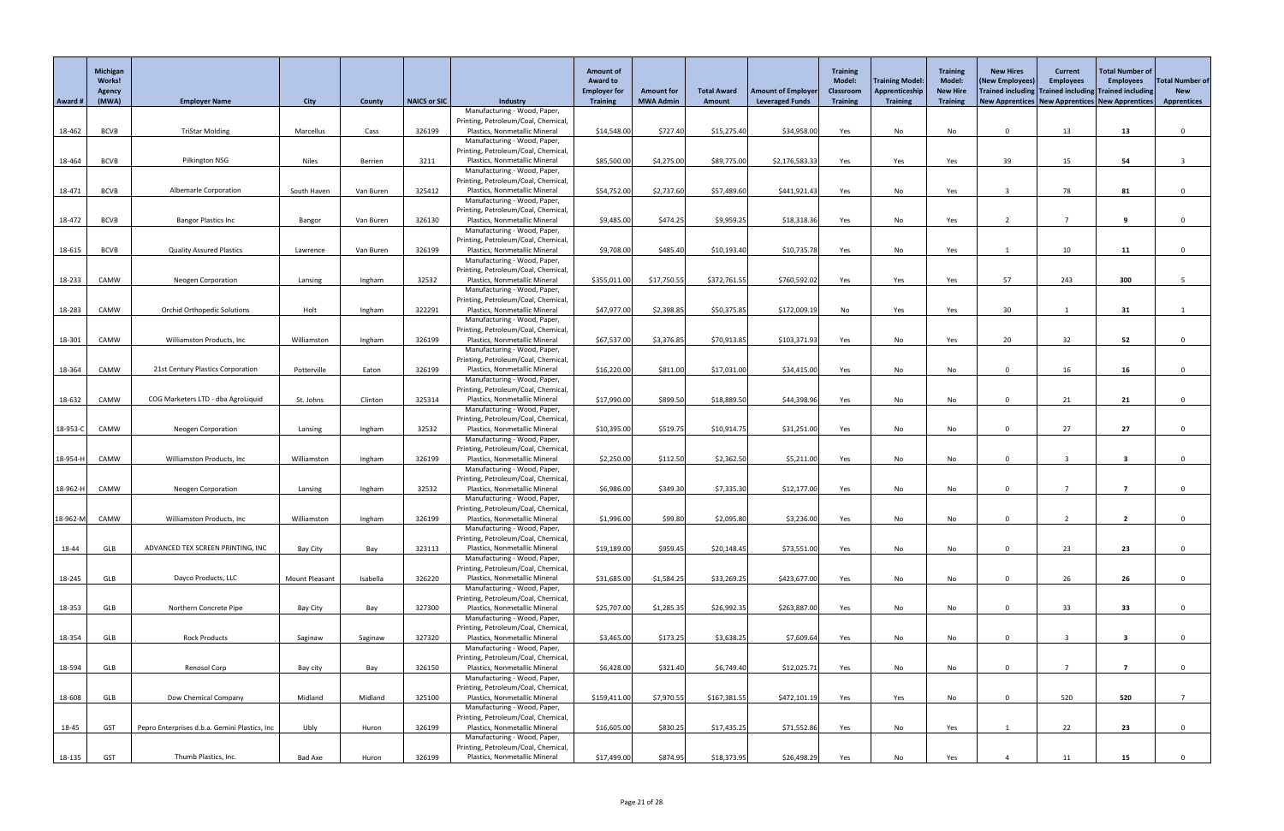|          | Michigan<br><b>Works!</b><br><b>Agency</b> |                                               |                       |           |              |                                                                      | <b>Amount of</b><br><b>Award to</b><br><b>Employer for</b> | <b>Amount for</b> | <b>Total Award</b> | <b>Amount of Employer</b> | <b>Training</b><br>Model:<br>Classroom | Training Model:<br>Apprenticeship | <b>Training</b><br><b>Model:</b><br><b>New Hire</b> | <b>New Hires</b><br>(New Employees)<br>Trained including Trained including Trained including | <b>Current</b><br><b>Employees</b> | <b>Total Number of</b><br><b>Employees</b> | <b>Total Number of</b><br><b>New</b> |
|----------|--------------------------------------------|-----------------------------------------------|-----------------------|-----------|--------------|----------------------------------------------------------------------|------------------------------------------------------------|-------------------|--------------------|---------------------------|----------------------------------------|-----------------------------------|-----------------------------------------------------|----------------------------------------------------------------------------------------------|------------------------------------|--------------------------------------------|--------------------------------------|
| Award #  | (MWA)                                      | <b>Employer Name</b>                          | <b>City</b>           | County    | NAICS or SIC | <b>Industry</b><br>Manufacturing - Wood, Paper,                      | <b>Training</b>                                            | <b>MWA Admin</b>  | Amount             | <b>Leveraged Funds</b>    | <b>Training</b>                        | <b>Training</b>                   | <b>Training</b>                                     | New Apprentices   New Apprentices   New Apprentices                                          |                                    |                                            | <b>Apprentices</b>                   |
|          |                                            |                                               |                       |           |              | Printing, Petroleum/Coal, Chemical                                   |                                                            |                   |                    |                           |                                        |                                   |                                                     |                                                                                              |                                    |                                            |                                      |
| 18-462   | <b>BCVB</b>                                | <b>TriStar Molding</b>                        | Marcellus             | Cass      | 326199       | Plastics, Nonmetallic Mineral                                        | \$14,548.00                                                | \$727.40          | \$15,275.40        | \$34,958.00               | Yes                                    | No                                | No                                                  | $\Omega$                                                                                     | 13                                 | 13                                         | $\Omega$                             |
|          |                                            |                                               |                       |           |              | Manufacturing - Wood, Paper,                                         |                                                            |                   |                    |                           |                                        |                                   |                                                     |                                                                                              |                                    |                                            |                                      |
| 18-464   | <b>BCVB</b>                                | Pilkington NSG                                | <b>Niles</b>          | Berrien   | 3211         | Printing, Petroleum/Coal, Chemical<br>Plastics, Nonmetallic Mineral  | \$85,500.00                                                | \$4,275.00        | \$89,775.00        | \$2,176,583.33            | Yes                                    | Yes                               | Yes                                                 | 39                                                                                           | 15                                 | 54                                         |                                      |
|          |                                            |                                               |                       |           |              | Manufacturing - Wood, Paper,                                         |                                                            |                   |                    |                           |                                        |                                   |                                                     |                                                                                              |                                    |                                            |                                      |
|          |                                            |                                               |                       |           |              | Printing, Petroleum/Coal, Chemical                                   |                                                            |                   |                    |                           |                                        |                                   |                                                     |                                                                                              |                                    |                                            |                                      |
| 18-471   | <b>BCVB</b>                                | <b>Albemarle Corporation</b>                  | South Haven           | Van Buren | 325412       | Plastics, Nonmetallic Mineral                                        | \$54,752.00                                                | \$2,737.60        | \$57,489.60        | \$441,921.43              | Yes                                    | No                                | Yes                                                 |                                                                                              | 78                                 | 81                                         | $\Omega$                             |
|          |                                            |                                               |                       |           |              | Manufacturing - Wood, Paper,<br>Printing, Petroleum/Coal, Chemical   |                                                            |                   |                    |                           |                                        |                                   |                                                     |                                                                                              |                                    |                                            |                                      |
| 18-472   | <b>BCVB</b>                                | <b>Bangor Plastics Inc</b>                    | Bangor                | Van Buren | 326130       | Plastics, Nonmetallic Mineral                                        | \$9,485.00                                                 | \$474.25          | \$9,959.25         | \$18,318.36               | Yes                                    | No                                | Yes                                                 |                                                                                              |                                    |                                            |                                      |
|          |                                            |                                               |                       |           |              | Manufacturing - Wood, Paper,                                         |                                                            |                   |                    |                           |                                        |                                   |                                                     |                                                                                              |                                    |                                            |                                      |
| 18-615   | <b>BCVB</b>                                | <b>Quality Assured Plastics</b>               | Lawrence              | Van Buren | 326199       | Printing, Petroleum/Coal, Chemical<br>Plastics, Nonmetallic Mineral  | \$9,708.00                                                 | \$485.40          | \$10,193.40        | \$10,735.78               | Yes                                    | No                                | Yes                                                 |                                                                                              | 10                                 | 11                                         | $\Omega$                             |
|          |                                            |                                               |                       |           |              | Manufacturing - Wood, Paper,                                         |                                                            |                   |                    |                           |                                        |                                   |                                                     |                                                                                              |                                    |                                            |                                      |
|          |                                            |                                               |                       |           |              | Printing, Petroleum/Coal, Chemical                                   |                                                            |                   |                    |                           |                                        |                                   |                                                     |                                                                                              |                                    |                                            |                                      |
| 18-233   | CAMW                                       | <b>Neogen Corporation</b>                     | Lansing               | Ingham    | 32532        | Plastics, Nonmetallic Mineral                                        | \$355,011.00                                               | \$17,750.55       | \$372,761.55       | \$760,592.02              | Yes                                    | Yes                               | Yes                                                 | 57                                                                                           | 243                                | 300                                        |                                      |
|          |                                            |                                               |                       |           |              | Manufacturing - Wood, Paper,<br>Printing, Petroleum/Coal, Chemical   |                                                            |                   |                    |                           |                                        |                                   |                                                     |                                                                                              |                                    |                                            |                                      |
| 18-283   | CAMW                                       | <b>Orchid Orthopedic Solutions</b>            | Holt                  | Ingham    | 322291       | Plastics, Nonmetallic Mineral                                        | \$47,977.00                                                | \$2,398.85        | \$50,375.85        | \$172,009.19              | No                                     | Yes                               | Yes                                                 | 30                                                                                           |                                    | 31                                         |                                      |
|          |                                            |                                               |                       |           |              | Manufacturing - Wood, Paper,                                         |                                                            |                   |                    |                           |                                        |                                   |                                                     |                                                                                              |                                    |                                            |                                      |
|          |                                            |                                               |                       |           |              | Printing, Petroleum/Coal, Chemical                                   |                                                            |                   |                    |                           |                                        |                                   |                                                     |                                                                                              |                                    |                                            |                                      |
| 18-301   | CAMW                                       | Williamston Products, Inc                     | Williamston           | Ingham    | 326199       | Plastics, Nonmetallic Mineral<br>Manufacturing - Wood, Paper,        | \$67,537.00                                                | \$3,376.85        | \$70,913.85        | \$103,371.93              | Yes                                    | No                                | Yes                                                 | 20                                                                                           | 32                                 | 52                                         |                                      |
|          |                                            |                                               |                       |           |              | Printing, Petroleum/Coal, Chemical                                   |                                                            |                   |                    |                           |                                        |                                   |                                                     |                                                                                              |                                    |                                            |                                      |
| 18-364   | CAMW                                       | 21st Century Plastics Corporation             | Potterville           | Eaton     | 326199       | Plastics, Nonmetallic Mineral                                        | \$16,220.00                                                | \$811.00          | \$17,031.00        | \$34,415.00               | Yes                                    | No                                | No                                                  |                                                                                              | ΤO                                 | 16                                         |                                      |
|          |                                            |                                               |                       |           |              | Manufacturing - Wood, Paper,<br>Printing, Petroleum/Coal, Chemical   |                                                            |                   |                    |                           |                                        |                                   |                                                     |                                                                                              |                                    |                                            |                                      |
| 18-632   | CAMW                                       | COG Marketers LTD - dba AgroLiquid            | St. Johns             | Clinton   | 325314       | Plastics, Nonmetallic Mineral                                        | \$17,990.00                                                | \$899.50          | \$18,889.50        | \$44,398.96               | Yes                                    | No                                | No                                                  | $\Omega$                                                                                     | 21                                 | 21                                         | $\Omega$                             |
|          |                                            |                                               |                       |           |              | Manufacturing - Wood, Paper,                                         |                                                            |                   |                    |                           |                                        |                                   |                                                     |                                                                                              |                                    |                                            |                                      |
|          |                                            |                                               |                       |           |              | Printing, Petroleum/Coal, Chemical                                   |                                                            |                   |                    |                           |                                        |                                   |                                                     |                                                                                              |                                    |                                            |                                      |
| 18-953-C | CAMW                                       | <b>Neogen Corporation</b>                     | Lansing               | Ingham    | 32532        | Plastics, Nonmetallic Mineral<br>Manufacturing - Wood, Paper,        | \$10,395.00                                                | \$519.75          | \$10,914.75        | \$31,251.00               | Yes                                    | No                                | No                                                  | $\Omega$                                                                                     | 27                                 | 27                                         |                                      |
|          |                                            |                                               |                       |           |              | Printing, Petroleum/Coal, Chemical                                   |                                                            |                   |                    |                           |                                        |                                   |                                                     |                                                                                              |                                    |                                            |                                      |
| 18-954-H | CAMW                                       | Williamston Products, Inc                     | Williamston           | Ingham    | 326199       | Plastics, Nonmetallic Mineral                                        | \$2,250.00                                                 | \$112.50          | \$2,362.50         | \$5,211.00                | Yes                                    | No                                | No                                                  | $\Omega$                                                                                     | ు                                  | 3                                          | $\Omega$                             |
|          |                                            |                                               |                       |           |              | Manufacturing - Wood, Paper,                                         |                                                            |                   |                    |                           |                                        |                                   |                                                     |                                                                                              |                                    |                                            |                                      |
| 18-962-H | CAMW                                       | <b>Neogen Corporation</b>                     | Lansing               | Ingham    | 32532        | Printing, Petroleum/Coal, Chemical<br>Plastics, Nonmetallic Mineral  | \$6,986.00                                                 | \$349.30          | \$7,335.30         | \$12,177.00               | Yes                                    | No                                | No                                                  | $\Omega$                                                                                     |                                    |                                            |                                      |
|          |                                            |                                               |                       |           |              | Manufacturing - Wood, Paper,                                         |                                                            |                   |                    |                           |                                        |                                   |                                                     |                                                                                              |                                    |                                            |                                      |
|          |                                            |                                               |                       |           |              | Printing, Petroleum/Coal, Chemical                                   |                                                            |                   |                    |                           |                                        |                                   |                                                     |                                                                                              |                                    |                                            |                                      |
| 18-962-M | CAMW                                       | Williamston Products, Inc                     | Williamston           | Ingham    | 326199       | Plastics, Nonmetallic Mineral<br>Manufacturing - Wood, Paper,        | \$1,996.00                                                 | \$99.80           | \$2,095.80         | \$3,236.00                | Yes                                    | No                                | No                                                  | $\Omega$                                                                                     |                                    |                                            |                                      |
|          |                                            |                                               |                       |           |              | Printing, Petroleum/Coal, Chemical                                   |                                                            |                   |                    |                           |                                        |                                   |                                                     |                                                                                              |                                    |                                            |                                      |
| 18-44    | GLB                                        | ADVANCED TEX SCREEN PRINTING, INC             | <b>Bay City</b>       | Bay       | 323113       | Plastics, Nonmetallic Mineral                                        | \$19,189.00                                                | \$959.45          | \$20,148.45        | \$73,551.00               | Yes                                    | No                                | No                                                  |                                                                                              | 23                                 | 23                                         | $\Omega$                             |
|          |                                            |                                               |                       |           |              | Manufacturing - Wood, Paper,                                         |                                                            |                   |                    |                           |                                        |                                   |                                                     |                                                                                              |                                    |                                            |                                      |
| 18-245   | GLB                                        | Dayco Products, LLC                           | <b>Mount Pleasant</b> | Isabella  | 326220       | Printing, Petroleum/Coal, Chemical<br>Plastics, Nonmetallic Mineral  | \$31,685.00                                                | \$1,584.25        | \$33,269.25        | \$423,677.00              | Yes                                    | No                                | No                                                  | $\Omega$                                                                                     | 26                                 | 26                                         | $\Omega$                             |
|          |                                            |                                               |                       |           |              | Manufacturing - Wood, Paper,                                         |                                                            |                   |                    |                           |                                        |                                   |                                                     |                                                                                              |                                    |                                            |                                      |
|          |                                            |                                               |                       |           |              | Printing, Petroleum/Coal, Chemical                                   |                                                            |                   |                    |                           |                                        |                                   |                                                     |                                                                                              |                                    |                                            |                                      |
| 18-353   | GLB                                        | Northern Concrete Pipe                        | <b>Bay City</b>       | Bay       | 327300       | Plastics, Nonmetallic Mineral<br>Manufacturing - Wood, Paper,        | \$25,707.00                                                | \$1,285.35        | \$26,992.35        | \$263,887.00              | Yes                                    | No                                | No                                                  | $\Omega$                                                                                     | 33                                 | 33                                         | $\Omega$                             |
|          |                                            |                                               |                       |           |              | Printing, Petroleum/Coal, Chemical                                   |                                                            |                   |                    |                           |                                        |                                   |                                                     |                                                                                              |                                    |                                            |                                      |
| 18-354   | GLB                                        | <b>Rock Products</b>                          | Saginaw               | Saginaw   | 327320       | Plastics, Nonmetallic Mineral                                        | \$3,465.00                                                 | \$173.25          | \$3,638.25         | \$7,609.64                | Yes                                    | No                                | No                                                  | $\Omega$                                                                                     |                                    |                                            | $\Omega$                             |
|          |                                            |                                               |                       |           |              | Manufacturing - Wood, Paper,                                         |                                                            |                   |                    |                           |                                        |                                   |                                                     |                                                                                              |                                    |                                            |                                      |
| 18-594   | GLB                                        | Renosol Corp                                  | Bay city              | Bay       | 326150       | Printing, Petroleum/Coal, Chemical<br>Plastics, Nonmetallic Mineral  | \$6,428.00                                                 | \$321.40          | \$6,749.40         | \$12,025.71               | Yes                                    | No                                | No                                                  | $\Omega$                                                                                     | $\overline{\phantom{a}}$           | $\overline{\mathbf{z}}$                    | $\Omega$                             |
|          |                                            |                                               |                       |           |              | Manufacturing - Wood, Paper,                                         |                                                            |                   |                    |                           |                                        |                                   |                                                     |                                                                                              |                                    |                                            |                                      |
|          |                                            |                                               |                       |           |              | Printing, Petroleum/Coal, Chemical,                                  |                                                            |                   |                    |                           |                                        |                                   |                                                     |                                                                                              |                                    |                                            |                                      |
| 18-608   | GLB                                        | Dow Chemical Company                          | Midland               | Midland   | 325100       | Plastics, Nonmetallic Mineral                                        | \$159,411.00                                               | \$7,970.55        | \$167,381.55       | \$472,101.19              | Yes                                    | Yes                               | No                                                  | $\Omega$                                                                                     | 520                                | 520                                        |                                      |
|          |                                            |                                               |                       |           |              | Manufacturing - Wood, Paper,<br>Printing, Petroleum/Coal, Chemical,  |                                                            |                   |                    |                           |                                        |                                   |                                                     |                                                                                              |                                    |                                            |                                      |
| 18-45    | <b>GST</b>                                 | Pepro Enterprises d.b.a. Gemini Plastics, Inc | Ubly                  | Huron     | 326199       | Plastics, Nonmetallic Mineral                                        | \$16,605.00                                                | \$830.25          | \$17,435.25        | \$71,552.86               | Yes                                    | No                                | Yes                                                 |                                                                                              | 22                                 | 23                                         | $\Omega$                             |
|          |                                            |                                               |                       |           |              | Manufacturing - Wood, Paper,                                         |                                                            |                   |                    |                           |                                        |                                   |                                                     |                                                                                              |                                    |                                            |                                      |
| 18-135   | <b>GST</b>                                 | Thumb Plastics, Inc.                          | <b>Bad Axe</b>        | Huron     | 326199       | Printing, Petroleum/Coal, Chemical,<br>Plastics, Nonmetallic Mineral | \$17,499.00                                                | \$874.95          | \$18,373.95        | \$26,498.29               | Yes                                    | No                                | Yes                                                 |                                                                                              | 11                                 | 15                                         | $\mathbf{0}$                         |
|          |                                            |                                               |                       |           |              |                                                                      |                                                            |                   |                    |                           |                                        |                                   |                                                     |                                                                                              |                                    |                                            |                                      |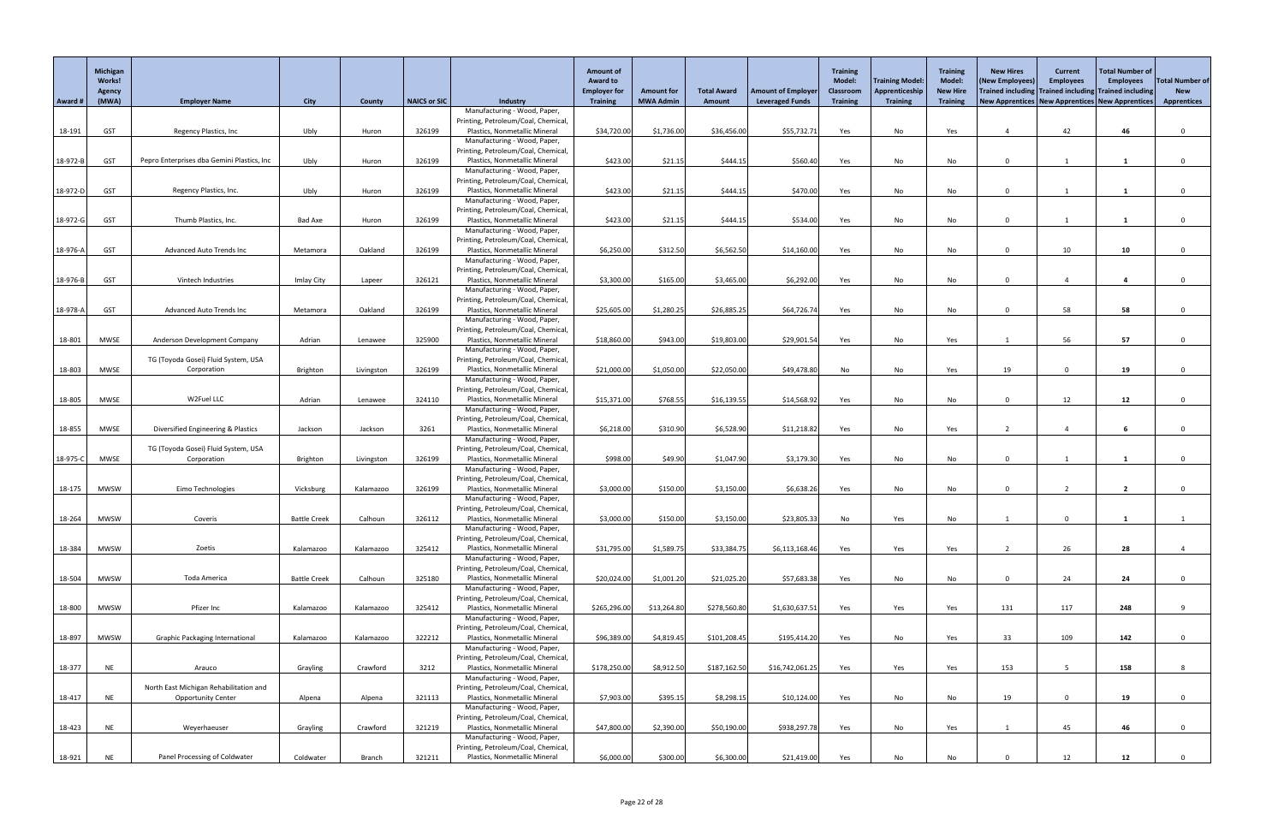|          | Michigan<br>Works!<br>Agency |                                            |                     |            |              |                                                                     | <b>Amount of</b><br><b>Award to</b><br><b>Employer for</b> | <b>Amount for</b> | <b>Total Award</b> | <b>Amount of Employer</b> | <b>Training</b><br><b>Model:</b><br><b>Classroom</b> | <b>Training Model:</b><br>Apprenticeship | <b>Training</b><br><b>Model:</b><br><b>New Hire</b> | <b>New Hires</b><br>(New Employees)<br>Trained including Trained including Trained including | <b>Current</b><br><b>Employees</b> | <b>Total Number of</b><br><b>Employees</b> | <b>Total Number of</b><br><b>New</b> |
|----------|------------------------------|--------------------------------------------|---------------------|------------|--------------|---------------------------------------------------------------------|------------------------------------------------------------|-------------------|--------------------|---------------------------|------------------------------------------------------|------------------------------------------|-----------------------------------------------------|----------------------------------------------------------------------------------------------|------------------------------------|--------------------------------------------|--------------------------------------|
| Award #  | (MWA)                        | <b>Employer Name</b>                       | <b>City</b>         | County     | NAICS or SIC | <b>Industry</b>                                                     | <b>Training</b>                                            | <b>MWA Admin</b>  | Amount             | <b>Leveraged Funds</b>    | <b>Training</b>                                      | <b>Training</b>                          | <b>Training</b>                                     | New Apprentices   New Apprentices   New Apprentices                                          |                                    |                                            | <b>Apprentices</b>                   |
|          |                              |                                            |                     |            |              | Manufacturing - Wood, Paper,                                        |                                                            |                   |                    |                           |                                                      |                                          |                                                     |                                                                                              |                                    |                                            |                                      |
| 18-191   | <b>GST</b>                   | Regency Plastics, Inc                      | Ubly                | Huron      | 326199       | Printing, Petroleum/Coal, Chemical<br>Plastics, Nonmetallic Mineral | \$34,720.00                                                | \$1,736.00        | \$36,456.00        | \$55,732.71               | Yes                                                  | No                                       | Yes                                                 |                                                                                              | 42                                 | 46                                         | $\Omega$                             |
|          |                              |                                            |                     |            |              | Manufacturing - Wood, Paper,                                        |                                                            |                   |                    |                           |                                                      |                                          |                                                     |                                                                                              |                                    |                                            |                                      |
|          |                              |                                            |                     |            |              | Printing, Petroleum/Coal, Chemical<br>Plastics, Nonmetallic Mineral |                                                            |                   | \$444.15           |                           |                                                      |                                          |                                                     | $\Omega$                                                                                     |                                    |                                            |                                      |
| 18-972-B | <b>GST</b>                   | Pepro Enterprises dba Gemini Plastics, Inc | Ubly                | Huron      | 326199       | Manufacturing - Wood, Paper,                                        | \$423.00                                                   | \$21.15           |                    | \$560.40                  | Yes                                                  | No                                       | No                                                  |                                                                                              |                                    |                                            |                                      |
|          |                              |                                            |                     |            |              | Printing, Petroleum/Coal, Chemical                                  |                                                            |                   |                    |                           |                                                      |                                          |                                                     |                                                                                              |                                    |                                            |                                      |
| 18-972-D | <b>GST</b>                   | Regency Plastics, Inc.                     | Ubly                | Huron      | 326199       | Plastics, Nonmetallic Mineral<br>Manufacturing - Wood, Paper,       | \$423.00                                                   | \$21.15           | \$444.15           | \$470.00                  | Yes                                                  | No                                       | No                                                  | $\Omega$                                                                                     |                                    |                                            | $\Omega$                             |
|          |                              |                                            |                     |            |              | Printing, Petroleum/Coal, Chemical                                  |                                                            |                   |                    |                           |                                                      |                                          |                                                     |                                                                                              |                                    |                                            |                                      |
| 18-972-G | <b>GST</b>                   | Thumb Plastics, Inc.                       | <b>Bad Axe</b>      | Huron      | 326199       | Plastics, Nonmetallic Mineral                                       | \$423.00                                                   | \$21.15           | \$444.15           | \$534.00                  | Yes                                                  | No                                       | No                                                  | $\cap$                                                                                       |                                    |                                            |                                      |
|          |                              |                                            |                     |            |              | Manufacturing - Wood, Paper,<br>Printing, Petroleum/Coal, Chemical  |                                                            |                   |                    |                           |                                                      |                                          |                                                     |                                                                                              |                                    |                                            |                                      |
| 18-976-A | <b>GST</b>                   | <b>Advanced Auto Trends Inc</b>            | Metamora            | Oakland    | 326199       | Plastics, Nonmetallic Mineral                                       | \$6,250.00                                                 | \$312.50          | \$6,562.50         | \$14,160.00               | Yes                                                  | No                                       | No                                                  | $\Omega$                                                                                     | 10                                 | 10                                         | $\Omega$                             |
|          |                              |                                            |                     |            |              | Manufacturing - Wood, Paper,                                        |                                                            |                   |                    |                           |                                                      |                                          |                                                     |                                                                                              |                                    |                                            |                                      |
| 18-976-B | <b>GST</b>                   | Vintech Industries                         | Imlay City          | Lapeer     | 326121       | Printing, Petroleum/Coal, Chemical<br>Plastics, Nonmetallic Mineral | \$3,300.00                                                 | \$165.00          | \$3,465.00         | \$6,292.00                | Yes                                                  | No                                       | No                                                  | $\Omega$                                                                                     |                                    |                                            |                                      |
|          |                              |                                            |                     |            |              | Manufacturing - Wood, Paper,                                        |                                                            |                   |                    |                           |                                                      |                                          |                                                     |                                                                                              |                                    |                                            |                                      |
|          |                              |                                            |                     |            |              | Printing, Petroleum/Coal, Chemical                                  |                                                            |                   |                    |                           |                                                      |                                          |                                                     |                                                                                              |                                    |                                            |                                      |
| 18-978-A | <b>GST</b>                   | <b>Advanced Auto Trends Inc</b>            | Metamora            | Oakland    | 326199       | Plastics, Nonmetallic Mineral<br>Manufacturing - Wood, Paper,       | \$25,605.00                                                | \$1,280.25        | \$26,885.25        | \$64,726.74               | Yes                                                  | No                                       | No                                                  | $\Omega$                                                                                     | 58                                 | 58                                         | $\Omega$                             |
|          |                              |                                            |                     |            |              | Printing, Petroleum/Coal, Chemical                                  |                                                            |                   |                    |                           |                                                      |                                          |                                                     |                                                                                              |                                    |                                            |                                      |
| 18-801   | MWSE                         | Anderson Development Company               | Adrian              | Lenawee    | 325900       | Plastics, Nonmetallic Mineral                                       | \$18,860.00                                                | \$943.00          | \$19,803.00        | \$29,901.54               | Yes                                                  | No                                       | Yes                                                 |                                                                                              | 56                                 | 57                                         |                                      |
|          |                              | TG (Toyoda Gosei) Fluid System, USA        |                     |            |              | Manufacturing - Wood, Paper,<br>Printing, Petroleum/Coal, Chemical  |                                                            |                   |                    |                           |                                                      |                                          |                                                     |                                                                                              |                                    |                                            |                                      |
| 18-803   | <b>MWSE</b>                  | Corporation                                | Brighton            | Livingston | 326199       | Plastics, Nonmetallic Mineral                                       | \$21,000.00                                                | \$1,050.00        | \$22,050.00        | \$49,478.80               | No                                                   | No                                       | Yes                                                 | 19                                                                                           |                                    | 19                                         |                                      |
|          |                              |                                            |                     |            |              | Manufacturing - Wood, Paper,                                        |                                                            |                   |                    |                           |                                                      |                                          |                                                     |                                                                                              |                                    |                                            |                                      |
| 18-805   | <b>MWSE</b>                  | W2Fuel LLC                                 | Adrian              | Lenawee    | 324110       | Printing, Petroleum/Coal, Chemical<br>Plastics, Nonmetallic Mineral | \$15,371.00                                                | \$768.55          | \$16,139.55        | \$14,568.92               | Yes                                                  | No                                       | No                                                  | $\cap$                                                                                       | 12                                 | 12                                         | $\Omega$                             |
|          |                              |                                            |                     |            |              | Manufacturing - Wood, Paper,                                        |                                                            |                   |                    |                           |                                                      |                                          |                                                     |                                                                                              |                                    |                                            |                                      |
|          |                              |                                            |                     |            |              | Printing, Petroleum/Coal, Chemical                                  |                                                            |                   |                    |                           |                                                      |                                          |                                                     |                                                                                              |                                    |                                            |                                      |
| 18-855   | <b>MWSE</b>                  | Diversified Engineering & Plastics         | Jackson             | Jackson    | 3261         | Plastics, Nonmetallic Mineral<br>Manufacturing - Wood, Paper,       | \$6,218.00                                                 | \$310.90          | \$6,528.90         | \$11,218.82               | Yes                                                  | No                                       | Yes                                                 |                                                                                              |                                    |                                            |                                      |
|          |                              | TG (Toyoda Gosei) Fluid System, USA        |                     |            |              | Printing, Petroleum/Coal, Chemical                                  |                                                            |                   |                    |                           |                                                      |                                          |                                                     |                                                                                              |                                    |                                            |                                      |
| 18-975-C | <b>MWSE</b>                  | Corporation                                | Brighton            | Livingston | 326199       | Plastics, Nonmetallic Mineral                                       | \$998.00                                                   | \$49.90           | \$1,047.90         | \$3,179.30                | Yes                                                  | No                                       | No                                                  | $\Omega$                                                                                     |                                    |                                            |                                      |
|          |                              |                                            |                     |            |              | Manufacturing - Wood, Paper,<br>Printing, Petroleum/Coal, Chemical  |                                                            |                   |                    |                           |                                                      |                                          |                                                     |                                                                                              |                                    |                                            |                                      |
| 18-175   | <b>MWSW</b>                  | Eimo Technologies                          | Vicksburg           | Kalamazoo  | 326199       | Plastics, Nonmetallic Mineral                                       | \$3,000.00                                                 | \$150.00          | \$3,150.00         | \$6,638.26                | Yes                                                  | No                                       | No                                                  | $\Omega$                                                                                     |                                    | $\overline{2}$                             | $\Omega$                             |
|          |                              |                                            |                     |            |              | Manufacturing - Wood, Paper,                                        |                                                            |                   |                    |                           |                                                      |                                          |                                                     |                                                                                              |                                    |                                            |                                      |
| 18-264   | <b>MWSW</b>                  | Coveris                                    | <b>Battle Creek</b> | Calhoun    | 326112       | Printing, Petroleum/Coal, Chemical<br>Plastics, Nonmetallic Mineral | \$3,000.00                                                 | \$150.00          | \$3,150.00         | \$23,805.33               | No                                                   | Yes                                      | No                                                  |                                                                                              | $\Omega$                           |                                            |                                      |
|          |                              |                                            |                     |            |              | Manufacturing - Wood, Paper,                                        |                                                            |                   |                    |                           |                                                      |                                          |                                                     |                                                                                              |                                    |                                            |                                      |
|          | <b>MWSW</b>                  | Zoetis                                     |                     | Kalamazoo  | 325412       | Printing, Petroleum/Coal, Chemical<br>Plastics, Nonmetallic Mineral |                                                            | \$1,589.75        |                    |                           |                                                      |                                          |                                                     |                                                                                              | 26                                 |                                            |                                      |
| 18-384   |                              |                                            | Kalamazoo           |            |              | Manufacturing - Wood, Paper,                                        | \$31,795.00                                                |                   | \$33,384.75        | \$6,113,168.46            | Yes                                                  | Yes                                      | Yes                                                 |                                                                                              |                                    | 28                                         |                                      |
|          |                              |                                            |                     |            |              | Printing, Petroleum/Coal, Chemical                                  |                                                            |                   |                    |                           |                                                      |                                          |                                                     |                                                                                              |                                    |                                            |                                      |
| 18-504   | <b>MWSW</b>                  | Toda America                               | <b>Battle Creek</b> | Calhoun    | 325180       | Plastics, Nonmetallic Mineral<br>Manufacturing - Wood, Paper,       | \$20,024.00                                                | \$1,001.20        | \$21,025.20        | \$57,683.38               | Yes                                                  | No                                       | No                                                  | $\cap$                                                                                       | 24                                 | 24                                         |                                      |
|          |                              |                                            |                     |            |              | Printing, Petroleum/Coal, Chemical                                  |                                                            |                   |                    |                           |                                                      |                                          |                                                     |                                                                                              |                                    |                                            |                                      |
| 18-800   | <b>MWSW</b>                  | Pfizer Inc                                 | Kalamazoo           | Kalamazoo  | 325412       | Plastics, Nonmetallic Mineral                                       | \$265,296.00                                               | \$13,264.80       | \$278,560.80       | \$1,630,637.51            | Yes                                                  | Yes                                      | Yes                                                 | 131                                                                                          | 117                                | 248                                        | $\mathbf{Q}$                         |
|          |                              |                                            |                     |            |              | Manufacturing - Wood, Paper,<br>Printing, Petroleum/Coal, Chemical  |                                                            |                   |                    |                           |                                                      |                                          |                                                     |                                                                                              |                                    |                                            |                                      |
| 18-897   | <b>MWSW</b>                  | <b>Graphic Packaging International</b>     | Kalamazoo           | Kalamazoo  | 322212       | Plastics, Nonmetallic Mineral                                       | \$96,389.00                                                | \$4,819.45        | \$101,208.45       | \$195,414.20              | Yes                                                  | No                                       | Yes                                                 | 33                                                                                           | 109                                | 142                                        | $\Omega$                             |
|          |                              |                                            |                     |            |              | Manufacturing - Wood, Paper,                                        |                                                            |                   |                    |                           |                                                      |                                          |                                                     |                                                                                              |                                    |                                            |                                      |
| 18-377   | <b>NE</b>                    | Arauco                                     | Grayling            | Crawford   | 3212         | Printing, Petroleum/Coal, Chemical<br>Plastics, Nonmetallic Mineral | \$178,250.00                                               | \$8,912.50        | \$187,162.50       | \$16,742,061.25           | Yes                                                  | Yes                                      | Yes                                                 | 153                                                                                          | $\overline{5}$                     | 158                                        | 8                                    |
|          |                              |                                            |                     |            |              | Manufacturing - Wood, Paper,                                        |                                                            |                   |                    |                           |                                                      |                                          |                                                     |                                                                                              |                                    |                                            |                                      |
|          |                              | North East Michigan Rehabilitation and     |                     |            |              | Printing, Petroleum/Coal, Chemical,                                 |                                                            |                   |                    |                           |                                                      |                                          |                                                     |                                                                                              |                                    |                                            |                                      |
| 18-417   | <b>NE</b>                    | <b>Opportunity Center</b>                  | Alpena              | Alpena     | 321113       | Plastics, Nonmetallic Mineral<br>Manufacturing - Wood, Paper,       | \$7,903.00                                                 | \$395.15          | \$8,298.15         | \$10,124.00               | Yes                                                  | No                                       | No                                                  | 19                                                                                           | $\mathbf 0$                        | 19                                         | $\Omega$                             |
|          |                              |                                            |                     |            |              | Printing, Petroleum/Coal, Chemical,                                 |                                                            |                   |                    |                           |                                                      |                                          |                                                     |                                                                                              |                                    |                                            |                                      |
| 18-423   | <b>NE</b>                    | Weyerhaeuser                               | Grayling            | Crawford   | 321219       | Plastics, Nonmetallic Mineral                                       | \$47,800.00                                                | \$2,390.00        | \$50,190.00        | \$938,297.78              | Yes                                                  | No                                       | Yes                                                 |                                                                                              | 45                                 | 46                                         | $\Omega$                             |
|          |                              |                                            |                     |            |              | Manufacturing - Wood, Paper,<br>Printing, Petroleum/Coal, Chemical, |                                                            |                   |                    |                           |                                                      |                                          |                                                     |                                                                                              |                                    |                                            |                                      |
| 18-921   | <b>NE</b>                    | Panel Processing of Coldwater              | Coldwater           | Branch     | 321211       | Plastics, Nonmetallic Mineral                                       | \$6,000.00                                                 | \$300.00          | \$6,300.00         | \$21,419.00               | Yes                                                  | No                                       | No                                                  |                                                                                              | 12                                 | 12                                         | $\mathbf 0$                          |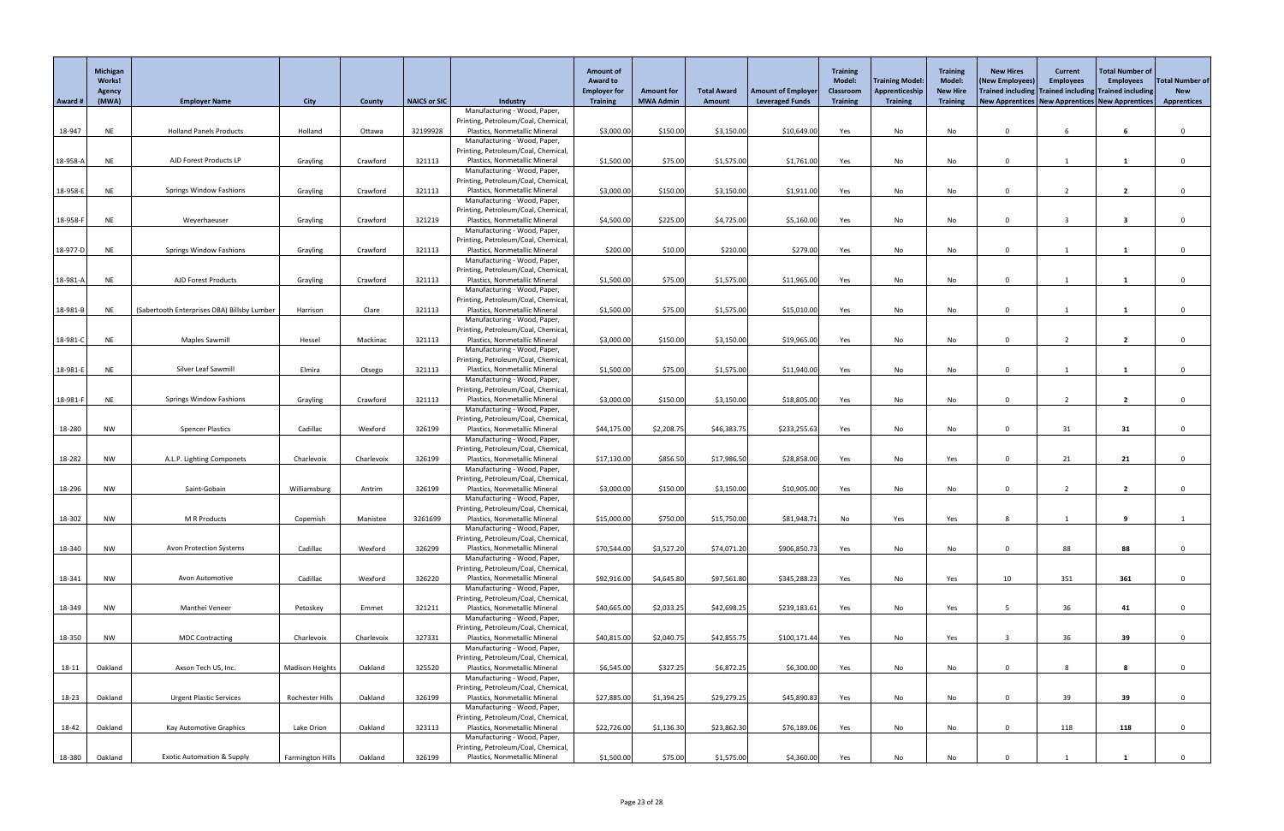|            | Michigan<br>Works!<br>Agency |                                             |                         |            |              |                                                                      | <b>Amount of</b><br><b>Award to</b><br><b>Employer for</b> | <b>Amount for</b> | <b>Total Award</b> | <b>Amount of Employer</b> | <b>Training</b><br><b>Model:</b><br><b>Classroom</b> | <b>Training Model:</b><br>Apprenticeship | <b>Training</b><br><b>Model:</b><br><b>New Hire</b> | <b>New Hires</b><br>(New Employees)<br>Trained including Trained including Trained including | <b>Current</b><br><b>Employees</b> | Total Number of<br><b>Employees</b> | <b>Total Number of</b><br><b>New</b> |
|------------|------------------------------|---------------------------------------------|-------------------------|------------|--------------|----------------------------------------------------------------------|------------------------------------------------------------|-------------------|--------------------|---------------------------|------------------------------------------------------|------------------------------------------|-----------------------------------------------------|----------------------------------------------------------------------------------------------|------------------------------------|-------------------------------------|--------------------------------------|
| Award #    | (MWA)                        | <b>Employer Name</b>                        | <b>City</b>             | County     | NAICS or SIC | <b>Industry</b>                                                      | <b>Training</b>                                            | <b>MWA Admin</b>  | Amount             | <b>Leveraged Funds</b>    | <b>Training</b>                                      | <b>Training</b>                          | <b>Training</b>                                     | New Apprentices   New Apprentices   New Apprentices                                          |                                    |                                     | <b>Apprentices</b>                   |
|            |                              |                                             |                         |            |              | Manufacturing - Wood, Paper,                                         |                                                            |                   |                    |                           |                                                      |                                          |                                                     |                                                                                              |                                    |                                     |                                      |
| 18-947     | <b>NE</b>                    | <b>Holland Panels Products</b>              | Holland                 | Ottawa     | 32199928     | Printing, Petroleum/Coal, Chemical<br>Plastics, Nonmetallic Mineral  | \$3,000.00                                                 | \$150.00          | \$3,150.00         | \$10,649.00               | Yes                                                  | No                                       | No                                                  | $\Omega$                                                                                     | 6                                  |                                     |                                      |
|            |                              |                                             |                         |            |              | Manufacturing - Wood, Paper,                                         |                                                            |                   |                    |                           |                                                      |                                          |                                                     |                                                                                              |                                    |                                     |                                      |
|            |                              |                                             |                         |            |              | Printing, Petroleum/Coal, Chemical                                   |                                                            |                   |                    |                           |                                                      |                                          |                                                     | $\Omega$                                                                                     |                                    |                                     |                                      |
| 18-958-A   | <b>NE</b>                    | AJD Forest Products LP                      | Grayling                | Crawford   | 321113       | Plastics, Nonmetallic Mineral<br>Manufacturing - Wood, Paper,        | \$1,500.00                                                 | \$75.00           | \$1,575.00         | \$1,761.00                | Yes                                                  | No                                       | No                                                  |                                                                                              |                                    |                                     |                                      |
|            |                              |                                             |                         |            |              | Printing, Petroleum/Coal, Chemical                                   |                                                            |                   |                    |                           |                                                      |                                          |                                                     |                                                                                              |                                    |                                     |                                      |
| 18-958-E   | <b>NE</b>                    | <b>Springs Window Fashions</b>              | Grayling                | Crawford   | 321113       | Plastics, Nonmetallic Mineral<br>Manufacturing - Wood, Paper,        | \$3,000.00                                                 | \$150.00          | \$3,150.00         | \$1,911.00                | Yes                                                  | No                                       | No                                                  | $\Omega$                                                                                     |                                    | $\overline{2}$                      | $\Omega$                             |
|            |                              |                                             |                         |            |              | Printing, Petroleum/Coal, Chemical                                   |                                                            |                   |                    |                           |                                                      |                                          |                                                     |                                                                                              |                                    |                                     |                                      |
| 18-958-F   | <b>NE</b>                    | Weyerhaeuser                                | Grayling                | Crawford   | 321219       | Plastics, Nonmetallic Mineral                                        | \$4,500.00                                                 | \$225.00          | \$4,725.00         | \$5,160.00                | Yes                                                  | No                                       | No                                                  | $\cap$                                                                                       |                                    | -3                                  |                                      |
|            |                              |                                             |                         |            |              | Manufacturing - Wood, Paper,                                         |                                                            |                   |                    |                           |                                                      |                                          |                                                     |                                                                                              |                                    |                                     |                                      |
| 18-977-D   | <b>NE</b>                    | <b>Springs Window Fashions</b>              | Grayling                | Crawford   | 321113       | Printing, Petroleum/Coal, Chemical<br>Plastics, Nonmetallic Mineral  | \$200.00                                                   | \$10.00           | \$210.00           | \$279.00                  | Yes                                                  | No                                       | No                                                  | $\Omega$                                                                                     |                                    |                                     | $\Omega$                             |
|            |                              |                                             |                         |            |              | Manufacturing - Wood, Paper,                                         |                                                            |                   |                    |                           |                                                      |                                          |                                                     |                                                                                              |                                    |                                     |                                      |
|            |                              | AJD Forest Products                         |                         |            |              | Printing, Petroleum/Coal, Chemical<br>Plastics, Nonmetallic Mineral  |                                                            |                   |                    |                           |                                                      |                                          |                                                     | $\Omega$                                                                                     |                                    |                                     |                                      |
| 18-981-A   | <b>NE</b>                    |                                             | Grayling                | Crawford   | 321113       | Manufacturing - Wood, Paper,                                         | \$1,500.00                                                 | \$75.00           | \$1,575.00         | \$11,965.00               | Yes                                                  | No                                       | No                                                  |                                                                                              |                                    |                                     |                                      |
|            |                              |                                             |                         |            |              | Printing, Petroleum/Coal, Chemical                                   |                                                            |                   |                    |                           |                                                      |                                          |                                                     |                                                                                              |                                    |                                     |                                      |
| 18-981-B   | <b>NE</b>                    | (Sabertooth Enterprises DBA) Billsby Lumber | Harrison                | Clare      | 321113       | Plastics, Nonmetallic Mineral                                        | \$1,500.00                                                 | \$75.00           | \$1,575.00         | \$15,010.00               | Yes                                                  | No                                       | No                                                  | $\Omega$                                                                                     |                                    |                                     |                                      |
|            |                              |                                             |                         |            |              | Manufacturing - Wood, Paper,<br>Printing, Petroleum/Coal, Chemical   |                                                            |                   |                    |                           |                                                      |                                          |                                                     |                                                                                              |                                    |                                     |                                      |
| 18-981-C   | <b>NE</b>                    | <b>Maples Sawmill</b>                       | Hessel                  | Mackinac   | 321113       | Plastics, Nonmetallic Mineral                                        | \$3,000.00                                                 | \$150.00          | \$3,150.00         | \$19,965.00               | Yes                                                  | No                                       | No                                                  | $\Omega$                                                                                     | $\overline{2}$                     | $\overline{2}$                      |                                      |
|            |                              |                                             |                         |            |              | Manufacturing - Wood, Paper,<br>Printing, Petroleum/Coal, Chemical   |                                                            |                   |                    |                           |                                                      |                                          |                                                     |                                                                                              |                                    |                                     |                                      |
| $18-981-E$ | <b>NE</b>                    | Silver Leaf Sawmill                         | Elmira                  | Otsego     | 321113       | Plastics, Nonmetallic Mineral                                        | \$1,500.00                                                 | \$75.00           | \$1,575.00         | \$11,940.00               | Yes                                                  | No                                       | No                                                  |                                                                                              |                                    |                                     |                                      |
|            |                              |                                             |                         |            |              | Manufacturing - Wood, Paper,                                         |                                                            |                   |                    |                           |                                                      |                                          |                                                     |                                                                                              |                                    |                                     |                                      |
|            |                              | <b>Springs Window Fashions</b>              |                         | Crawford   | 321113       | Printing, Petroleum/Coal, Chemical,<br>Plastics, Nonmetallic Mineral | \$3,000.00                                                 | \$150.00          | \$3,150.00         | \$18,805.00               |                                                      |                                          |                                                     | $\Omega$                                                                                     |                                    | $\mathbf{z}$                        | $\Omega$                             |
| 18-981-F   | <b>NE</b>                    |                                             | Grayling                |            |              | Manufacturing - Wood, Paper,                                         |                                                            |                   |                    |                           | Yes                                                  | No                                       | No                                                  |                                                                                              |                                    |                                     |                                      |
|            |                              |                                             |                         |            |              | Printing, Petroleum/Coal, Chemical                                   |                                                            |                   |                    |                           |                                                      |                                          |                                                     |                                                                                              |                                    |                                     |                                      |
| 18-280     | <b>NW</b>                    | <b>Spencer Plastics</b>                     | Cadillac                | Wexford    | 326199       | Plastics, Nonmetallic Mineral                                        | \$44,175.00                                                | \$2,208.75        | \$46,383.75        | \$233,255.63              | Yes                                                  | No                                       | No                                                  |                                                                                              | 31                                 | 31                                  | $\Omega$                             |
|            |                              |                                             |                         |            |              | Manufacturing - Wood, Paper,<br>Printing, Petroleum/Coal, Chemical   |                                                            |                   |                    |                           |                                                      |                                          |                                                     |                                                                                              |                                    |                                     |                                      |
| 18-282     | <b>NW</b>                    | A.L.P. Lighting Componets                   | Charlevoix              | Charlevoix | 326199       | Plastics, Nonmetallic Mineral                                        | \$17,130.00                                                | \$856.50          | \$17,986.50        | \$28,858.00               | Yes                                                  | No                                       | Yes                                                 | $\Omega$                                                                                     | 21                                 | 21                                  |                                      |
|            |                              |                                             |                         |            |              | Manufacturing - Wood, Paper,<br>Printing, Petroleum/Coal, Chemical   |                                                            |                   |                    |                           |                                                      |                                          |                                                     |                                                                                              |                                    |                                     |                                      |
| 18-296     | <b>NW</b>                    | Saint-Gobain                                | Williamsburg            | Antrim     | 326199       | Plastics, Nonmetallic Mineral                                        | \$3,000.00                                                 | \$150.00          | \$3,150.00         | \$10,905.00               | Yes                                                  | No                                       | No                                                  | $\Omega$                                                                                     |                                    | $\overline{2}$                      | $\Omega$                             |
|            |                              |                                             |                         |            |              | Manufacturing - Wood, Paper,                                         |                                                            |                   |                    |                           |                                                      |                                          |                                                     |                                                                                              |                                    |                                     |                                      |
| 18-302     | <b>NW</b>                    | M R Products                                | Copemish                | Manistee   | 3261699      | Printing, Petroleum/Coal, Chemical<br>Plastics, Nonmetallic Mineral  | \$15,000.00                                                | \$750.00          | \$15,750.00        | \$81,948.71               | No                                                   | Yes                                      | Yes                                                 | -8                                                                                           |                                    |                                     |                                      |
|            |                              |                                             |                         |            |              | Manufacturing - Wood, Paper,                                         |                                                            |                   |                    |                           |                                                      |                                          |                                                     |                                                                                              |                                    |                                     |                                      |
|            |                              |                                             |                         |            |              | Printing, Petroleum/Coal, Chemical                                   |                                                            |                   |                    |                           |                                                      |                                          |                                                     |                                                                                              |                                    |                                     |                                      |
| 18-340     | <b>NW</b>                    | <b>Avon Protection Systems</b>              | Cadillac                | Wexford    | 326299       | Plastics, Nonmetallic Mineral<br>Manufacturing - Wood, Paper,        | \$70,544.00                                                | \$3,527.20        | \$74,071.20        | \$906,850.73              | Yes                                                  | No                                       | No                                                  | $\Omega$                                                                                     | 88                                 | 88                                  | $\Omega$                             |
|            |                              |                                             |                         |            |              | Printing, Petroleum/Coal, Chemical                                   |                                                            |                   |                    |                           |                                                      |                                          |                                                     |                                                                                              |                                    |                                     |                                      |
| 18-341     | <b>NW</b>                    | Avon Automotive                             | Cadillac                | Wexford    | 326220       | Plastics, Nonmetallic Mineral                                        | \$92,916.00                                                | \$4,645.80        | \$97,561.80        | \$345,288.23              | Yes                                                  | No                                       | Yes                                                 | 10                                                                                           | 351                                | 361                                 |                                      |
|            |                              |                                             |                         |            |              | Manufacturing - Wood, Paper,<br>Printing, Petroleum/Coal, Chemical   |                                                            |                   |                    |                           |                                                      |                                          |                                                     |                                                                                              |                                    |                                     |                                      |
| 18-349     | <b>NW</b>                    | Manthei Veneer                              | Petoskey                | Emmet      | 321211       | Plastics, Nonmetallic Mineral                                        | \$40,665.00                                                | \$2,033.25        | \$42,698.25        | \$239,183.61              | Yes                                                  | No                                       | Yes                                                 |                                                                                              | 36                                 | 41                                  | $\Omega$                             |
|            |                              |                                             |                         |            |              | Manufacturing - Wood, Paper,                                         |                                                            |                   |                    |                           |                                                      |                                          |                                                     |                                                                                              |                                    |                                     |                                      |
| 18-350     | <b>NW</b>                    | <b>MDC Contracting</b>                      | Charlevoix              | Charlevoix | 327331       | Printing, Petroleum/Coal, Chemical<br>Plastics, Nonmetallic Mineral  | \$40,815.00                                                | \$2,040.75        | \$42,855.75        | \$100,171.44              | Yes                                                  | No                                       | Yes                                                 |                                                                                              | 36                                 | 39                                  | $\Omega$                             |
|            |                              |                                             |                         |            |              | Manufacturing - Wood, Paper,                                         |                                                            |                   |                    |                           |                                                      |                                          |                                                     |                                                                                              |                                    |                                     |                                      |
|            |                              |                                             |                         |            |              | Printing, Petroleum/Coal, Chemical,                                  |                                                            |                   |                    |                           |                                                      |                                          |                                                     |                                                                                              |                                    |                                     |                                      |
| 18-11      | Oakland                      | Axson Tech US, Inc.                         | <b>Madison Heights</b>  | Oakland    | 325520       | Plastics, Nonmetallic Mineral<br>Manufacturing - Wood, Paper,        | \$6,545.00                                                 | \$327.25          | \$6,872.25         | \$6,300.00                | Yes                                                  | No                                       | No                                                  | $\Omega$                                                                                     | 8                                  |                                     | $\Omega$                             |
|            |                              |                                             |                         |            |              | Printing, Petroleum/Coal, Chemical,                                  |                                                            |                   |                    |                           |                                                      |                                          |                                                     |                                                                                              |                                    |                                     |                                      |
| 18-23      | Oakland                      | <b>Urgent Plastic Services</b>              | Rochester Hills         | Oakland    | 326199       | Plastics, Nonmetallic Mineral                                        | \$27,885.00                                                | \$1,394.25        | \$29,279.25        | \$45,890.83               | Yes                                                  | No                                       | No                                                  | $\Omega$                                                                                     | 39                                 | 39                                  | $\Omega$                             |
|            |                              |                                             |                         |            |              | Manufacturing - Wood, Paper,<br>Printing, Petroleum/Coal, Chemical,  |                                                            |                   |                    |                           |                                                      |                                          |                                                     |                                                                                              |                                    |                                     |                                      |
| 18-42      | Oakland                      | Kay Automotive Graphics                     | Lake Orion              | Oakland    | 323113       | Plastics, Nonmetallic Mineral                                        | \$22,726.00                                                | \$1,136.30        | \$23,862.30        | \$76,189.06               | Yes                                                  | No                                       | No                                                  | $\Omega$                                                                                     | 118                                | 118                                 | $\mathbf{0}$                         |
|            |                              |                                             |                         |            |              | Manufacturing - Wood, Paper,                                         |                                                            |                   |                    |                           |                                                      |                                          |                                                     |                                                                                              |                                    |                                     |                                      |
| 18-380     | Oakland                      | <b>Exotic Automation &amp; Supply</b>       | <b>Farmington Hills</b> | Oakland    | 326199       | Printing, Petroleum/Coal, Chemical,<br>Plastics, Nonmetallic Mineral | \$1,500.00                                                 | \$75.00           | \$1,575.00         | \$4,360.00                | Yes                                                  | No                                       | No                                                  |                                                                                              |                                    |                                     | $\Omega$                             |
|            |                              |                                             |                         |            |              |                                                                      |                                                            |                   |                    |                           |                                                      |                                          |                                                     |                                                                                              |                                    |                                     |                                      |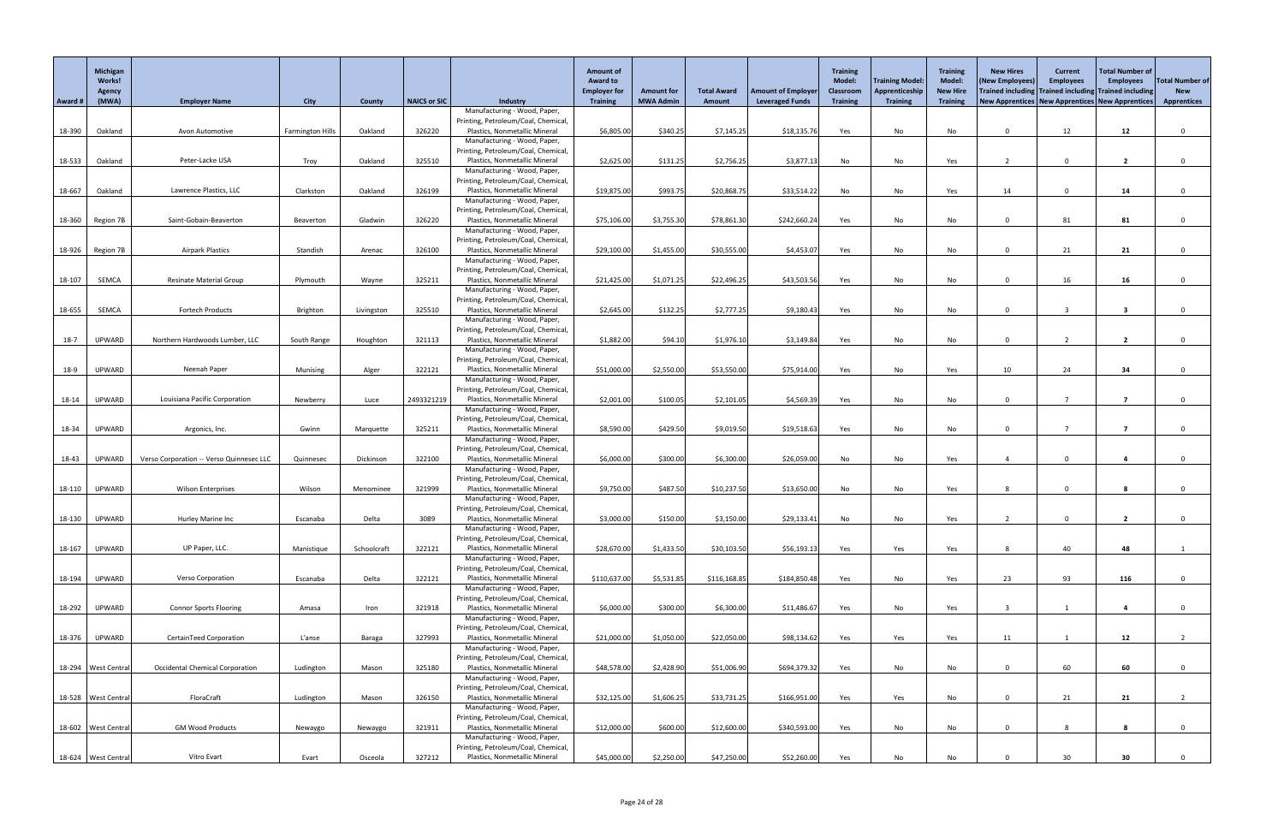|         | Michigan<br><b>Works!</b><br>Agency |                                          |                         |             |                     |                                                                      | <b>Amount of</b><br><b>Award to</b><br><b>Employer for</b> | <b>Amount for</b> | <b>Total Award</b> | <b>Amount of Employer</b> | <b>Training</b><br><b>Model:</b><br><b>Classroom</b> | Training Model:<br>Apprenticeship | <b>Training</b><br><b>Model:</b><br><b>New Hire</b> | <b>New Hires</b><br>(New Employees)<br>Trained including Trained including Trained including | <b>Current</b><br><b>Employees</b> | <b>Total Number of</b><br><b>Employees</b> | Total Number of<br><b>New</b> |
|---------|-------------------------------------|------------------------------------------|-------------------------|-------------|---------------------|----------------------------------------------------------------------|------------------------------------------------------------|-------------------|--------------------|---------------------------|------------------------------------------------------|-----------------------------------|-----------------------------------------------------|----------------------------------------------------------------------------------------------|------------------------------------|--------------------------------------------|-------------------------------|
| Award # | (MWA)                               | <b>Employer Name</b>                     | <b>City</b>             | County      | <b>NAICS or SIC</b> | <b>Industry</b>                                                      | <b>Training</b>                                            | <b>MWA Admin</b>  | Amount             | <b>Leveraged Funds</b>    | <b>Training</b>                                      | <b>Training</b>                   | <b>Training</b>                                     | New Apprentices   New Apprentices   New Apprentices                                          |                                    |                                            | <b>Apprentices</b>            |
|         |                                     |                                          |                         |             |                     | Manufacturing - Wood, Paper,                                         |                                                            |                   |                    |                           |                                                      |                                   |                                                     |                                                                                              |                                    |                                            |                               |
|         |                                     |                                          |                         |             |                     | Printing, Petroleum/Coal, Chemical                                   |                                                            |                   |                    |                           |                                                      |                                   |                                                     | $\Omega$                                                                                     |                                    |                                            |                               |
| 18-390  | Oakland                             | Avon Automotive                          | <b>Farmington Hills</b> | Oakland     | 326220              | Plastics, Nonmetallic Mineral<br>Manufacturing - Wood, Paper,        | \$6,805.00                                                 | \$340.25          | \$7,145.25         | \$18,135.76               | Yes                                                  | No                                | No                                                  |                                                                                              | 12                                 | 12                                         | $\Omega$                      |
|         |                                     |                                          |                         |             |                     | Printing, Petroleum/Coal, Chemical                                   |                                                            |                   |                    |                           |                                                      |                                   |                                                     |                                                                                              |                                    |                                            |                               |
| 18-533  | Oakland                             | Peter-Lacke USA                          | Troy                    | Oakland     | 325510              | Plastics, Nonmetallic Mineral                                        | \$2,625.00                                                 | \$131.25          | \$2,756.25         | \$3,877.13                | No                                                   | No                                | Yes                                                 |                                                                                              | $\Omega$                           | $\overline{2}$                             |                               |
|         |                                     |                                          |                         |             |                     | Manufacturing - Wood, Paper,                                         |                                                            |                   |                    |                           |                                                      |                                   |                                                     |                                                                                              |                                    |                                            |                               |
|         |                                     |                                          |                         |             |                     | Printing, Petroleum/Coal, Chemical                                   |                                                            |                   |                    |                           |                                                      |                                   |                                                     |                                                                                              |                                    |                                            |                               |
| 18-667  | Oakland                             | Lawrence Plastics, LLC                   | Clarkston               | Oakland     | 326199              | Plastics, Nonmetallic Mineral<br>Manufacturing - Wood, Paper,        | \$19,875.00                                                | \$993.75          | \$20,868.75        | \$33,514.22               | No                                                   | No                                | Yes                                                 | 14                                                                                           | $\Omega$                           | 14                                         | $\Omega$                      |
|         |                                     |                                          |                         |             |                     | Printing, Petroleum/Coal, Chemical                                   |                                                            |                   |                    |                           |                                                      |                                   |                                                     |                                                                                              |                                    |                                            |                               |
| 18-360  | Region 7B                           | Saint-Gobain-Beaverton                   | Beaverton               | Gladwin     | 326220              | Plastics, Nonmetallic Mineral                                        | \$75,106.00                                                | \$3,755.30        | \$78,861.30        | \$242,660.24              | Yes                                                  | No                                | No                                                  | $\Omega$                                                                                     | 81                                 | 81                                         |                               |
|         |                                     |                                          |                         |             |                     | Manufacturing - Wood, Paper,                                         |                                                            |                   |                    |                           |                                                      |                                   |                                                     |                                                                                              |                                    |                                            |                               |
|         |                                     |                                          |                         |             |                     | Printing, Petroleum/Coal, Chemical                                   |                                                            |                   |                    |                           |                                                      |                                   |                                                     |                                                                                              |                                    |                                            |                               |
| 18-926  | Region 7B                           | <b>Airpark Plastics</b>                  | Standish                | Arenac      | 326100              | Plastics, Nonmetallic Mineral<br>Manufacturing - Wood, Paper,        | \$29,100.00                                                | \$1,455.00        | \$30,555.00        | \$4,453.07                | Yes                                                  | No                                | No                                                  | $\Omega$                                                                                     | 21                                 | 21                                         | $\Omega$                      |
|         |                                     |                                          |                         |             |                     | Printing, Petroleum/Coal, Chemical                                   |                                                            |                   |                    |                           |                                                      |                                   |                                                     |                                                                                              |                                    |                                            |                               |
| 18-107  | SEMCA                               | <b>Resinate Material Group</b>           | Plymouth                | Wayne       | 325211              | Plastics, Nonmetallic Mineral                                        | \$21,425.00                                                | \$1,071.25        | \$22,496.25        | \$43,503.56               | Yes                                                  | No                                | No                                                  | $\cap$                                                                                       | 16                                 | 16                                         |                               |
|         |                                     |                                          |                         |             |                     | Manufacturing - Wood, Paper,                                         |                                                            |                   |                    |                           |                                                      |                                   |                                                     |                                                                                              |                                    |                                            |                               |
|         |                                     |                                          |                         |             |                     | Printing, Petroleum/Coal, Chemical                                   |                                                            |                   |                    |                           |                                                      |                                   |                                                     |                                                                                              |                                    |                                            |                               |
| 18-655  | SEMCA                               | Fortech Products                         | Brighton                | Livingston  | 325510              | Plastics, Nonmetallic Mineral                                        | \$2,645.00                                                 | \$132.25          | \$2,777.25         | \$9,180.43                | Yes                                                  | No                                | No                                                  | $\Omega$                                                                                     |                                    | $\overline{\mathbf{3}}$                    | $\Omega$                      |
|         |                                     |                                          |                         |             |                     | Manufacturing - Wood, Paper,<br>Printing, Petroleum/Coal, Chemical   |                                                            |                   |                    |                           |                                                      |                                   |                                                     |                                                                                              |                                    |                                            |                               |
| $18-7$  | UPWARD                              | Northern Hardwoods Lumber, LLC           | South Range             | Houghton    | 321113              | Plastics, Nonmetallic Mineral                                        | \$1,882.00                                                 | \$94.10           | \$1,976.10         | \$3,149.84                | Yes                                                  | No                                | No                                                  | $\Omega$                                                                                     |                                    |                                            |                               |
|         |                                     |                                          |                         |             |                     | Manufacturing - Wood, Paper,                                         |                                                            |                   |                    |                           |                                                      |                                   |                                                     |                                                                                              |                                    |                                            |                               |
|         |                                     |                                          |                         |             |                     | Printing, Petroleum/Coal, Chemical                                   |                                                            |                   |                    |                           |                                                      |                                   |                                                     |                                                                                              |                                    |                                            |                               |
| 18-9    | UPWARD                              | Neenah Paper                             | Munising                | Alger       | 322121              | Plastics, Nonmetallic Mineral                                        | \$51,000.00                                                | \$2,550.00        | \$53,550.00        | \$75,914.00               | Yes                                                  | No                                | Yes                                                 | 10                                                                                           | 24                                 | 34                                         |                               |
|         |                                     |                                          |                         |             |                     | Manufacturing - Wood, Paper,<br>Printing, Petroleum/Coal, Chemical,  |                                                            |                   |                    |                           |                                                      |                                   |                                                     |                                                                                              |                                    |                                            |                               |
| 18-14   | UPWARD                              | Louisiana Pacific Corporation            | Newberry                | Luce        | 2493321219          | Plastics, Nonmetallic Mineral                                        | \$2,001.00                                                 | \$100.05          | \$2,101.05         | \$4,569.39                | Yes                                                  | No                                | No                                                  | $\Omega$                                                                                     |                                    |                                            |                               |
|         |                                     |                                          |                         |             |                     | Manufacturing - Wood, Paper,                                         |                                                            |                   |                    |                           |                                                      |                                   |                                                     |                                                                                              |                                    |                                            |                               |
|         |                                     |                                          |                         |             |                     | Printing, Petroleum/Coal, Chemical                                   |                                                            |                   |                    |                           |                                                      |                                   |                                                     |                                                                                              |                                    |                                            |                               |
| 18-34   | UPWARD                              | Argonics, Inc.                           | Gwinn                   | Marquette   | 325211              | Plastics, Nonmetallic Mineral                                        | \$8,590.00                                                 | \$429.50          | \$9,019.50         | \$19,518.63               | Yes                                                  | No                                | No                                                  | $\Omega$                                                                                     |                                    |                                            |                               |
|         |                                     |                                          |                         |             |                     | Manufacturing - Wood, Paper,<br>Printing, Petroleum/Coal, Chemical   |                                                            |                   |                    |                           |                                                      |                                   |                                                     |                                                                                              |                                    |                                            |                               |
| 18-43   | UPWARD                              | Verso Corporation -- Verso Quinnesec LLC | Quinnesec               | Dickinson   | 322100              | Plastics, Nonmetallic Mineral                                        | \$6,000.00                                                 | \$300.00          | \$6,300.00         | \$26,059.00               | No                                                   | No                                | Yes                                                 |                                                                                              | $\Omega$                           |                                            | $\Omega$                      |
|         |                                     |                                          |                         |             |                     | Manufacturing - Wood, Paper,                                         |                                                            |                   |                    |                           |                                                      |                                   |                                                     |                                                                                              |                                    |                                            |                               |
|         |                                     |                                          |                         |             |                     | Printing, Petroleum/Coal, Chemical                                   |                                                            |                   |                    |                           |                                                      |                                   |                                                     |                                                                                              |                                    |                                            |                               |
| 18-110  | UPWARD                              | <b>Wilson Enterprises</b>                | Wilson                  | Menominee   | 321999              | Plastics, Nonmetallic Mineral                                        | \$9,750.00                                                 | \$487.50          | \$10,237.50        | \$13,650.00               | No                                                   | No                                | Yes                                                 | 8                                                                                            | $\Omega$                           |                                            | $\Omega$                      |
|         |                                     |                                          |                         |             |                     | Manufacturing - Wood, Paper,<br>Printing, Petroleum/Coal, Chemical   |                                                            |                   |                    |                           |                                                      |                                   |                                                     |                                                                                              |                                    |                                            |                               |
| 18-130  | UPWARD                              | Hurley Marine Inc                        | Escanaba                | Delta       | 3089                | Plastics, Nonmetallic Mineral                                        | \$3,000.00                                                 | \$150.00          | \$3,150.00         | \$29,133.41               | No                                                   | No                                | Yes                                                 |                                                                                              |                                    |                                            |                               |
|         |                                     |                                          |                         |             |                     | Manufacturing - Wood, Paper,                                         |                                                            |                   |                    |                           |                                                      |                                   |                                                     |                                                                                              |                                    |                                            |                               |
|         |                                     |                                          |                         |             |                     | Printing, Petroleum/Coal, Chemical                                   |                                                            |                   |                    |                           |                                                      |                                   |                                                     |                                                                                              |                                    |                                            |                               |
| 18-167  | UPWARD                              | UP Paper, LLC.                           | Manistique              | Schoolcraft | 322121              | Plastics, Nonmetallic Mineral                                        | \$28,670.00                                                | \$1,433.50        | \$30,103.50        | \$56,193.13               | Yes                                                  | Yes                               | Yes                                                 | 8                                                                                            | 40                                 | 48                                         |                               |
|         |                                     |                                          |                         |             |                     | Manufacturing - Wood, Paper,<br>Printing, Petroleum/Coal, Chemical   |                                                            |                   |                    |                           |                                                      |                                   |                                                     |                                                                                              |                                    |                                            |                               |
| 18-194  | UPWARD                              | <b>Verso Corporation</b>                 | Escanaba                | Delta       | 322121              | Plastics, Nonmetallic Mineral                                        | \$110,637.00                                               | \$5,531.85        | \$116,168.85       | \$184,850.48              | Yes                                                  | No                                | Yes                                                 | 23                                                                                           | 93                                 | 116                                        |                               |
|         |                                     |                                          |                         |             |                     | Manufacturing - Wood, Paper,                                         |                                                            |                   |                    |                           |                                                      |                                   |                                                     |                                                                                              |                                    |                                            |                               |
|         |                                     |                                          |                         |             |                     | Printing, Petroleum/Coal, Chemical                                   |                                                            |                   |                    |                           |                                                      |                                   |                                                     |                                                                                              |                                    |                                            |                               |
| 18-292  | UPWARD                              | <b>Connor Sports Flooring</b>            | Amasa                   | Iron        | 321918              | Plastics, Nonmetallic Mineral                                        | \$6,000.00                                                 | \$300.00          | \$6,300.00         | \$11,486.67               | Yes                                                  | No                                | Yes                                                 |                                                                                              |                                    | 4                                          | $\Omega$                      |
|         |                                     |                                          |                         |             |                     | Manufacturing - Wood, Paper,                                         |                                                            |                   |                    |                           |                                                      |                                   |                                                     |                                                                                              |                                    |                                            |                               |
| 18-376  | UPWARD                              | CertainTeed Corporation                  | L'anse                  | Baraga      | 327993              | Printing, Petroleum/Coal, Chemical<br>Plastics, Nonmetallic Mineral  | \$21,000.00                                                | \$1,050.00        | \$22,050.00        | \$98,134.62               | Yes                                                  | Yes                               | Yes                                                 | 11                                                                                           |                                    | 12                                         |                               |
|         |                                     |                                          |                         |             |                     | Manufacturing - Wood, Paper,                                         |                                                            |                   |                    |                           |                                                      |                                   |                                                     |                                                                                              |                                    |                                            |                               |
|         |                                     |                                          |                         |             |                     | Printing, Petroleum/Coal, Chemical                                   |                                                            |                   |                    |                           |                                                      |                                   |                                                     |                                                                                              |                                    |                                            |                               |
|         | 18-294   West Centra                | <b>Occidental Chemical Corporation</b>   | Ludington               | Mason       | 325180              | Plastics, Nonmetallic Mineral                                        | \$48,578.00                                                | \$2,428.90        | \$51,006.90        | \$694,379.32              | Yes                                                  | No                                | No                                                  | $\Omega$                                                                                     | 60                                 | 60                                         | $\Omega$                      |
|         |                                     |                                          |                         |             |                     | Manufacturing - Wood, Paper,                                         |                                                            |                   |                    |                           |                                                      |                                   |                                                     |                                                                                              |                                    |                                            |                               |
|         |                                     | FloraCraft                               |                         |             | 326150              | Printing, Petroleum/Coal, Chemical,<br>Plastics, Nonmetallic Mineral |                                                            | \$1,606.25        |                    | \$166,951.00              |                                                      |                                   |                                                     | $\Omega$                                                                                     |                                    |                                            |                               |
|         | 18-528   West Central               |                                          | Ludington               | Mason       |                     | Manufacturing - Wood, Paper,                                         | \$32,125.00                                                |                   | \$33,731.25        |                           | Yes                                                  | Yes                               | No                                                  |                                                                                              | 21                                 | 21                                         |                               |
|         |                                     |                                          |                         |             |                     | Printing, Petroleum/Coal, Chemical,                                  |                                                            |                   |                    |                           |                                                      |                                   |                                                     |                                                                                              |                                    |                                            |                               |
|         | 18-602   West Central               | <b>GM Wood Products</b>                  | Newaygo                 | Newaygo     | 321911              | Plastics, Nonmetallic Mineral                                        | \$12,000.00                                                | \$600.00          | \$12,600.00        | \$340,593.00              | Yes                                                  | No                                | No                                                  | $\Omega$                                                                                     | 8                                  |                                            | $\Omega$                      |
|         |                                     |                                          |                         |             |                     | Manufacturing - Wood, Paper,                                         |                                                            |                   |                    |                           |                                                      |                                   |                                                     |                                                                                              |                                    |                                            |                               |
|         |                                     |                                          |                         |             |                     | Printing, Petroleum/Coal, Chemical,                                  |                                                            |                   |                    |                           |                                                      |                                   |                                                     |                                                                                              |                                    |                                            |                               |
|         | 18-624   West Centra                | Vitro Evart                              | Evart                   | Osceola     | 327212              | Plastics, Nonmetallic Mineral                                        | \$45,000.00                                                | \$2,250.00        | \$47,250.00        | \$52,260.00               | Yes                                                  | No                                | No                                                  |                                                                                              | 30                                 | 30                                         | 0                             |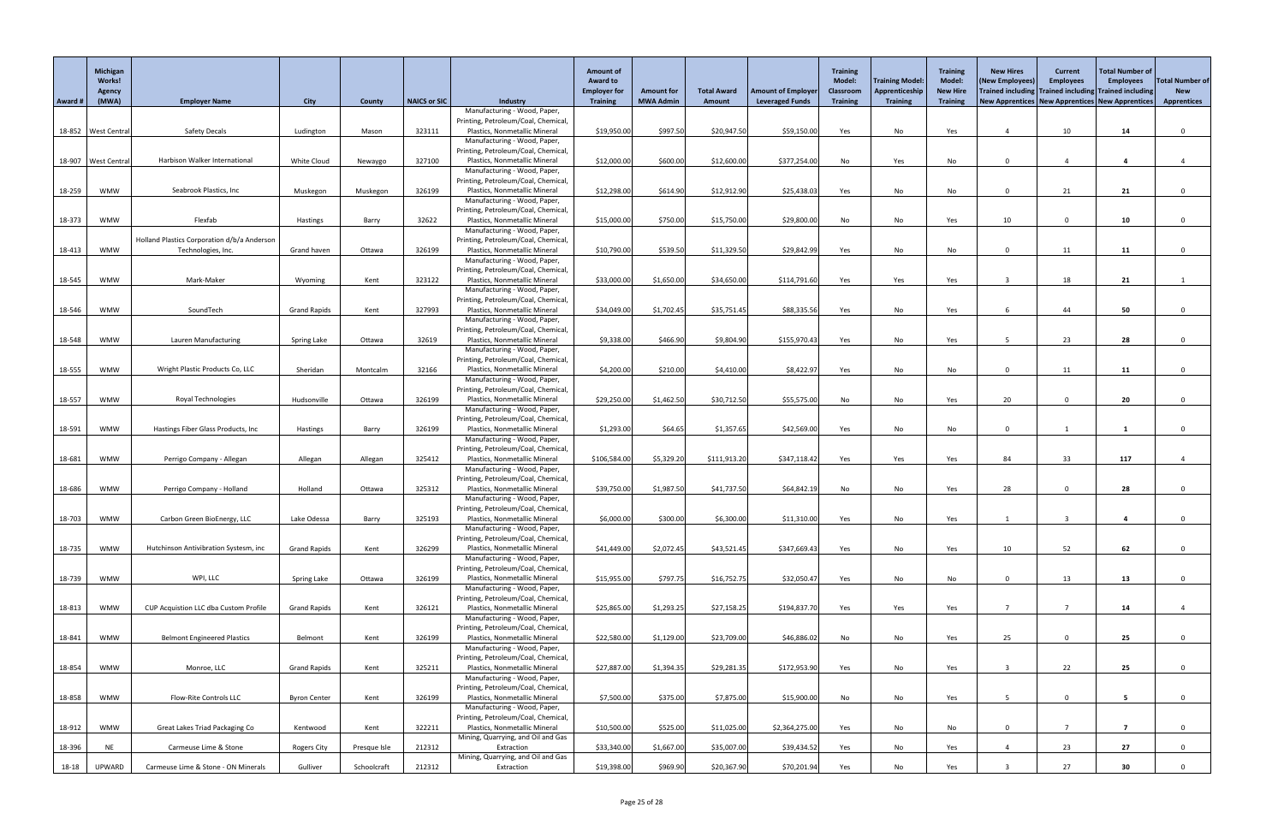|                  | Michigan<br><b>Works!</b><br>Agency |                                                                   |                     |                    |                     |                                                                                                      | <b>Amount of</b><br><b>Award to</b><br><b>Employer for</b> | <b>Amount for</b> | <b>Total Award</b>        | <b>Amount of Employer</b> | <b>Training</b><br><b>Model:</b><br>Classroom | Training Model:<br>Apprenticeship | <b>Training</b><br><b>Model:</b><br><b>New Hire</b> | <b>New Hires</b><br>(New Employees)<br>Trained including Trained including Trained including | <b>Current</b><br><b>Employees</b> | <b>Total Number of</b><br><b>Employees</b> | <b>Total Number of</b><br><b>New</b> |
|------------------|-------------------------------------|-------------------------------------------------------------------|---------------------|--------------------|---------------------|------------------------------------------------------------------------------------------------------|------------------------------------------------------------|-------------------|---------------------------|---------------------------|-----------------------------------------------|-----------------------------------|-----------------------------------------------------|----------------------------------------------------------------------------------------------|------------------------------------|--------------------------------------------|--------------------------------------|
| Award #          | (MWA)                               | <b>Employer Name</b>                                              | <b>City</b>         | County             | <b>NAICS or SIC</b> | <b>Industry</b>                                                                                      | <b>Training</b>                                            | <b>MWA Admin</b>  | Amount                    | <b>Leveraged Funds</b>    | <b>Training</b>                               | <b>Training</b>                   | <b>Training</b>                                     | New Apprentices   New Apprentices   New Apprentices                                          |                                    |                                            | <b>Apprentices</b>                   |
| 18-852           | <b>West Centra</b>                  | <b>Safety Decals</b>                                              | Ludington           | Mason              | 323111              | Manufacturing - Wood, Paper,<br>Printing, Petroleum/Coal, Chemical<br>Plastics, Nonmetallic Mineral  | \$19,950.00                                                | \$997.50          | \$20,947.50               | \$59,150.00               | Yes                                           | No                                | Yes                                                 |                                                                                              | 10                                 | 14                                         | $\Omega$                             |
| 18-907           | <b>West Centra</b>                  | Harbison Walker International                                     | White Cloud         | Newaygo            | 327100              | Manufacturing - Wood, Paper,<br>Printing, Petroleum/Coal, Chemical<br>Plastics, Nonmetallic Mineral  | \$12,000.00                                                | \$600.00          | \$12,600.00               | \$377,254.00              | No                                            | Yes                               | No                                                  |                                                                                              |                                    |                                            |                                      |
| 18-259           | <b>WMW</b>                          | Seabrook Plastics, Inc                                            | Muskegon            | Muskegon           | 326199              | Manufacturing - Wood, Paper,<br>Printing, Petroleum/Coal, Chemical<br>Plastics, Nonmetallic Mineral  | \$12,298.00                                                | \$614.90          | \$12,912.90               | \$25,438.03               | Yes                                           | No                                | No                                                  | $\Omega$                                                                                     | 21                                 | 21                                         | $\Omega$                             |
| 18-373           | <b>WMW</b>                          | Flexfab                                                           | Hastings            | Barry              | 32622               | Manufacturing - Wood, Paper,<br>Printing, Petroleum/Coal, Chemical<br>Plastics, Nonmetallic Mineral  | \$15,000.00                                                | \$750.00          | \$15,750.00               | \$29,800.00               | No                                            | No                                | Yes                                                 | 10                                                                                           | $\Omega$                           | 10                                         |                                      |
| 18-413           | <b>WMW</b>                          | Holland Plastics Corporation d/b/a Anderson<br>Technologies, Inc. | Grand haven         | Ottawa             | 326199              | Manufacturing - Wood, Paper,<br>Printing, Petroleum/Coal, Chemical<br>Plastics, Nonmetallic Mineral  | \$10,790.00                                                | \$539.50          | \$11,329.50               | \$29,842.99               | Yes                                           | No                                | No                                                  | $\Omega$                                                                                     | 11                                 | 11                                         | $\Omega$                             |
| 18-545           | <b>WMW</b>                          | Mark-Maker                                                        | Wyoming             | Kent               | 323122              | Manufacturing - Wood, Paper,<br>Printing, Petroleum/Coal, Chemical<br>Plastics, Nonmetallic Mineral  | \$33,000.00                                                | \$1,650.00        | \$34,650.00               | \$114,791.60              | Yes                                           | Yes                               | Yes                                                 |                                                                                              | 18                                 | 21                                         |                                      |
| 18-546           | <b>WMW</b>                          | SoundTech                                                         | <b>Grand Rapids</b> | Kent               | 327993              | Manufacturing - Wood, Paper,<br>Printing, Petroleum/Coal, Chemical<br>Plastics, Nonmetallic Mineral  | \$34,049.00                                                | \$1,702.45        | \$35,751.45               | \$88,335.56               | Yes                                           | No                                | Yes                                                 |                                                                                              | 44                                 | 50                                         | $\Omega$                             |
| 18-548           | <b>WMW</b>                          | Lauren Manufacturing                                              | Spring Lake         | Ottawa             | 32619               | Manufacturing - Wood, Paper,<br>Printing, Petroleum/Coal, Chemical<br>Plastics, Nonmetallic Mineral  | \$9,338.00                                                 | \$466.90          | \$9,804.90                | \$155,970.43              | Yes                                           | No                                | Yes                                                 |                                                                                              | 23                                 | 28                                         |                                      |
| 18-555           | <b>WMW</b>                          |                                                                   | Sheridan            |                    | 32166               | Manufacturing - Wood, Paper,<br>Printing, Petroleum/Coal, Chemical<br>Plastics, Nonmetallic Mineral  |                                                            | \$210.00          |                           |                           |                                               |                                   |                                                     |                                                                                              |                                    |                                            |                                      |
|                  | <b>WMW</b>                          | Wright Plastic Products Co, LLC<br>Royal Technologies             | Hudsonville         | Montcalm<br>Ottawa | 326199              | Manufacturing - Wood, Paper,<br>Printing, Petroleum/Coal, Chemical<br>Plastics, Nonmetallic Mineral  | \$4,200.00<br>\$29,250.00                                  | \$1,462.50        | \$4,410.00<br>\$30,712.50 | \$8,422.97<br>\$55,575.00 | Yes                                           | No                                | No                                                  | 20                                                                                           | 11<br>$\Omega$                     | 11<br>20                                   |                                      |
| 18-557           | <b>WMW</b>                          | Hastings Fiber Glass Products, Inc                                |                     |                    | 326199              | Manufacturing - Wood, Paper,<br>Printing, Petroleum/Coal, Chemical<br>Plastics, Nonmetallic Mineral  | \$1,293.00                                                 | \$64.65           | \$1,357.65                | \$42,569.00               | No                                            | No                                | Yes                                                 | $\Omega$                                                                                     |                                    |                                            | $\Omega$                             |
| 18-591<br>18-681 | <b>WMW</b>                          | Perrigo Company - Allegan                                         | Hastings<br>Allegan | Barry<br>Allegan   | 325412              | Manufacturing - Wood, Paper,<br>Printing, Petroleum/Coal, Chemical<br>Plastics, Nonmetallic Mineral  | \$106,584.00                                               | \$5,329.20        | \$111,913.20              | \$347,118.42              | Yes<br>Yes                                    | No<br>Yes                         | No<br>Yes                                           | 84                                                                                           | 33                                 | 117                                        |                                      |
| 18-686           | <b>WMW</b>                          | Perrigo Company - Holland                                         | Holland             | Ottawa             | 325312              | Manufacturing - Wood, Paper,<br>Printing, Petroleum/Coal, Chemical<br>Plastics, Nonmetallic Mineral  | \$39,750.00                                                | \$1,987.50        | \$41,737.50               | \$64,842.19               | No                                            | No                                | Yes                                                 | 28                                                                                           | $\mathbf 0$                        | 28                                         |                                      |
| 18-703           | <b>WMW</b>                          | Carbon Green BioEnergy, LLC                                       | Lake Odessa         | Barry              | 325193              | Manufacturing - Wood, Paper,<br>Printing, Petroleum/Coal, Chemical<br>Plastics, Nonmetallic Mineral  | \$6,000.00                                                 | \$300.00          | \$6,300.00                | \$11,310.00               | Yes                                           | No                                | Yes                                                 |                                                                                              |                                    |                                            |                                      |
| 18-735           | <b>WMW</b>                          | Hutchinson Antivibration Systesm, inc                             | <b>Grand Rapids</b> | Kent               | 326299              | Manufacturing - Wood, Paper,<br>Printing, Petroleum/Coal, Chemical<br>Plastics, Nonmetallic Mineral  | \$41,449.00                                                | \$2,072.45        | \$43,521.45               | \$347,669.43              | Yes                                           | No                                | Yes                                                 | 10                                                                                           | 52                                 | 62                                         | $\Omega$                             |
| 18-739           | <b>WMW</b>                          | WPI, LLC                                                          | Spring Lake         | Ottawa             | 326199              | Manufacturing - Wood, Paper,<br>Printing, Petroleum/Coal, Chemical<br>Plastics, Nonmetallic Mineral  | \$15,955.00                                                | \$797.75          | \$16,752.75               | \$32,050.47               | Yes                                           | No                                | No                                                  | $\Omega$                                                                                     | 13                                 | 13                                         |                                      |
| 18-813           | <b>WMW</b>                          | CUP Acquistion LLC dba Custom Profile                             | <b>Grand Rapids</b> | Kent               | 326121              | Manufacturing - Wood, Paper,<br>Printing, Petroleum/Coal, Chemical<br>Plastics, Nonmetallic Mineral  | \$25,865.00                                                | \$1,293.25        | \$27,158.25               | \$194,837.70              | Yes                                           | Yes                               | Yes                                                 |                                                                                              |                                    | 14                                         |                                      |
| 18-841           | <b>WMW</b>                          | <b>Belmont Engineered Plastics</b>                                | Belmont             | Kent               | 326199              | Manufacturing - Wood, Paper,<br>Printing, Petroleum/Coal, Chemical<br>Plastics, Nonmetallic Mineral  | \$22,580.00                                                | \$1,129.00        | \$23,709.00               | \$46,886.02               | No                                            | No                                | Yes                                                 | 25                                                                                           | $\Omega$                           | 25                                         | $\Omega$                             |
| 18-854           | <b>WMW</b>                          | Monroe, LLC                                                       | <b>Grand Rapids</b> | Kent               | 325211              | Manufacturing - Wood, Paper,<br>Printing, Petroleum/Coal, Chemical<br>Plastics, Nonmetallic Mineral  | \$27,887.00                                                | \$1,394.35        | \$29,281.35               | \$172,953.90              | Yes                                           | No                                | Yes                                                 |                                                                                              | 22                                 | 25                                         | $\Omega$                             |
| 18-858           | <b>WMW</b>                          | <b>Flow-Rite Controls LLC</b>                                     | <b>Byron Center</b> | Kent               | 326199              | Manufacturing - Wood, Paper,<br>Printing, Petroleum/Coal, Chemical,<br>Plastics, Nonmetallic Mineral | \$7,500.00                                                 | \$375.00          | \$7,875.00                | \$15,900.00               | No                                            | No                                | Yes                                                 | -5.                                                                                          | $\mathbf 0$                        | $5^{\circ}$                                | $\Omega$                             |
| 18-912           | <b>WMW</b>                          | Great Lakes Triad Packaging Co                                    | Kentwood            | Kent               | 322211              | Manufacturing - Wood, Paper,<br>Printing, Petroleum/Coal, Chemical,<br>Plastics, Nonmetallic Mineral | \$10,500.00                                                | \$525.00          | \$11,025.00               | \$2,364,275.00            | Yes                                           | No                                | No                                                  | $\Omega$                                                                                     |                                    | $\overline{7}$                             | $\mathbf{0}$                         |
| 18-396           | <b>NE</b>                           | Carmeuse Lime & Stone                                             | Rogers City         | Presque Isle       | 212312              | Mining, Quarrying, and Oil and Gas<br>Extraction<br>Mining, Quarrying, and Oil and Gas               | \$33,340.00                                                | \$1,667.00        | \$35,007.00               | \$39,434.52               | Yes                                           | No                                | Yes                                                 |                                                                                              | 23                                 | 27                                         | $\Omega$                             |
| 18-18            | UPWARD                              | Carmeuse Lime & Stone - ON Minerals                               | Gulliver            | Schoolcraft        | 212312              | Extraction                                                                                           | \$19,398.00                                                | \$969.90          | \$20,367.90               | \$70,201.94               | Yes                                           | No                                | Yes                                                 |                                                                                              | 27                                 | 30                                         | $\Omega$                             |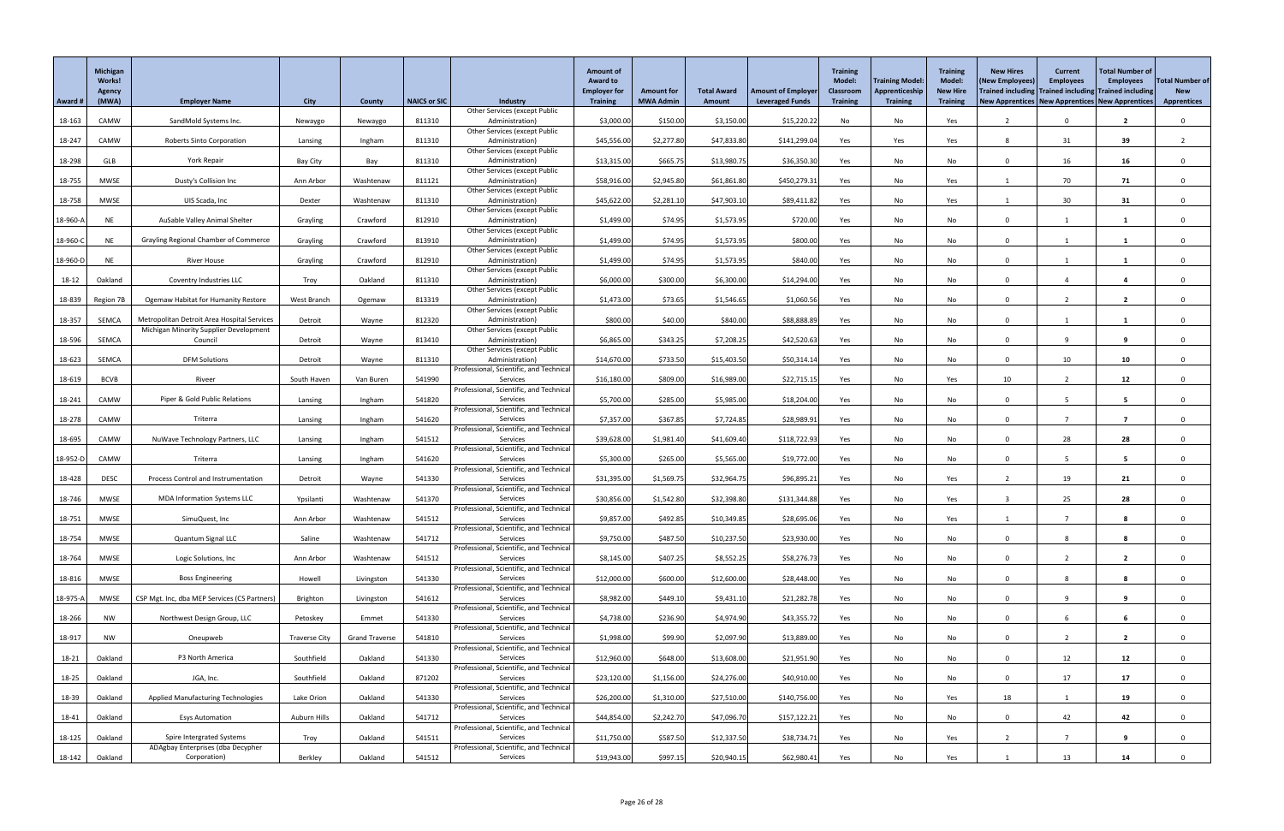|          | Michigan<br><b>Works!</b><br>Agency |                                                                                       |                      |                       |                     |                                                         | <b>Amount of</b><br><b>Award to</b><br><b>Employer for</b><br><b>Training</b> | <b>Amount for</b> | <b>Total Award</b> | <b>Amount of Employer</b> | <b>Training</b><br><b>Model:</b><br>Classroom | <b>Training Model:</b><br>Apprenticeship | <b>Training</b><br><b>Model:</b><br><b>New Hire</b> | <b>New Hires</b><br>(New Employees)<br>Trained including Trained including Trained including | <b>Current</b><br><b>Employees</b> | <b>Total Number of</b><br><b>Employees</b> | <b>Total Number of</b><br><b>New</b> |
|----------|-------------------------------------|---------------------------------------------------------------------------------------|----------------------|-----------------------|---------------------|---------------------------------------------------------|-------------------------------------------------------------------------------|-------------------|--------------------|---------------------------|-----------------------------------------------|------------------------------------------|-----------------------------------------------------|----------------------------------------------------------------------------------------------|------------------------------------|--------------------------------------------|--------------------------------------|
| Award #  | (MWA)                               | <b>Employer Name</b>                                                                  | <b>City</b>          | <b>County</b>         | <b>NAICS or SIC</b> | <b>Industry</b><br><b>Other Services (except Public</b> |                                                                               | <b>MWA Admin</b>  | Amount             | <b>Leveraged Funds</b>    | <b>Training</b>                               | <b>Training</b>                          | <b>Training</b>                                     | <b>New Apprentices   New Apprentices   New Apprentices</b>                                   |                                    |                                            | <b>Apprentices</b>                   |
| 18-163   | CAMW                                | SandMold Systems Inc.                                                                 | Newaygo              | Newaygo               | 811310              | Administration)<br><b>Other Services (except Public</b> | \$3,000.00                                                                    | \$150.00          | \$3,150.00         | \$15,220.22               | No                                            | No                                       | Yes                                                 |                                                                                              |                                    | $\overline{2}$                             | 0                                    |
| 18-247   | CAMW                                | <b>Roberts Sinto Corporation</b>                                                      | Lansing              | Ingham                | 811310              | Administration)                                         | \$45,556.00                                                                   | \$2,277.80        | \$47,833.80        | \$141,299.04              | Yes                                           | Yes                                      | Yes                                                 | 8                                                                                            | 31                                 | 39                                         |                                      |
| 18-298   | GLB                                 | York Repair                                                                           | <b>Bay City</b>      | Bay                   | 811310              | <b>Other Services (except Public</b><br>Administration) | \$13,315.00                                                                   | \$665.75          | \$13,980.75        | \$36,350.30               | Yes                                           | No                                       | No                                                  |                                                                                              | 16                                 | 16                                         |                                      |
|          |                                     |                                                                                       |                      |                       |                     | <b>Other Services (except Public</b>                    |                                                                               |                   |                    |                           |                                               |                                          |                                                     |                                                                                              |                                    |                                            |                                      |
| 18-755   | <b>MWSE</b>                         | Dusty's Collision Inc                                                                 | Ann Arbor            | Washtenaw             | 811121              | Administration)<br><b>Other Services (except Public</b> | \$58,916.00                                                                   | \$2,945.80        | \$61,861.80        | \$450,279.31              | Yes                                           | No                                       | Yes                                                 |                                                                                              | 70                                 | 71                                         | 0                                    |
| 18-758   | <b>MWSE</b>                         | UIS Scada, Inc                                                                        | Dexter               | Washtenaw             | 811310              | Administration)                                         | \$45,622.00                                                                   | \$2,281.10        | \$47,903.10        | \$89,411.82               | Yes                                           | No                                       | Yes                                                 |                                                                                              | 30                                 | 31                                         |                                      |
| 18-960-A | <b>NE</b>                           | AuSable Valley Animal Shelter                                                         | Grayling             | Crawford              | 812910              | <b>Other Services (except Public</b><br>Administration) | \$1,499.00                                                                    | \$74.95           | \$1,573.95         | \$720.00                  | Yes                                           | No                                       | No                                                  | $\Omega$                                                                                     |                                    |                                            | $\Omega$                             |
|          |                                     |                                                                                       |                      |                       |                     | <b>Other Services (except Public</b>                    |                                                                               |                   |                    |                           |                                               |                                          |                                                     |                                                                                              |                                    |                                            |                                      |
| 18-960-C | <b>NE</b>                           | <b>Grayling Regional Chamber of Commerce</b>                                          | Grayling             | Crawford              | 813910              | Administration)<br><b>Other Services (except Public</b> | \$1,499.00                                                                    | \$74.95           | \$1,573.95         | \$800.00                  | Yes                                           | No                                       | No                                                  | $\Omega$                                                                                     |                                    |                                            | $\Omega$                             |
| 18-960-D | <b>NE</b>                           | <b>River House</b>                                                                    | Grayling             | Crawford              | 812910              | Administration)                                         | \$1,499.00                                                                    | \$74.95           | \$1,573.95         | \$840.00                  | Yes                                           | No                                       | No                                                  | $\Omega$                                                                                     |                                    |                                            |                                      |
| 18-12    | Oakland                             | Coventry Industries LLC                                                               | Troy                 | Oakland               | 811310              | <b>Other Services (except Public</b><br>Administration) | \$6,000.00                                                                    | \$300.00          | \$6,300.00         | \$14,294.00               | Yes                                           | No                                       | No                                                  | $\Omega$                                                                                     |                                    | 4                                          | $\Omega$                             |
|          |                                     |                                                                                       |                      |                       |                     | <b>Other Services (except Public</b>                    |                                                                               |                   |                    |                           |                                               |                                          |                                                     |                                                                                              |                                    |                                            |                                      |
| 18-839   | Region 7B                           | <b>Ogemaw Habitat for Humanity Restore</b>                                            | West Branch          | Ogemaw                | 813319              | Administration)<br><b>Other Services (except Public</b> | \$1,473.00                                                                    | \$73.65           | \$1,546.65         | \$1,060.56                | Yes                                           | No                                       | No                                                  | $\Omega$                                                                                     |                                    | $\overline{2}$                             | $\Omega$                             |
| 18-357   | <b>SEMCA</b>                        | Metropolitan Detroit Area Hospital Services<br>Michigan Minority Supplier Development | Detroit              | Wayne                 | 812320              | Administration)<br><b>Other Services (except Public</b> | \$800.00                                                                      | \$40.00           | \$840.00           | \$88,888.89               | Yes                                           | No                                       | No                                                  | $\Omega$                                                                                     |                                    |                                            |                                      |
| 18-596   | SEMCA                               | Council                                                                               | Detroit              | Wayne                 | 813410              | Administration)                                         | \$6,865.00                                                                    | \$343.25          | \$7,208.25         | \$42,520.63               | Yes                                           | No                                       | No                                                  | $\Omega$                                                                                     | 9                                  | 9                                          |                                      |
| 18-623   | <b>SEMCA</b>                        | <b>DFM Solutions</b>                                                                  | Detroit              | Wayne                 | 811310              | <b>Other Services (except Public</b><br>Administration) | \$14,670.00                                                                   | \$733.50          | \$15,403.50        | \$50,314.14               | Yes                                           | No                                       | No                                                  | $\Omega$                                                                                     | 10                                 | 10                                         | $\Omega$                             |
|          |                                     |                                                                                       |                      |                       |                     | Professional, Scientific, and Technical                 |                                                                               |                   |                    |                           |                                               |                                          |                                                     |                                                                                              |                                    |                                            |                                      |
| 18-619   | <b>BCVB</b>                         | Riveer                                                                                | South Haven          | Van Buren             | 541990              | Services<br>Professional, Scientific, and Technical     | \$16,180.00                                                                   | \$809.00          | \$16,989.00        | \$22,715.15               | Yes                                           | No                                       | Yes                                                 | 10                                                                                           |                                    | 12                                         |                                      |
| 18-241   | CAMW                                | Piper & Gold Public Relations                                                         | Lansing              | Ingham                | 541820              | Services                                                | \$5,700.00                                                                    | \$285.00          | \$5,985.00         | \$18,204.00               | Yes                                           | No                                       | No                                                  |                                                                                              |                                    | -5                                         |                                      |
| 18-278   | CAMW                                | Triterra                                                                              | Lansing              | Ingham                | 541620              | Professional, Scientific, and Technical<br>Services     | \$7,357.00                                                                    | \$367.85          | \$7,724.85         | \$28,989.9                | Yes                                           | No                                       | No                                                  | $\Omega$                                                                                     |                                    | 7                                          | $\Omega$                             |
| 18-695   | CAMW                                | NuWave Technology Partners, LLC                                                       | Lansing              | Ingham                | 541512              | Professional, Scientific, and Technical<br>Services     | \$39,628.00                                                                   | \$1,981.40        | \$41,609.40        | \$118,722.93              | Yes                                           | No                                       | No                                                  | $\Omega$                                                                                     | 28                                 | 28                                         | 0                                    |
|          |                                     |                                                                                       |                      |                       |                     | Professional, Scientific, and Technical                 |                                                                               |                   |                    |                           |                                               |                                          |                                                     |                                                                                              |                                    |                                            |                                      |
| 18-952-D | CAMW                                | Triterra                                                                              | Lansing              | Ingham                | 541620              | Services<br>Professional, Scientific, and Technical     | \$5,300.00                                                                    | \$265.00          | \$5,565.00         | \$19,772.00               | Yes                                           | No                                       | No                                                  | $\cap$                                                                                       |                                    | 5                                          |                                      |
| 18-428   | <b>DESC</b>                         | Process Control and Instrumentation                                                   | Detroit              | Wayne                 | 541330              | Services                                                | \$31,395.00                                                                   | \$1,569.75        | \$32,964.75        | \$96,895.21               | Yes                                           | No                                       | Yes                                                 |                                                                                              | 19                                 | 21                                         |                                      |
| 18-746   | <b>MWSE</b>                         | <b>MDA Information Systems LLC</b>                                                    | Ypsilanti            | Washtenaw             | 541370              | Professional, Scientific, and Technical<br>Services     | \$30,856.00                                                                   | \$1,542.80        | \$32,398.80        | \$131,344.88              | Yes                                           | No                                       | Yes                                                 |                                                                                              | 25                                 | 28                                         | $\Omega$                             |
|          | <b>MWSE</b>                         | SimuQuest, Inc                                                                        | Ann Arbor            | Washtenaw             | 541512              | Professional, Scientific, and Technical<br>Services     |                                                                               | \$492.85          | \$10,349.85        | \$28,695.06               |                                               | No                                       |                                                     |                                                                                              |                                    |                                            |                                      |
| 18-751   |                                     |                                                                                       |                      |                       |                     | Professional, Scientific, and Technical                 | \$9,857.00                                                                    |                   |                    |                           | Yes                                           |                                          | Yes                                                 |                                                                                              |                                    |                                            |                                      |
| 18-754   | <b>MWSE</b>                         | Quantum Signal LLC                                                                    | Saline               | Washtenaw             | 541712              | Services<br>Professional, Scientific, and Technical     | \$9,750.00                                                                    | \$487.50          | \$10,237.50        | \$23,930.00               | Yes                                           | No                                       | No                                                  | $\Omega$                                                                                     |                                    |                                            |                                      |
| 18-764   | <b>MWSE</b>                         | Logic Solutions, Inc                                                                  | Ann Arbor            | Washtenaw             | 541512              | Services                                                | \$8,145.00                                                                    | \$407.25          | \$8,552.25         | \$58,276.73               | Yes                                           | No                                       | No                                                  | $\Omega$                                                                                     |                                    | $\overline{2}$                             |                                      |
| 18-816   | <b>MWSE</b>                         | <b>Boss Engineering</b>                                                               | Howell               | Livingston            | 541330              | Professional, Scientific, and Technical<br>Services     | \$12,000.00                                                                   | \$600.00          | \$12,600.00        | \$28,448.00               | Yes                                           | No                                       | No                                                  | $\Omega$                                                                                     |                                    |                                            |                                      |
|          |                                     |                                                                                       |                      |                       |                     | Professional, Scientific, and Technical                 |                                                                               |                   |                    |                           |                                               |                                          |                                                     |                                                                                              |                                    |                                            |                                      |
| 18-975-A | <b>MWSE</b>                         | CSP Mgt. Inc, dba MEP Services (CS Partners)                                          | Brighton             | Livingston            | 541612              | Services<br>Professional, Scientific, and Technical     | \$8,982.00                                                                    | \$449.10          | \$9,431.10         | \$21,282.78               | Yes                                           | No                                       | No                                                  | $\Omega$                                                                                     |                                    | 9                                          |                                      |
| 18-266   | <b>NW</b>                           | Northwest Design Group, LLC                                                           | Petoskey             | Emmet                 | 541330              | Services<br>Professional, Scientific, and Technical     | \$4,738.00                                                                    | \$236.90          | \$4,974.90         | \$43,355.72               | Yes                                           | No                                       | No                                                  | $\Omega$                                                                                     |                                    |                                            |                                      |
| 18-917   | <b>NW</b>                           | Oneupweb                                                                              | <b>Traverse City</b> | <b>Grand Traverse</b> | 541810              | Services                                                | \$1,998.00                                                                    | \$99.90           | \$2,097.90         | \$13,889.00               | Yes                                           | No                                       | No                                                  | $\Omega$                                                                                     |                                    | $\overline{2}$                             | $\Omega$                             |
| 18-21    | Oakland                             | P3 North America                                                                      | Southfield           | Oakland               | 541330              | Professional, Scientific, and Technical<br>Services     | \$12,960.00                                                                   | \$648.00          | \$13,608.00        | \$21,951.90               | Yes                                           | No                                       | No                                                  | $\Omega$                                                                                     | 12                                 | 12                                         | $\Omega$                             |
|          |                                     |                                                                                       |                      |                       |                     | Professional, Scientific, and Technical                 |                                                                               |                   |                    |                           |                                               |                                          |                                                     |                                                                                              |                                    |                                            |                                      |
| 18-25    | Oakland                             | JGA, Inc.                                                                             | Southfield           | Oakland               | 871202              | Services<br>Professional, Scientific, and Technical     | \$23,120.00                                                                   | \$1,156.00        | \$24,276.00        | \$40,910.00               | Yes                                           | No                                       | No                                                  |                                                                                              | 17                                 | 17                                         |                                      |
| 18-39    | Oakland                             | <b>Applied Manufacturing Technologies</b>                                             | Lake Orion           | Oakland               | 541330              | Services                                                | \$26,200.00                                                                   | \$1,310.00        | \$27,510.00        | \$140,756.00              | Yes                                           | No                                       | Yes                                                 | 18                                                                                           |                                    | 19                                         | $\Omega$                             |
| 18-41    | Oakland                             | <b>Esys Automation</b>                                                                | Auburn Hills         | Oakland               | 541712              | Professional, Scientific, and Technical<br>Services     | \$44,854.00                                                                   | \$2,242.70        | \$47,096.70        | \$157,122.21              | Yes                                           | No                                       | No                                                  | $\Omega$                                                                                     | 42                                 | 42                                         |                                      |
| 18-125   | Oakland                             | <b>Spire Intergrated Systems</b>                                                      | Troy                 | Oakland               | 541511              | Professional, Scientific, and Technical<br>Services     | \$11,750.00                                                                   | \$587.50          | \$12,337.50        | \$38,734.71               | Yes                                           | No                                       | Yes                                                 |                                                                                              |                                    | 9                                          | $\mathbf{0}$                         |
|          |                                     | ADAgbay Enterprises (dba Decypher                                                     |                      |                       |                     | Professional, Scientific, and Technical                 |                                                                               |                   |                    |                           |                                               |                                          |                                                     |                                                                                              |                                    |                                            |                                      |
| 18-142   | Oakland                             | Corporation)                                                                          | Berkley              | Oakland               | 541512              | Services                                                | \$19,943.00                                                                   | \$997.15          | \$20,940.15        | \$62,980.41               | Yes                                           | No                                       | Yes                                                 |                                                                                              | 13                                 | 14                                         | $\mathbf 0$                          |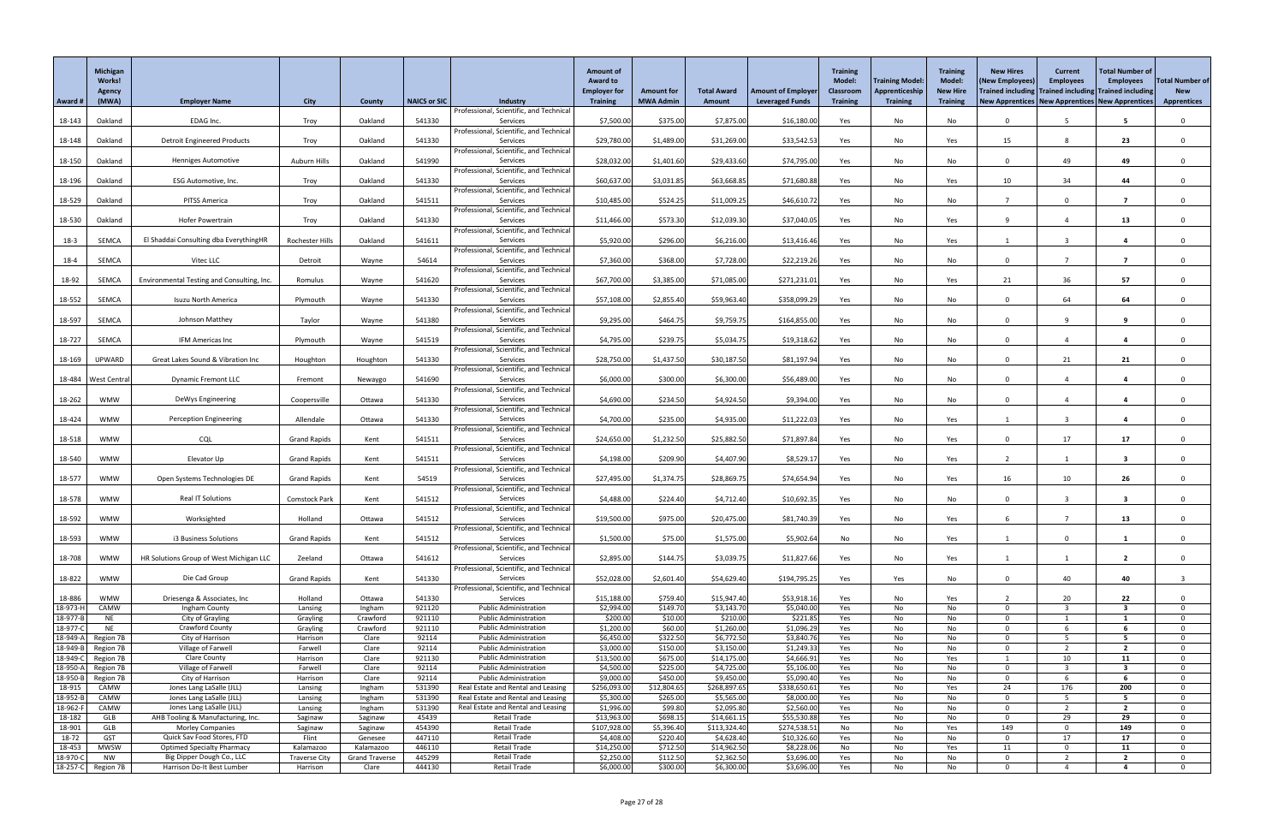|                      | Michigan<br><b>Works!</b><br>Agency |                                                       |                      |                       |                     |                                                                    | <b>Amount of</b><br><b>Award to</b><br><b>Employer for</b> | <b>Amount for</b>       | <b>Total Award</b>         | <b>Amount of Employer</b>   | <b>Training</b><br><b>Model:</b><br><b>Classroom</b> | <b>Training Model:</b><br>Apprenticeship | <b>Training</b><br><b>Model:</b><br><b>New Hire</b> | <b>New Hires</b><br>(New Employees)<br>Trained including Trained including Trained including | <b>Current</b><br><b>Employees</b> | <b>Total Number of</b><br><b>Employees</b> | <b>Total Number of</b><br><b>New</b> |
|----------------------|-------------------------------------|-------------------------------------------------------|----------------------|-----------------------|---------------------|--------------------------------------------------------------------|------------------------------------------------------------|-------------------------|----------------------------|-----------------------------|------------------------------------------------------|------------------------------------------|-----------------------------------------------------|----------------------------------------------------------------------------------------------|------------------------------------|--------------------------------------------|--------------------------------------|
| Award #              | (MWA)                               | <b>Employer Name</b>                                  | <b>City</b>          | <b>County</b>         | <b>NAICS or SIC</b> | <b>Industry</b>                                                    | <b>Training</b>                                            | <b>MWA Admin</b>        | <b>Amount</b>              | <b>Leveraged Funds</b>      | <b>Training</b>                                      | <b>Training</b>                          | <b>Training</b>                                     | New Apprentices   New Apprentices   New Apprentices                                          |                                    |                                            | <b>Apprentices</b>                   |
| 18-143               | Oakland                             | EDAG Inc.                                             | Troy                 | Oakland               | 541330              | Professional, Scientific, and Technical<br>Services                | \$7,500.00                                                 | \$375.00                | \$7,875.00                 | \$16,180.00                 | Yes                                                  | No                                       | No                                                  | $\Omega$                                                                                     |                                    |                                            | $\mathbf{0}$                         |
|                      |                                     |                                                       |                      |                       |                     | Professional, Scientific, and Technical                            |                                                            |                         |                            |                             |                                                      |                                          |                                                     |                                                                                              |                                    |                                            |                                      |
| 18-148               | Oakland                             | <b>Detroit Engineered Products</b>                    | Troy                 | Oakland               | 541330              | Services                                                           | \$29,780.00                                                | \$1,489.00              | \$31,269.00                | \$33,542.53                 | Yes                                                  | No                                       | Yes                                                 | 15                                                                                           | 8                                  | 23                                         | $\Omega$                             |
|                      |                                     |                                                       |                      | Oakland               | 541990              | Professional, Scientific, and Technical<br>Services                |                                                            |                         |                            | \$74,795.00                 |                                                      |                                          |                                                     | $\Omega$                                                                                     | 49                                 | 49                                         |                                      |
| 18-150               | Oakland                             | <b>Henniges Automotive</b>                            | Auburn Hills         |                       |                     | Professional, Scientific, and Technical                            | \$28,032.00                                                | \$1,401.60              | \$29,433.60                |                             | Yes                                                  | No                                       | No                                                  |                                                                                              |                                    |                                            | $\mathbf{0}$                         |
| 18-196               | Oakland                             | ESG Automotive, Inc.                                  | Troy                 | Oakland               | 541330              | Services                                                           | \$60,637.00                                                | \$3,031.85              | \$63,668.85                | \$71,680.88                 | Yes                                                  | No                                       | Yes                                                 | 10                                                                                           | 34                                 | 44                                         | $\Omega$                             |
|                      |                                     |                                                       |                      |                       |                     | Professional, Scientific, and Technical                            |                                                            |                         |                            |                             |                                                      |                                          |                                                     |                                                                                              |                                    |                                            |                                      |
| 18-529               | Oakland                             | PITSS America                                         | Troy                 | Oakland               | 541511              | Services<br>Professional, Scientific, and Technical                | \$10,485.00                                                | \$524.25                | \$11,009.25                | \$46,610.72                 | Yes                                                  | No                                       | No                                                  |                                                                                              | $\Omega$                           |                                            |                                      |
| 18-530               | Oakland                             | Hofer Powertrain                                      | Troy                 | Oakland               | 541330              | Services                                                           | \$11,466.00                                                | \$573.30                | \$12,039.30                | \$37,040.05                 | Yes                                                  | No                                       | Yes                                                 | Q                                                                                            |                                    | 13                                         | $\Omega$                             |
|                      |                                     |                                                       |                      |                       |                     | Professional, Scientific, and Technical                            |                                                            |                         |                            |                             |                                                      |                                          |                                                     |                                                                                              |                                    |                                            |                                      |
| $18-3$               | SEMCA                               | El Shaddai Consulting dba EverythingHR                | Rochester Hills      | Oakland               | 541611              | Services<br>Professional, Scientific, and Technical                | \$5,920.00                                                 | \$296.00                | \$6,216.00                 | \$13,416.46                 | Yes                                                  | No                                       | Yes                                                 |                                                                                              |                                    |                                            | $\Omega$                             |
| $18 - 4$             | SEMCA                               | Vitec LLC                                             | Detroit              | Wayne                 | 54614               | Services                                                           | \$7,360.00                                                 | \$368.00                | \$7,728.00                 | \$22,219.26                 | Yes                                                  | No                                       | No                                                  | $\Omega$                                                                                     |                                    | $\overline{\mathbf{z}}$                    | $\Omega$                             |
|                      |                                     |                                                       |                      |                       |                     | Professional, Scientific, and Technical                            |                                                            |                         |                            |                             |                                                      |                                          |                                                     |                                                                                              |                                    |                                            |                                      |
| 18-92                | SEMCA                               | Environmental Testing and Consulting, Inc.            | Romulus              | Wayne                 | 541620              | Services                                                           | \$67,700.00                                                | \$3,385.00              | \$71,085.00                | \$271,231.0                 | Yes                                                  | No                                       | Yes                                                 | 21                                                                                           | 36                                 | 57                                         | $\Omega$                             |
| 18-552               | SEMCA                               | Isuzu North America                                   | Plymouth             | Wayne                 | 541330              | Professional, Scientific, and Technical<br>Services                | \$57,108.00                                                | \$2,855.40              | \$59,963.40                | \$358,099.29                | Yes                                                  | No                                       | No                                                  | $\Omega$                                                                                     | 64                                 | 64                                         | $\Omega$                             |
|                      |                                     |                                                       |                      |                       |                     | Professional, Scientific, and Technical                            |                                                            |                         |                            |                             |                                                      |                                          |                                                     |                                                                                              |                                    |                                            |                                      |
| 18-597               | SEMCA                               | Johnson Matthey                                       | Taylor               | Wayne                 | 541380              | Services                                                           | \$9,295.00                                                 | \$464.75                | \$9,759.75                 | \$164,855.00                | Yes                                                  | No                                       | No                                                  | $\Omega$                                                                                     |                                    |                                            | $\Omega$                             |
|                      |                                     | IFM Americas Inc                                      |                      |                       | 541519              | Professional, Scientific, and Technical<br>Services                | \$4,795.00                                                 | \$239.75                | \$5,034.75                 | \$19,318.62                 |                                                      |                                          |                                                     | $\Omega$                                                                                     |                                    |                                            |                                      |
| 18-727               | SEMCA                               |                                                       | Plymouth             | Wayne                 |                     | Professional, Scientific, and Technical                            |                                                            |                         |                            |                             | Yes                                                  | No                                       | No                                                  |                                                                                              |                                    |                                            |                                      |
| 18-169               | UPWARD                              | Great Lakes Sound & Vibration Inc                     | Houghton             | Houghton              | 541330              | Services                                                           | \$28,750.00                                                | \$1,437.50              | \$30,187.50                | \$81,197.94                 | Yes                                                  | No                                       | No                                                  | $\Omega$                                                                                     | 21                                 | 21                                         | $\Omega$                             |
|                      |                                     |                                                       |                      |                       |                     | Professional, Scientific, and Technical                            |                                                            |                         |                            |                             |                                                      |                                          |                                                     |                                                                                              |                                    |                                            |                                      |
| 18-484               | <b>West Central</b>                 | <b>Dynamic Fremont LLC</b>                            | Fremont              | Newaygo               | 541690              | Services<br>Professional, Scientific, and Technical                | \$6,000.00                                                 | \$300.00                | \$6,300.00                 | \$56,489.00                 | Yes                                                  | No                                       | No                                                  |                                                                                              |                                    |                                            |                                      |
| 18-262               | <b>WMW</b>                          | DeWys Engineering                                     | Coopersville         | Ottawa                | 541330              | Services                                                           | \$4,690.00                                                 | \$234.50                | \$4,924.50                 | \$9,394.00                  | Yes                                                  | No                                       | No                                                  | <sup>n</sup>                                                                                 |                                    |                                            |                                      |
|                      |                                     |                                                       |                      |                       |                     | Professional, Scientific, and Technical                            |                                                            |                         |                            |                             |                                                      |                                          |                                                     |                                                                                              |                                    |                                            |                                      |
| 18-424               | WMW                                 | <b>Perception Engineering</b>                         | Allendale            | Ottawa                | 541330              | Services<br>Professional, Scientific, and Technical                | \$4,700.00                                                 | \$235.00                | \$4,935.00                 | \$11,222.03                 | Yes                                                  | No                                       | Yes                                                 |                                                                                              |                                    |                                            | $\Omega$                             |
| 18-518               | <b>WMW</b>                          | <b>CQL</b>                                            | <b>Grand Rapids</b>  | Kent                  | 541511              | Services                                                           | \$24,650.00                                                | \$1,232.50              | \$25,882.50                | \$71,897.84                 | Yes                                                  | No                                       | Yes                                                 | $\Omega$                                                                                     | 17                                 | 17                                         | $\Omega$                             |
|                      |                                     |                                                       |                      |                       |                     | Professional, Scientific, and Technical                            |                                                            |                         |                            |                             |                                                      |                                          |                                                     |                                                                                              |                                    |                                            |                                      |
| 18-540               | <b>WMW</b>                          | Elevator Up                                           | <b>Grand Rapids</b>  | Kent                  | 541511              | Services<br>Professional, Scientific, and Technical                | \$4,198.00                                                 | \$209.90                | \$4,407.90                 | \$8,529.17                  | Yes                                                  | No                                       | Yes                                                 |                                                                                              |                                    | -3                                         | $\Omega$                             |
| 18-577               | WMW                                 | Open Systems Technologies DE                          | <b>Grand Rapids</b>  | Kent                  | 54519               | Services                                                           | \$27,495.00                                                | \$1,374.75              | \$28,869.75                | \$74,654.94                 | Yes                                                  | No                                       | Yes                                                 | 16                                                                                           | 10                                 | 26                                         |                                      |
|                      |                                     |                                                       |                      |                       |                     | Professional, Scientific, and Technical                            |                                                            |                         |                            |                             |                                                      |                                          |                                                     |                                                                                              |                                    |                                            |                                      |
| 18-578               | <b>WMW</b>                          | <b>Real IT Solutions</b>                              | <b>Comstock Park</b> | Kent                  | 541512              | Services                                                           | \$4,488.00                                                 | \$224.40                | \$4,712.40                 | \$10,692.35                 | Yes                                                  | No                                       | No                                                  | $\Omega$                                                                                     | 3                                  | $\mathbf{3}$                               | $\Omega$                             |
| 18-592               | <b>WMW</b>                          | Worksighted                                           | Holland              | Ottawa                | 541512              | Professional, Scientific, and Technical<br>Services                | \$19,500.00                                                | \$975.00                | \$20,475.00                | \$81,740.39                 | Yes                                                  | No                                       | Yes                                                 |                                                                                              |                                    | 13                                         |                                      |
|                      |                                     |                                                       |                      |                       |                     | Professional, Scientific, and Technical                            |                                                            |                         |                            |                             |                                                      |                                          |                                                     |                                                                                              |                                    |                                            |                                      |
| 18-593               | <b>WMW</b>                          | i3 Business Solutions                                 | <b>Grand Rapids</b>  | Kent                  | 541512              | Services                                                           | \$1,500.00                                                 | \$75.00                 | \$1,575.00                 | \$5,902.64                  | No                                                   | No                                       | Yes                                                 |                                                                                              | $\Omega$                           |                                            | $\Omega$                             |
| 18-708               | <b>WMW</b>                          | HR Solutions Group of West Michigan LLC               | Zeeland              | Ottawa                | 541612              | Professional, Scientific, and Technical<br>Services                | \$2,895.00                                                 | \$144.75                | \$3,039.75                 | \$11,827.66                 | Yes                                                  | No                                       | Yes                                                 |                                                                                              |                                    | $\overline{\mathbf{2}}$                    | $\Omega$                             |
|                      |                                     |                                                       |                      |                       |                     | Professional, Scientific, and Technical                            |                                                            |                         |                            |                             |                                                      |                                          |                                                     |                                                                                              |                                    |                                            |                                      |
| 18-822               | <b>WMW</b>                          | Die Cad Group                                         | <b>Grand Rapids</b>  | Kent                  | 541330              | Services                                                           | \$52,028.00                                                | \$2,601.40              | \$54,629.40                | \$194,795.25                | Yes                                                  | Yes                                      | No                                                  | $\Omega$                                                                                     | 40                                 | 40                                         |                                      |
| 18-886               | <b>WMW</b>                          | Driesenga & Associates, Inc.                          | Holland              | Ottawa                | 541330              | Professional, Scientific, and Technical<br>Services                | \$15,188.00                                                | \$759.40                | \$15,947.40                | \$53,918.16                 | Yes                                                  | No                                       | Yes                                                 |                                                                                              | 20                                 | 22                                         | $\Omega$                             |
| 18-973-H             | CAMW                                | Ingham County                                         | Lansing              | Ingham                | 921120              | <b>Public Administration</b>                                       | \$2,994.00                                                 | \$149.70                | \$3,143.70                 | \$5,040.00                  | Yes                                                  | No                                       | No                                                  | $\cap$                                                                                       |                                    | -3                                         | $\Omega$                             |
| 18-977-B             | <b>NE</b>                           | City of Grayling                                      | Grayling             | Crawford              | 921110              | <b>Public Administration</b>                                       | \$200.00                                                   | \$10.00                 | \$210.00                   | \$221.8                     | Yes                                                  | No                                       | No                                                  | <sup>n</sup>                                                                                 |                                    |                                            | $\Omega$                             |
| 18-977-0             | <b>NE</b>                           | <b>Crawford County</b>                                | Grayling             | Crawford              | 921110              | <b>Public Administration</b>                                       | \$1,200.00                                                 | \$60.00                 | \$1,260.00                 | \$1,096.29                  | Yes                                                  | No                                       | No                                                  | $\Omega$                                                                                     |                                    |                                            | $\Omega$                             |
| 18-949-A<br>18-949-B | Region 7B<br>Region 7B              | City of Harrison<br>Village of Farwell                | Harrison<br>Farwell  | Clare<br>Clare        | 92114<br>92114      | <b>Public Administration</b><br><b>Public Administration</b>       | \$6,450.00<br>\$3,000.00                                   | \$322.50<br>\$150.00    | \$6,772.50<br>\$3,150.00   | \$3,840.7<br>\$1,249.3      | Yes<br>Yes                                           | No<br>No                                 | No<br>No                                            | $\cap$<br>$\Omega$                                                                           |                                    |                                            | $\Omega$<br>$\Omega$                 |
| 18-949-C             | Region 7B                           | <b>Clare County</b>                                   | Harrison             | Clare                 | 921130              | <b>Public Administration</b>                                       | \$13,500.00                                                | \$675.00                | \$14,175.00                | \$4,666.9                   | Yes                                                  | No                                       | Yes                                                 |                                                                                              | 10                                 | 11                                         | $\Omega$                             |
| 18-950-A             | Region 7B                           | Village of Farwell                                    | Farwell              | Clare                 | 92114               | <b>Public Administration</b>                                       | \$4,500.00                                                 | \$225.00                | \$4,725.00                 | \$5,106.00                  | Yes                                                  | No                                       | No                                                  | $\cap$                                                                                       |                                    | $\mathbf{3}$                               | $\Omega$                             |
| 18-950-B<br>$18-915$ | Region 7B<br>CAMW                   | City of Harrison                                      | Harrison             | Clare                 | 92114<br>531390     | <b>Public Administration</b><br>Real Estate and Rental and Leasing | \$9,000.00<br>\$256,093.00                                 | \$450.00<br>\$12,804.65 | \$9,450.00<br>\$268,897.65 | \$5,090.40<br>\$338,650.61  | Yes                                                  | No                                       | No                                                  | $\Omega$<br>24                                                                               | 176                                | 200                                        | $\mathbf 0$                          |
| 18-952-B             | CAMW                                | Jones Lang LaSalle (JLL)<br>Jones Lang LaSalle (JLL)  | Lansing<br>Lansing   | Ingham<br>Ingham      | 531390              | Real Estate and Rental and Leasing                                 | \$5,300.00                                                 | \$265.00                | \$5,565.00                 | \$8,000.00                  | Yes<br>Yes                                           | No<br>No                                 | Yes<br>No                                           | $\Omega$                                                                                     | -5                                 | 5                                          | $\mathbf{0}$                         |
| 18-962-F             | CAMW                                | Jones Lang LaSalle (JLL)                              | Lansing              | Ingham                | 531390              | Real Estate and Rental and Leasing                                 | \$1,996.00                                                 | \$99.80                 | \$2,095.80                 | \$2,560.00                  | Yes                                                  | No                                       | No                                                  | $\Omega$                                                                                     | ി                                  | $\overline{2}$                             |                                      |
| 18-182               | GLB                                 | AHB Tooling & Manufacturing, Inc.                     | Saginaw              | Saginaw               | 45439               | <b>Retail Trade</b>                                                | \$13,963.00                                                | \$698.15                | \$14,661.15                | \$55,530.88                 | Yes                                                  | No                                       | No                                                  | $\Omega$                                                                                     | 29                                 | 29                                         | $\Omega$                             |
| 18-901<br>18-72      | GLB<br><b>GST</b>                   | <b>Morley Companies</b><br>Quick Sav Food Stores, FTD | Saginaw<br>Flint     | Saginaw<br>Genesee    | 454390<br>447110    | Retail Trade<br><b>Retail Trade</b>                                | \$107,928.00<br>\$4,408.00                                 | \$5,396.40<br>\$220.40  | \$113,324.40<br>\$4,628.40 | \$274,538.51<br>\$10,326.60 | No<br>Yes                                            | No<br>No                                 | Yes<br>No                                           | 149<br>$\Omega$                                                                              | $\Omega$<br>17                     | 149<br>17                                  | $\Omega$<br>$\Omega$                 |
| 18-453               | <b>MWSW</b>                         | <b>Optimed Specialty Pharmacy</b>                     | Kalamazoo            | Kalamazoo             | 446110              | <b>Retail Trade</b>                                                | \$14,250.00                                                | \$712.50                | \$14,962.50                | \$8,228.06                  | No                                                   | No                                       | Yes                                                 | 11                                                                                           |                                    | 11                                         | n.                                   |
| 18-970-C             | <b>NW</b>                           | Big Dipper Dough Co., LLC                             | <b>Traverse City</b> | <b>Grand Traverse</b> | 445299              | <b>Retail Trade</b>                                                | \$2,250.00                                                 | \$112.50                | \$2,362.50                 | \$3,696.00                  | Yes                                                  | No                                       | No                                                  | $\Omega$                                                                                     |                                    | $\overline{\mathbf{2}}$                    | $\Omega$                             |
|                      | 18-257-C Region 7B                  | Harrison Do-It Best Lumber                            | Harrison             | Clare                 | 444130              | Retail Trade                                                       | \$6,000.00                                                 | \$300.00                | \$6,300.00                 | \$3,696.00                  | Yes                                                  | No                                       | No                                                  | $\Omega$                                                                                     |                                    |                                            | $\Omega$                             |